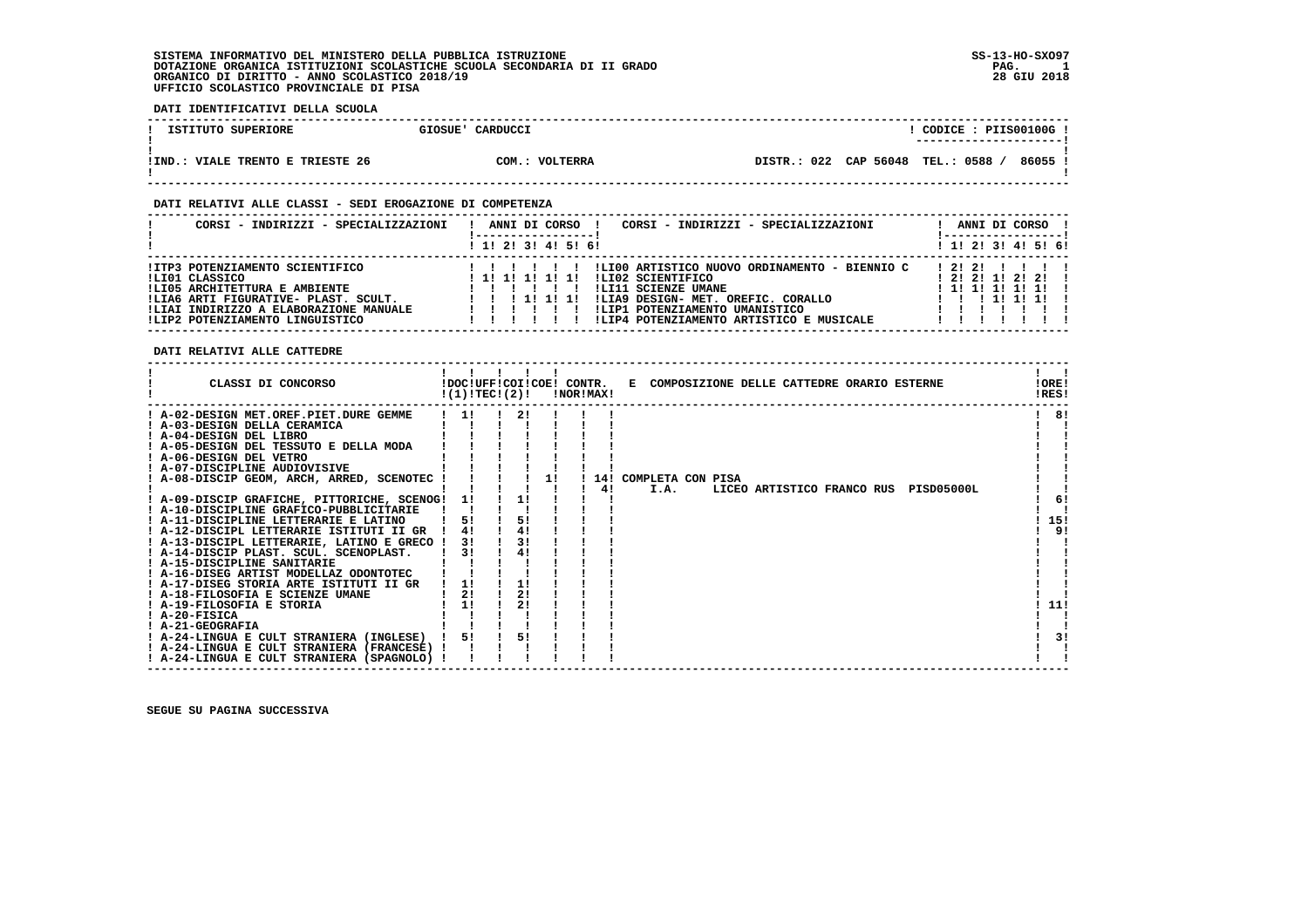### **DATI IDENTIFICATIVI DELLA SCUOLA**

| ISTITUTO SUPERIORE                 | GIOSUE' CARDUCCI | CODICE: PIIS00100G!<br>----------------------            |
|------------------------------------|------------------|----------------------------------------------------------|
| VIALE TRENTO E TRIESTE 26<br>!IND. | COM.: VOLTERRA   | 86055 !<br><b>TEL.: 0588</b><br>022 CAP 56048<br>DISTR.: |

 **------------------------------------------------------------------------------------------------------------------------------------**

#### **DATI RELATIVI ALLE CLASSI - SEDI EROGAZIONE DI COMPETENZA**

| CORSI - INDIRIZZI - SPECIALIZZAZIONI                                                                                                                                                                    | CORSI - INDIRIZZI - SPECIALIZZAZIONI<br>ANNI DI CORSO<br>! 1! 2! 3! 4! 5! 6!                                                                                                                                                      | ANNI DI CORSO<br>$1$ , 1!, 2!, 3!, 4!, 5!, 6!               |
|---------------------------------------------------------------------------------------------------------------------------------------------------------------------------------------------------------|-----------------------------------------------------------------------------------------------------------------------------------------------------------------------------------------------------------------------------------|-------------------------------------------------------------|
| !ITP3 POTENZIAMENTO SCIENTIFICO<br>!LI01 CLASSICO<br>!LI05 ARCHITETTURA E AMBIENTE<br>!LIA6 ARTI FIGURATIVE- PLAST. SCULT.<br>!LIAI INDIRIZZO A ELABORAZIONE MANUALE<br>!LIP2 POTENZIAMENTO LINGUISTICO | !LI00 ARTISTICO NUOVO ORDINAMENTO - BIENNIO C<br>ILI02 SCIENTIFICO<br>! 1! 1! 1! 1! 1!<br>!LI11 SCIENZE UMANE<br>!LIA9 DESIGN- MET. OREFIC. CORALLO<br>!LIP1 POTENZIAMENTO UMANISTICO<br>!LIP4 POTENZIAMENTO ARTISTICO E MUSICALE | 12121<br>1 2 1 2 1 1 2 1 2 1<br>1 1 1 1 1 1 1 1 1<br>111111 |

#### **DATI RELATIVI ALLE CATTEDRE**

| CLASSI DI CONCORSO                           | !(1)!TEC!(2)! |    |    | !NOR!MAX! |    |                         |      |  |  | !DOC!UFF!COI!COE! CONTR. E COMPOSIZIONE DELLE CATTEDRE ORARIO ESTERNE |                                       |  | !ORE!<br>!RES! |
|----------------------------------------------|---------------|----|----|-----------|----|-------------------------|------|--|--|-----------------------------------------------------------------------|---------------------------------------|--|----------------|
| ! A-02-DESIGN MET.OREF.PIET.DURE GEMME       | 11            | 21 |    |           |    |                         |      |  |  |                                                                       |                                       |  | 8!             |
| ! A-03-DESIGN DELLA CERAMICA                 |               |    |    |           |    |                         |      |  |  |                                                                       |                                       |  |                |
| ! A-04-DESIGN DEL LIBRO                      |               |    |    |           |    |                         |      |  |  |                                                                       |                                       |  |                |
| ! A-05-DESIGN DEL TESSUTO E DELLA MODA       |               |    |    |           |    |                         |      |  |  |                                                                       |                                       |  |                |
| ! A-06-DESIGN DEL VETRO                      |               |    |    |           |    |                         |      |  |  |                                                                       |                                       |  |                |
| ! A-07-DISCIPLINE AUDIOVISIVE                |               |    |    |           |    |                         |      |  |  |                                                                       |                                       |  |                |
| ! A-08-DISCIP GEOM, ARCH, ARRED, SCENOTEC !  |               |    | 11 |           |    | ! 14! COMPLETA CON PISA |      |  |  |                                                                       |                                       |  |                |
|                                              |               |    |    |           | 4! |                         | I.A. |  |  |                                                                       | LICEO ARTISTICO FRANCO RUS PISD05000L |  |                |
| ! A-09-DISCIP GRAFICHE, PITTORICHE, SCENOG!  | 11            | 11 |    |           |    |                         |      |  |  |                                                                       |                                       |  | 6!             |
| ! A-10-DISCIPLINE GRAFICO-PUBBLICITARIE      |               |    |    |           |    |                         |      |  |  |                                                                       |                                       |  |                |
| ! A-11-DISCIPLINE LETTERARIE E LATINO        |               | 5! |    |           |    |                         |      |  |  |                                                                       |                                       |  | 15!            |
| ! A-12-DISCIPL LETTERARIE ISTITUTI II GR     | 4!            | 4! |    |           |    |                         |      |  |  |                                                                       |                                       |  | 9!             |
| ! A-13-DISCIPL LETTERARIE, LATINO E GRECO !  | 31            | 3! |    |           |    |                         |      |  |  |                                                                       |                                       |  |                |
| ! A-14-DISCIP PLAST. SCUL. SCENOPLAST.       | 31            | 4! |    |           |    |                         |      |  |  |                                                                       |                                       |  |                |
| ! A-15-DISCIPLINE SANITARIE                  |               |    |    |           |    |                         |      |  |  |                                                                       |                                       |  |                |
| ! A-16-DISEG ARTIST MODELLAZ ODONTOTEC       |               |    |    |           |    |                         |      |  |  |                                                                       |                                       |  |                |
| ! A-17-DISEG STORIA ARTE ISTITUTI II GR      | 11            | 1! |    |           |    |                         |      |  |  |                                                                       |                                       |  |                |
| ! A-18-FILOSOFIA E SCIENZE UMANE             | 2!            | 2! |    |           |    |                         |      |  |  |                                                                       |                                       |  |                |
| ! A-19-FILOSOFIA E STORIA<br>$I$ A-20-FISICA | 1!            | 2! |    |           |    |                         |      |  |  |                                                                       |                                       |  | 11!            |
| ! A-21-GEOGRAFIA                             |               |    |    |           |    |                         |      |  |  |                                                                       |                                       |  |                |
| ! A-24-LINGUA E CULT STRANIERA (INGLESE)     | 51            | 5! |    |           |    |                         |      |  |  |                                                                       |                                       |  | 3!             |
| ! A-24-LINGUA E CULT STRANIERA (FRANCESE) !  |               |    |    |           |    |                         |      |  |  |                                                                       |                                       |  |                |
| ! A-24-LINGUA E CULT STRANIERA (SPAGNOLO) !  |               |    |    |           |    |                         |      |  |  |                                                                       |                                       |  |                |
|                                              |               |    |    |           |    |                         |      |  |  |                                                                       |                                       |  |                |

 **------------------------------------------------------------------------------------------------------------------------------------**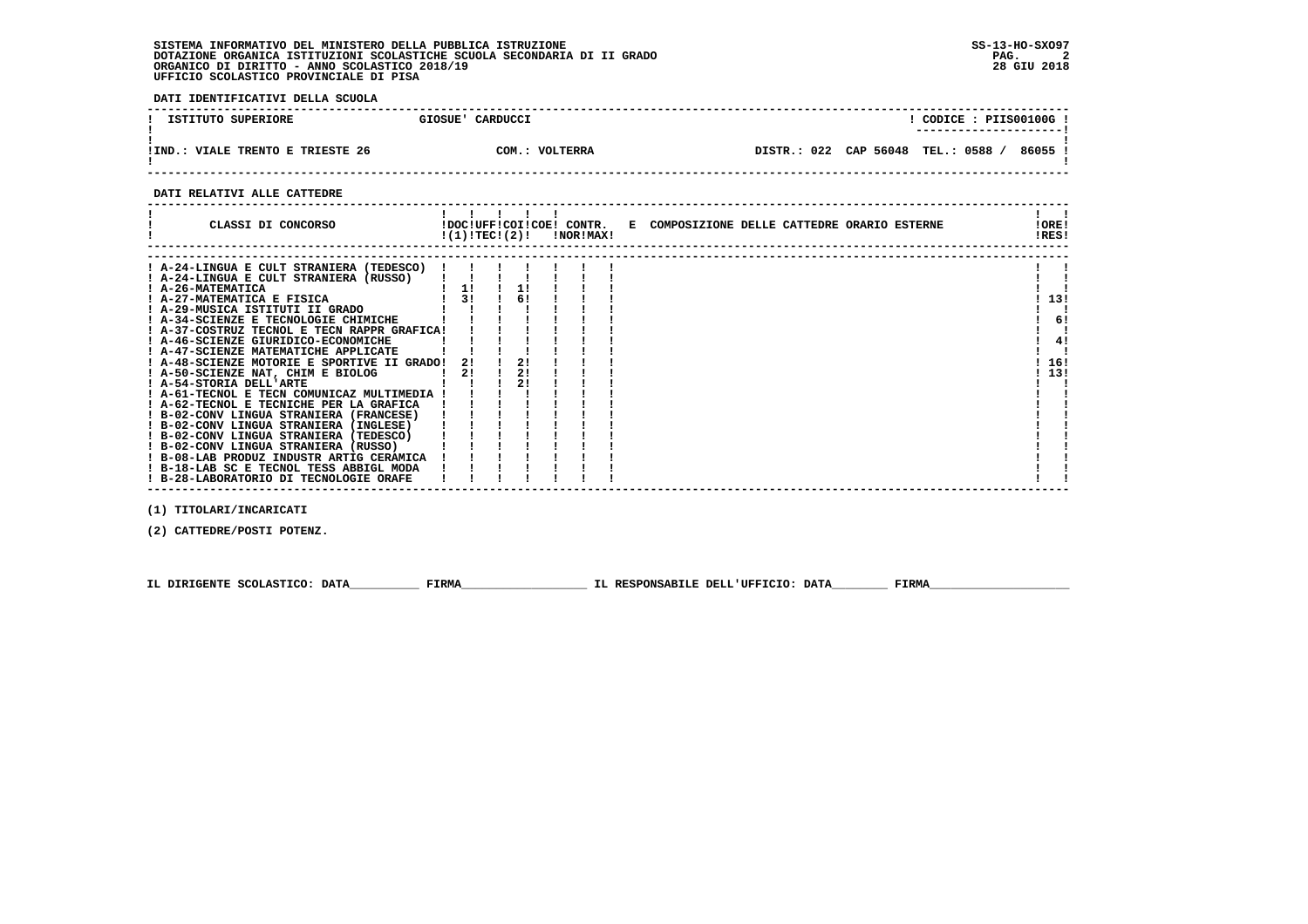**DATI IDENTIFICATIVI DELLA SCUOLA**

| ISTITUTO SUPERIORE        | CARDUCCI<br>GIOSUE' | CODICE: PIIS00100G!<br>---------------------- |
|---------------------------|---------------------|-----------------------------------------------|
| VIALE TRENTO E TRIESTE 26 | $COM.$ :            | DISTR.: 022 CAP 56048 TEL.: 0588              |
| IIND.                     | VOLTERRA            | 86055                                         |

 **------------------------------------------------------------------------------------------------------------------------------------**

#### **DATI RELATIVI ALLE CATTEDRE**

| CLASSI DI CONCORSO                                                                                                                                                                                                                                                                                                                                                                                                                                                                                            |          |                | $!(1)!TEC!(2)!$ $INORIMAX!$ | !DOC!UFF!COI!COE! CONTR. E COMPOSIZIONE DELLE CATTEDRE ORARIO ESTERNE | !ORE!<br>!RES! |          |
|---------------------------------------------------------------------------------------------------------------------------------------------------------------------------------------------------------------------------------------------------------------------------------------------------------------------------------------------------------------------------------------------------------------------------------------------------------------------------------------------------------------|----------|----------------|-----------------------------|-----------------------------------------------------------------------|----------------|----------|
| ! A-24-LINGUA E CULT STRANIERA (TEDESCO) !<br>! A-24-LINGUA E CULT STRANIERA (RUSSO)<br>! A-26-MATEMATICA<br>! A-27-MATEMATICA E FISICA<br>! A-29-MUSICA ISTITUTI II GRADO<br>! A-34-SCIENZE E TECNOLOGIE CHIMICHE<br>! A-37-COSTRUZ TECNOL E TECN RAPPR GRAFICA!<br>! A-46-SCIENZE GIURIDICO-ECONOMICHE<br>! A-47-SCIENZE MATEMATICHE APPLICATE                                                                                                                                                              | 11<br>31 | 1!<br>6!       |                             |                                                                       | 13!            | 6!<br>4! |
| ! A-48-SCIENZE MOTORIE E SPORTIVE II GRADO!<br>! A-50-SCIENZE NAT, CHIM E BIOLOG<br>! A-54-STORIA DELL'ARTE<br>! A-61-TECNOL E TECN COMUNICAZ MULTIMEDIA !<br>! A-62-TECNOL E TECNICHE PER LA GRAFICA<br>! B-02-CONV LINGUA STRANIERA (FRANCESE)<br>! B-02-CONV LINGUA STRANIERA (INGLESE)<br>! B-02-CONV LINGUA STRANIERA (TEDESCO)<br>! B-02-CONV LINGUA STRANIERA (RUSSO)<br>! B-08-LAB PRODUZ INDUSTR ARTIG CERAMICA<br>! B-18-LAB SC E TECNOL TESS ABBIGL MODA<br>! B-28-LABORATORIO DI TECNOLOGIE ORAFE | 2!<br>2! | 21<br>2!<br>21 |                             |                                                                       | 16!<br>13!     |          |

 **(1) TITOLARI/INCARICATI**

 **(2) CATTEDRE/POSTI POTENZ.**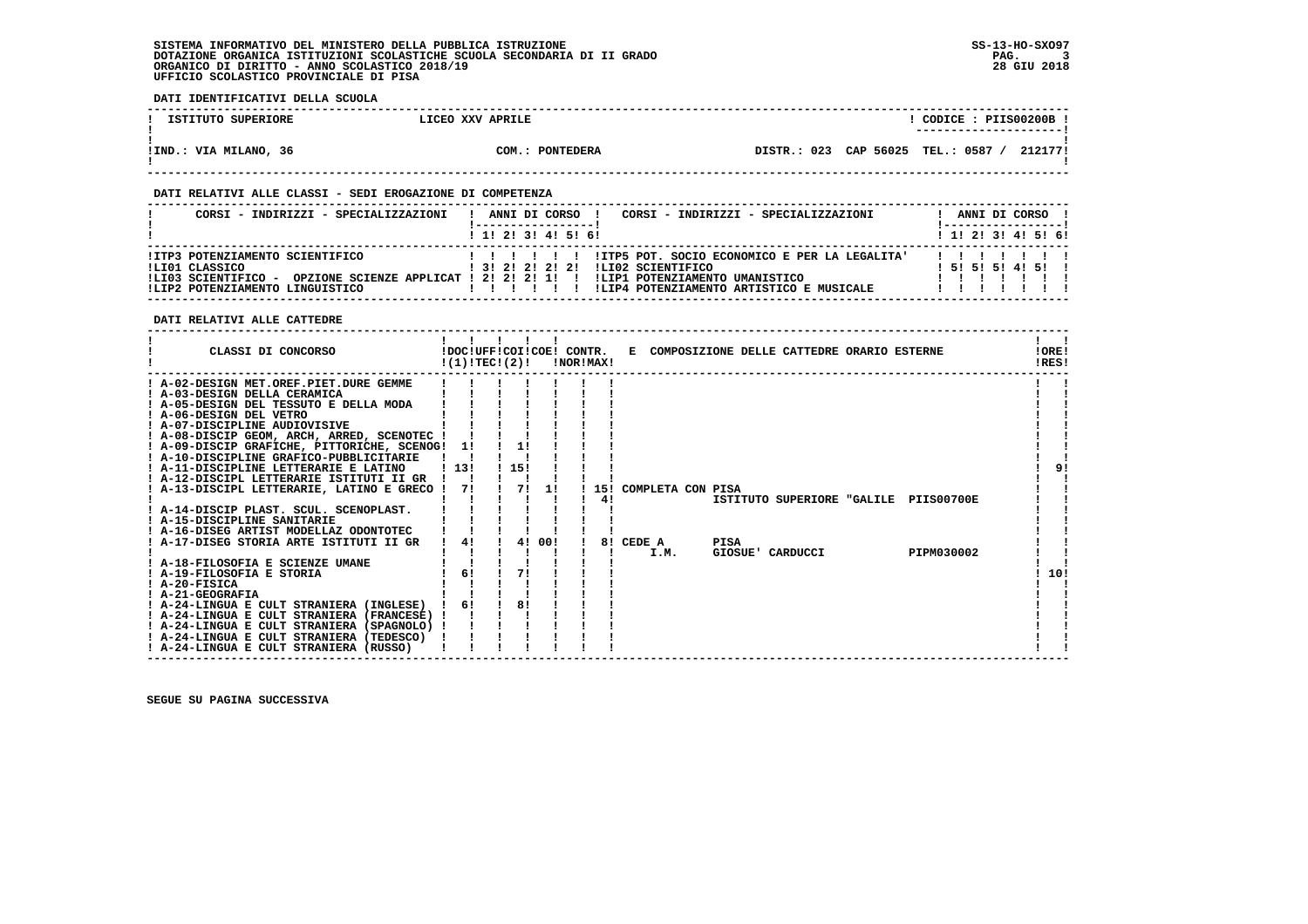**DATI IDENTIFICATIVI DELLA SCUOLA**

| ISTITUTO SUPERIORE    | LICEO XXV APRILE | CODICE: PIIS00200B !<br>________________________ |
|-----------------------|------------------|--------------------------------------------------|
| !IND.: VIA MILANO, 36 | COM.: PONTEDERA  | DISTR.: 023 CAP 56025 TEL.: 0587<br>212177!      |

 **------------------------------------------------------------------------------------------------------------------------------------**

#### **DATI RELATIVI ALLE CLASSI - SEDI EROGAZIONE DI COMPETENZA**

| CORSI - INDIRIZZI - SPECIALIZZAZIONI                                                                                                                    | CORSI - INDIRIZZI - SPECIALIZZAZIONI<br>ANNI DI CORSO !                                                                                                                   |  |  | ANNI DI CORSO    |                   |
|---------------------------------------------------------------------------------------------------------------------------------------------------------|---------------------------------------------------------------------------------------------------------------------------------------------------------------------------|--|--|------------------|-------------------|
|                                                                                                                                                         | 1 1 2 3 3 4 5 5 6                                                                                                                                                         |  |  |                  | 1 1 2 3 3 4 5 6 1 |
| !ITP3 POTENZIAMENTO SCIENTIFICO<br>ILIO1 CLASSICO<br>OPZIONE SCIENZE APPLICAT ! 2! 2! 2! 1! !<br>!LI03 SCIENTIFICO -<br>!LIP2 POTENZIAMENTO LINGUISTICO | !ITP5 POT. SOCIO ECONOMICO E PER LA LEGALITA'<br>ILI02 SCIENTIFICO<br>1 3 1 2 1 2 1 2 1 2 1<br>!LIP1 POTENZIAMENTO UMANISTICO<br>ILIP4 POTENZIAMENTO ARTISTICO E MUSICALE |  |  | 1 51 51 51 41 51 |                   |

 **DATI RELATIVI ALLE CATTEDRE**

| Ι.<br>$\mathbf{1}$<br>CLASSI DI CONCORSO<br>!DOC!UFF!COI!COE! CONTR.<br>E COMPOSIZIONE DELLE CATTEDRE ORARIO ESTERNE<br>!(1)!TECI(2)!<br>!NOR!MAX! | !ORE!<br>!RES! |
|----------------------------------------------------------------------------------------------------------------------------------------------------|----------------|
| ! A-02-DESIGN MET.OREF.PIET.DURE GEMME                                                                                                             |                |
| ! A-03-DESIGN DELLA CERAMICA                                                                                                                       |                |
| ! A-05-DESIGN DEL TESSUTO E DELLA MODA                                                                                                             |                |
| ! A-06-DESIGN DEL VETRO                                                                                                                            |                |
| ! A-07-DISCIPLINE AUDIOVISIVE                                                                                                                      |                |
| ! A-08-DISCIP GEOM, ARCH, ARRED, SCENOTEC !                                                                                                        |                |
| 1!<br>! A-09-DISCIP GRAFICHE, PITTORICHE, SCENOG! 1!                                                                                               |                |
| ! A-10-DISCIPLINE GRAFICO-PUBBLICITARIE                                                                                                            |                |
| 115!<br>! A-11-DISCIPLINE LETTERARIE E LATINO<br>113!                                                                                              | 91             |
| ! A-12-DISCIPL LETTERARIE ISTITUTI II GR<br>71                                                                                                     |                |
| A-13-DISCIPL LETTERARIE, LATINO E GRECO !<br>11<br>71<br>15! COMPLETA CON PISA<br>41                                                               |                |
| ISTITUTO SUPERIORE "GALILE PIIS00700E<br>! A-14-DISCIP PLAST. SCUL. SCENOPLAST.                                                                    |                |
| ! A-15-DISCIPLINE SANITARIE                                                                                                                        |                |
| ! A-16-DISEG ARTIST MODELLAZ ODONTOTEC                                                                                                             |                |
| 4!<br>4! 00!<br>! A-17-DISEG STORIA ARTE ISTITUTI II GR<br>8! CEDE A<br>PISA                                                                       |                |
| PIPM030002<br>I.M.<br>GIOSUE' CARDUCCI                                                                                                             |                |
| ! A-18-FILOSOFIA E SCIENZE UMANE                                                                                                                   |                |
| 61<br>71<br>! A-19-FILOSOFIA E STORIA                                                                                                              | 10!            |
| $I$ A-20-FISICA                                                                                                                                    |                |
| ! A-21-GEOGRAFIA                                                                                                                                   |                |
| 81<br>61<br>! A-24-LINGUA E CULT STRANIERA (INGLESE)                                                                                               |                |
| ! A-24-LINGUA E CULT STRANIERA (FRANCESE) !                                                                                                        |                |
| ! A-24-LINGUA E CULT STRANIERA (SPAGNOLO) !                                                                                                        |                |
| ! A-24-LINGUA E CULT STRANIERA (TEDESCO)                                                                                                           |                |
| ! A-24-LINGUA E CULT STRANIERA (RUSSO)                                                                                                             |                |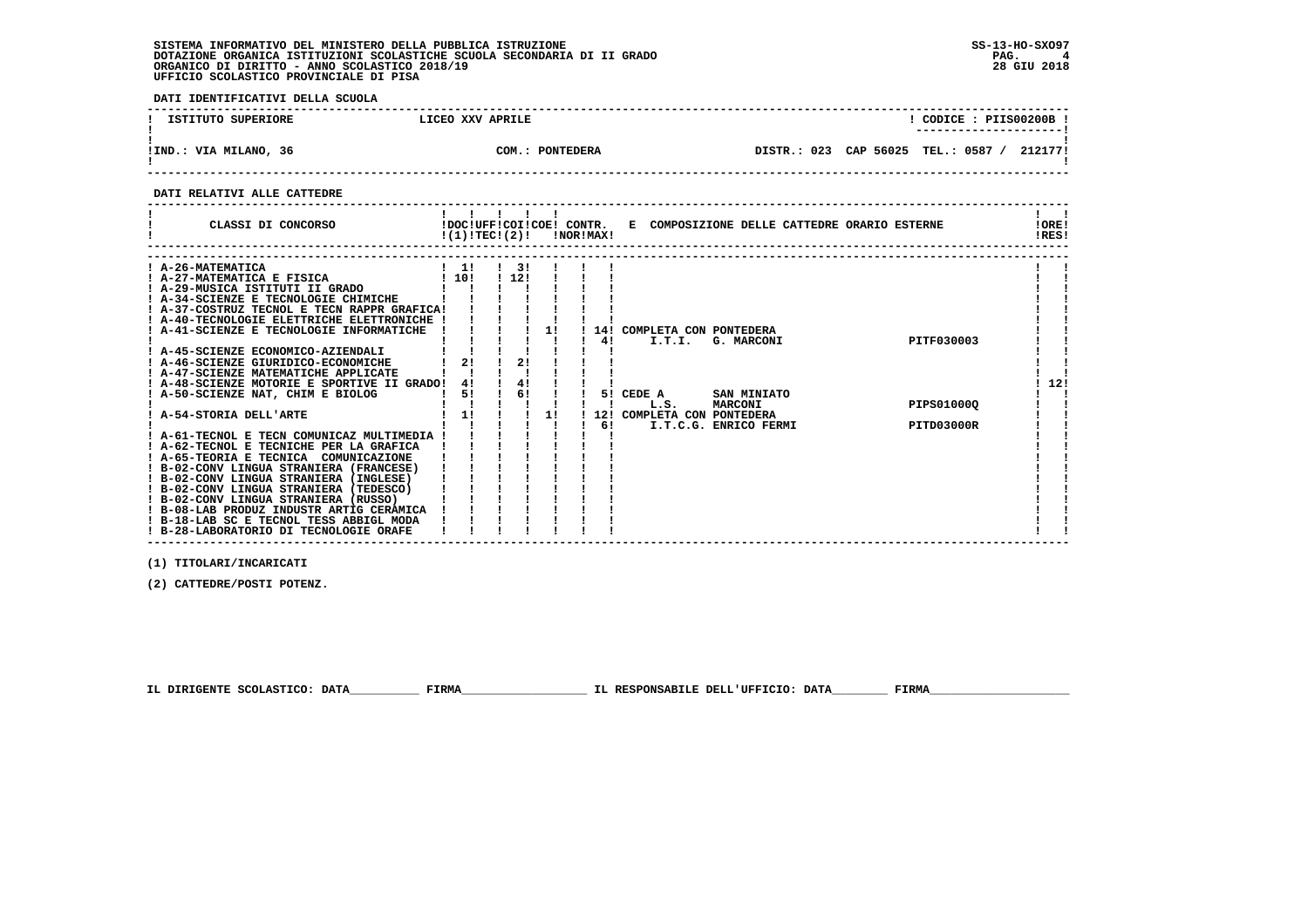**DATI IDENTIFICATIVI DELLA SCUOLA**

| ISTITUTO SUPERIORE    | LICEO XXV APRILE          | CODICE: PIIS00200B<br>---------------------- |
|-----------------------|---------------------------|----------------------------------------------|
| !IND.: VIA MILANO, 36 | COM.:<br><b>PONTEDERA</b> | DISTR.: 023 CAP 56025 TEL.: 0587<br>212177!  |

 **------------------------------------------------------------------------------------------------------------------------------------**

#### **DATI RELATIVI ALLE CATTEDRE**

| ! A-26-MATEMATICA<br>$1 \quad 11$<br>$1 \quad 31$<br>! 12!<br>110!<br>! A-27-MATEMATICA E FISICA<br>! A-29-MUSICA ISTITUTI II GRADO<br>! A-34-SCIENZE E TECNOLOGIE CHIMICHE<br>! A-37-COSTRUZ TECNOL E TECN RAPPR GRAFICA!<br>! A-40-TECNOLOGIE ELETTRICHE ELETTRONICHE !<br>A-41-SCIENZE E TECNOLOGIE INFORMATICHE<br>11<br>14!<br>COMPLETA CON PONTEDERA                                                                                                                                                                                                                                                                                                                                                                                                                                                                                                                              | CLASSI DI CONCORSO | !(1)!TEC!(2)! |  | !NOR!MAX! | !DOC!UFF!COI!COE! CONTR. E COMPOSIZIONE DELLE CATTEDRE ORARIO ESTERNE | !ORE!<br>IRES! |
|-----------------------------------------------------------------------------------------------------------------------------------------------------------------------------------------------------------------------------------------------------------------------------------------------------------------------------------------------------------------------------------------------------------------------------------------------------------------------------------------------------------------------------------------------------------------------------------------------------------------------------------------------------------------------------------------------------------------------------------------------------------------------------------------------------------------------------------------------------------------------------------------|--------------------|---------------|--|-----------|-----------------------------------------------------------------------|----------------|
| ! A-45-SCIENZE ECONOMICO-AZIENDALI<br>2!<br>2!<br>! A-46-SCIENZE GIURIDICO-ECONOMICHE<br>! A-47-SCIENZE MATEMATICHE APPLICATE<br>4!<br>12!<br>! A-48-SCIENZE MOTORIE E SPORTIVE II GRADO!<br>41<br>6!<br>A-50-SCIENZE NAT, CHIM E BIOLOG<br>5!<br>5! CEDE A<br>SAN MINIATO<br>PIPS010000<br>L.S.<br><b>MARCONI</b><br>1!<br>A-54-STORIA DELL'ARTE<br>1!<br>COMPLETA CON PONTEDERA<br>121<br>61<br><b>PITD03000R</b><br>I.T.C.G. ENRICO FERMI<br>! A-61-TECNOL E TECN COMUNICAZ MULTIMEDIA !<br>! A-62-TECNOL E TECNICHE PER LA GRAFICA<br>! A-65-TEORIA E TECNICA COMUNICAZIONE<br>! B-02-CONV LINGUA STRANIERA (FRANCESE)<br>! B-02-CONV LINGUA STRANIERA (INGLESE)<br>! B-02-CONV LINGUA STRANIERA (TEDESCO)<br>! B-02-CONV LINGUA STRANIERA (RUSSO)<br>! B-08-LAB PRODUZ INDUSTR ARTIG CERAMICA<br>! B-18-LAB SC E TECNOL TESS ABBIGL MODA<br>! B-28-LABORATORIO DI TECNOLOGIE ORAFE |                    |               |  | 41        | PITF030003<br>I.T.I.<br>G. MARCONI                                    |                |

 **(1) TITOLARI/INCARICATI**

 **(2) CATTEDRE/POSTI POTENZ.**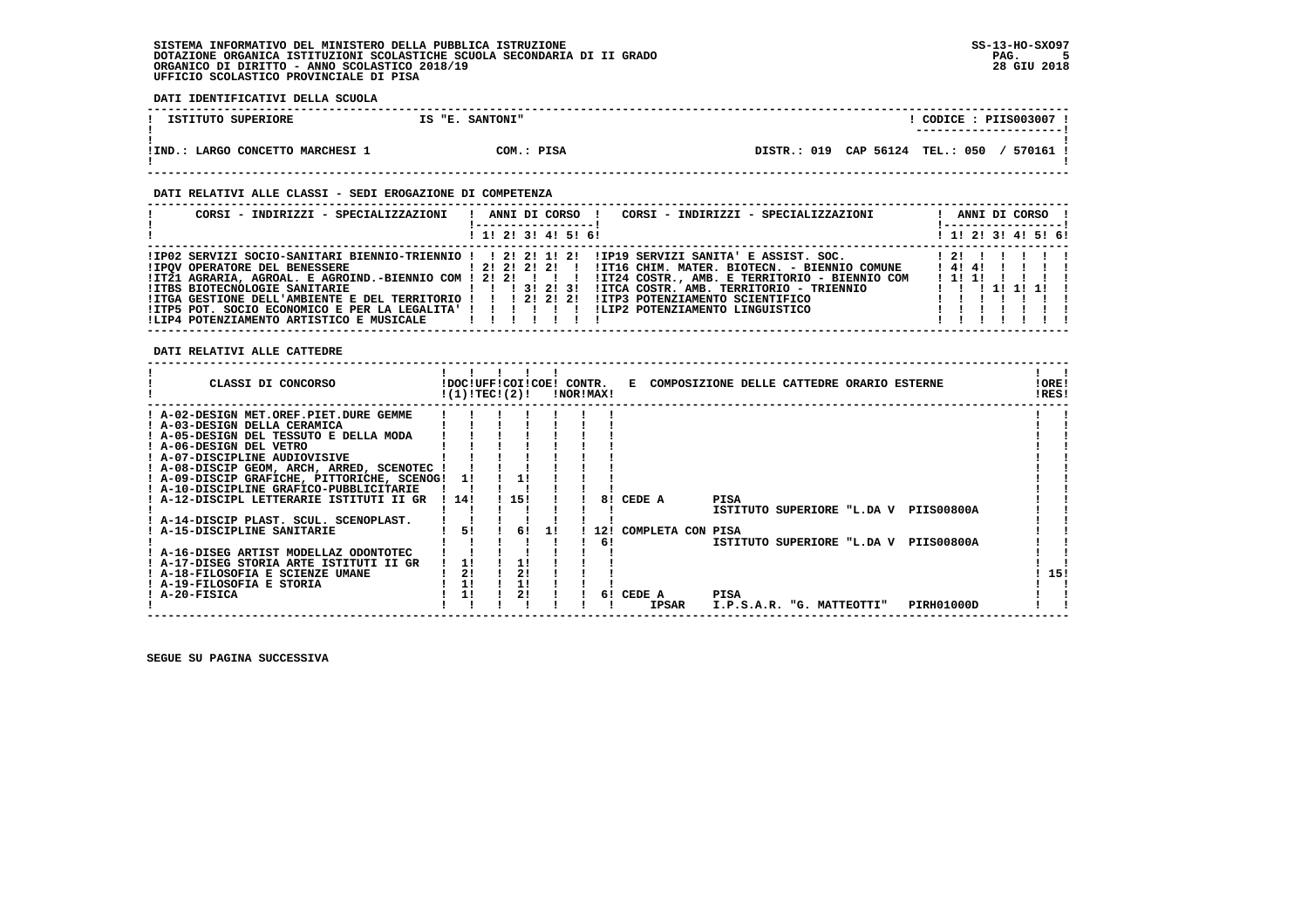**DATI IDENTIFICATIVI DELLA SCUOLA**

| ISTITUTO SUPERIORE                       | IS "E. SANTONI" | CODICE : PIIS003007 !<br>---------------------- |
|------------------------------------------|-----------------|-------------------------------------------------|
| $!$ IND.:<br>: LARGO CONCETTO MARCHESI 1 | COM.: PISA      | DISTR.: 019 CAP 56124 TEL.: 050<br>/ 570161 '   |

#### **DATI RELATIVI ALLE CLASSI - SEDI EROGAZIONE DI COMPETENZA**

| CORSI - INDIRIZZI - SPECIALIZZAZIONI                                                                                   | CORSI - INDIRIZZI - SPECIALIZZAZIONI<br>ANNI DI CORSO !<br>$\mathbf{I}$                                                                                                                                                                                                                                                                                                                                                                                                                               | ANNI DI CORSO !          |
|------------------------------------------------------------------------------------------------------------------------|-------------------------------------------------------------------------------------------------------------------------------------------------------------------------------------------------------------------------------------------------------------------------------------------------------------------------------------------------------------------------------------------------------------------------------------------------------------------------------------------------------|--------------------------|
|                                                                                                                        | ! 1! 2! 3! 4! 5! 6!                                                                                                                                                                                                                                                                                                                                                                                                                                                                                   | ! 1! 2! 3! 4! 5! 6!      |
| !ITGA GESTIONE DELL'AMBIENTE E DEL TERRITORIO ! ! ! 2! 2! 2!<br>!LIP4 POTENZIAMENTO ARTISTICO E MUSICALE   ! ! ! ! ! ! | IIPO2 SERVIZI SOCIO-SANITARI BIENNIO-TRIENNIO !! 2! 2! 1! 2! IIP19 SERVIZI SANITA' E ASSIST. SOC.<br>IPOV OPERATORE DEL BENESSERE 1999   21   21   21   21   21   11116 CHIM. MATER. BIOTECN. - BIENNIO COMUNE<br>IIT21 AGRARIA, AGROAL. E AGROIND.-BIENNIO COM ! 2! 2! ! ! ! !IT24 COSTR., AMB. E TERRITORIO - BIENNIO COM<br>!ITCA COSTR. AMB. TERRITORIO - TRIENNIO<br>IITP3 POTENZIAMENTO SCIENTIFICO<br>ITP5 POT. SOCIO ECONOMICO E PER LA LEGALITA' ! ! ! ! ! ! ILIP2 POTENZIAMENTO LINGUISTICO | 121111<br>141411<br>1111 |

#### **DATI RELATIVI ALLE CATTEDRE**

| CLASSI DI CONCORSO                          |      | !DOC!UFF!COI!COE! CONTR.<br>!(1)!TECI(2)! |    | !NOR!MAX! |     | E COMPOSIZIONE DELLE CATTEDRE ORARIO ESTERNE |                           |  |                                       | !ORE!<br>!RES! |
|---------------------------------------------|------|-------------------------------------------|----|-----------|-----|----------------------------------------------|---------------------------|--|---------------------------------------|----------------|
| ! A-02-DESIGN MET.OREF.PIET.DURE GEMME      |      |                                           |    |           |     |                                              |                           |  |                                       |                |
| ! A-03-DESIGN DELLA CERAMICA                |      |                                           |    |           |     |                                              |                           |  |                                       |                |
| ! A-05-DESIGN DEL TESSUTO E DELLA MODA      |      |                                           |    |           |     |                                              |                           |  |                                       |                |
| ! A-06-DESIGN DEL VETRO                     |      |                                           |    |           |     |                                              |                           |  |                                       |                |
| ! A-07-DISCIPLINE AUDIOVISIVE               |      |                                           |    |           |     |                                              |                           |  |                                       |                |
| ! A-08-DISCIP GEOM, ARCH, ARRED, SCENOTEC ! |      |                                           |    |           |     |                                              |                           |  |                                       |                |
| ! A-09-DISCIP GRAFICHE, PITTORICHE, SCENOG! | 11   |                                           |    |           |     |                                              |                           |  |                                       |                |
| ! A-10-DISCIPLINE GRAFICO-PUBBLICITARIE     |      |                                           |    |           |     |                                              |                           |  |                                       |                |
| ! A-12-DISCIPL LETTERARIE ISTITUTI II GR    | 114! | 15!                                       |    |           | 81  | CEDE A                                       | PISA                      |  |                                       |                |
|                                             |      |                                           |    |           |     |                                              |                           |  | ISTITUTO SUPERIORE "L.DA V PIIS00800A |                |
| ! A-14-DISCIP PLAST. SCUL. SCENOPLAST.      |      |                                           |    |           |     |                                              |                           |  |                                       |                |
| ! A-15-DISCIPLINE SANITARIE                 | 51   | 61                                        | 11 |           | 121 | COMPLETA CON PISA                            |                           |  |                                       |                |
|                                             |      |                                           |    |           | 61  |                                              |                           |  | ISTITUTO SUPERIORE "L.DA V PIIS00800A |                |
| ! A-16-DISEG ARTIST MODELLAZ ODONTOTEC      |      |                                           |    |           |     |                                              |                           |  |                                       |                |
| ! A-17-DISEG STORIA ARTE ISTITUTI II GR     | 11   |                                           |    |           |     |                                              |                           |  |                                       |                |
| ! A-18-FILOSOFIA E SCIENZE UMANE            | 2!   | 2!                                        |    |           |     |                                              |                           |  |                                       | 15!            |
| ! A-19-FILOSOFIA E STORIA                   | 1!   | 1!                                        |    |           |     |                                              |                           |  |                                       |                |
| ! A-20-FISICA                               | 1!   | 2!                                        |    |           | 61  | CEDE A                                       | PISA                      |  |                                       |                |
|                                             |      |                                           |    |           |     | <b>IPSAR</b>                                 | I.P.S.A.R. "G. MATTEOTTI" |  | PIRH01000D                            |                |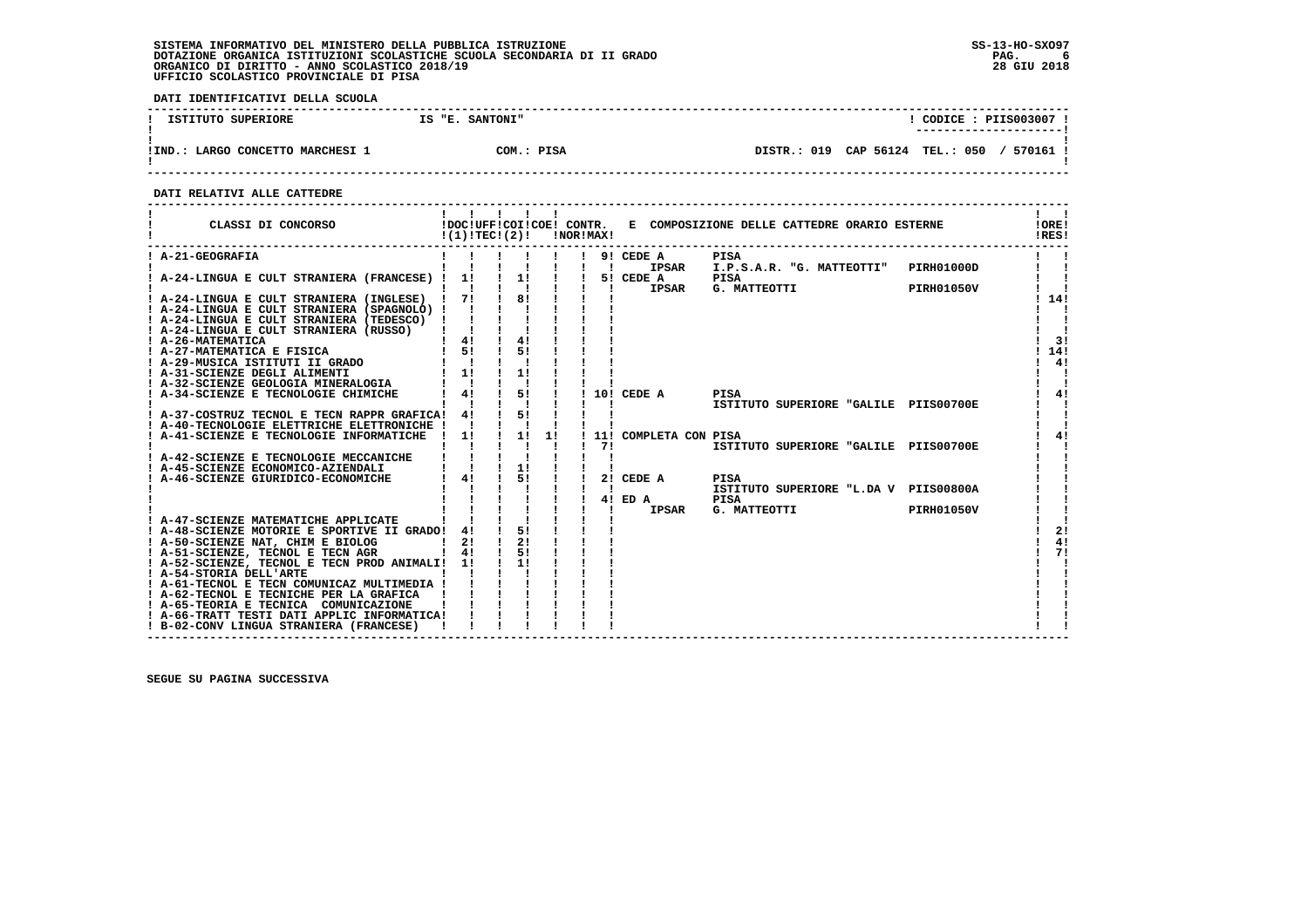**DATI IDENTIFICATIVI DELLA SCUOLA**

| ISTITUTO SUPERIORE                 | IS "E. SANTONI" | $\overline{COLICE}$ : PIIS003007<br>--------------------- |
|------------------------------------|-----------------|-----------------------------------------------------------|
| LARGO CONCETTO MARCHESI 1<br>!IND. | COM.: PISA      | DISTR.: 019 CAP 56124 TEL.: 050<br>570161 !               |

 **------------------------------------------------------------------------------------------------------------------------------------**

 **DATI RELATIVI ALLE CATTEDRE**

| CLASSI DI CONCORSO                                                                                             | !(1)!TECI(2)!      |                  |    | !NOR!MAX!                 |                       | !DOC!UFF!COI!COE! CONTR. E COMPOSIZIONE DELLE CATTEDRE ORARIO ESTERNE |                   | !ORE!<br>!RES! |
|----------------------------------------------------------------------------------------------------------------|--------------------|------------------|----|---------------------------|-----------------------|-----------------------------------------------------------------------|-------------------|----------------|
| ! A-21-GEOGRAFIA                                                                                               |                    |                  |    | $\mathbf{1}$ $\mathbf{1}$ | 9! CEDE A<br>IPSAR    | <b>PISA</b><br>I.P.S.A.R. "G. MATTEOTTI"                              | PIRH01000D        |                |
| ! A-24-LINGUA E CULT STRANIERA (FRANCESE) !                                                                    | 1!                 | 1!               |    |                           | 5! CEDE A<br>IPSAR    | PISA<br>G. MATTEOTTI                                                  | <b>PIRH01050V</b> |                |
| ! A-24-LINGUA E CULT STRANIERA (INGLESE) ! 7!                                                                  |                    | $\frac{1}{1}$ 81 |    |                           |                       |                                                                       |                   | 14!            |
| ! A-24-LINGUA E CULT STRANIERA (SPAGNOLO) !<br>! A-24-LINGUA E CULT STRANIERA (TEDESCO) !                      |                    |                  |    |                           |                       |                                                                       |                   |                |
| ! A-24-LINGUA E CULT STRANIERA (RUSSO)<br>! A-26-MATEMATICA<br>: A-20-MAIEMATICA<br>! A-27-MATEMATICA E FISICA | 4!                 | 4!               |    |                           |                       |                                                                       |                   | 3!             |
| ! A-29-MUSICA ISTITUTI II GRADO                                                                                | 51                 | 51               |    |                           |                       |                                                                       |                   | 14!<br>4!      |
| ! A-31-SCIENZE DEGLI ALIMENTI<br>! A-31-SCIENZE DEGLI ALIMENTI<br>! A-32-SCIENZE GEOLOGIA MINERALOGIA          | 1!                 |                  |    |                           |                       |                                                                       |                   |                |
| ! A-34-SCIENZE E TECNOLOGIE CHIMICHE                                                                           | 4!                 | 5!               |    |                           | 10! CEDE A            | PISA<br>ISTITUTO SUPERIORE "GALILE PIIS00700E                         |                   | 4!             |
| ! A-37-COSTRUZ TECNOL E TECN RAPPR GRAFICA!<br>! A-40-TECNOLOGIE ELETTRICHE ELETTRONICHE !                     | 4!                 | 51               |    |                           |                       |                                                                       |                   |                |
| ! A-41-SCIENZE E TECNOLOGIE INFORMATICHE                                                                       | 1!<br>$\mathbf{I}$ | 1!               | 1! | 71                        | 11! COMPLETA CON PISA | ISTITUTO SUPERIORE "GALILE PIIS00700E                                 |                   | 41             |
| ! A-42-SCIENZE E TECNOLOGIE MECCANICHE<br>! A-45-SCIENZE ECONOMICO-AZIENDALI                                   |                    | 1!               |    |                           |                       |                                                                       |                   |                |
| ! A-46-SCIENZE GIURIDICO-ECONOMICHE                                                                            | 41                 | 51               |    |                           | 2! CEDE A             | <b>PISA</b><br>ISTITUTO SUPERIORE "L.DA V PIIS00800A                  |                   |                |
|                                                                                                                |                    |                  |    |                           | 4! ED A<br>IPSAR      | PISA<br>G. MATTEOTTI                                                  | <b>PIRH01050V</b> |                |
| ! A-47-SCIENZE MATEMATICHE APPLICATE<br>! A-48-SCIENZE MOTORIE E SPORTIVE II GRADO!                            | 4!                 | 51               |    |                           |                       |                                                                       |                   | 2!             |
| ! A-50-SCIENZE NAT, CHIM E BIOLOG<br>! A-51-SCIENZE, TECNOL E TECN AGR                                         | 2!<br>4!           | 2!<br>5!         |    |                           |                       |                                                                       |                   | 4!<br>71       |
| ! A-52-SCIENZE, TECNOL E TECN PROD ANIMALI! 1!<br>! A-54-STORIA DELL'ARTE                                      |                    |                  |    |                           |                       |                                                                       |                   |                |
| ! A-61-TECNOL E TECN COMUNICAZ MULTIMEDIA !                                                                    |                    |                  |    |                           |                       |                                                                       |                   |                |
| ! A-62-TECNOL E TECNICHE PER LA GRAFICA<br>! A-65-TEORIA E TECNICA COMUNICAZIONE                               |                    |                  |    |                           |                       |                                                                       |                   |                |
| ! A-66-TRATT TESTI DATI APPLIC INFORMATICA!<br>! B-02-CONV LINGUA STRANIERA (FRANCESE)                         |                    |                  |    |                           |                       |                                                                       |                   |                |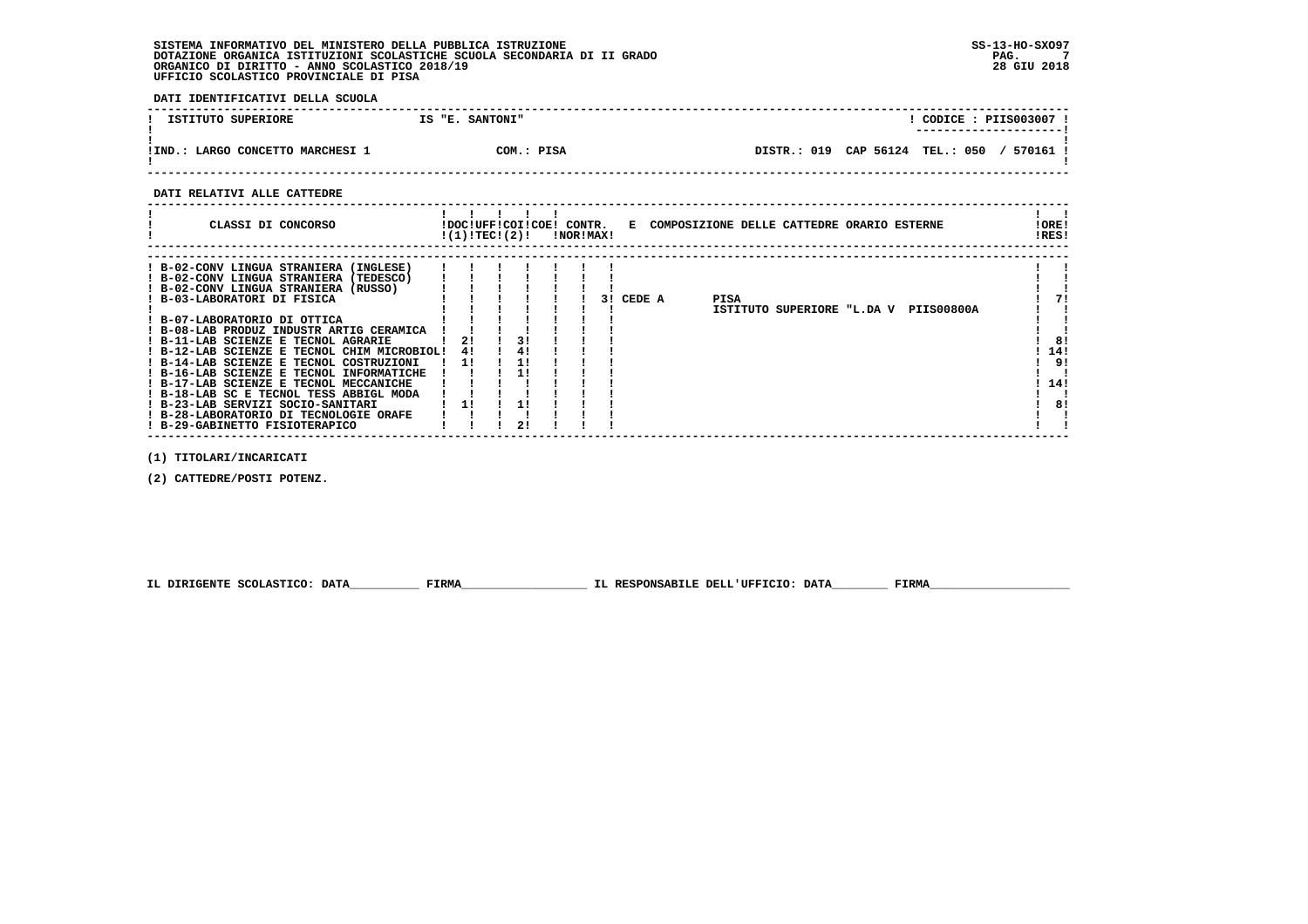**DATI IDENTIFICATIVI DELLA SCUOLA**

| ISTITUTO SUPERIORE               | IS "E. SANTONI" | CODICE : PIIS003007 !                       |
|----------------------------------|-----------------|---------------------------------------------|
| !IND.: LARGO CONCETTO MARCHESI 1 | COM.: PISA      | DISTR.: 019 CAP 56124 TEL.: 050<br>570161 ! |

 **------------------------------------------------------------------------------------------------------------------------------------**

 **DATI RELATIVI ALLE CATTEDRE**

| CLASSI DI CONCORSO                                                                                                                                                                                                                                                                                                                                                                                                                                                                                                                                                                                                     | !DOC!UFF!COI!COE! CONTR.<br>!(1)!TECI(2)! |    | INORIMAXI |           | E COMPOSIZIONE DELLE CATTEDRE ORARIO ESTERNE  | ! ORE!<br>!RES!                    |
|------------------------------------------------------------------------------------------------------------------------------------------------------------------------------------------------------------------------------------------------------------------------------------------------------------------------------------------------------------------------------------------------------------------------------------------------------------------------------------------------------------------------------------------------------------------------------------------------------------------------|-------------------------------------------|----|-----------|-----------|-----------------------------------------------|------------------------------------|
| ! B-02-CONV LINGUA STRANIERA (INGLESE)<br>! B-02-CONV LINGUA STRANIERA (TEDESCO)<br>! B-02-CONV LINGUA STRANIERA (RUSSO)<br>! B-03-LABORATORI DI FISICA<br>! B-07-LABORATORIO DI OTTICA<br>! B-08-LAB PRODUZ INDUSTR ARTIG CERAMICA<br>! B-11-LAB SCIENZE E TECNOL AGRARIE<br>! B-12-LAB SCIENZE E TECNOL CHIM MICROBIOL!<br>! B-14-LAB SCIENZE E TECNOL COSTRUZIONI<br>! B-16-LAB SCIENZE E TECNOL INFORMATICHE<br>! B-17-LAB SCIENZE E TECNOL MECCANICHE<br>! B-18-LAB SC E TECNOL TESS ABBIGL MODA<br>! B-23-LAB SERVIZI SOCIO-SANITARI<br>! B-28-LABORATORIO DI TECNOLOGIE ORAFE<br>! B-29-GABINETTO FISIOTERAPICO | 21<br>41<br>11                            | 31 |           | 3! CEDE A | PISA<br>ISTITUTO SUPERIORE "L.DA V PIIS00800A | 71<br>81<br>14!<br>9!<br>14!<br>8! |

 **------------------------------------------------------------------------------------------------------------------------------------**

 **(1) TITOLARI/INCARICATI**

 **(2) CATTEDRE/POSTI POTENZ.**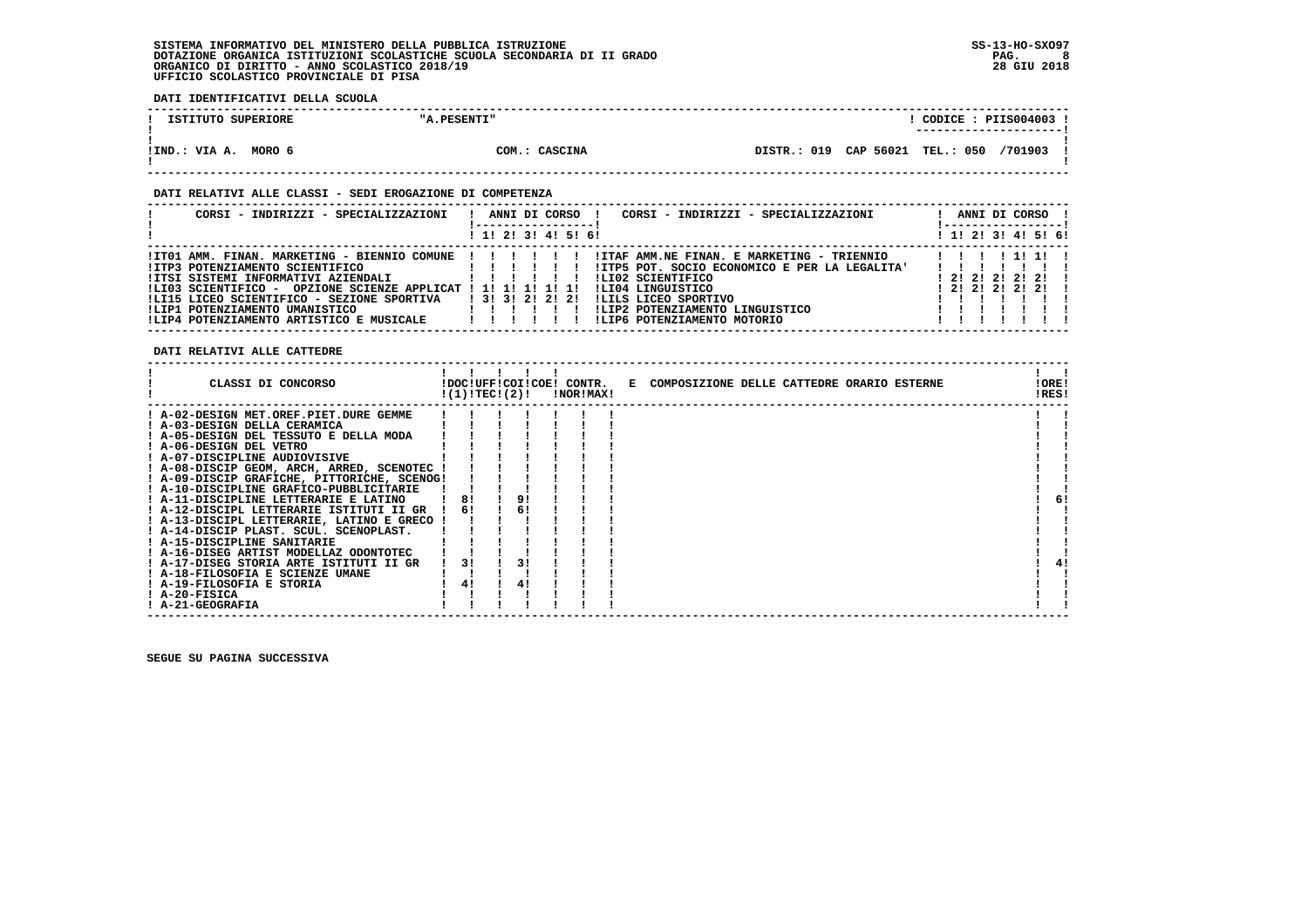**DATI IDENTIFICATIVI DELLA SCUOLA**

| ISTITUTO SUPERIORE      | "A.PESENTI"   | CODICE: PIIS004003 !<br>--------------------- |  |
|-------------------------|---------------|-----------------------------------------------|--|
| MORO 6<br>!IND.: VIA A. | COM.: CASCINA | DISTR.: 019 CAP 56021 TEL.: 050 /701903       |  |

 **------------------------------------------------------------------------------------------------------------------------------------**

#### **DATI RELATIVI ALLE CLASSI - SEDI EROGAZIONE DI COMPETENZA**

| CORSI - INDIRIZZI - SPECIALIZZAZIONI                                                                                                                                                                                                                                                                                        | ANNI DI CORSO<br>CORSI - INDIRIZZI - SPECIALIZZAZIONI<br>! 1! 2! 3! 4! 5! 6!                                                                                                                                                                                  | ANNI DI CORSO<br>! 1! 2! 3! 4! 5! 6!               |
|-----------------------------------------------------------------------------------------------------------------------------------------------------------------------------------------------------------------------------------------------------------------------------------------------------------------------------|---------------------------------------------------------------------------------------------------------------------------------------------------------------------------------------------------------------------------------------------------------------|----------------------------------------------------|
| !IT01 AMM. FINAN. MARKETING - BIENNIO COMUNE ! ! ! !<br>!ITP3 POTENZIAMENTO SCIENTIFICO<br>IITSI SISTEMI INFORMATIVI AZIENDALI<br>!LI03 SCIENTIFICO - OPZIONE SCIENZE APPLICAT ! 1! 1! 1! 1! 1!<br>!LI15 LICEO SCIENTIFICO - SEZIONE SPORTIVA<br>!LIP1 POTENZIAMENTO UMANISTICO<br>!LIP4 POTENZIAMENTO ARTISTICO E MUSICALE | !ITAF AMM.NE FINAN. E MARKETING - TRIENNIO<br>!ITP5 POT. SOCIO ECONOMICO E PER LA LEGALITA'<br>.<br>ILI02 SCIENTIFICO<br>ILI04 LINGUISTICO<br>1 3 1 3 1 2 1 2 1 2 1<br>ILILS LICEO SPORTIVO<br>!LIP2 POTENZIAMENTO LINGUISTICO<br>!LIP6 POTENZIAMENTO MOTORIO | 11111<br>$1$ 2! 2! 2! 2! 2! !<br>$1$ 21 21 21 21 1 |

 **DATI RELATIVI ALLE CATTEDRE**

| CLASSI DI CONCORSO                          | !(1)!TEC!(2)! |    | !DOC!UFF!COI!COE! CONTR.<br>!NOR!MAX! | E COMPOSIZIONE DELLE CATTEDRE ORARIO ESTERNE | !ORE!<br>!RES! |
|---------------------------------------------|---------------|----|---------------------------------------|----------------------------------------------|----------------|
| ! A-02-DESIGN MET.OREF.PIET.DURE GEMME      |               |    |                                       |                                              |                |
| ! A-03-DESIGN DELLA CERAMICA                |               |    |                                       |                                              |                |
| ! A-05-DESIGN DEL TESSUTO E DELLA MODA      |               |    |                                       |                                              |                |
| ! A-06-DESIGN DEL VETRO                     |               |    |                                       |                                              |                |
| ! A-07-DISCIPLINE AUDIOVISIVE               |               |    |                                       |                                              |                |
| ! A-08-DISCIP GEOM, ARCH, ARRED, SCENOTEC ! |               |    |                                       |                                              |                |
| ! A-09-DISCIP GRAFICHE, PITTORICHE, SCENOG! |               |    |                                       |                                              |                |
| ! A-10-DISCIPLINE GRAFICO-PUBBLICITARIE     |               |    |                                       |                                              |                |
| ! A-11-DISCIPLINE LETTERARIE E LATINO       | 8!            | 9! |                                       |                                              | 6!             |
| ! A-12-DISCIPL LETTERARIE ISTITUTI II GR    | 61            | 6! |                                       |                                              |                |
| ! A-13-DISCIPL LETTERARIE, LATINO E GRECO ! |               |    |                                       |                                              |                |
| ! A-14-DISCIP PLAST. SCUL. SCENOPLAST.      |               |    |                                       |                                              |                |
| ! A-15-DISCIPLINE SANITARIE                 |               |    |                                       |                                              |                |
| ! A-16-DISEG ARTIST MODELLAZ ODONTOTEC      |               |    |                                       |                                              |                |
| ! A-17-DISEG STORIA ARTE ISTITUTI II GR     | 31            | 31 |                                       |                                              |                |
| ! A-18-FILOSOFIA E SCIENZE UMANE            |               |    |                                       |                                              |                |
| ! A-19-FILOSOFIA E STORIA                   | 4!            | 4! |                                       |                                              |                |
| $I$ A-20-FISICA                             |               |    |                                       |                                              |                |
| ! A-21-GEOGRAFIA                            |               |    |                                       |                                              |                |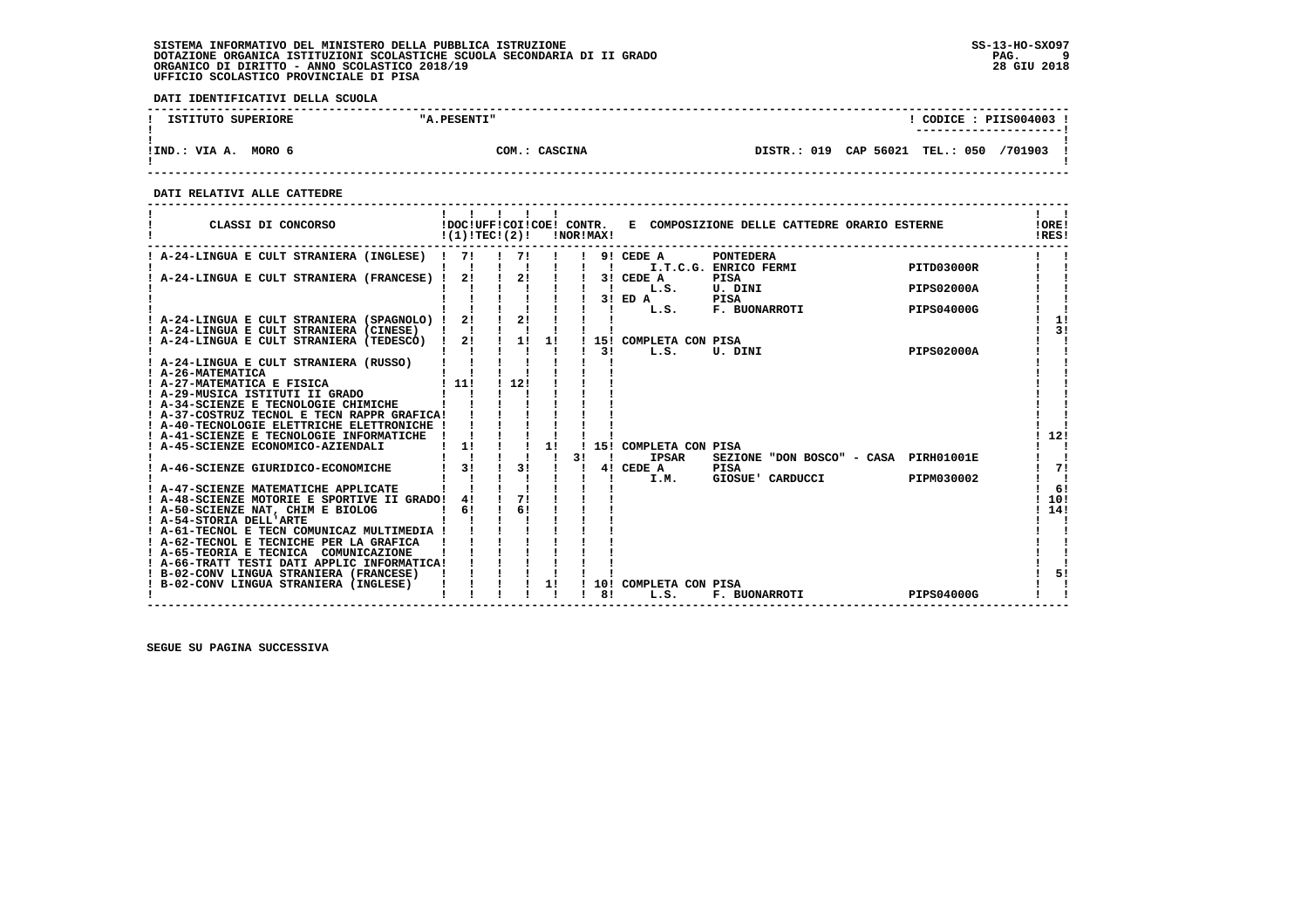**DATI IDENTIFICATIVI DELLA SCUOLA**

| ISTITUTO SUPERIORE      | "A.PESENTI"   | CODICE: PIIS004003<br>----------------------  |
|-------------------------|---------------|-----------------------------------------------|
| MORO 6<br>!IND.: VIA A. | COM.: CASCINA | CAP 56021 TEL.: 050<br>DISTR.: 019<br>/701903 |

 **------------------------------------------------------------------------------------------------------------------------------------**

 **DATI RELATIVI ALLE CATTEDRE**

| CLASSI DI CONCORSO                                                                                                                      |      | !DOC!UFF!COI!COE! CONTR.<br>!(1)!TEC!(2)! |    |    | !NOR!MAX!      |                                       | E COMPOSIZIONE DELLE CATTEDRE ORARIO ESTERNE |                   | !ORE!<br>!RES!     |
|-----------------------------------------------------------------------------------------------------------------------------------------|------|-------------------------------------------|----|----|----------------|---------------------------------------|----------------------------------------------|-------------------|--------------------|
| ! A-24-LINGUA E CULT STRANIERA (INGLESE) !                                                                                              | 71   | 71                                        |    |    | $\blacksquare$ | $!$ 9! CEDE A                         | <b>PONTEDERA</b><br>I.T.C.G. ENRICO FERMI    | PITD03000R        |                    |
| ! A-24-LINGUA E CULT STRANIERA (FRANCESE) ! 2!                                                                                          |      | 2!                                        |    |    | $\blacksquare$ | 3! CEDE A<br>L.S.                     | <b>PISA</b><br>U. DINI                       | <b>PIPS02000A</b> |                    |
|                                                                                                                                         | 21   | 21                                        |    |    | $\mathbf{I}$   | $3!$ ED $A$<br>L.S.                   | PISA<br>F. BUONARROTI                        | PIPS04000G        | 11                 |
| ! A-24-LINGUA E CULT STRANIERA (SPAGNOLO) !<br>! A-24-LINGUA E CULT STRANIERA (CINESE)<br>! A-24-LINGUA E CULT STRANIERA (TEDESCO) ! 2! |      | $\frac{1}{2}$                             | 1! |    |                | 15! COMPLETA CON PISA                 |                                              |                   | 31                 |
| A-24-LINGUA E CULT STRANIERA (RUSSO)                                                                                                    |      |                                           |    |    | 31             | L.S.                                  | PISA<br>U. DINI                              | <b>PIPS02000A</b> |                    |
| ! A-26-MATEMATICA<br>! A-27-MATEMATICA E FISICA                                                                                         | 1111 | 1121                                      |    |    |                |                                       |                                              |                   |                    |
| A-29-MUSICA ISTITUTI II GRADO<br>! A-34-SCIENZE E TECNOLOGIE CHIMICHE                                                                   |      |                                           |    |    |                |                                       |                                              |                   |                    |
| ! A-37-COSTRUZ TECNOL E TECN RAPPR GRAFICA!<br>! A-40-TECNOLOGIE ELETTRICHE ELETTRONICHE !<br>! A-41-SCIENZE E TECNOLOGIE INFORMATICHE  |      |                                           |    |    |                |                                       |                                              |                   | 12!                |
| A-45-SCIENZE ECONOMICO-AZIENDALI                                                                                                        | 1!   |                                           | 1! | 31 |                | 15! COMPLETA CON PISA<br><b>IPSAR</b> | SEZIONE "DON BOSCO" - CASA PIRH01001E        |                   |                    |
| A-46-SCIENZE GIURIDICO-ECONOMICHE                                                                                                       | 3!   | 31                                        |    |    |                | 4! CEDE A<br>I.M.                     | PISA<br>GIOSUE' CARDUCCI                     | PIPM030002        | 71<br>$\mathbf{I}$ |
| ! A-47-SCIENZE MATEMATICHE APPLICATE<br>! A-48-SCIENZE MOTORIE E SPORTIVE II GRADO!                                                     | 41   | 71<br>6!                                  |    |    |                |                                       |                                              |                   | 6!<br>10!          |
| ! A-50-SCIENZE NAT, CHIM E BIOLOG<br>! A-54-STORIA DELL'ARTE<br>! A-61-TECNOL E TECN COMUNICAZ MULTIMEDIA !                             | 61   |                                           |    |    |                |                                       |                                              |                   | 114!               |
| ! A-62-TECNOL E TECNICHE PER LA GRAFICA<br>! A-65-TEORIA E TECNICA COMUNICAZIONE                                                        |      |                                           |    |    |                |                                       |                                              |                   |                    |
| ! A-66-TRATT TESTI DATI APPLIC INFORMATICA!<br>! B-02-CONV LINGUA STRANIERA (FRANCESE)                                                  |      |                                           |    |    |                |                                       |                                              |                   | 51                 |
| ! B-02-CONV LINGUA STRANIERA (INGLESE)                                                                                                  |      |                                           | 1! |    | 10!<br>81      | COMPLETA CON PISA<br>L.S.             | <b>F. BUONARROTI</b>                         | PIPS04000G        |                    |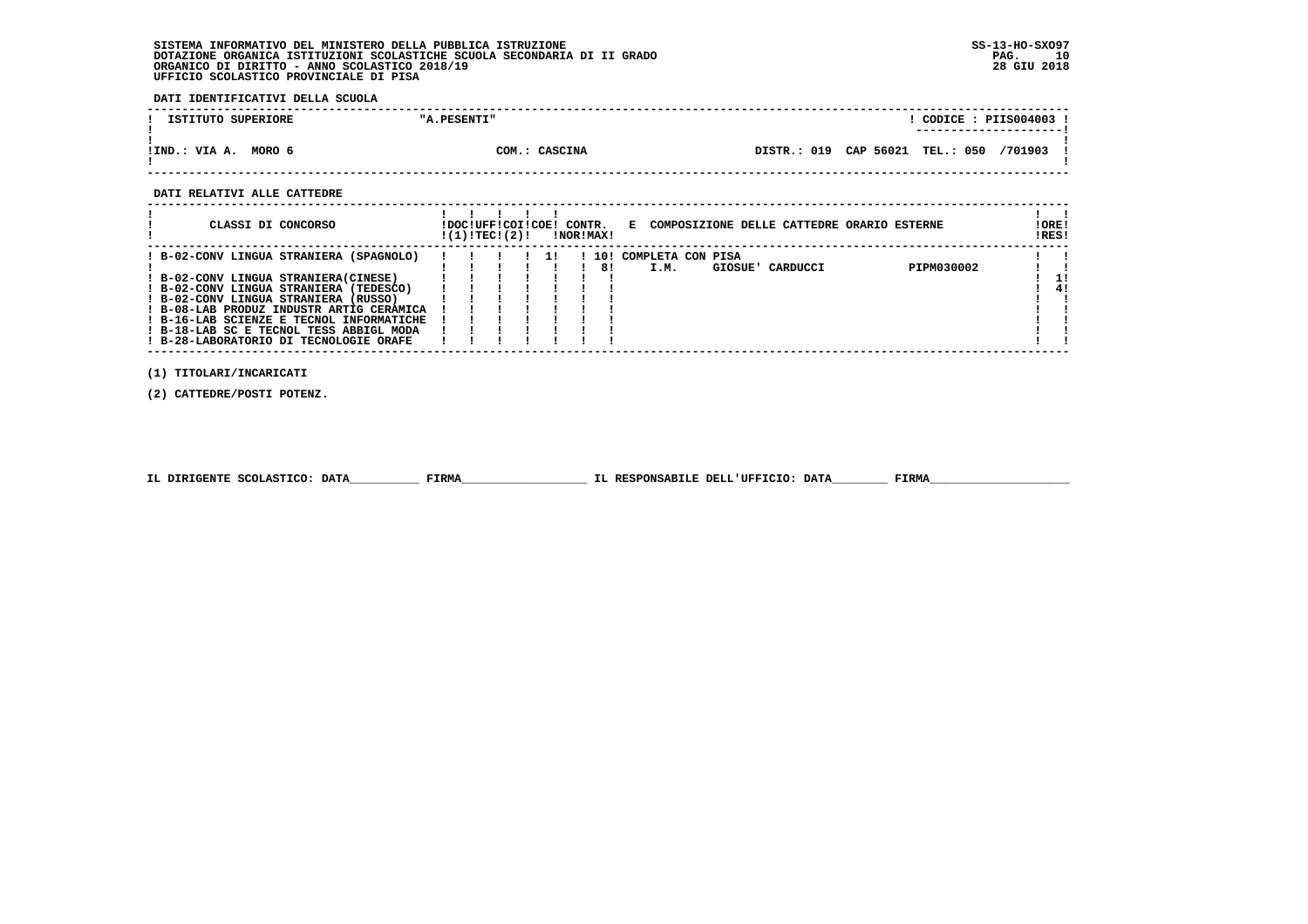**DATI IDENTIFICATIVI DELLA SCUOLA**

| ISTITUTO SUPERIORE      | "A.PESENTI"   | CODICE: PIIS004003!<br>---------------------- |
|-------------------------|---------------|-----------------------------------------------|
| MORO 6<br>!IND.: VIA A. | COM.: CASCINA | DISTR.: 019 CAP 56021 TEL.: 050<br>/701903    |

 **------------------------------------------------------------------------------------------------------------------------------------**

#### **DATI RELATIVI ALLE CATTEDRE**

| CLASSI DI CONCORSO                       | !DOC!UFF!COI!COE! CONTR.<br>!(1)!TECI(2)! |  |  | !NOR!MAX! | Е    |                   |                  | COMPOSIZIONE DELLE CATTEDRE ORARIO ESTERNE | !ORE!<br>!RES! |    |
|------------------------------------------|-------------------------------------------|--|--|-----------|------|-------------------|------------------|--------------------------------------------|----------------|----|
| ! B-02-CONV LINGUA STRANIERA (SPAGNOLO)  |                                           |  |  | 10!       |      | COMPLETA CON PISA |                  |                                            |                |    |
|                                          |                                           |  |  | 81        | I.M. |                   | GIOSUE' CARDUCCI | PIPM030002                                 |                |    |
| ! B-02-CONV LINGUA STRANIERA(CINESE)     |                                           |  |  |           |      |                   |                  |                                            |                |    |
| ! B-02-CONV LINGUA STRANIERA (TEDESCO)   |                                           |  |  |           |      |                   |                  |                                            |                | 4. |
| ! B-02-CONV LINGUA STRANIERA (RUSSO)     |                                           |  |  |           |      |                   |                  |                                            |                |    |
| ! B-08-LAB PRODUZ INDUSTR ARTIG CERAMICA |                                           |  |  |           |      |                   |                  |                                            |                |    |
| ! B-16-LAB SCIENZE E TECNOL INFORMATICHE |                                           |  |  |           |      |                   |                  |                                            |                |    |
| ! B-18-LAB SC E TECNOL TESS ABBIGL MODA  |                                           |  |  |           |      |                   |                  |                                            |                |    |
| ! B-28-LABORATORIO DI TECNOLOGIE ORAFE   |                                           |  |  |           |      |                   |                  |                                            |                |    |

 **(1) TITOLARI/INCARICATI**

 **(2) CATTEDRE/POSTI POTENZ.**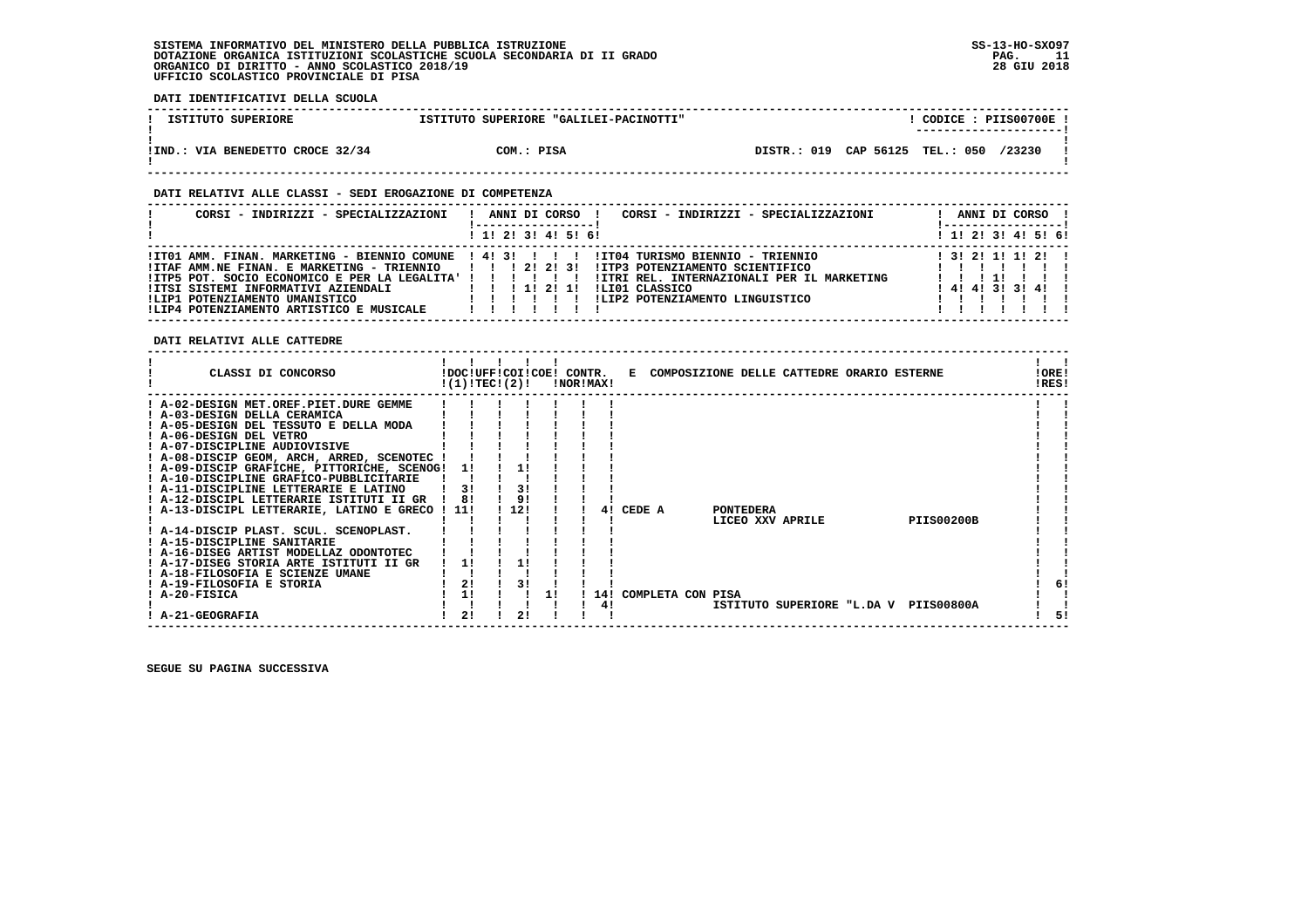**DATI IDENTIFICATIVI DELLA SCUOLA**

| ISTITUTO SUPERIORE               | ISTITUTO SUPERIORE "GALILEI-PACINOTTI" | CODICE: PIIS00700E!<br>---------------------- |
|----------------------------------|----------------------------------------|-----------------------------------------------|
| !IND.: VIA BENEDETTO CROCE 32/34 | COM.: PISA                             | DISTR.: 019 CAP 56125 TEL.: 050 /23230        |

#### **DATI RELATIVI ALLE CLASSI - SEDI EROGAZIONE DI COMPETENZA**

| CORSI - INDIRIZZI - SPECIALIZZAZIONI                                                                                                                                                                                                                                                                       | CORSI - INDIRIZZI - SPECIALIZZAZIONI<br>ANNI DI CORSO !                                                                                                                                 | ANNI DI CORSO !                            |
|------------------------------------------------------------------------------------------------------------------------------------------------------------------------------------------------------------------------------------------------------------------------------------------------------------|-----------------------------------------------------------------------------------------------------------------------------------------------------------------------------------------|--------------------------------------------|
|                                                                                                                                                                                                                                                                                                            | $1$ , 1! 2! 3! 4! 5! 6!                                                                                                                                                                 | $1$ , 1!, 2!, 3!, 4!, 5!, 6!               |
| !IT01 AMM. FINAN. MARKETING - BIENNIO COMUNE ! 4! 3! ! ! !<br>!ITAF AMM.NE FINAN. E MARKETING - TRIENNIO   !! ! 2! 2! 3!<br>!ITP5 POT. SOCIO ECONOMICO E PER LA LEGALITA' ! ! ! ! ! !<br>IITSI SISTEMI INFORMATIVI AZIENDALI<br>!LIP1 POTENZIAMENTO UMANISTICO<br>!LIP4 POTENZIAMENTO ARTISTICO E MUSICALE | IIT04 TURISMO BIENNIO - TRIENNIO<br>!ITP3 POTENZIAMENTO SCIENTIFICO<br>!ITRI REL. INTERNAZIONALI PER IL MARKETING<br>1 1 1 1 2 1 1<br>ILI01 CLASSICO<br>ILIP2 POTENZIAMENTO LINGUISTICO | 1 31 21 11 11 21 1<br>$1$ 4! 4! 3! 3! 4! ! |

 **DATI RELATIVI ALLE CATTEDRE**

| CLASSI DI CONCORSO                                       |     | !DOC!UFF!COI!COE! CONTR.<br>!(1)!TEC!(2)! |     |  | !NOR!MAX! |                   |  |                  | E COMPOSIZIONE DELLE CATTEDRE ORARIO ESTERNE |                   | !ORE!<br>!RES! |     |
|----------------------------------------------------------|-----|-------------------------------------------|-----|--|-----------|-------------------|--|------------------|----------------------------------------------|-------------------|----------------|-----|
| ! A-02-DESIGN MET.OREF.PIET.DURE GEMME                   |     |                                           |     |  |           |                   |  |                  |                                              |                   |                |     |
| ! A-03-DESIGN DELLA CERAMICA                             |     |                                           |     |  |           |                   |  |                  |                                              |                   |                |     |
| ! A-05-DESIGN DEL TESSUTO E DELLA MODA                   |     |                                           |     |  |           |                   |  |                  |                                              |                   |                |     |
| ! A-06-DESIGN DEL VETRO<br>! A-07-DISCIPLINE AUDIOVISIVE |     |                                           |     |  |           |                   |  |                  |                                              |                   |                |     |
| ! A-08-DISCIP GEOM, ARCH, ARRED, SCENOTEC                |     |                                           |     |  |           |                   |  |                  |                                              |                   |                |     |
| ! A-09-DISCIP GRAFICHE, PITTORICHE, SCENOG!              |     | 11                                        |     |  |           |                   |  |                  |                                              |                   |                |     |
| ! A-10-DISCIPLINE GRAFICO-PUBBLICITARIE                  |     |                                           |     |  |           |                   |  |                  |                                              |                   |                |     |
| ! A-11-DISCIPLINE LETTERARIE E LATINO                    |     | 3!                                        | 3!  |  |           |                   |  |                  |                                              |                   |                |     |
| ! A-12-DISCIPL LETTERARIE ISTITUTI II GR                 |     | 8!                                        | 91  |  |           |                   |  |                  |                                              |                   |                |     |
| ! A-13-DISCIPL LETTERARIE, LATINO E GRECO                | 11! |                                           | 12! |  | 41        | CEDE A            |  | <b>PONTEDERA</b> |                                              |                   |                |     |
|                                                          |     |                                           |     |  |           |                   |  |                  | LICEO XXV APRILE                             | <b>PIIS00200B</b> |                |     |
| ! A-14-DISCIP PLAST. SCUL. SCENOPLAST.                   |     |                                           |     |  |           |                   |  |                  |                                              |                   |                |     |
| ! A-15-DISCIPLINE SANITARIE                              |     |                                           |     |  |           |                   |  |                  |                                              |                   |                |     |
| ! A-16-DISEG ARTIST MODELLAZ ODONTOTEC                   |     |                                           |     |  |           |                   |  |                  |                                              |                   |                |     |
| ! A-17-DISEG STORIA ARTE ISTITUTI II GR                  |     | 1!                                        |     |  |           |                   |  |                  |                                              |                   |                |     |
| ! A-18-FILOSOFIA E SCIENZE UMANE                         |     |                                           |     |  |           |                   |  |                  |                                              |                   |                |     |
| ! A-19-FILOSOFIA E STORIA                                |     | 21                                        | 31  |  |           |                   |  |                  |                                              |                   |                | 6!  |
| ! A-20-FISICA                                            |     | 1!                                        |     |  | 141       | COMPLETA CON PISA |  |                  |                                              |                   |                |     |
| <b>A-21-GEOGRAFIA</b>                                    |     | 21                                        | 2!  |  | 4!        |                   |  |                  | ISTITUTO SUPERIORE "L.DA V                   | <b>PIIS00800A</b> |                | -51 |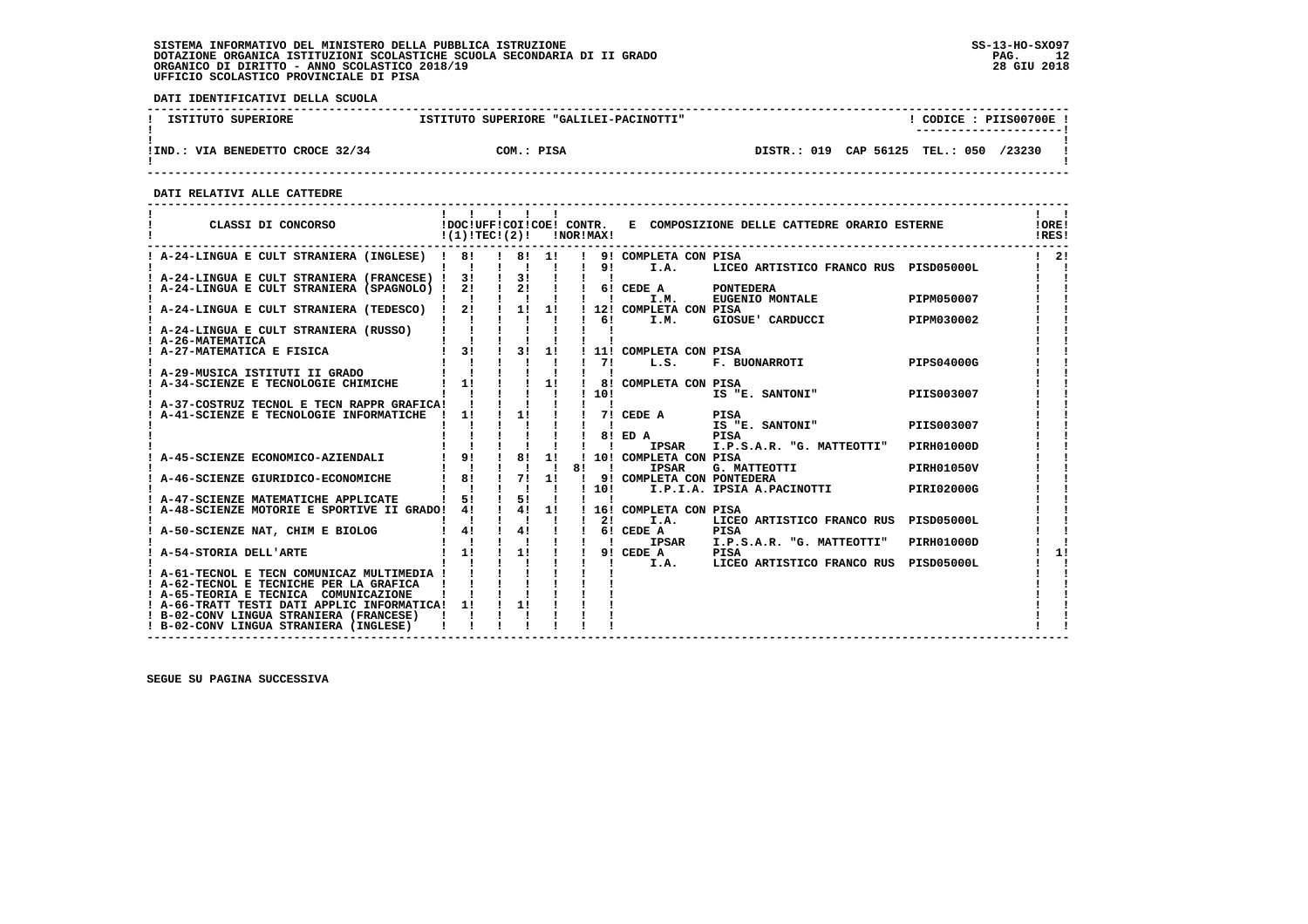**DATI IDENTIFICATIVI DELLA SCUOLA**

| ISTITUTO SUPERIORE                    | ISTITUTO SUPERIORE "GALILEI-PACINOTTI" | CODICE: PIIS00700E !<br>----------------------- |
|---------------------------------------|----------------------------------------|-------------------------------------------------|
| .: VIA BENEDETTO CROCE 32/34<br>!IND. | COM.: PISA                             | DISTR.: 019 CAP 56125 TEL.: 050<br>/23230       |

 **------------------------------------------------------------------------------------------------------------------------------------**

 **DATI RELATIVI ALLE CATTEDRE**

| CLASSI DI CONCORSO                                                                                                                                                                                                                          | $!(1)!TEC!(2)!$ $ NORIMAX $                                               |                                |                                   |              |              |                                       | !DOC!UFF!COI!COE! CONTR. E COMPOSIZIONE DELLE CATTEDRE ORARIO ESTERNE |                   | !ORE!<br>!RES! |
|---------------------------------------------------------------------------------------------------------------------------------------------------------------------------------------------------------------------------------------------|---------------------------------------------------------------------------|--------------------------------|-----------------------------------|--------------|--------------|---------------------------------------|-----------------------------------------------------------------------|-------------------|----------------|
| ! A-24-LINGUA E CULT STRANIERA (INGLESE) ! 8! ! 8! 1! ! 9! COMPLETA CON PISA                                                                                                                                                                |                                                                           |                                |                                   |              |              |                                       | LICEO ARTISTICO FRANCO RUS PISD05000L                                 |                   | $1 \quad 21$   |
| $\begin{array}{cccccccccccccc} 1 & A-24-LINGUA & E & CULT & STRANIERA & (FRANCESE) & 1 & 31 & 1 & 31 & 1 & 1 & 1\\ 1 & A-24-LINGUA & E & CULT & STRANIERA & (SPAGNOLO) & 1 & 21 & 1 & 21 & 1 & 1 & 61 & CEDE & A & & PONTEDERA \end{array}$ |                                                                           |                                |                                   |              |              |                                       |                                                                       |                   |                |
|                                                                                                                                                                                                                                             |                                                                           |                                |                                   |              |              |                                       |                                                                       |                   |                |
|                                                                                                                                                                                                                                             | $\sim$ 1 1 1 1 1 1 1 1 $\sim$                                             |                                |                                   |              |              | I.M.                                  | EUGENIO MONTALE                                                       | PIPM050007        |                |
| ! A-24-LINGUA E CULT STRANIERA (TEDESCO) ! 2! ! 1! 1! ! 12! COMPLETA CON PISA                                                                                                                                                               |                                                                           |                                |                                   |              |              |                                       |                                                                       |                   |                |
|                                                                                                                                                                                                                                             | $1 \quad 1 \quad 1 \quad 1 \quad 1$                                       |                                |                                   |              | $1 \quad 61$ | I.M.                                  | GIOSUE' CARDUCCI                                                      | PIPM030002        |                |
| ! A-24-LINGUA E CULT STRANIERA (RUSSO)                                                                                                                                                                                                      | $\mathbf{i}$ $\mathbf{i}$ $\mathbf{j}$ $\mathbf{k}$                       |                                |                                   |              |              |                                       |                                                                       |                   |                |
|                                                                                                                                                                                                                                             |                                                                           |                                |                                   |              |              |                                       |                                                                       |                   |                |
|                                                                                                                                                                                                                                             |                                                                           |                                |                                   |              |              | 11! COMPLETA CON PISA                 |                                                                       |                   |                |
| ! A-29-MUSICA ISTITUTI II GRADO                                                                                                                                                                                                             |                                                                           |                                |                                   |              | $1 \quad 71$ | L.S.                                  |                                                                       |                   |                |
|                                                                                                                                                                                                                                             |                                                                           |                                |                                   |              |              |                                       |                                                                       |                   |                |
|                                                                                                                                                                                                                                             |                                                                           |                                |                                   |              | 1101         |                                       | IS "E. SANTONI"                                                       | PIIS003007        |                |
| ! A-37-COSTRUZ TECNOL E TECN RAPPR GRAFICA! ! ! !                                                                                                                                                                                           |                                                                           |                                |                                   |              |              |                                       |                                                                       |                   |                |
| A-41-SCIENZE E TECNOLOGIE INFORMATICHE                                                                                                                                                                                                      | $\frac{1}{1}$                                                             |                                |                                   |              |              | ! 1! ! ! 7! CEDE A PISA               |                                                                       |                   |                |
|                                                                                                                                                                                                                                             |                                                                           |                                |                                   |              |              |                                       | IS "E. SANTONI"                                                       | PIIS003007        |                |
|                                                                                                                                                                                                                                             |                                                                           |                                |                                   |              |              | $18!$ ED A                            | PISA                                                                  |                   |                |
|                                                                                                                                                                                                                                             |                                                                           |                                |                                   |              |              | <b>IPSAR</b>                          | I.P.S.A.R. "G. MATTEOTTI"                                             | PIRH01000D        |                |
|                                                                                                                                                                                                                                             |                                                                           |                                |                                   |              |              | ! 10! COMPLETA CON PISA               |                                                                       |                   |                |
|                                                                                                                                                                                                                                             | $1 - 1 - 1 - 1$                                                           |                                | <b>Contract Contract Contract</b> | 81           | $\mathbf{r}$ | <b>IPSAR</b>                          | PISA<br>G. MATTEOTTI                                                  | <b>PIRH01050V</b> |                |
| ! A-46-SCIENZE GIURIDICO-ECONOMICHE   8! ! 7! 1!                                                                                                                                                                                            |                                                                           |                                |                                   | $\mathbf{I}$ |              | 9! COMPLETA CON PONTEDERA             |                                                                       |                   |                |
|                                                                                                                                                                                                                                             |                                                                           | $\sim 1$ , $\sim 1$ , $\sim 1$ |                                   |              | 110!         |                                       | I.P.I.A. IPSIA A.PACINOTTI PIRI02000G                                 |                   |                |
| A-47-SCIENZE MATEMATICHE APPLICATE                                                                                                                                                                                                          |                                                                           | $5!$ $1$ $5!$ $1$              |                                   |              |              |                                       |                                                                       |                   |                |
| A-48-SCIENZE MOTORIE E SPORTIVE II GRADO! 4!                                                                                                                                                                                                |                                                                           |                                |                                   |              |              | ! 4! 1! ! 16! COMPLETA CON PISA       |                                                                       |                   |                |
|                                                                                                                                                                                                                                             | 4!                                                                        | $\blacksquare$                 |                                   |              | $1 \quad 21$ | I.A.                                  | LICEO ARTISTICO FRANCO RUS PISD05000L                                 |                   |                |
| A-50-SCIENZE NAT, CHIM E BIOLOG                                                                                                                                                                                                             | $\mathbf{I}$                                                              |                                |                                   |              |              | 1 41 1 1 61 CEDE A<br><b>IPSAR</b>    | <b>PISA</b><br>I.P.S.A.R. "G. MATTEOTTI"                              | PIRH01000D        |                |
| ! A-54-STORIA DELL'ARTE                                                                                                                                                                                                                     |                                                                           |                                |                                   |              |              | $\vdots$ 1! $\vdots$ 1! ! ! 9! CEDE A | PISA                                                                  |                   | 11             |
|                                                                                                                                                                                                                                             | $\begin{array}{cccccccccccccc} 1 & 1 & 1 & 1 & 1 & 1 & 1 & 1 \end{array}$ |                                |                                   |              |              | I.A.                                  | LICEO ARTISTICO FRANCO RUS PISD05000L                                 |                   |                |
| A-61-TECNOL E TECN COMUNICAZ MULTIMEDIA !                                                                                                                                                                                                   |                                                                           |                                |                                   |              |              |                                       |                                                                       |                   |                |
| ! A-62-TECNOL E TECNICHE PER LA GRAFICA                                                                                                                                                                                                     |                                                                           |                                |                                   |              |              |                                       |                                                                       |                   |                |
| ! A-65-TEORIA E TECNICA COMUNICAZIONE                                                                                                                                                                                                       |                                                                           |                                |                                   |              |              |                                       |                                                                       |                   |                |
| ! A-66-TRATT TESTI DATI APPLIC INFORMATICA! 1!                                                                                                                                                                                              |                                                                           | 11                             |                                   |              |              |                                       |                                                                       |                   |                |
| ! B-02-CONV LINGUA STRANIERA (FRANCESE)                                                                                                                                                                                                     |                                                                           |                                |                                   |              |              |                                       |                                                                       |                   |                |
| ! B-02-CONV LINGUA STRANIERA (INGLESE)                                                                                                                                                                                                      |                                                                           |                                |                                   |              |              |                                       |                                                                       |                   |                |
|                                                                                                                                                                                                                                             |                                                                           |                                |                                   |              |              |                                       |                                                                       |                   |                |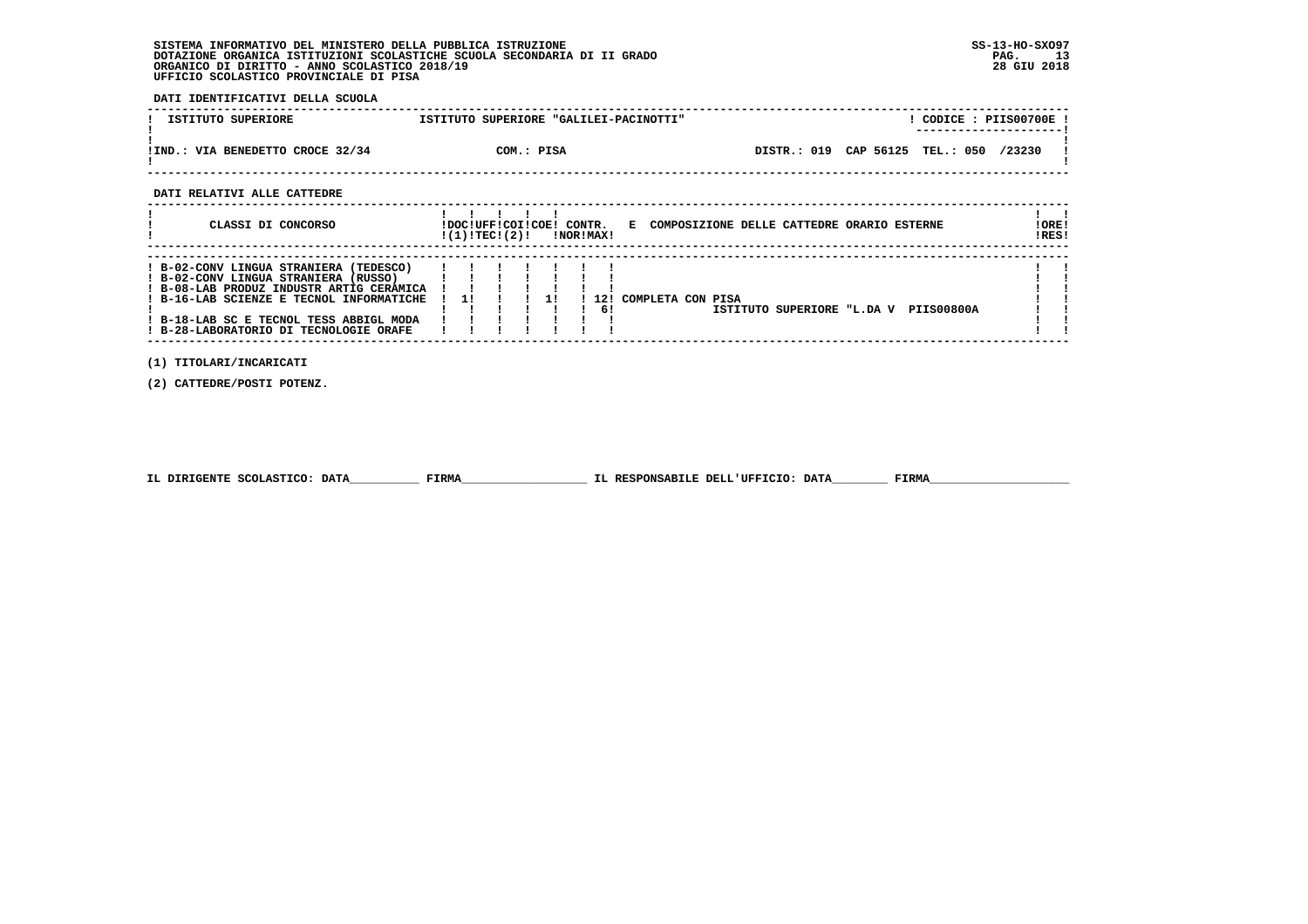**DATI IDENTIFICATIVI DELLA SCUOLA**

| ISTITUTO SUPERIORE                    | ISTITUTO SUPERIORE "GALILEI-PACINOTTI" |                                 | CODICE: PIIS00700E!<br>----------------------- |
|---------------------------------------|----------------------------------------|---------------------------------|------------------------------------------------|
| .: VIA BENEDETTO CROCE 32/34<br>!IND. | COM.: PISA                             | DISTR.: 019 CAP 56125 TEL.: 050 | /23230                                         |

 **------------------------------------------------------------------------------------------------------------------------------------**

 **DATI RELATIVI ALLE CATTEDRE**

| CLASSI DI CONCORSO                                                                                                                                                                                                                                          | !DOC!UFF!COI!COE! CONTR.<br>!(1)!TEC!(2)! |  |    | !NOR!MAX!   | E COMPOSIZIONE DELLE CATTEDRE ORARIO ESTERNE               | ! ORE!<br>IRES! |
|-------------------------------------------------------------------------------------------------------------------------------------------------------------------------------------------------------------------------------------------------------------|-------------------------------------------|--|----|-------------|------------------------------------------------------------|-----------------|
| ! B-02-CONV LINGUA STRANIERA (TEDESCO)<br>! B-02-CONV LINGUA STRANIERA (RUSSO)<br>! B-08-LAB PRODUZ INDUSTR ARTIG CERAMICA<br>! B-16-LAB SCIENZE E TECNOL INFORMATICHE<br>! B-18-LAB SC E TECNOL TESS ABBIGL MODA<br>! B-28-LABORATORIO DI TECNOLOGIE ORAFE | -11                                       |  | 11 | 1121<br>-61 | COMPLETA CON PISA<br>ISTITUTO SUPERIORE "L.DA V PIIS00800A |                 |

 **(1) TITOLARI/INCARICATI**

 **(2) CATTEDRE/POSTI POTENZ.**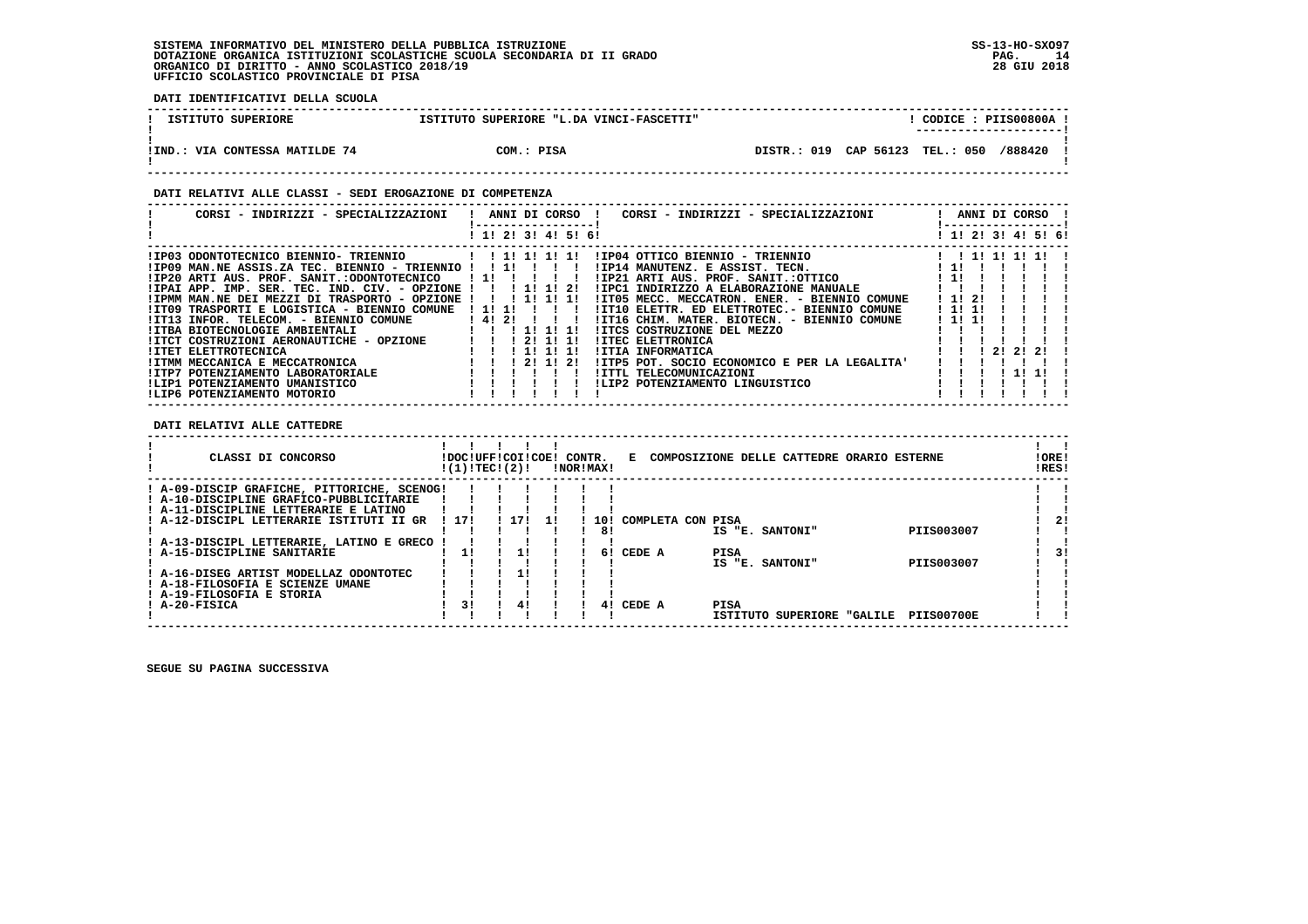**DATI IDENTIFICATIVI DELLA SCUOLA**

| ISTITUTO SUPERIORE             | ISTITUTO SUPERIORE "L.DA VINCI-FASCETTI" | CODICE: PIIS00800A<br>---------------------- |
|--------------------------------|------------------------------------------|----------------------------------------------|
| !IND.: VIA CONTESSA MATILDE 74 | COM.: PISA                               | DISTR.: 019 CAP 56123 TEL.: 050 /888420      |

#### **DATI RELATIVI ALLE CLASSI - SEDI EROGAZIONE DI COMPETENZA**

| CORSI - INDIRIZZI - SPECIALIZZAZIONI                 | ANNI DI CORSO !<br>CORSI - INDIRIZZI - SPECIALIZZAZIONI     | ANNI DI CORSO !           |
|------------------------------------------------------|-------------------------------------------------------------|---------------------------|
|                                                      | ! 1! 2! 3! 4! 5! 6!                                         | 1 1 1 2 1 3 1 4 1 5 1 6 1 |
| !IP03 ODONTOTECNICO BIENNIO- TRIENNIO                | IIP04 OTTICO BIENNIO - TRIENNIO                             |                           |
| !IP09 MAN.NE ASSIS.ZA TEC. BIENNIO - TRIENNIO !!!!!! | IIP14 MANUTENZ. E ASSIST. TECN.                             | $\cdot$ 11                |
| !IP20 ARTI AUS. PROF. SANIT.:ODONTOTECNICO           | !IP21 ARTI AUS. PROF. SANIT.:OTTICO<br>11111                | ! 1!                      |
| !IPAI APP. IMP. SER. TEC. IND. CIV. - OPZIONE !!!    | 1 11 11 21<br>!IPC1 INDIRIZZO A ELABORAZIONE MANUALE        |                           |
| !IPMM MAN.NE DEI MEZZI DI TRASPORTO - OPZIONE !      | !IT05 MECC. MECCATRON. ENER. - BIENNIO COMUNE<br>1 11 11 11 | ! 1! 2!                   |
| !IT09 TRASPORTI E LOGISTICA - BIENNIO COMUNE         | ! 1! 1!<br>!IT10 ELETTR. ED ELETTROTEC.- BIENNIO COMUNE     | ! 1! 1!                   |
| !IT13 INFOR. TELECOM. - BIENNIO COMUNE               | ! 4! 2!<br>!IT16 CHIM. MATER. BIOTECN. - BIENNIO COMUNE     | ! 1! 1!                   |
| !ITBA BIOTECNOLOGIE AMBIENTALI                       | <b>!ITCS COSTRUZIONE DEL MEZZO</b><br>11111                 |                           |
| !ITCT COSTRUZIONI AERONAUTICHE - OPZIONE             | 121111<br>!ITEC ELETTRONICA                                 |                           |
| !ITET ELETTROTECNICA                                 | !ITIA INFORMATICA<br>111111                                 | -21<br>21<br>21           |
| !ITMM MECCANICA E MECCATRONICA                       | 1 21 11 21<br>!ITP5 POT. SOCIO ECONOMICO E PER LA LEGALITA' |                           |
| !ITP7 POTENZIAMENTO LABORATORIALE                    | <b>!ITTL TELECOMUNICAZIONI</b>                              |                           |
| !LIP1 POTENZIAMENTO UMANISTICO                       | !LIP2 POTENZIAMENTO LINGUISTICO                             |                           |
| !LIP6 POTENZIAMENTO MOTORIO                          |                                                             |                           |

 **DATI RELATIVI ALLE CATTEDRE**

|               | CLASSI DI CONCORSO                          | !DOC!UFF!COI!COE!<br>!(1)!TEC!(2)! |     |     | CONTR. | !NOR!MAX! | к.                |      | COMPOSIZIONE DELLE CATTEDRE ORARIO ESTERNE |                   | ! ORE!<br>IRES! |    |
|---------------|---------------------------------------------|------------------------------------|-----|-----|--------|-----------|-------------------|------|--------------------------------------------|-------------------|-----------------|----|
|               | ! A-09-DISCIP GRAFICHE, PITTORICHE, SCENOG! |                                    |     |     |        |           |                   |      |                                            |                   |                 |    |
|               | ! A-10-DISCIPLINE GRAFICO-PUBBLICITARIE     |                                    |     |     |        |           |                   |      |                                            |                   |                 |    |
|               | ! A-11-DISCIPLINE LETTERARIE E LATINO       |                                    |     |     |        |           |                   |      |                                            |                   |                 |    |
|               | ! A-12-DISCIPL LETTERARIE ISTITUTI II GR    | 1171                               | 171 | -11 |        | 10!       | COMPLETA CON PISA |      |                                            |                   |                 | 21 |
|               |                                             |                                    |     |     |        | 81        |                   |      | IS "E. SANTONI"                            | PIIS003007        |                 |    |
|               | ! A-13-DISCIPL LETTERARIE, LATINO E GRECO   |                                    |     |     |        |           |                   |      |                                            |                   |                 |    |
|               | ! A-15-DISCIPLINE SANITARIE                 |                                    |     |     |        | 61        | CEDE A            | PISA |                                            |                   |                 |    |
|               |                                             |                                    |     |     |        |           |                   |      | IS "E. SANTONI"                            | PIIS003007        |                 |    |
|               | ! A-16-DISEG ARTIST MODELLAZ ODONTOTEC      |                                    |     |     |        |           |                   |      |                                            |                   |                 |    |
|               | ! A-18-FILOSOFIA E SCIENZE UMANE            |                                    |     |     |        |           |                   |      |                                            |                   |                 |    |
|               | ! A-19-FILOSOFIA E STORIA                   |                                    |     |     |        |           |                   |      |                                            |                   |                 |    |
| ! A-20-FISICA |                                             | 31                                 | 41  |     |        | 41        | CEDE A            | PISA |                                            |                   |                 |    |
|               |                                             |                                    |     |     |        |           |                   |      | ISTITUTO SUPERIORE "GALILE                 | <b>PIIS00700E</b> |                 |    |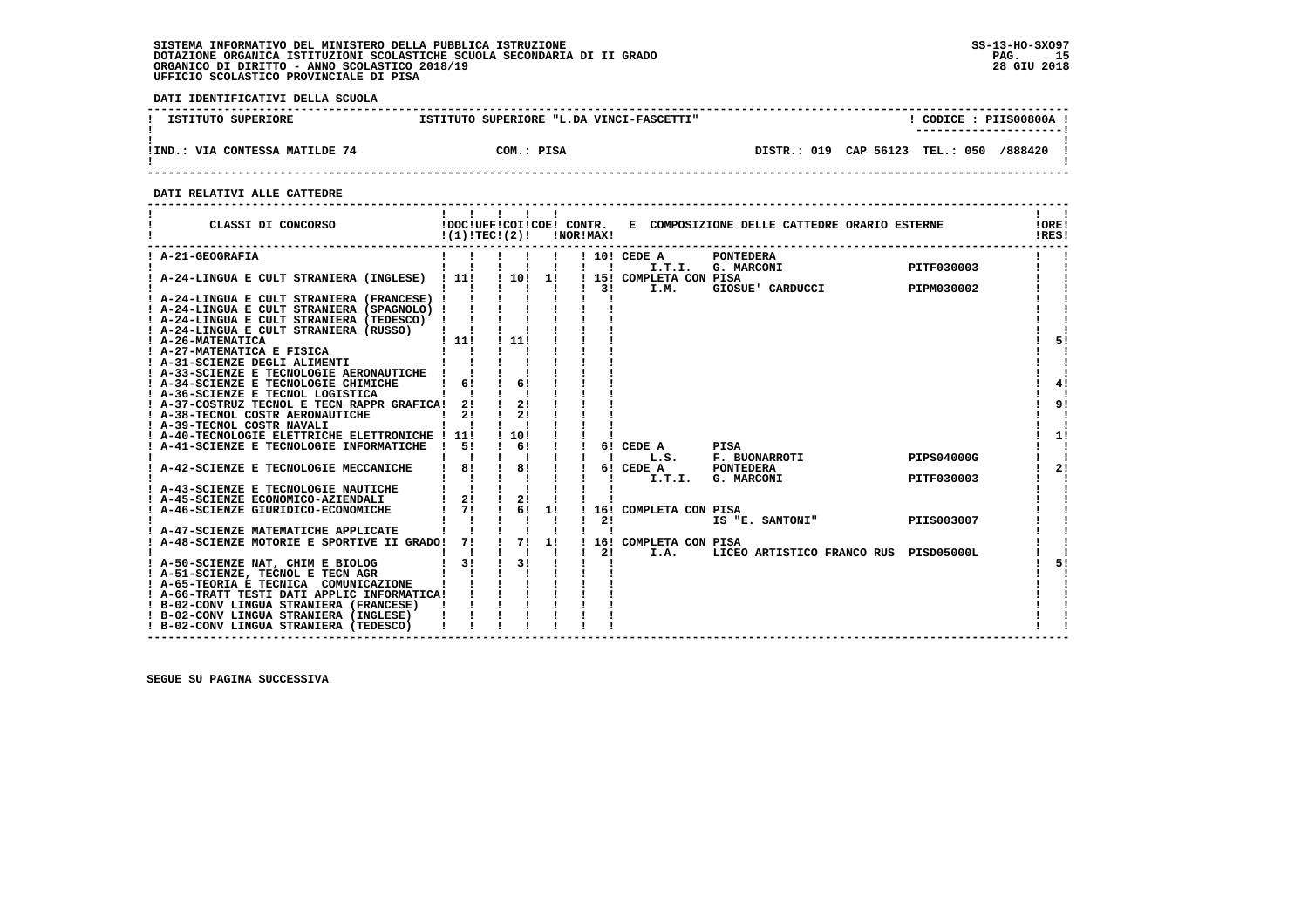**DATI IDENTIFICATIVI DELLA SCUOLA**

| ISTITUTO SUPERIORE             | ISTITUTO SUPERIORE "L.DA VINCI-FASCETTI" | CODICE: PIIS00800A !<br>_______________________ |
|--------------------------------|------------------------------------------|-------------------------------------------------|
| !IND.: VIA CONTESSA MATILDE 74 | COM.: PISA                               | /888420<br>DISTR.: 019 CAP 56123 TEL.: 050      |

 **DATI RELATIVI ALLE CATTEDRE**

| CLASSI DI CONCORSO                                                                         |                              |                                |    | $!(1)!TEC!(2)!$ $INORIMAX!$ |                                 | !DOC!UFF!COI!COE! CONTR. E COMPOSIZIONE DELLE CATTEDRE ORARIO ESTERNE |                   | !ORE!<br>IRES! |
|--------------------------------------------------------------------------------------------|------------------------------|--------------------------------|----|-----------------------------|---------------------------------|-----------------------------------------------------------------------|-------------------|----------------|
| ! A-21-GEOGRAFIA                                                                           |                              |                                |    | $\mathbf{1}$ $\mathbf{1}$   | ! 10! CEDE A                    | PONTEDERA<br>I.T.I. G. MARCONI PITF030003                             |                   |                |
| ! A-24-LINGUA E CULT STRANIERA (INGLESE) ! 11!                                             |                              | ! 10!                          | 11 | $\frac{1}{3}$               | ! 15! COMPLETA CON PISA<br>I.M. | GIOSUE' CARDUCCI                                                      | PIPM030002        |                |
| ! A-24-LINGUA E CULT STRANIERA (FRANCESE) !<br>! A-24-LINGUA E CULT STRANIERA (SPAGNOLO) ! |                              |                                |    |                             |                                 |                                                                       |                   |                |
| ! A-24-LINGUA E CULT STRANIERA (TEDESCO) !                                                 |                              |                                |    |                             |                                 |                                                                       |                   |                |
| ! A-24-LINGUA E CULT STRANIERA (RUSSO)<br>! A-26-MATEMATICA                                | 111                          | - 1 1 1 1 1                    |    |                             |                                 |                                                                       |                   | 51             |
| ! A-27-MATEMATICA E FISICA<br>! A-31-SCIENZE DEGLI ALIMENTI                                |                              |                                |    |                             |                                 |                                                                       |                   |                |
| ! A-33-SCIENZE E TECNOLOGIE AERONAUTICHE !<br>! A-34-SCIENZE E TECNOLOGIE CHIMICHE         | 61                           | 6!                             |    |                             |                                 |                                                                       |                   | 41             |
| ! A-36-SCIENZE E TECNOL LOGISTICA                                                          |                              |                                |    |                             |                                 |                                                                       |                   |                |
| ! A-37-COSTRUZ TECNOL E TECN RAPPR GRAFICA!<br>! A-38-TECNOL COSTR AERONAUTICHE            | 21<br>21                     | 21<br>21                       |    |                             |                                 |                                                                       |                   | 9!             |
| ! A-39-TECNOL COSTR NAVALI<br>! A-40-TECNOLOGIE ELETTRICHE ELETTRONICHE ! 11!              |                              | ! 10!                          |    |                             |                                 |                                                                       |                   | 1!             |
| ! A-41-SCIENZE E TECNOLOGIE INFORMATICHE                                                   | -51                          | $\frac{1}{6}$<br>$1 \quad 1$   |    | $\blacksquare$              | 6! CEDE A                       | PISA<br>L.S. F. BUONARROTI                                            | <b>PIPS04000G</b> |                |
| ! A-42-SCIENZE E TECNOLOGIE MECCANICHE                                                     | 81                           | $\frac{1}{1}$ 8!               |    |                             |                                 | 6! CEDE A PONTEDERA<br>! I.T.I. G. MARCONI                            |                   | 2!             |
| ! A-43-SCIENZE E TECNOLOGIE NAUTICHE                                                       |                              |                                |    |                             |                                 |                                                                       | PITF030003        |                |
| ! A-45-SCIENZE ECONOMICO-AZIENDALI<br>! A-46-SCIENZE GIURIDICO-ECONOMICHE                  | $1 \quad 21$<br>$1 \quad 71$ | $\frac{1}{2}$<br>$1 \t6! \t1!$ |    |                             | 16! COMPLETA CON PISA           |                                                                       |                   |                |
| ! A-47-SCIENZE MATEMATICHE APPLICATE                                                       |                              |                                |    | 21                          |                                 | IS "E. SANTONI"                                                       | PIIS003007        |                |
| A-48-SCIENZE MOTORIE E SPORTIVE II GRADO! 7!                                               |                              | 1 71                           | 1! | 2!                          | ! 16! COMPLETA CON PISA         |                                                                       |                   |                |
| ! A-50-SCIENZE NAT, CHIM E BIOLOG                                                          | $1 \quad 31$                 | 31                             |    |                             | I.A.                            | LICEO ARTISTICO FRANCO RUS PISD05000L                                 |                   | 51             |
| ! A-51-SCIENZE, TECNOL E TECN AGR<br>! A-65-TEORIA E TECNICA COMUNICAZIONE                 |                              |                                |    |                             |                                 |                                                                       |                   |                |
| ! A-66-TRATT TESTI DATI APPLIC INFORMATICA!<br>! B-02-CONV LINGUA STRANIERA (FRANCESE)     |                              |                                |    |                             |                                 |                                                                       |                   |                |
| ! B-02-CONV LINGUA STRANIERA (INGLESE)<br>! B-02-CONV LINGUA STRANIERA (TEDESCO)           |                              |                                |    |                             |                                 |                                                                       |                   |                |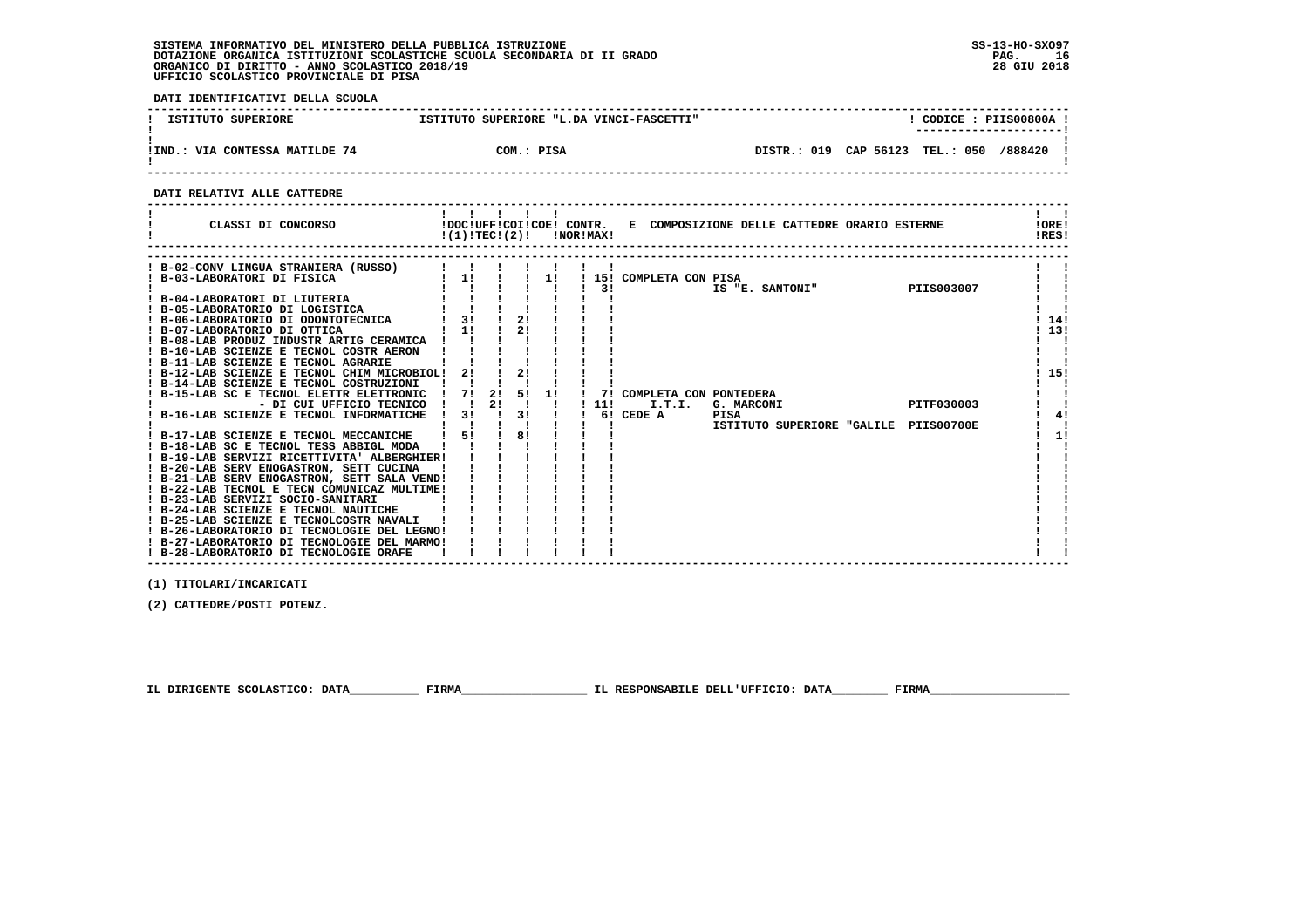**DATI IDENTIFICATIVI DELLA SCUOLA**

| ISTITUTO SUPERIORE             | ISTITUTO SUPERIORE "L.DA VINCI-FASCETTI" | CODICE: PIIS00800A<br>---------------------- |
|--------------------------------|------------------------------------------|----------------------------------------------|
| !IND.: VIA CONTESSA MATILDE 74 | COM.: PISA                               | DISTR.: 019 CAP 56123 TEL.: 050<br>/888420   |

 **------------------------------------------------------------------------------------------------------------------------------------**

 **DATI RELATIVI ALLE CATTEDRE**

| CLASSI DI CONCORSO                                                                                                                                                                                                                                               |                                       | .  |          |    | $!(1)!TEC!(2)!$ $INORIMAX!$ | !DOC!UFF!COI!COE! CONTR. E COMPOSIZIONE DELLE CATTEDRE ORARIO ESTERNE                            | !ORE!<br>!RES! |
|------------------------------------------------------------------------------------------------------------------------------------------------------------------------------------------------------------------------------------------------------------------|---------------------------------------|----|----------|----|-----------------------------|--------------------------------------------------------------------------------------------------|----------------|
| ! B-02-CONV LINGUA STRANIERA (RUSSO)<br>! B-03-LABORATORI DI FISICA<br>B-04-LABORATORI DI LIUTERIA<br>! B-05-LABORATORIO DI LOGISTICA<br>! B-06-LABORATORIO DI ODONTOTECNICA<br>! B-07-LABORATORIO DI OTTICA                                                     | $1 \quad 11$<br>31<br>! 1!            |    | 2!<br>2! | 11 | 31                          | ! 15! COMPLETA CON PISA<br>PIIS003007<br>IS "E. SANTONI"                                         | 14!<br>13!     |
| ! B-08-LAB PRODUZ INDUSTR ARTIG CERAMICA !<br>! B-10-LAB SCIENZE E TECNOL COSTR AERON<br>! B-11-LAB SCIENZE E TECNOL AGRARIE<br>! B-12-LAB SCIENZE E TECNOL CHIM MICROBIOL!<br>! B-14-LAB SCIENZE E TECNOL COSTRUZIONI<br>B-15-LAB SC E TECNOL ELETTR ELETTRONIC | 2!<br>71                              | 2! | 21<br>51 | 1! |                             | 7! COMPLETA CON PONTEDERA                                                                        | 15!            |
| - DI CUI UFFICIO TECNICO<br>! B-16-LAB SCIENZE E TECNOL INFORMATICHE<br>! B-17-LAB SCIENZE E TECNOL MECCANICHE                                                                                                                                                   | $\mathbf{I}$ $\mathbf{I}$<br>3!<br>51 | 21 | 3!<br>81 |    | 11!                         | PITF030003<br>I.T.I.<br>G. MARCONI<br>6! CEDE A<br>PISA<br>ISTITUTO SUPERIORE "GALILE PIIS00700E | 4!<br>11       |
| ! B-18-LAB SC E TECNOL TESS ABBIGL MODA<br>! B-19-LAB SERVIZI RICETTIVITA' ALBERGHIER!<br>! B-20-LAB SERV ENOGASTRON, SETT CUCINA<br>! B-21-LAB SERV ENOGASTRON, SETT SALA VEND!<br>! B-22-LAB TECNOL E TECN COMUNICAZ MULTIME!                                  |                                       |    |          |    |                             |                                                                                                  |                |
| ! B-23-LAB SERVIZI SOCIO-SANITARI<br>! B-24-LAB SCIENZE E TECNOL NAUTICHE<br>! B-25-LAB SCIENZE E TECNOLCOSTR NAVALI<br>! B-26-LABORATORIO DI TECNOLOGIE DEL LEGNO!<br>! B-27-LABORATORIO DI TECNOLOGIE DEL MARMO!                                               |                                       |    |          |    |                             |                                                                                                  |                |

 **------------------------------------------------------------------------------------------------------------------------------------**

 **(1) TITOLARI/INCARICATI**

 **(2) CATTEDRE/POSTI POTENZ.**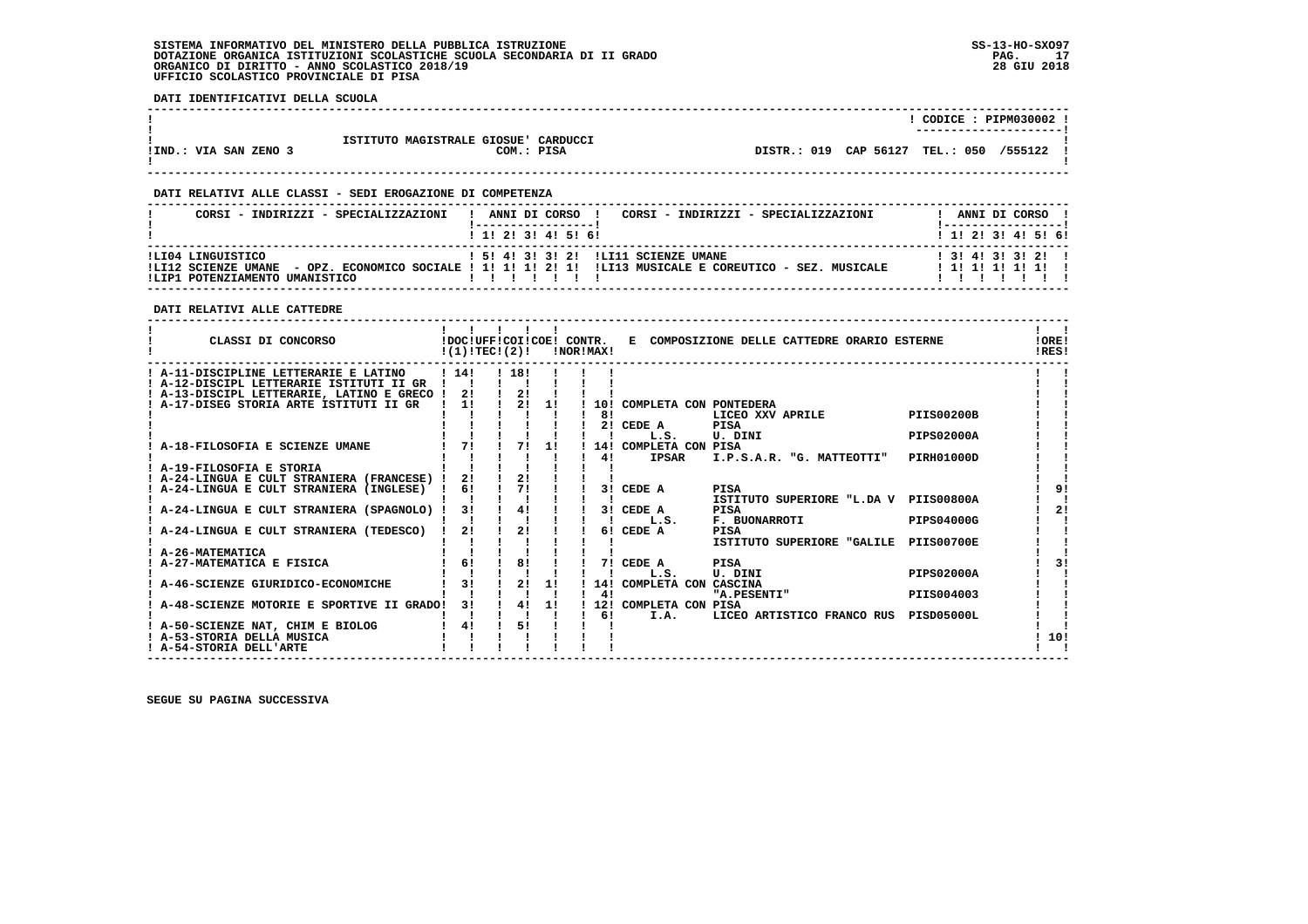**DATI IDENTIFICATIVI DELLA SCUOLA**

|                       |                                      |             |           | CODICE: PIPM030002      |         |  |
|-----------------------|--------------------------------------|-------------|-----------|-------------------------|---------|--|
|                       |                                      |             |           | ----------------------- |         |  |
|                       | ISTITUTO MAGISTRALE GIOSUE' CARDUCCI |             |           |                         |         |  |
| !IND.: VIA SAN ZENO 3 | COM.: PISA                           | DISTR.: 019 | CAP 56127 | <b>TEL.: 050</b>        | /555122 |  |
|                       |                                      |             |           |                         |         |  |

 **------------------------------------------------------------------------------------------------------------------------------------**

 **------------------------------------------------------------------------------------------------------------------------------------**

#### **DATI RELATIVI ALLE CLASSI - SEDI EROGAZIONE DI COMPETENZA**

| CORSI - INDIRIZZI - SPECIALIZZAZIONI                                       | ANNI DI CORSO !<br>CORSI - INDIRIZZI - SPECIALIZZAZIONI                                                                      | ANNI DI CORSO                               |
|----------------------------------------------------------------------------|------------------------------------------------------------------------------------------------------------------------------|---------------------------------------------|
|                                                                            | 1 1 1 2 1 3 1 4 1 5 1 6 1                                                                                                    | 1 1 1 2 1 3 1 4 1 5 1 6 1                   |
| ILI04 LINGUISTICO<br>!LI12 SCIENZE UMANE<br>ILIP1 POTENZIAMENTO UMANISTICO | ! 5! 4! 3! 3! 2! !LI11 SCIENZE UMANE<br>- OPZ. ECONOMICO SOCIALE ! 1! 1! 1! 2! 1! !LI13 MUSICALE E COREUTICO - SEZ. MUSICALE | $1$ 3! 4! 3! 3! 2! !<br>1 1 1 1 1 1 1 1 1 1 |

#### **DATI RELATIVI ALLE CATTEDRE**

| CLASSI DI CONCORSO                          | !(1)!TECI(2)! |       |    |    | !NOR!MAX! |                                  | !DOC!UFF!COI!COE! CONTR. E COMPOSIZIONE DELLE CATTEDRE ORARIO ESTERNE |                   | !ORE!<br>!RES! |
|---------------------------------------------|---------------|-------|----|----|-----------|----------------------------------|-----------------------------------------------------------------------|-------------------|----------------|
| ! A-11-DISCIPLINE LETTERARIE E LATINO       | $1 \; 141$    | ! 18! |    |    |           |                                  |                                                                       |                   |                |
| ! A-12-DISCIPL LETTERARIE ISTITUTI II GR    |               |       |    |    |           |                                  |                                                                       |                   |                |
| ! A-13-DISCIPL LETTERARIE, LATINO E GRECO ! | 21            |       | 2! |    |           |                                  |                                                                       |                   |                |
| ! A-17-DISEG STORIA ARTE ISTITUTI II GR     | 11            |       | 2! | 11 |           | 10! COMPLETA CON PONTEDERA       |                                                                       |                   |                |
|                                             |               |       |    |    | 81        |                                  | LICEO XXV APRILE                                                      | <b>PIIS00200B</b> |                |
|                                             |               |       |    |    |           | 2! CEDE A                        | PISA                                                                  |                   |                |
|                                             |               |       |    |    |           | L.S.                             | U. DINI                                                               | <b>PIPS02000A</b> |                |
| A-18-FILOSOFIA E SCIENZE UMANE              | 71            |       | 71 | 1! |           | 14! COMPLETA CON PISA            |                                                                       |                   |                |
|                                             |               |       |    |    | 41        | <b>IPSAR</b>                     | I.P.S.A.R. "G. MATTEOTTI"                                             | <b>PIRH01000D</b> |                |
| ! A-19-FILOSOFIA E STORIA                   |               |       |    |    |           |                                  |                                                                       |                   |                |
| ! A-24-LINGUA E CULT STRANIERA (FRANCESE) ! | 2!            |       | 2! |    |           |                                  |                                                                       |                   |                |
| ! A-24-LINGUA E CULT STRANIERA (INGLESE)    | 61            |       | 71 |    |           | 3! CEDE A                        | <b>PISA</b>                                                           |                   | 91             |
|                                             |               |       |    |    |           |                                  | ISTITUTO SUPERIORE "L.DA V PIIS00800A                                 |                   |                |
| A-24-LINGUA E CULT STRANIERA (SPAGNOLO) !   | 3!            |       | 4! |    |           | 3! CEDE A                        | <b>PISA</b>                                                           |                   | 21             |
|                                             |               |       |    |    |           | L.S.                             | F. BUONARROTI                                                         | PIPS04000G        |                |
| A-24-LINGUA E CULT STRANIERA (TEDESCO)      | 21            |       | 2! |    |           | 6! CEDE A                        | <b>PISA</b>                                                           |                   |                |
|                                             |               |       |    |    |           |                                  | ISTITUTO SUPERIORE "GALILE PIIS00700E                                 |                   |                |
| ! A-26-MATEMATICA                           |               |       |    |    |           |                                  |                                                                       |                   |                |
| ! A-27-MATEMATICA E FISICA                  | 6!            |       | 8! |    |           | 7! CEDE A                        | <b>PISA</b>                                                           |                   | 31             |
| A-46-SCIENZE GIURIDICO-ECONOMICHE           | 31            |       | 2! | 1! |           | L.S.<br>14! COMPLETA CON CASCINA | U. DINI                                                               | <b>PIPS02000A</b> |                |
|                                             |               |       |    |    | 4!        |                                  | "A.PESENTI"                                                           | PIIS004003        |                |
| A-48-SCIENZE MOTORIE E SPORTIVE II GRADO!   | 31            |       | 4! | 11 |           | 12! COMPLETA CON PISA            |                                                                       |                   |                |
|                                             |               |       |    |    | 61        | I.A.                             | LICEO ARTISTICO FRANCO RUS                                            | PISD05000L        |                |
| ! A-50-SCIENZE NAT, CHIM E BIOLOG           | 41            |       | 51 |    |           |                                  |                                                                       |                   |                |
| ! A-53-STORIA DELLA MUSICA                  |               |       |    |    |           |                                  |                                                                       |                   | 10!            |
| ! A-54-STORIA DELL'ARTE                     |               |       |    |    |           |                                  |                                                                       |                   |                |
|                                             |               |       |    |    |           |                                  |                                                                       |                   |                |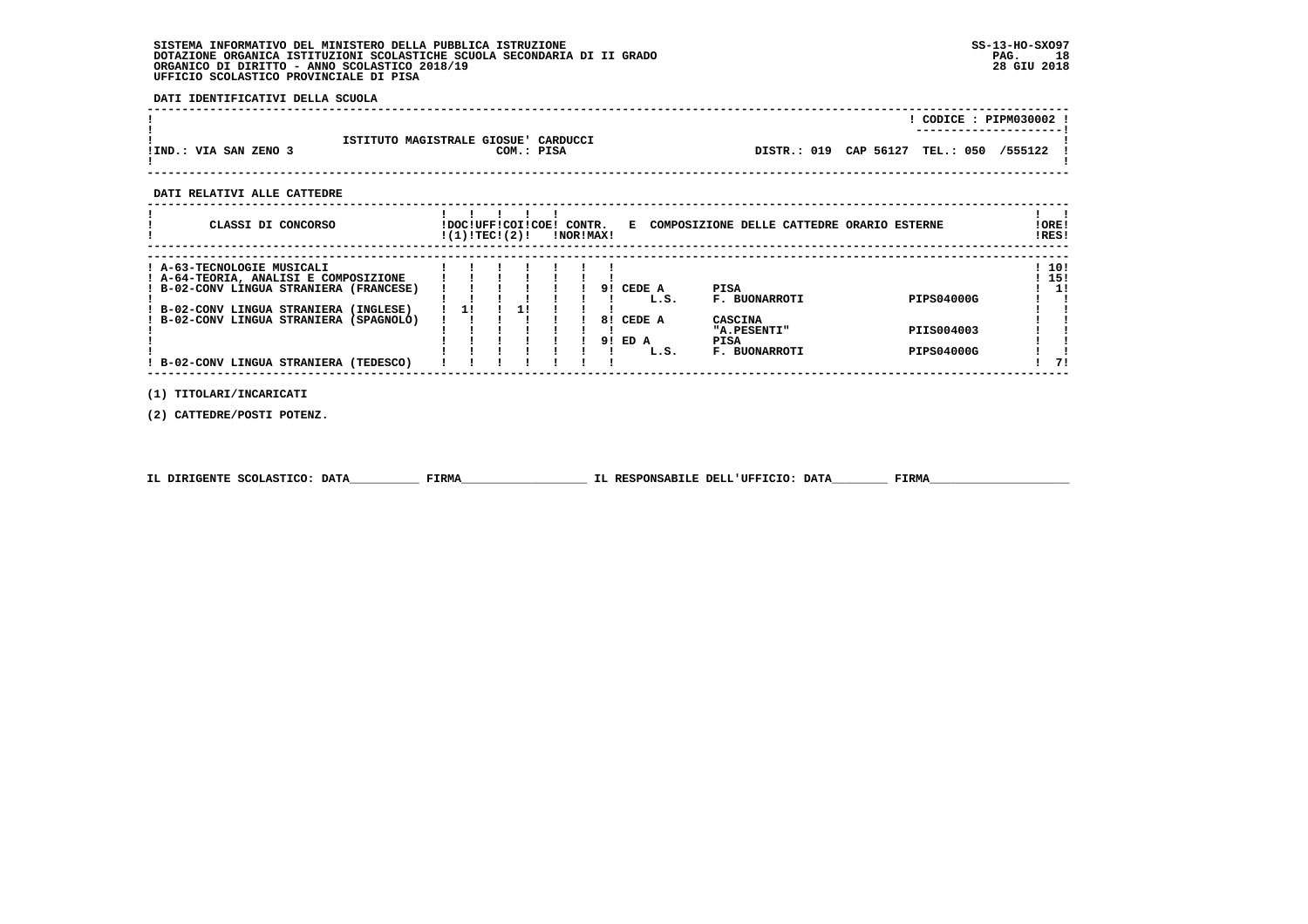**DATI IDENTIFICATIVI DELLA SCUOLA**

|                       |                                                    |                                 |  | CODICE: PIPM030002 ! |  |
|-----------------------|----------------------------------------------------|---------------------------------|--|----------------------|--|
| !IND.: VIA SAN ZENO 3 | ISTITUTO MAGISTRALE GIOSUE' CARDUCCI<br>COM.: PISA | DISTR.: 019 CAP 56127 TEL.: 050 |  | /555122              |  |

 **------------------------------------------------------------------------------------------------------------------------------------**

 **DATI RELATIVI ALLE CATTEDRE**

| CLASSI DI CONCORSO                                                             | !DOC!UFF!COI!COE!<br>!(1)!TEC!(2)! |  | CONTR. | !NOR!MAX! | Е      | COMPOSIZIONE DELLE CATTEDRE ORARIO ESTERNE |            | !ORE!<br>!RES! |
|--------------------------------------------------------------------------------|------------------------------------|--|--------|-----------|--------|--------------------------------------------|------------|----------------|
| ! A-63-TECNOLOGIE MUSICALI                                                     |                                    |  |        |           |        |                                            |            | 10!            |
| ! A-64-TEORIA, ANALISI E COMPOSIZIONE<br>B-02-CONV LINGUA STRANIERA (FRANCESE) |                                    |  |        | 91        | CEDE A | <b>PISA</b>                                |            | 15!<br>1!      |
| ! B-02-CONV LINGUA STRANIERA (INGLESE)                                         | 11                                 |  |        |           | L.S.   | <b>F. BUONARROTI</b>                       | PIPS04000G |                |
| ! B-02-CONV LINGUA STRANIERA (SPAGNOLO)                                        |                                    |  |        | 8!        | CEDE A | CASCINA<br>"A.PESENTI"                     | PIIS004003 |                |
|                                                                                |                                    |  |        | 91        | ED A   | PISA                                       |            |                |
| ! B-02-CONV LINGUA STRANIERA (TEDESCO)                                         |                                    |  |        |           | L.S.   | <b>F. BUONARROTI</b>                       | PIPS04000G |                |
|                                                                                |                                    |  |        |           |        |                                            |            |                |

 **(1) TITOLARI/INCARICATI**

 **(2) CATTEDRE/POSTI POTENZ.**

|  | IL DIRIGENTE SCOLASTICO: DATA | <b>FIRMA</b> | IL RESPONSABILE DELL'UFFICIO: DATA | FIRMZ |
|--|-------------------------------|--------------|------------------------------------|-------|
|--|-------------------------------|--------------|------------------------------------|-------|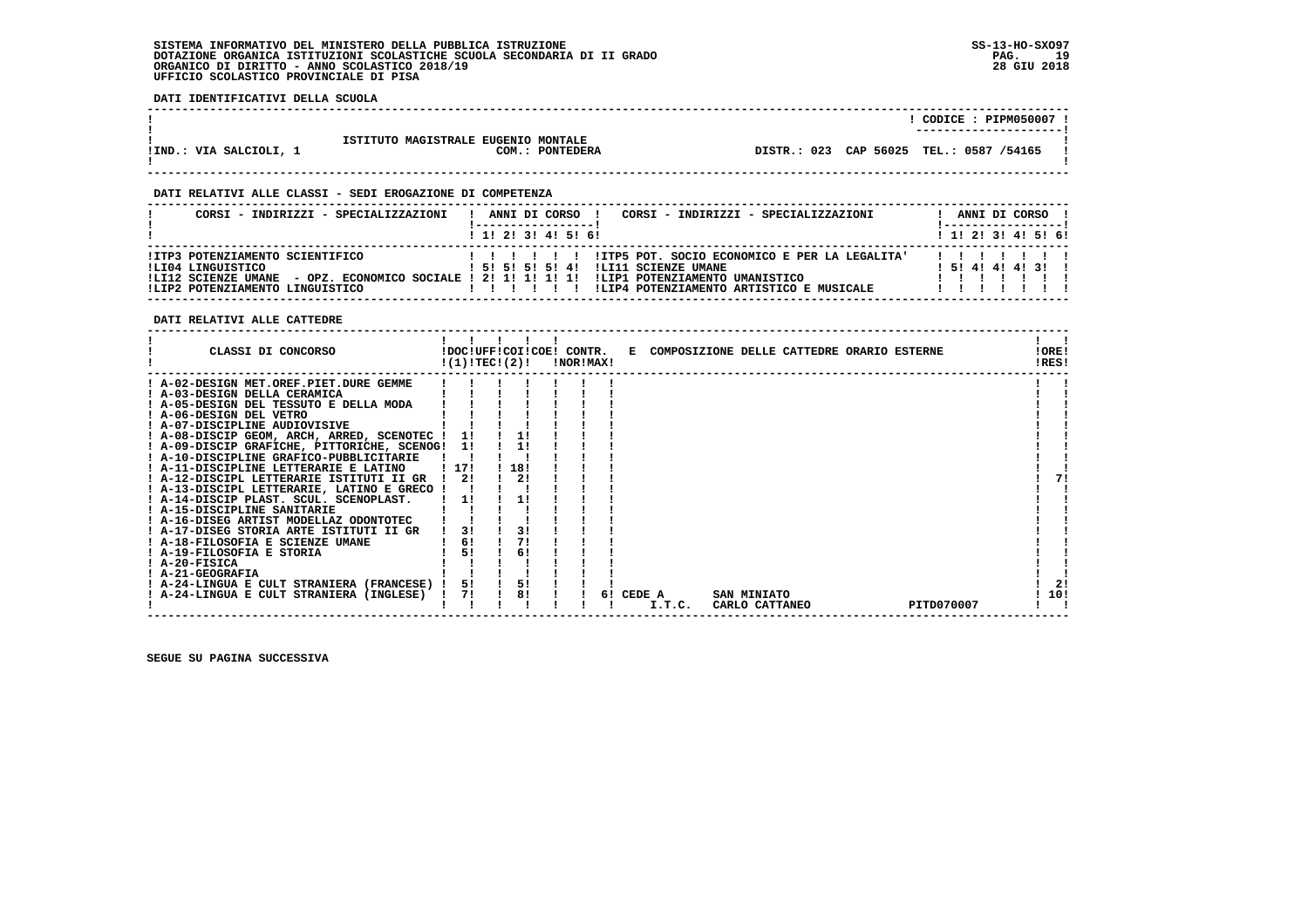**DATI IDENTIFICATIVI DELLA SCUOLA**

|                        |                                                        | CODICE: PIPM050007<br>--------------------- |  |
|------------------------|--------------------------------------------------------|---------------------------------------------|--|
| !IND.: VIA SALCIOLI, 1 | ISTITUTO MAGISTRALE EUGENIO MONTALE<br>COM.: PONTEDERA | TEL.: 0587 /54165<br>DISTR.: 023 CAP 56025  |  |

 **------------------------------------------------------------------------------------------------------------------------------------**

 **------------------------------------------------------------------------------------------------------------------------------------**

#### **DATI RELATIVI ALLE CLASSI - SEDI EROGAZIONE DI COMPETENZA**

| CORSI - INDIRIZZI - SPECIALIZZAZIONI                                                                                                                     | CORSI - INDIRIZZI - SPECIALIZZAZIONI<br>ANNI DI CORSO !                                                                                                                     |  |  | ANNI DI CORSO !         |
|----------------------------------------------------------------------------------------------------------------------------------------------------------|-----------------------------------------------------------------------------------------------------------------------------------------------------------------------------|--|--|-------------------------|
|                                                                                                                                                          | 1 1! 2! 3! 4! 5! 6!                                                                                                                                                         |  |  | $1$ , 1! 2! 3! 4! 5! 6! |
| !ITP3 POTENZIAMENTO SCIENTIFICO<br>ILI04 LINGUISTICO<br>!LI12 SCIENZE UMANE - OPZ. ECONOMICO SOCIALE ! 2! 1! 1! 1! 1!<br>!LIP2 POTENZIAMENTO LINGUISTICO | !ITP5 POT. SOCIO ECONOMICO E PER LA LEGALITA'<br>!LI11 SCIENZE UMANE<br>1 51 51 51 51 41<br>ILIP1 POTENZIAMENTO UMANISTICO<br>!LIP4 POTENZIAMENTO ARTISTICO E MUSICALE<br>. |  |  | 1 5 1 4 1 4 1 4 1 3 1 1 |

 **DATI RELATIVI ALLE CATTEDRE**

| CLASSI DI CONCORSO                             | !DOC!UFF!COI!COE! CONTR.<br>!(1)!TEC!(2)! |     | !NOR!MAX! |    |        | E COMPOSIZIONE DELLE CATTEDRE ORARIO ESTERNE |  |            | !ORE!<br>!RES! |
|------------------------------------------------|-------------------------------------------|-----|-----------|----|--------|----------------------------------------------|--|------------|----------------|
| ! A-02-DESIGN MET.OREF.PIET.DURE GEMME         |                                           |     |           |    |        |                                              |  |            |                |
| ! A-03-DESIGN DELLA CERAMICA                   |                                           |     |           |    |        |                                              |  |            |                |
| ! A-05-DESIGN DEL TESSUTO E DELLA MODA         |                                           |     |           |    |        |                                              |  |            |                |
| A-06-DESIGN DEL VETRO                          |                                           |     |           |    |        |                                              |  |            |                |
| ! A-07-DISCIPLINE AUDIOVISIVE                  |                                           |     |           |    |        |                                              |  |            |                |
| ! A-08-DISCIP GEOM, ARCH, ARRED, SCENOTEC !    |                                           |     |           |    |        |                                              |  |            |                |
| ! A-09-DISCIP GRAFICHE, PITTORICHE, SCENOG! 1! |                                           | 1!  |           |    |        |                                              |  |            |                |
| ! A-10-DISCIPLINE GRAFICO-PUBBLICITARIE        |                                           |     |           |    |        |                                              |  |            |                |
| ! A-11-DISCIPLINE LETTERARIE E LATINO          | ! 17!                                     | 18! |           |    |        |                                              |  |            |                |
| ! A-12-DISCIPL LETTERARIE ISTITUTI II GR       | -21                                       | 2!  |           |    |        |                                              |  |            |                |
| ! A-13-DISCIPL LETTERARIE, LATINO E GRECO !    |                                           |     |           |    |        |                                              |  |            |                |
| ! A-14-DISCIP PLAST. SCUL. SCENOPLAST.         | 11                                        | 1!  |           |    |        |                                              |  |            |                |
| ! A-15-DISCIPLINE SANITARIE                    |                                           |     |           |    |        |                                              |  |            |                |
| ! A-16-DISEG ARTIST MODELLAZ ODONTOTEC         |                                           |     |           |    |        |                                              |  |            |                |
| ! A-17-DISEG STORIA ARTE ISTITUTI II GR        | 31                                        | 3!  |           |    |        |                                              |  |            |                |
| ! A-18-FILOSOFIA E SCIENZE UMANE               | 6!                                        | 71  |           |    |        |                                              |  |            |                |
| ! A-19-FILOSOFIA E STORIA                      | 51                                        | 6!  |           |    |        |                                              |  |            |                |
| ! A-20-FISICA                                  |                                           |     |           |    |        |                                              |  |            |                |
| ! A-21-GEOGRAFIA                               |                                           |     |           |    |        |                                              |  |            |                |
| ! A-24-LINGUA E CULT STRANIERA (FRANCESE)      | 5!                                        | 5!  |           |    |        |                                              |  |            | -21            |
| A-24-LINGUA E CULT STRANIERA (INGLESE)         | 71                                        | 8!  |           | 61 | CEDE A | SAN MINIATO                                  |  |            | 10!            |
|                                                |                                           |     |           |    | I.T.C. | CARLO CATTANEO                               |  | PITD070007 |                |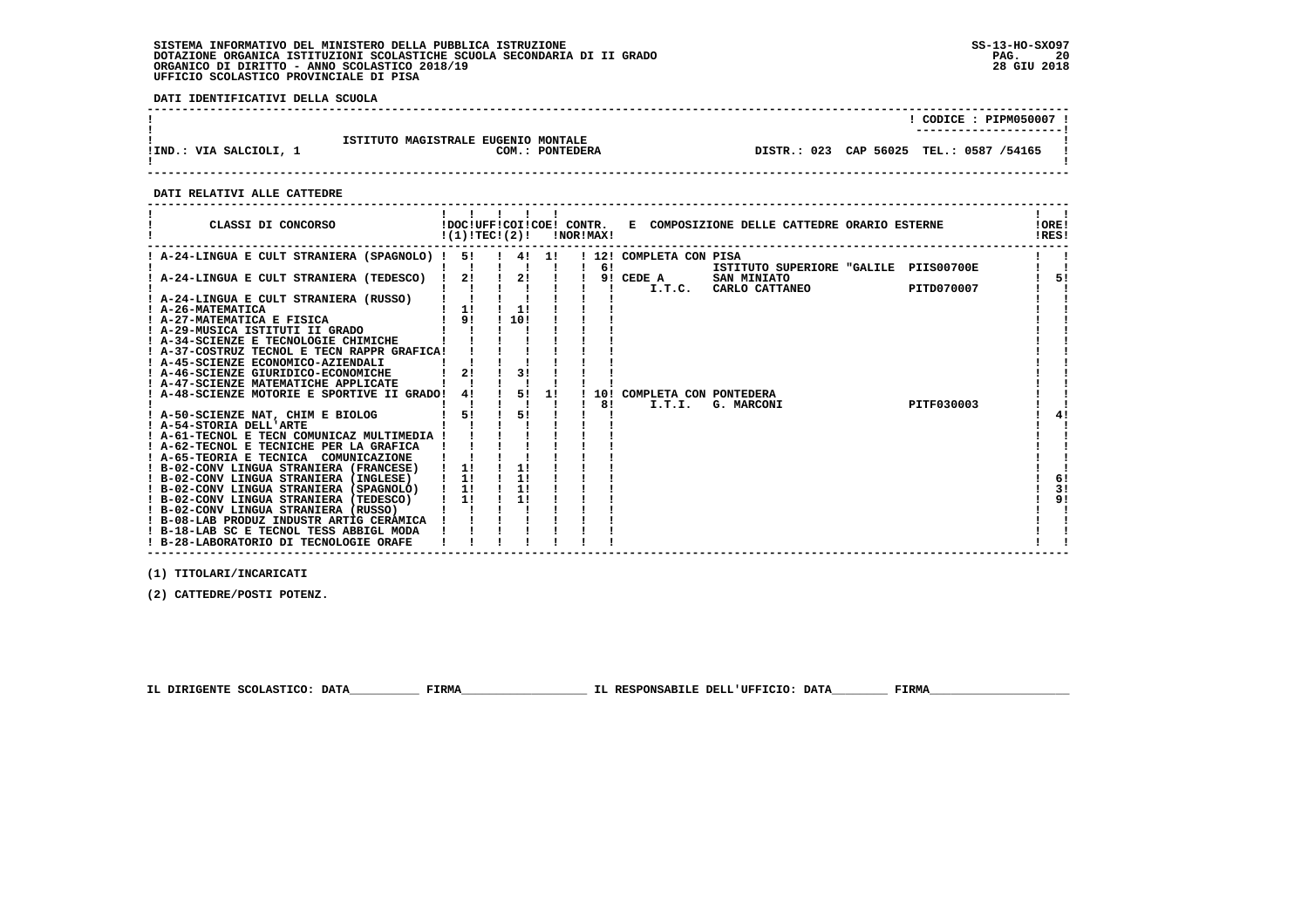**DATI IDENTIFICATIVI DELLA SCUOLA**

|                        |                                                        | CODICE: PIPM050007 !                                               |
|------------------------|--------------------------------------------------------|--------------------------------------------------------------------|
| !IND.: VIA SALCIOLI, 1 | ISTITUTO MAGISTRALE EUGENIO MONTALE<br>COM.: PONTEDERA | -----------------------<br>DISTR.: 023 CAP 56025 TEL.: 0587 /54165 |
|                        |                                                        |                                                                    |

 **------------------------------------------------------------------------------------------------------------------------------------**

 **DATI RELATIVI ALLE CATTEDRE**

| CLASSI DI CONCORSO                                                                     |    | $!(1)!TEC!(2)!$ $INORIMAX!$ |       |     |                         | !DOC!UFF!COI!COE! CONTR. E COMPOSIZIONE DELLE CATTEDRE ORARIO ESTERNE |            | !ORE!<br>!RES! |
|----------------------------------------------------------------------------------------|----|-----------------------------|-------|-----|-------------------------|-----------------------------------------------------------------------|------------|----------------|
| ! A-24-LINGUA E CULT STRANIERA (SPAGNOLO) !                                            | 51 |                             | 4! 1! | -61 | ! 12! COMPLETA CON PISA | ISTITUTO SUPERIORE "GALILE PIIS00700E                                 |            |                |
| ! A-24-LINGUA E CULT STRANIERA (TEDESCO) !                                             | 2! | 2!                          |       |     | 9! CEDE A<br>I.T.C.     | SAN MINIATO<br>CARLO CATTANEO                                         | PITD070007 | 51             |
| ! A-24-LINGUA E CULT STRANIERA (RUSSO)<br>! A-26-MATEMATICA                            | 11 | 1!                          |       |     |                         |                                                                       |            |                |
| ! A-27-MATEMATICA E FISICA                                                             | 9! | 110!                        |       |     |                         |                                                                       |            |                |
| ! A-29-MUSICA ISTITUTI II GRADO<br>A-34-SCIENZE E TECNOLOGIE CHIMICHE                  |    |                             |       |     |                         |                                                                       |            |                |
| ! A-37-COSTRUZ TECNOL E TECN RAPPR GRAFICA!<br>! A-45-SCIENZE ECONOMICO-AZIENDALI      |    |                             |       |     |                         |                                                                       |            |                |
| ! A-46-SCIENZE GIURIDICO-ECONOMICHE                                                    | 21 | 31                          |       |     |                         |                                                                       |            |                |
| A-47-SCIENZE MATEMATICHE APPLICATE<br>A-48-SCIENZE MOTORIE E SPORTIVE II GRADO!        | 4! | 5!                          | 11    | 101 | COMPLETA CON PONTEDERA  |                                                                       |            |                |
| ! A-50-SCIENZE NAT, CHIM E BIOLOG                                                      | 5! | 51                          |       | 81  | I.T.I.                  | G. MARCONI                                                            | PITF030003 | 41             |
| ! A-54-STORIA DELL'ARTE<br>! A-61-TECNOL E TECN COMUNICAZ MULTIMEDIA !                 |    |                             |       |     |                         |                                                                       |            |                |
| ! A-62-TECNOL E TECNICHE PER LA GRAFICA                                                |    |                             |       |     |                         |                                                                       |            |                |
| ! A-65-TEORIA E TECNICA COMUNICAZIONE<br>! B-02-CONV LINGUA STRANIERA (FRANCESE)       | 11 | 1!                          |       |     |                         |                                                                       |            |                |
| ! B-02-CONV LINGUA STRANIERA (INGLESE)<br>! B-02-CONV LINGUA STRANIERA (SPAGNOLO)   1! | 1! | 1!<br>1!                    |       |     |                         |                                                                       |            | 6!<br>3!       |
| ! B-02-CONV LINGUA STRANIERA (TEDESCO)                                                 | 11 | 1!                          |       |     |                         |                                                                       |            | 9!             |
| ! B-02-CONV LINGUA STRANIERA (RUSSO)<br>! B-08-LAB PRODUZ INDUSTR ARTIG CERAMICA       |    |                             |       |     |                         |                                                                       |            |                |
| ! B-18-LAB SC E TECNOL TESS ABBIGL MODA<br>! B-28-LABORATORIO DI TECNOLOGIE ORAFE      |    |                             |       |     |                         |                                                                       |            |                |

 **(1) TITOLARI/INCARICATI**

 **(2) CATTEDRE/POSTI POTENZ.**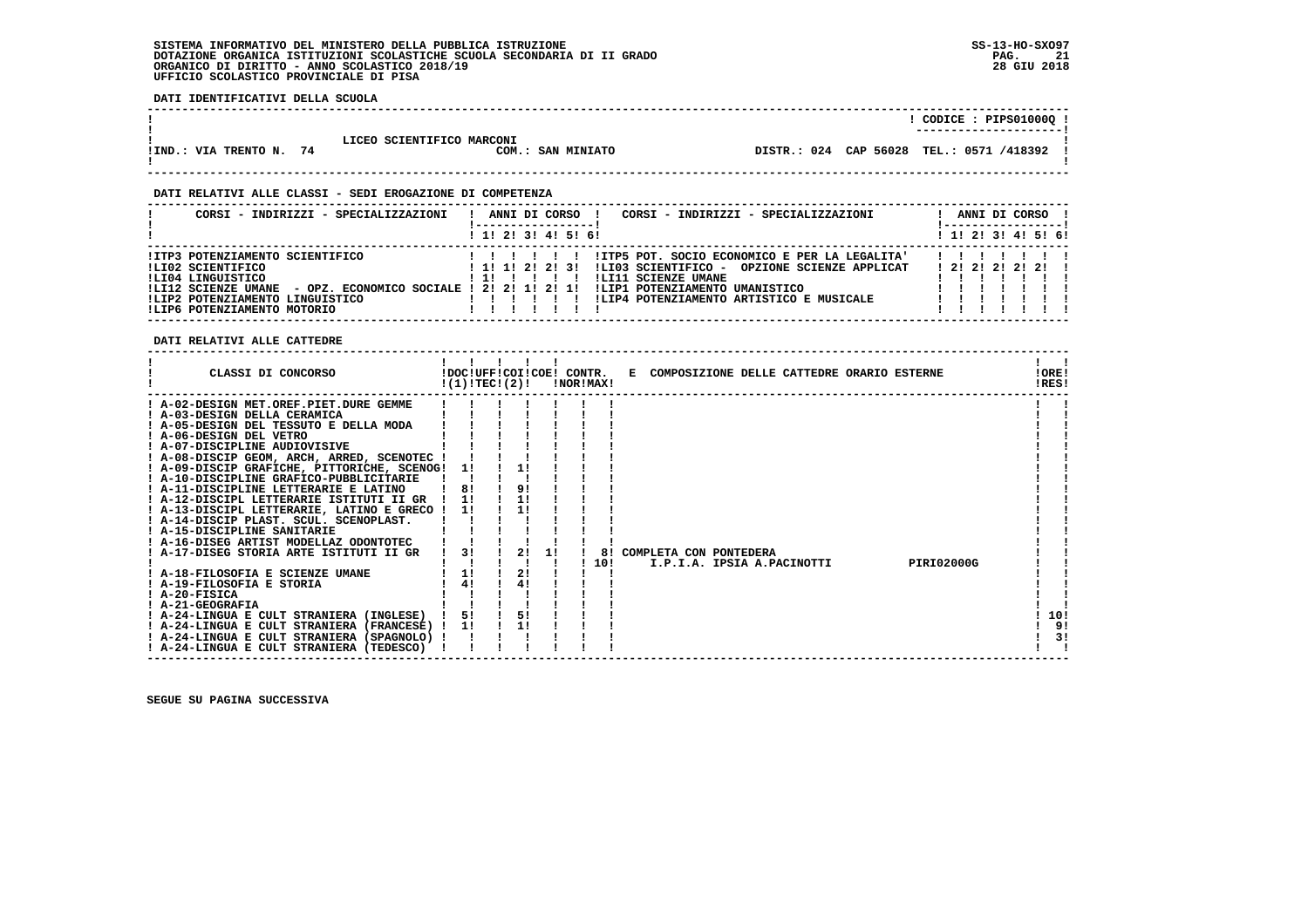**DATI IDENTIFICATIVI DELLA SCUOLA**

| CODICE : PIPS01000Q !                                                                    |  |
|------------------------------------------------------------------------------------------|--|
| -----------------------                                                                  |  |
|                                                                                          |  |
| LICEO SCIENTIFICO MARCONI                                                                |  |
| DISTR.: 024 CAP 56028 TEL.: 0571 /418392<br>!IND.: VIA TRENTO N. 74<br>COM.: SAN MINIATO |  |
|                                                                                          |  |
|                                                                                          |  |

 **------------------------------------------------------------------------------------------------------------------------------------**

#### **DATI RELATIVI ALLE CLASSI - SEDI EROGAZIONE DI COMPETENZA**

| CORSI - INDIRIZZI - SPECIALIZZAZIONI                                                                                           | CORSI - INDIRIZZI - SPECIALIZZAZIONI<br>ANNI DI CORSO                                                                                                                                   | ANNI DI CORSO                |
|--------------------------------------------------------------------------------------------------------------------------------|-----------------------------------------------------------------------------------------------------------------------------------------------------------------------------------------|------------------------------|
|                                                                                                                                | 1 1! 2! 3! 4! 5! 6!                                                                                                                                                                     | $1$ , 1!, 2!, 3!, 4!, 5!, 6! |
| IITP3 POTENZIAMENTO SCIENTIFICO<br>!LI02 SCIENTIFICO<br>ILI04 LINGUISTICO<br>- OPZ. ECONOMICO SOCIALE !<br>!LI12 SCIENZE UMANE | !ITP5 POT. SOCIO ECONOMICO E PER LA LEGALITA'<br>1 1 1 1 2 2 2 3 1<br>!LI03 SCIENTIFICO - OPZIONE SCIENZE APPLICAT<br>!LI11 SCIENZE UMANE<br>21211211<br>!LIP1 POTENZIAMENTO UMANISTICO | 1 2 1 2 1 2 1 2 1 1          |
| !LIP2 POTENZIAMENTO LINGUISTICO<br>!LIP6 POTENZIAMENTO MOTORIO                                                                 | !LIP4 POTENZIAMENTO ARTISTICO E MUSICALE                                                                                                                                                |                              |

 **DATI RELATIVI ALLE CATTEDRE**

| CLASSI DI CONCORSO                                                | !(1)!TEC!(2)! |    |    | INORIMAXI | !DOC!UFF!COI!COE! CONTR. E COMPOSIZIONE DELLE CATTEDRE ORARIO ESTERNE |  |                   | !ORE!<br>IRES! |
|-------------------------------------------------------------------|---------------|----|----|-----------|-----------------------------------------------------------------------|--|-------------------|----------------|
| ! A-02-DESIGN MET.OREF.PIET.DURE GEMME                            |               |    |    |           |                                                                       |  |                   |                |
| ! A-03-DESIGN DELLA CERAMICA                                      |               |    |    |           |                                                                       |  |                   |                |
| ! A-05-DESIGN DEL TESSUTO E DELLA MODA<br>! A-06-DESIGN DEL VETRO |               |    |    |           |                                                                       |  |                   |                |
| ! A-07-DISCIPLINE AUDIOVISIVE                                     |               |    |    |           |                                                                       |  |                   |                |
| ! A-08-DISCIP GEOM, ARCH, ARRED, SCENOTEC !                       |               |    |    |           |                                                                       |  |                   |                |
| ! A-09-DISCIP GRAFICHE, PITTORICHE, SCENOG!                       | 11            | 1! |    |           |                                                                       |  |                   |                |
| ! A-10-DISCIPLINE GRAFICO-PUBBLICITARIE                           |               |    |    |           |                                                                       |  |                   |                |
| ! A-11-DISCIPLINE LETTERARIE E LATINO                             | 8!            | 9! |    |           |                                                                       |  |                   |                |
| ! A-12-DISCIPL LETTERARIE ISTITUTI II GR                          | 1!            | 11 |    |           |                                                                       |  |                   |                |
| ! A-13-DISCIPL LETTERARIE, LATINO E GRECO !                       | 11            |    |    |           |                                                                       |  |                   |                |
| ! A-14-DISCIP PLAST. SCUL. SCENOPLAST.                            |               |    |    |           |                                                                       |  |                   |                |
| ! A-15-DISCIPLINE SANITARIE                                       |               |    |    |           |                                                                       |  |                   |                |
| ! A-16-DISEG ARTIST MODELLAZ ODONTOTEC                            |               |    |    |           |                                                                       |  |                   |                |
| A-17-DISEG STORIA ARTE ISTITUTI II GR                             | 3!            | 2! | 11 | 81        | COMPLETA CON PONTEDERA                                                |  |                   |                |
|                                                                   |               |    |    | 10!       | I.P.I.A. IPSIA A.PACINOTTI                                            |  | <b>PIRI02000G</b> |                |
| ! A-18-FILOSOFIA E SCIENZE UMANE                                  | 11            | 2! |    |           |                                                                       |  |                   |                |
| ! A-19-FILOSOFIA E STORIA                                         | 41            | 4! |    |           |                                                                       |  |                   |                |
| $I$ A-20-FISICA                                                   |               |    |    |           |                                                                       |  |                   |                |
| ! A-21-GEOGRAFIA                                                  |               |    |    |           |                                                                       |  |                   |                |
| ! A-24-LINGUA E CULT STRANIERA (INGLESE)                          | 51            | 5! |    |           |                                                                       |  |                   | 10!            |
| ! A-24-LINGUA E CULT STRANIERA (FRANCESE) !                       | 1!            | 1! |    |           |                                                                       |  |                   | 9!             |
| ! A-24-LINGUA E CULT STRANIERA (SPAGNOLO) !                       |               |    |    |           |                                                                       |  |                   | 3!             |
| ! A-24-LINGUA E CULT STRANIERA (TEDESCO)                          |               |    |    |           |                                                                       |  |                   |                |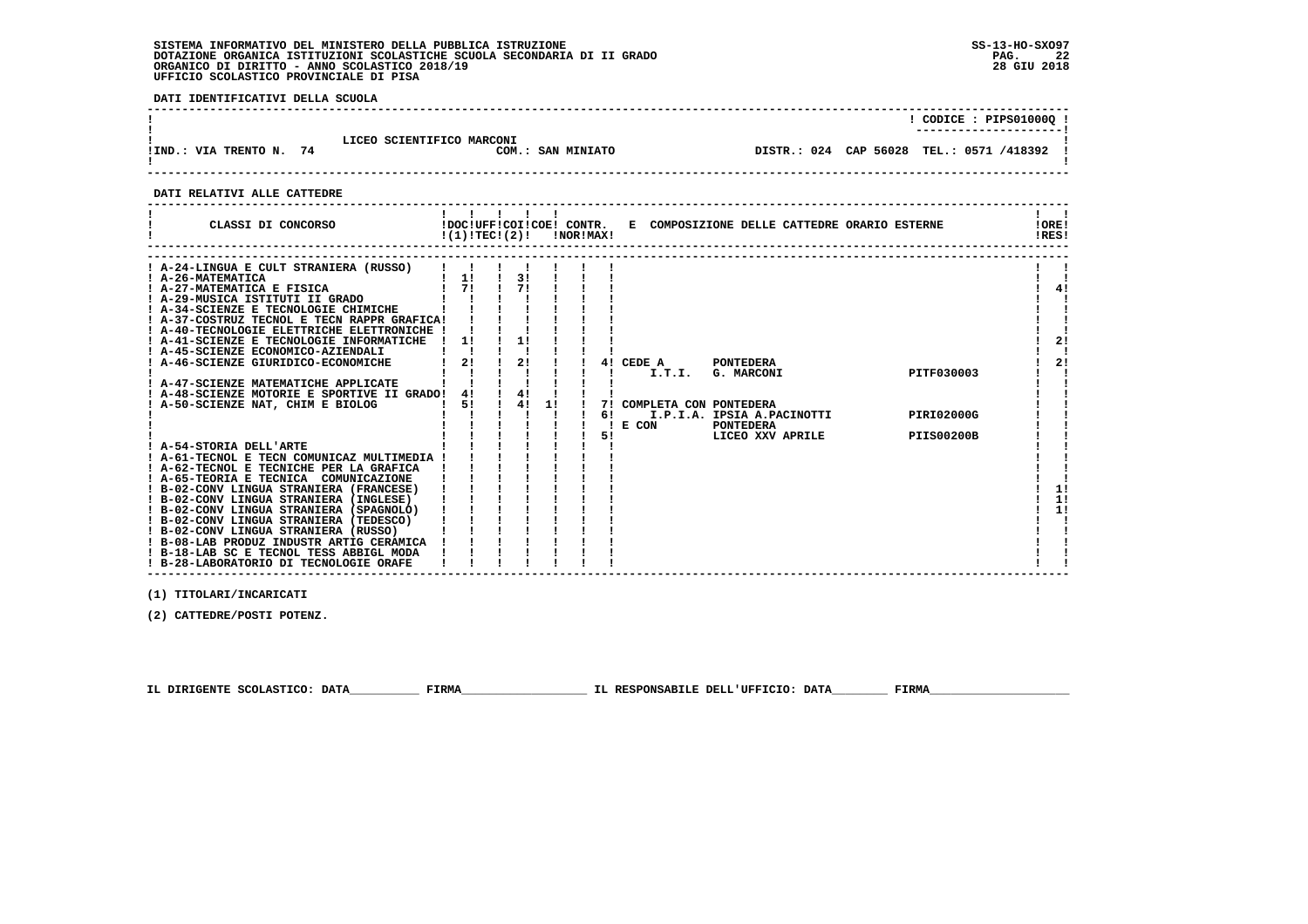**DATI IDENTIFICATIVI DELLA SCUOLA**

|                         |                           |                   | ! CODICE : PIPS01000Q !                    |
|-------------------------|---------------------------|-------------------|--------------------------------------------|
| IIND.: VIA TRENTO N. 74 | LICEO SCIENTIFICO MARCONI | COM.: SAN MINIATO | DISTR.: 024 CAP 56028 TEL.: 0571 /418392 ! |

 **DATI RELATIVI ALLE CATTEDRE**

| CLASSI DI CONCORSO                          | $!(1)!TEC!(2)!$ $INORIMAX!$ |    |    |    |                        |                            | !DOC!UFF!COI!COE! CONTR. E COMPOSIZIONE DELLE CATTEDRE ORARIO ESTERNE |                   | !ORE!<br>!RES! |  |
|---------------------------------------------|-----------------------------|----|----|----|------------------------|----------------------------|-----------------------------------------------------------------------|-------------------|----------------|--|
|                                             |                             |    |    |    |                        |                            |                                                                       |                   |                |  |
| ! A-24-LINGUA E CULT STRANIERA (RUSSO)      |                             |    |    |    |                        |                            |                                                                       |                   |                |  |
| ! A-26-MATEMATICA                           | 1!                          | 3! |    |    |                        |                            |                                                                       |                   |                |  |
| ! A-27-MATEMATICA E FISICA                  | 71                          | 71 |    |    |                        |                            |                                                                       |                   | 4!             |  |
| ! A-29-MUSICA ISTITUTI II GRADO             |                             |    |    |    |                        |                            |                                                                       |                   |                |  |
| ! A-34-SCIENZE E TECNOLOGIE CHIMICHE        |                             |    |    |    |                        |                            |                                                                       |                   |                |  |
| ! A-37-COSTRUZ TECNOL E TECN RAPPR GRAFICA! |                             |    |    |    |                        |                            |                                                                       |                   |                |  |
| ! A-40-TECNOLOGIE ELETTRICHE ELETTRONICHE ! |                             |    |    |    |                        |                            |                                                                       |                   |                |  |
| ! A-41-SCIENZE E TECNOLOGIE INFORMATICHE    | 11                          | 1! |    |    |                        |                            |                                                                       |                   | 2!             |  |
| ! A-45-SCIENZE ECONOMICO-AZIENDALI          |                             |    |    |    |                        |                            |                                                                       |                   |                |  |
| ! A-46-SCIENZE GIURIDICO-ECONOMICHE         | 2!                          | 2! |    |    | 4! CEDE A              | PONTEDERA                  |                                                                       |                   | 2!             |  |
|                                             |                             |    |    |    | I.T.I.                 | G. MARCONI                 |                                                                       | PITF030003        |                |  |
| ! A-47-SCIENZE MATEMATICHE APPLICATE        |                             |    |    |    |                        |                            |                                                                       |                   |                |  |
| ! A-48-SCIENZE MOTORIE E SPORTIVE II GRADO! | 41                          | 41 |    |    |                        |                            |                                                                       |                   |                |  |
| A-50-SCIENZE NAT, CHIM E BIOLOG             | 51                          | 4! | 11 |    | COMPLETA CON PONTEDERA |                            |                                                                       |                   |                |  |
|                                             |                             |    |    | 61 |                        | I.P.I.A. IPSIA A.PACINOTTI |                                                                       | <b>PIRI02000G</b> |                |  |
|                                             |                             |    |    |    | E CON                  | <b>PONTEDERA</b>           |                                                                       |                   |                |  |
|                                             |                             |    |    | 5! |                        | LICEO XXV APRILE           |                                                                       | <b>PIIS00200B</b> |                |  |
| ! A-54-STORIA DELL'ARTE                     |                             |    |    |    |                        |                            |                                                                       |                   |                |  |
| ! A-61-TECNOL E TECN COMUNICAZ MULTIMEDIA   |                             |    |    |    |                        |                            |                                                                       |                   |                |  |
| ! A-62-TECNOL E TECNICHE PER LA GRAFICA     |                             |    |    |    |                        |                            |                                                                       |                   |                |  |
| ! A-65-TEORIA E TECNICA COMUNICAZIONE       |                             |    |    |    |                        |                            |                                                                       |                   |                |  |
| ! B-02-CONV LINGUA STRANIERA (FRANCESE)     |                             |    |    |    |                        |                            |                                                                       |                   | 1!             |  |
| ! B-02-CONV LINGUA STRANIERA (INGLESE)      |                             |    |    |    |                        |                            |                                                                       |                   | 11             |  |
| ! B-02-CONV LINGUA STRANIERA (SPAGNOLO)     |                             |    |    |    |                        |                            |                                                                       |                   | 11             |  |
| ! B-02-CONV LINGUA STRANIERA (TEDESCO)      |                             |    |    |    |                        |                            |                                                                       |                   |                |  |
| ! B-02-CONV LINGUA STRANIERA (RUSSO)        |                             |    |    |    |                        |                            |                                                                       |                   |                |  |
| ! B-08-LAB PRODUZ INDUSTR ARTIG CERAMICA    |                             |    |    |    |                        |                            |                                                                       |                   |                |  |
| ! B-18-LAB SC E TECNOL TESS ABBIGL MODA     |                             |    |    |    |                        |                            |                                                                       |                   |                |  |
| ! B-28-LABORATORIO DI TECNOLOGIE ORAFE      |                             |    |    |    |                        |                            |                                                                       |                   |                |  |

 **------------------------------------------------------------------------------------------------------------------------------------**

 **(1) TITOLARI/INCARICATI**

 **(2) CATTEDRE/POSTI POTENZ.**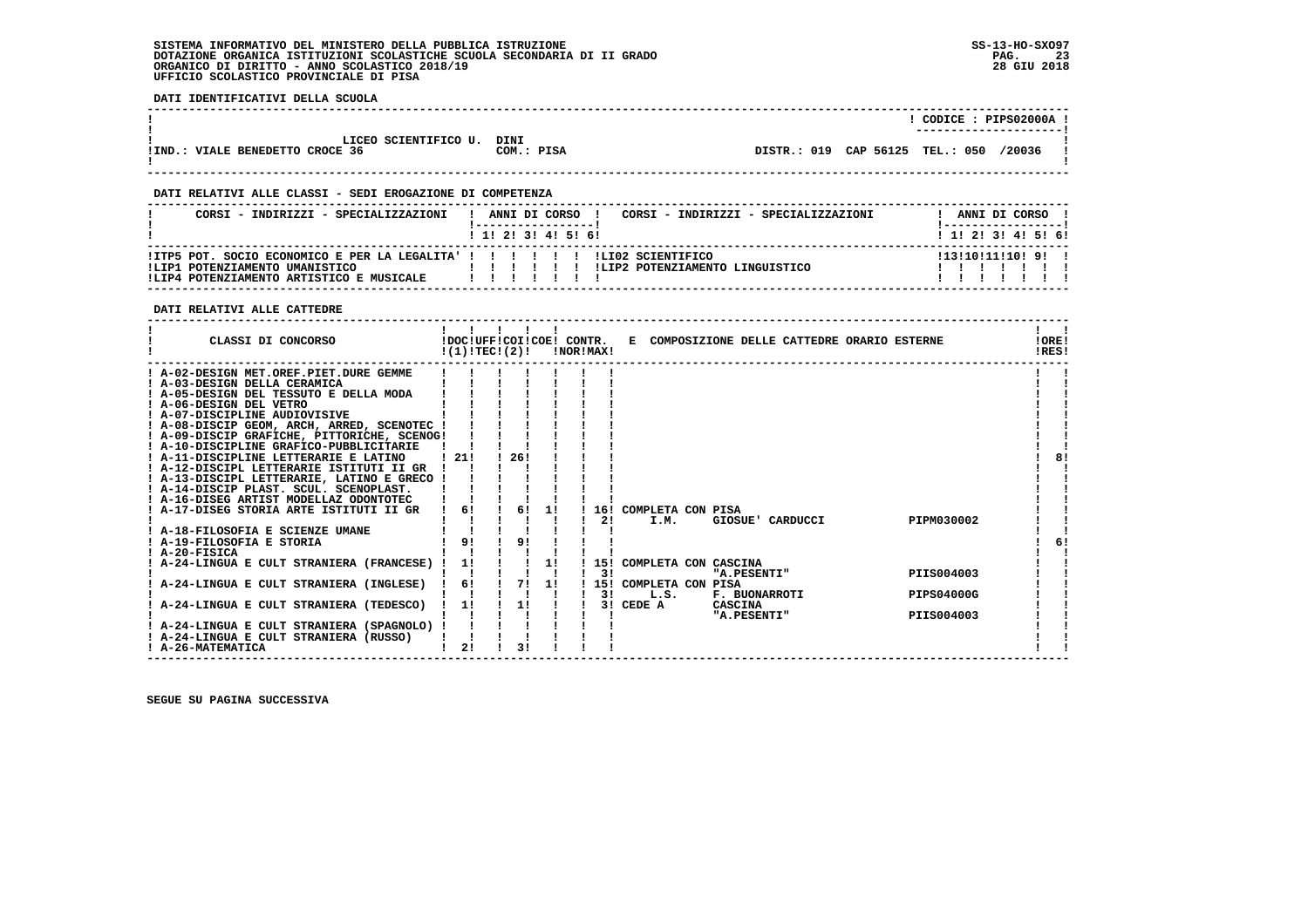**DATI IDENTIFICATIVI DELLA SCUOLA**

|                                   |            |                                 | CODICE: PIPS02000A !    |  |
|-----------------------------------|------------|---------------------------------|-------------------------|--|
|                                   |            |                                 | ----------------------- |  |
|                                   |            |                                 |                         |  |
| LICEO SCIENTIFICO U.              | DINI       |                                 |                         |  |
| VIALE BENEDETTO CROCE 36<br>!IND. | COM.: PISA | DISTR.: 019 CAP 56125 TEL.: 050 | /20036                  |  |
|                                   |            |                                 |                         |  |
|                                   |            |                                 |                         |  |

 **------------------------------------------------------------------------------------------------------------------------------------**

#### **DATI RELATIVI ALLE CLASSI - SEDI EROGAZIONE DI COMPETENZA**

| CORSI - INDIRIZZI - SPECIALIZZAZIONI                                                                                                                       | ANNI DI CORSO<br>CORSI - INDIRIZZI - SPECIALIZZAZIONI<br>1 1 2 3 3 4 5 6 1 | ANNI DI CORSO<br>1 1 1 2 1 3 1 4 1 5 1 6 1 |
|------------------------------------------------------------------------------------------------------------------------------------------------------------|----------------------------------------------------------------------------|--------------------------------------------|
| !ITP5 POT. SOCIO ECONOMICO E PER LA LEGALITA' ! ! ! ! ! ! ! LIO2 SCIENTIFICO<br>!LIP1 POTENZIAMENTO UMANISTICO<br>!LIP4 POTENZIAMENTO ARTISTICO E MUSICALE | ILIP2 POTENZIAMENTO LINGUISTICO<br>.                                       | 1131101111101 91 1                         |

#### **DATI RELATIVI ALLE CATTEDRE**

| CLASSI DI CONCORSO                          | !DOC!UFF!COI!COE! CONTR.<br>!(1)!TEC!(2)! |    |     |                |    | !NOR!MAX! |    |                          | E COMPOSIZIONE DELLE CATTEDRE ORARIO ESTERNE |  |                   | !ORE!<br>!RES! |    |
|---------------------------------------------|-------------------------------------------|----|-----|----------------|----|-----------|----|--------------------------|----------------------------------------------|--|-------------------|----------------|----|
| ! A-02-DESIGN MET.OREF.PIET.DURE GEMME      |                                           |    |     |                |    |           |    |                          |                                              |  |                   |                |    |
| ! A-03-DESIGN DELLA CERAMICA                |                                           |    |     |                |    |           |    |                          |                                              |  |                   |                |    |
| ! A-05-DESIGN DEL TESSUTO E DELLA MODA      |                                           |    |     |                |    |           |    |                          |                                              |  |                   |                |    |
| ! A-06-DESIGN DEL VETRO                     |                                           |    |     |                |    |           |    |                          |                                              |  |                   |                |    |
| ! A-07-DISCIPLINE AUDIOVISIVE               |                                           |    |     |                |    |           |    |                          |                                              |  |                   |                |    |
| ! A-08-DISCIP GEOM, ARCH, ARRED, SCENOTEC ! |                                           |    |     |                |    |           |    |                          |                                              |  |                   |                |    |
| ! A-09-DISCIP GRAFICHE, PITTORICHE, SCENOG! |                                           |    |     |                |    |           |    |                          |                                              |  |                   |                |    |
| ! A-10-DISCIPLINE GRAFICO-PUBBLICITARIE     |                                           |    |     |                |    |           |    |                          |                                              |  |                   |                |    |
| ! A-11-DISCIPLINE LETTERARIE E LATINO       | 1211                                      |    | 26! |                |    |           |    |                          |                                              |  |                   |                | 8! |
| ! A-12-DISCIPL LETTERARIE ISTITUTI II GR    |                                           |    |     |                |    |           |    |                          |                                              |  |                   |                |    |
| ! A-13-DISCIPL LETTERARIE, LATINO E GRECO ! |                                           |    |     |                |    |           |    |                          |                                              |  |                   |                |    |
| ! A-14-DISCIP PLAST, SCUL, SCENOPLAST,      |                                           |    |     |                |    |           |    |                          |                                              |  |                   |                |    |
| ! A-16-DISEG ARTIST MODELLAZ ODONTOTEC      |                                           |    |     | 61             |    |           |    |                          |                                              |  |                   |                |    |
| ! A-17-DISEG STORIA ARTE ISTITUTI II GR     |                                           | 6! |     |                | 11 |           | 21 | 16! COMPLETA CON PISA    |                                              |  | PIPM030002        |                |    |
| ! A-18-FILOSOFIA E SCIENZE UMANE            |                                           |    |     |                |    |           |    | I.M.                     | GIOSUE' CARDUCCI                             |  |                   |                |    |
| ! A-19-FILOSOFIA E STORIA                   | 9!                                        |    | 9!  |                |    |           |    |                          |                                              |  |                   |                | 6! |
| ! A-20-FISICA                               |                                           |    |     |                |    |           |    |                          |                                              |  |                   |                |    |
| ! A-24-LINGUA E CULT STRANIERA (FRANCESE)   | 1!                                        |    |     |                | 11 |           |    | 15! COMPLETA CON CASCINA |                                              |  |                   |                |    |
|                                             |                                           |    |     |                |    |           | 3! |                          | "A.PESENTI"                                  |  | PIIS004003        |                |    |
| ! A-24-LINGUA E CULT STRANIERA (INGLESE)    |                                           | 6! |     | 71             | 1! |           |    | 15! COMPLETA CON PISA    |                                              |  |                   |                |    |
|                                             |                                           |    |     |                |    |           | 3! | L.S.                     | <b>F. BUONARROTI</b>                         |  | <b>PIPS04000G</b> |                |    |
| A-24-LINGUA E CULT STRANIERA (TEDESCO)      | 1!                                        |    |     | 11             |    |           |    | 3! CEDE A                | CASCINA                                      |  |                   |                |    |
|                                             |                                           |    |     |                |    |           |    |                          | "A.PESENTI"                                  |  | PIIS004003        |                |    |
| ! A-24-LINGUA E CULT STRANIERA (SPAGNOLO) ! |                                           |    |     |                |    |           |    |                          |                                              |  |                   |                |    |
| ! A-24-LINGUA E CULT STRANIERA (RUSSO)      |                                           |    |     |                |    |           |    |                          |                                              |  |                   |                |    |
| ! A-26-MATEMATICA                           | 21                                        |    |     | 3 <sub>1</sub> |    |           |    |                          |                                              |  |                   |                |    |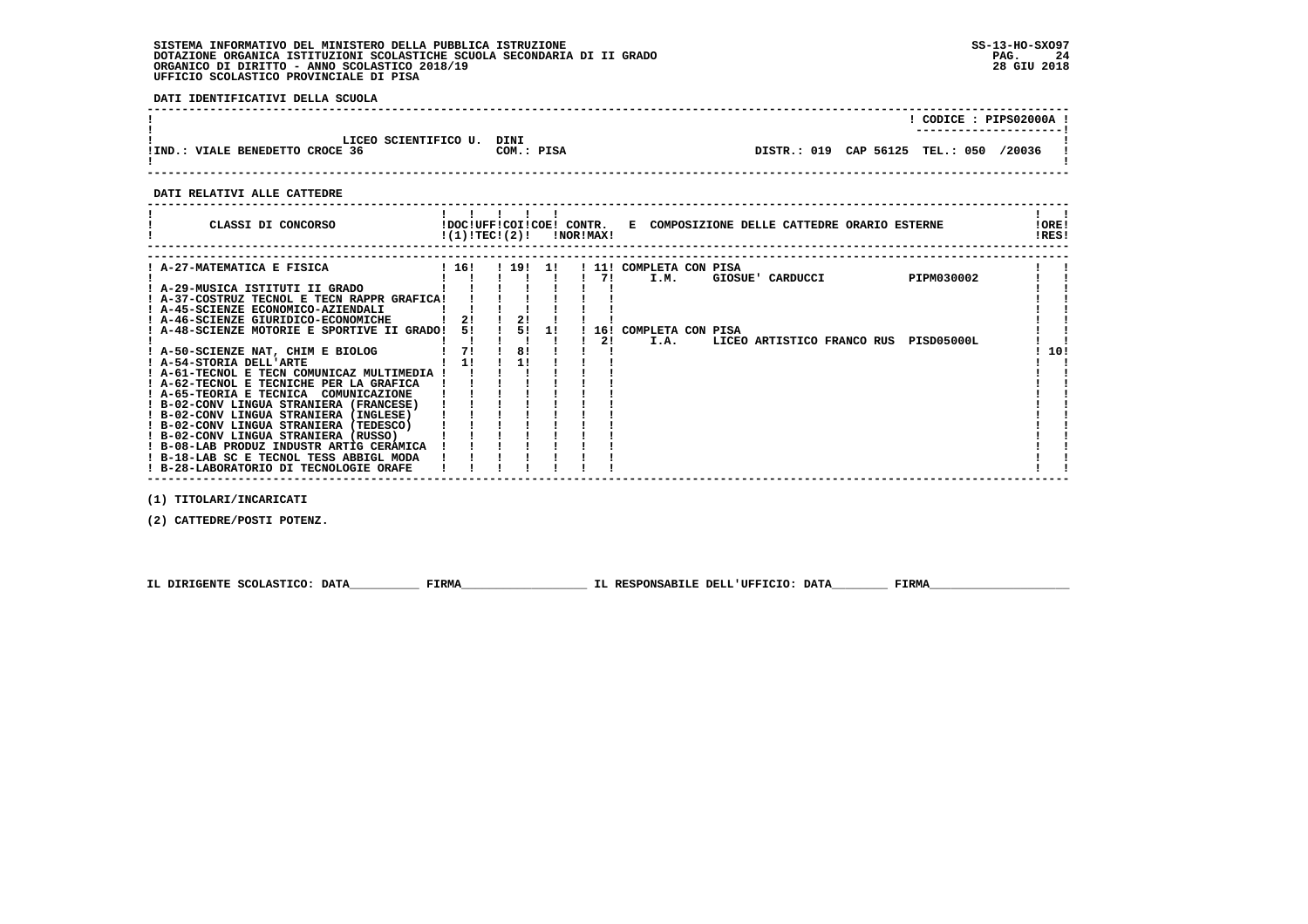**DATI IDENTIFICATIVI DELLA SCUOLA**

|                                                           |                    |                                 | CODICE: PIPS02000A !   |        |  |
|-----------------------------------------------------------|--------------------|---------------------------------|------------------------|--------|--|
| LICEO SCIENTIFICO U.<br>VIALE BENEDETTO CROCE 36<br>!IND. | DINI<br>COM.: PISA | DISTR.: 019 CAP 56125 TEL.: 050 | ---------------------- | /20036 |  |

 **------------------------------------------------------------------------------------------------------------------------------------**

 **DATI RELATIVI ALLE CATTEDRE**

| CLASSI DI CONCORSO                                                                                                                                                                                                                                                                                                                                                                                                                                                                                                                                                                                                                                                                                                                                  |                               | $!(1)!TEC!(2)!$ $INORIMAX!$    |     |          | !DOC!UFF!COI!COE! CONTR. E COMPOSIZIONE DELLE CATTEDRE ORARIO ESTERNE                                                                          | ! ORE!<br>!RES! |
|-----------------------------------------------------------------------------------------------------------------------------------------------------------------------------------------------------------------------------------------------------------------------------------------------------------------------------------------------------------------------------------------------------------------------------------------------------------------------------------------------------------------------------------------------------------------------------------------------------------------------------------------------------------------------------------------------------------------------------------------------------|-------------------------------|--------------------------------|-----|----------|------------------------------------------------------------------------------------------------------------------------------------------------|-----------------|
| ! A-27-MATEMATICA E FISICA<br>! A-29-MUSICA ISTITUTI II GRADO<br>! A-37-COSTRUZ TECNOL E TECN RAPPR GRAFICA!<br>! A-45-SCIENZE ECONOMICO-AZIENDALI<br>! A-46-SCIENZE GIURIDICO-ECONOMICHE<br>! A-48-SCIENZE MOTORIE E SPORTIVE II GRADO!<br>! A-50-SCIENZE NAT, CHIM E BIOLOG<br>! A-54-STORIA DELL'ARTE<br>! A-61-TECNOL E TECN COMUNICAZ MULTIMEDIA !<br>! A-62-TECNOL E TECNICHE PER LA GRAFICA<br>! A-65-TEORIA E TECNICA COMUNICAZIONE<br>! B-02-CONV LINGUA STRANIERA (FRANCESE)<br>! B-02-CONV LINGUA STRANIERA (INGLESE)<br>! B-02-CONV LINGUA STRANIERA (TEDESCO)<br>! B-02-CONV LINGUA STRANIERA (RUSSO)<br>! B-08-LAB PRODUZ INDUSTR ARTIG CERAMICA<br>! B-18-LAB SC E TECNOL TESS ABBIGL MODA<br>! B-28-LABORATORIO DI TECNOLOGIE ORAFE | ! 16!<br>21<br>51<br>71<br>11 | . 1911<br>21<br>51<br>81<br>11 | -11 | 71<br>21 | ! 11! COMPLETA CON PISA<br>PIPM030002<br>I.M.<br>GIOSUE' CARDUCCI<br>16! COMPLETA CON PISA<br>I.A.<br>LICEO ARTISTICO FRANCO RUS<br>PISD05000L | 10!             |
|                                                                                                                                                                                                                                                                                                                                                                                                                                                                                                                                                                                                                                                                                                                                                     |                               |                                |     |          |                                                                                                                                                |                 |

 **(1) TITOLARI/INCARICATI**

 **(2) CATTEDRE/POSTI POTENZ.**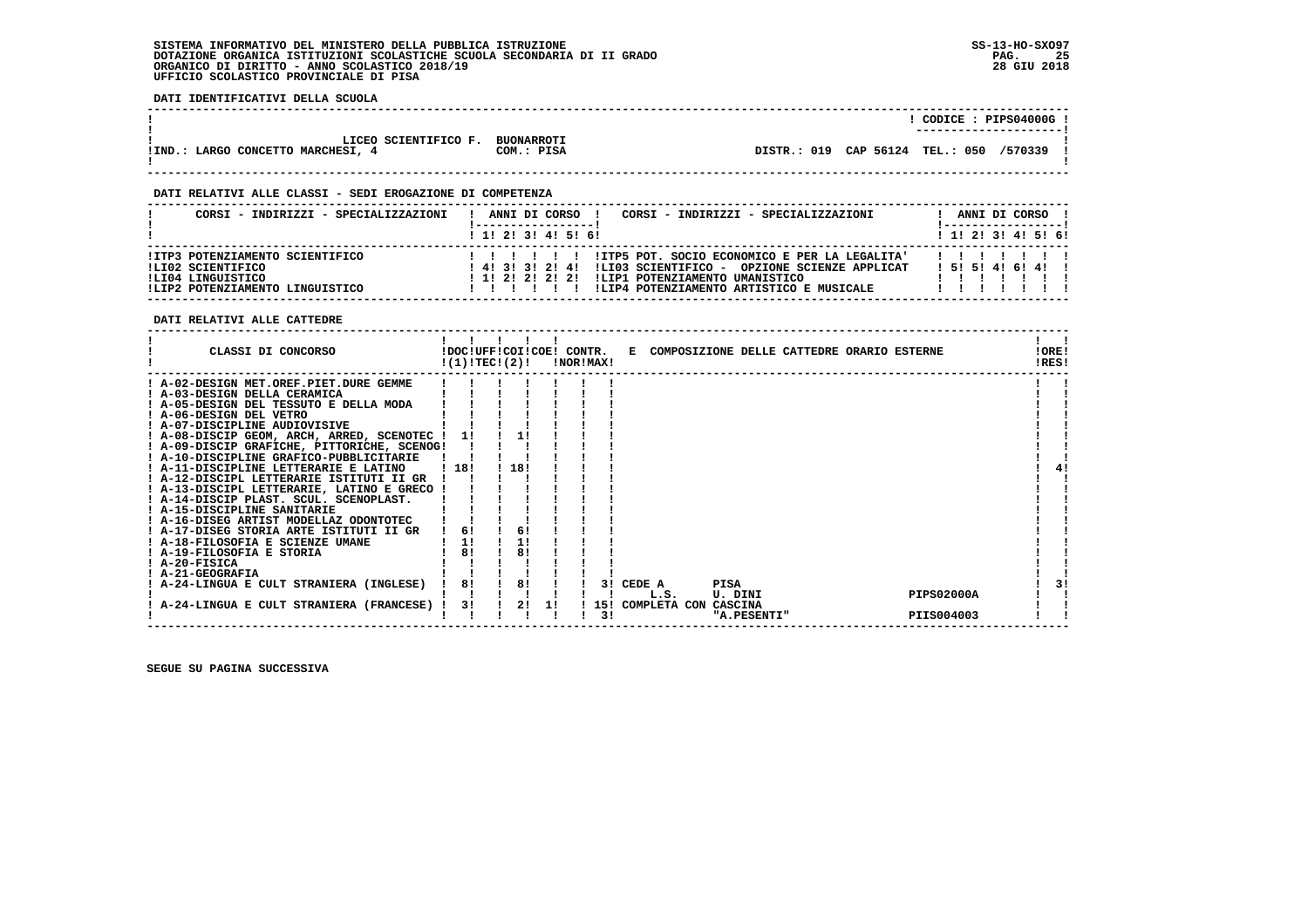**DATI IDENTIFICATIVI DELLA SCUOLA**

|                                         |                   |                                 | ----------------------- | CODICE: PIPS04000G! |
|-----------------------------------------|-------------------|---------------------------------|-------------------------|---------------------|
| LICEO SCIENTIFICO F.                    | <b>BUONARROTI</b> |                                 |                         |                     |
| LARGO CONCETTO MARCHESI, 4<br>$!$ IND.: | COM.: PISA        | DISTR.: 019 CAP 56124 TEL.: 050 |                         | /570339             |

 **------------------------------------------------------------------------------------------------------------------------------------**

#### **DATI RELATIVI ALLE CLASSI - SEDI EROGAZIONE DI COMPETENZA**

| CORSI - INDIRIZZI - SPECIALIZZAZIONI                                                                         | CORSI - INDIRIZZI - SPECIALIZZAZIONI<br>ANNI DI CORSO<br>1 1 2 2 1 3 1 4 1 5 1 6 1                                                                                                                                         | $1 \; 1 \; 2 \; 3 \; 1 \; 4 \; 5 \; 6 \; 6$ | ANNI DI CORSO ! |  |  |
|--------------------------------------------------------------------------------------------------------------|----------------------------------------------------------------------------------------------------------------------------------------------------------------------------------------------------------------------------|---------------------------------------------|-----------------|--|--|
| !ITP3 POTENZIAMENTO SCIENTIFICO<br>ILI02 SCIENTIFICO<br>ILI04 LINGUISTICO<br>!LIP2 POTENZIAMENTO LINGUISTICO | !ITP5 POT. SOCIO ECONOMICO E PER LA LEGALITA'<br>ILIO3 SCIENTIFICO - OPZIONE SCIENZE APPLICAT<br>$1$ 4! 3! 3! 2! 4!<br>!LIP1 POTENZIAMENTO UMANISTICO<br>1 1 1 2 1 2 1 2 1 2 1<br>!LIP4 POTENZIAMENTO ARTISTICO E MUSICALE | 1 5 1 5 1 4 1 6 1 4 1                       |                 |  |  |

 **DATI RELATIVI ALLE CATTEDRE**

| CLASSI DI CONCORSO                          | !(1)!TECI(2)! | !DOC!UFF!COI!COE! CONTR. |       | !NOR!MAX! |    |                    |             | E COMPOSIZIONE DELLE CATTEDRE ORARIO ESTERNE |                   | !ORE!<br>!RES! |
|---------------------------------------------|---------------|--------------------------|-------|-----------|----|--------------------|-------------|----------------------------------------------|-------------------|----------------|
| ! A-02-DESIGN MET.OREF.PIET.DURE GEMME      |               |                          |       |           |    |                    |             |                                              |                   |                |
| ! A-03-DESIGN DELLA CERAMICA                |               |                          |       |           |    |                    |             |                                              |                   |                |
| ! A-05-DESIGN DEL TESSUTO E DELLA MODA      |               |                          |       |           |    |                    |             |                                              |                   |                |
| ! A-06-DESIGN DEL VETRO                     |               |                          |       |           |    |                    |             |                                              |                   |                |
| ! A-07-DISCIPLINE AUDIOVISIVE               |               |                          |       |           |    |                    |             |                                              |                   |                |
| ! A-08-DISCIP GEOM, ARCH, ARRED, SCENOTEC ! | -11           | 1!                       |       |           |    |                    |             |                                              |                   |                |
| ! A-09-DISCIP GRAFICHE, PITTORICHE, SCENOG! |               |                          |       |           |    |                    |             |                                              |                   |                |
| ! A-10-DISCIPLINE GRAFICO-PUBBLICITARIE     |               |                          |       |           |    |                    |             |                                              |                   |                |
| ! A-11-DISCIPLINE LETTERARIE E LATINO       | 118!          | 18!                      |       |           |    |                    |             |                                              |                   |                |
| ! A-12-DISCIPL LETTERARIE ISTITUTI II GR    |               |                          |       |           |    |                    |             |                                              |                   |                |
| ! A-13-DISCIPL LETTERARIE, LATINO E GRECO   |               |                          |       |           |    |                    |             |                                              |                   |                |
| ! A-14-DISCIP PLAST. SCUL. SCENOPLAST.      |               |                          |       |           |    |                    |             |                                              |                   |                |
| ! A-15-DISCIPLINE SANITARIE                 |               |                          |       |           |    |                    |             |                                              |                   |                |
| ! A-16-DISEG ARTIST MODELLAZ ODONTOTEC      |               |                          |       |           |    |                    |             |                                              |                   |                |
| ! A-17-DISEG STORIA ARTE ISTITUTI II GR     | 61            | 6!                       |       |           |    |                    |             |                                              |                   |                |
| ! A-18-FILOSOFIA E SCIENZE UMANE            | 1!            | 1!                       |       |           |    |                    |             |                                              |                   |                |
| ! A-19-FILOSOFIA E STORIA                   | 81            | 81                       |       |           |    |                    |             |                                              |                   |                |
| ! A-20-FISICA                               |               |                          |       |           |    |                    |             |                                              |                   |                |
| ! A-21-GEOGRAFIA                            |               |                          |       |           |    |                    |             |                                              |                   |                |
| ! A-24-LINGUA E CULT STRANIERA (INGLESE)    | 8!            | 8!                       |       |           |    | 3! CEDE A          | PISA        |                                              |                   |                |
|                                             |               |                          |       |           |    | L.S.               | U. DINI     |                                              | <b>PIPS02000A</b> |                |
| A-24-LINGUA E CULT STRANIERA (FRANCESE) !   | 3!            |                          | 2! 1! |           |    | ! 15! COMPLETA CON | CASCINA     |                                              |                   |                |
|                                             |               |                          |       |           | 31 |                    | "A.PESENTI" |                                              | PIIS004003        |                |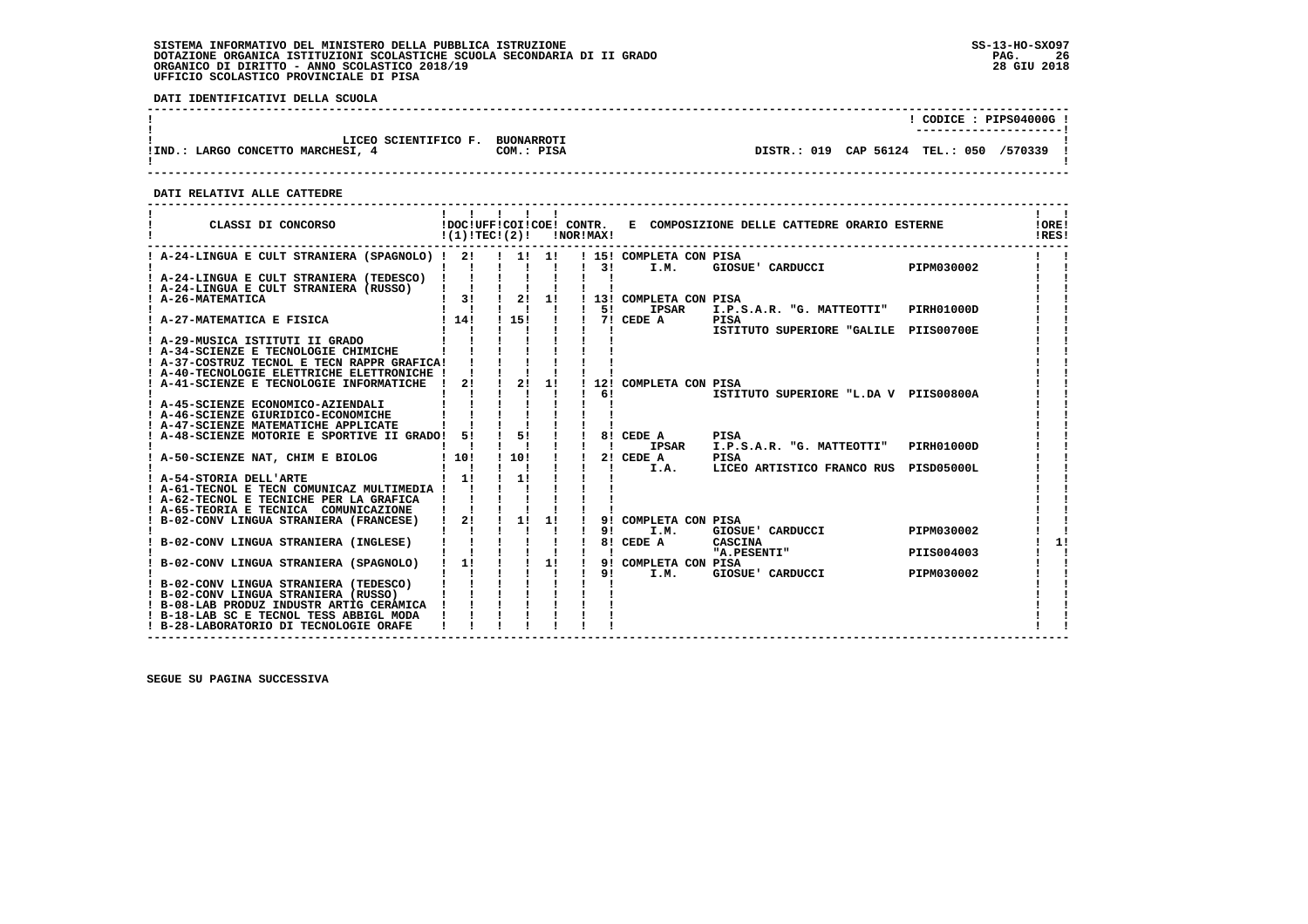**DATI IDENTIFICATIVI DELLA SCUOLA**

|                                                           |                                 |                                 |  | CODICE: PIPS04000G! |
|-----------------------------------------------------------|---------------------------------|---------------------------------|--|---------------------|
| LICEO SCIENTIFICO F.<br>!IND.: LARGO CONCETTO MARCHESI, 4 | <b>BUONARROTI</b><br>COM.: PISA | DISTR.: 019 CAP 56124 TEL.: 050 |  | /570339             |

 **------------------------------------------------------------------------------------------------------------------------------------**

 **DATI RELATIVI ALLE CATTEDRE**

| CLASSI DI CONCORSO                                                                     |                                     |                             |                | $!(1)!TEC!(2)!$ $INORIMAX!$ |                         | !DOC!UFF!COI!COE! CONTR. E COMPOSIZIONE DELLE CATTEDRE ORARIO ESTERNE |                   | ! ORE!<br>!RES! |
|----------------------------------------------------------------------------------------|-------------------------------------|-----------------------------|----------------|-----------------------------|-------------------------|-----------------------------------------------------------------------|-------------------|-----------------|
| ! A-24-LINGUA E CULT STRANIERA (SPAGNOLO) ! 2! ! 1! 1! ! 15! COMPLETA CON PISA         |                                     |                             |                |                             |                         |                                                                       |                   |                 |
|                                                                                        |                                     |                             |                | $1 \quad 31$                | I.M.                    | GIOSUE' CARDUCCI PIPM030002                                           |                   |                 |
| ! A-24-LINGUA E CULT STRANIERA (TEDESCO) !                                             |                                     |                             |                |                             |                         |                                                                       |                   |                 |
| ! A-24-LINGUA E CULT STRANIERA (RUSSO)            <br>  A-26-MATEMATICA     3!   2! 1! |                                     |                             |                |                             | ! 13! COMPLETA CON PISA |                                                                       |                   |                 |
|                                                                                        | $1 \quad 1 \quad 1 \quad 1 \quad 1$ |                             |                | $1 - 51$                    | IPSAR                   | I.P.S.A.R. "G. MATTEOTTI"                                             | <b>PIRH01000D</b> |                 |
| ! A-27-MATEMATICA E FISICA   14!                                                       |                                     | ! 15!                       | $\blacksquare$ |                             | $17!$ CEDE A            | <b>PISA</b>                                                           |                   |                 |
|                                                                                        |                                     |                             |                |                             |                         | ISTITUTO SUPERIORE "GALILE PIIS00700E                                 |                   |                 |
| ! A-29-MUSICA ISTITUTI II GRADO                                                        |                                     |                             |                |                             |                         |                                                                       |                   |                 |
| ! A-34-SCIENZE E TECNOLOGIE CHIMICHE                                                   |                                     |                             |                |                             |                         |                                                                       |                   |                 |
| ! A-37-COSTRUZ TECNOL E TECN RAPPR GRAFICA!                                            |                                     |                             |                |                             |                         |                                                                       |                   |                 |
| ! A-40-TECNOLOGIE ELETTRICHE ELETTRONICHE !                                            |                                     |                             |                |                             |                         |                                                                       |                   |                 |
| ! A-41-SCIENZE E TECNOLOGIE INFORMATICHE !                                             | 2!                                  | 2!                          | 1!             |                             | 12! COMPLETA CON PISA   |                                                                       |                   |                 |
| ! A-45-SCIENZE ECONOMICO-AZIENDALI                                                     |                                     |                             |                | 61                          |                         | ISTITUTO SUPERIORE "L.DA V PIIS00800A                                 |                   |                 |
| ! A-46-SCIENZE GIURIDICO-ECONOMICHE                                                    |                                     |                             |                |                             |                         |                                                                       |                   |                 |
| ! A-47-SCIENZE MATEMATICHE APPLICATE                                                   |                                     |                             |                |                             |                         |                                                                       |                   |                 |
| ! A-48-SCIENZE MOTORIE E SPORTIVE II GRADO! 5!                                         |                                     | $\frac{1}{5}$ $\frac{1}{1}$ |                |                             | 8! CEDE A               | PISA                                                                  |                   |                 |
|                                                                                        |                                     |                             |                | $\blacksquare$              | IPSAR                   | I.P.S.A.R. "G. MATTEOTTI" PIRH01000D                                  |                   |                 |
| ! A-50-SCIENZE NAT, CHIM E BIOLOG                                                      | 110!                                | ! 10!                       |                |                             | 2! CEDE A               | PISA                                                                  |                   |                 |
|                                                                                        |                                     |                             |                |                             | I.A.                    | LICEO ARTISTICO FRANCO RUS PISD05000L                                 |                   |                 |
| ! A-54-STORIA DELL'ARTE                                                                | $1 \quad 11$                        | 11                          |                |                             |                         |                                                                       |                   |                 |
| ! A-61-TECNOL E TECN COMUNICAZ MULTIMEDIA !                                            |                                     |                             |                |                             |                         |                                                                       |                   |                 |
| ! A-62-TECNOL E TECNICHE PER LA GRAFICA<br>! A-65-TEORIA E TECNICA COMUNICAZIONE       |                                     |                             |                |                             |                         |                                                                       |                   |                 |
| ! B-02-CONV LINGUA STRANIERA (FRANCESE) ! 2! ! 1!                                      |                                     |                             | 1!             |                             | 9! COMPLETA CON PISA    |                                                                       |                   |                 |
|                                                                                        |                                     | $\mathbf{I}$                |                | 91                          | I.M.                    | GIOSUE' CARDUCCI                                                      | PIPM030002        |                 |
| B-02-CONV LINGUA STRANIERA (INGLESE)                                                   |                                     |                             | $1 \quad 1$    |                             | 8! CEDE A               | CASCINA                                                               |                   |                 |
|                                                                                        |                                     |                             | $\frac{1}{11}$ |                             |                         | "A.PESENTI"                                                           | PIIS004003        |                 |
| ! B-02-CONV LINGUA STRANIERA (SPAGNOLO)                                                | $1 \quad 11$                        | $\mathbf{I}$                |                | <b>Contract Contract</b>    | 9! COMPLETA CON PISA    |                                                                       |                   |                 |
|                                                                                        |                                     |                             |                |                             | 91<br>I.M.              | GIOSUE' CARDUCCI                                                      | PIPM030002        |                 |
| B-02-CONV LINGUA STRANIERA (TEDESCO)                                                   |                                     |                             |                |                             |                         |                                                                       |                   |                 |
| ! B-02-CONV LINGUA STRANIERA (RUSSO)                                                   |                                     |                             |                |                             |                         |                                                                       |                   |                 |
| ! B-08-LAB PRODUZ INDUSTR ARTIG CERAMICA !<br>! B-18-LAB SC E TECNOL TESS ABBIGL MODA  |                                     |                             |                |                             |                         |                                                                       |                   |                 |
| ! B-28-LABORATORIO DI TECNOLOGIE ORAFE                                                 |                                     |                             |                |                             |                         |                                                                       |                   |                 |
|                                                                                        |                                     |                             |                |                             |                         |                                                                       |                   |                 |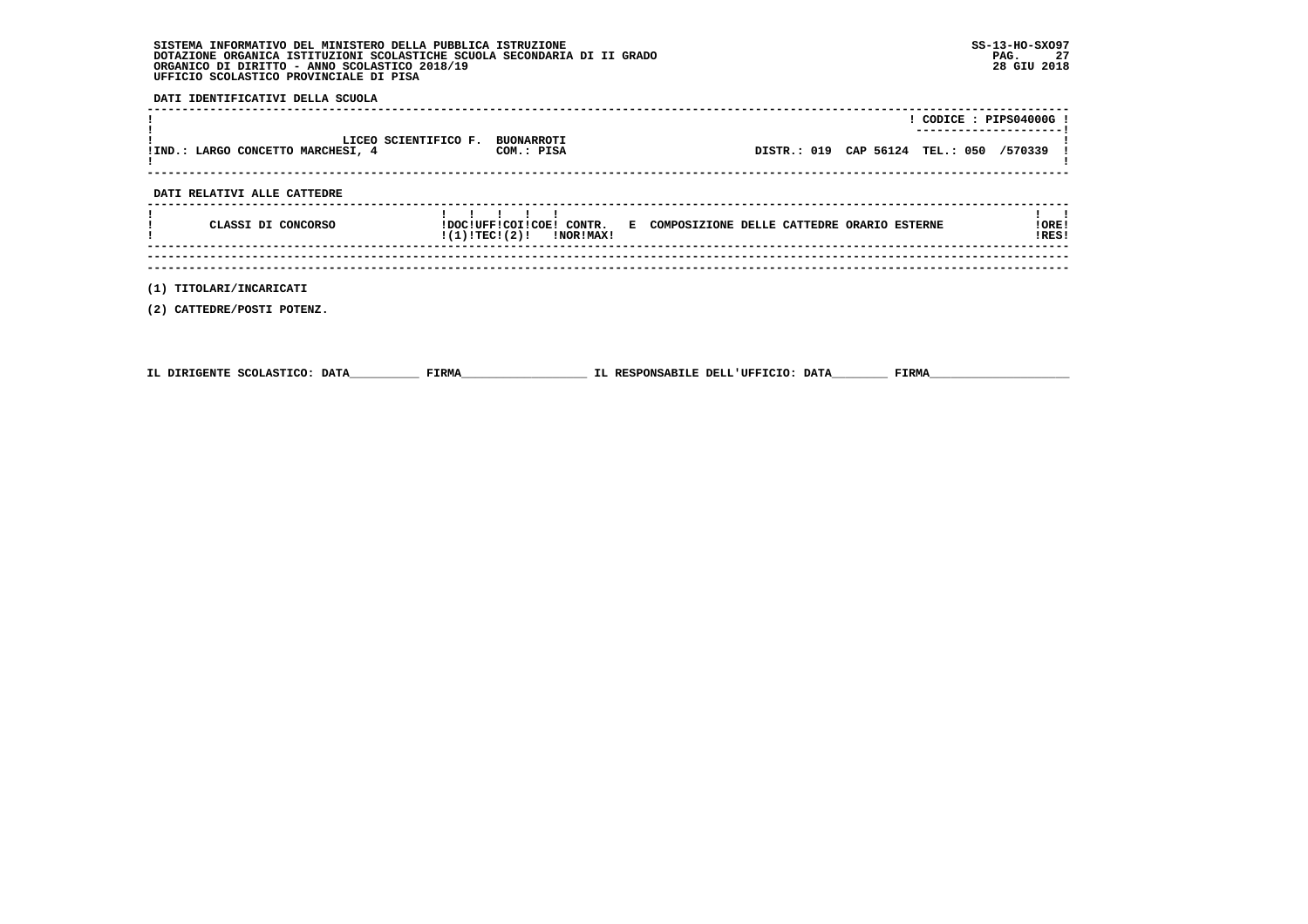**DATI IDENTIFICATIVI DELLA SCUOLA**

|                                                           |                                 |                                           | CODICE: PIPS04000G!<br>----------------------- |
|-----------------------------------------------------------|---------------------------------|-------------------------------------------|------------------------------------------------|
| LICEO SCIENTIFICO F.<br>!IND.: LARGO CONCETTO MARCHESI, 4 | <b>BUONARROTI</b><br>COM.: PISA | DISTR.: 019 CAP 56124 TEL.: 050 /570339 ! |                                                |
|                                                           |                                 |                                           |                                                |

 **DATI RELATIVI ALLE CATTEDRE**

| CLASSI DI CONCORSO | IDOCIUFFICOIICOEI CONTR.<br>!(1)!TECI(2)!<br><b>!NOR!MAX!</b> | E COMPOSIZIONE DELLE CATTEDRE ORARIO ESTERNE |  |  | ! ORE !<br>IRES! |
|--------------------|---------------------------------------------------------------|----------------------------------------------|--|--|------------------|
|                    |                                                               |                                              |  |  |                  |
|                    |                                                               |                                              |  |  |                  |

 **(1) TITOLARI/INCARICATI**

 **(2) CATTEDRE/POSTI POTENZ.**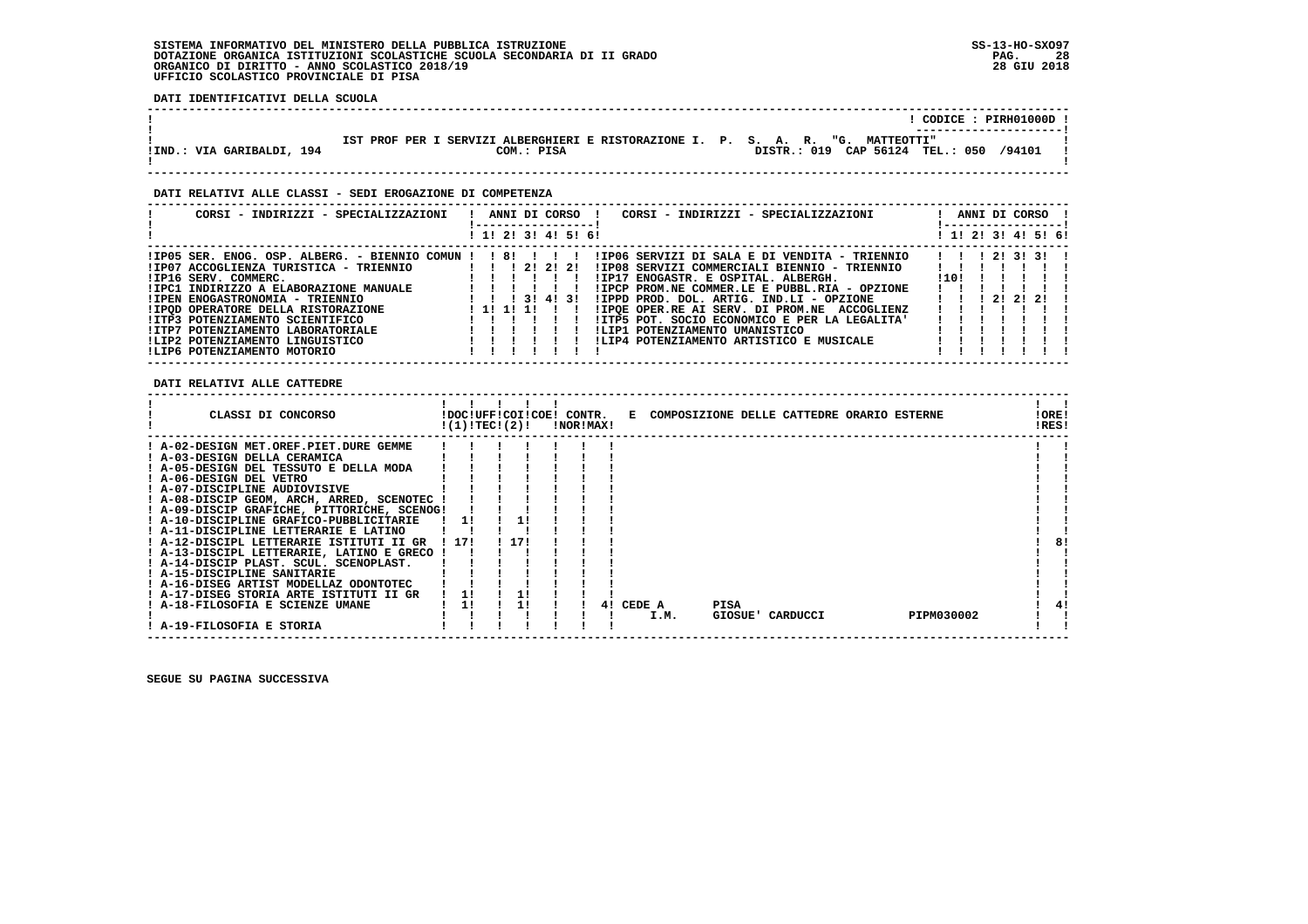**DATI IDENTIFICATIVI DELLA SCUOLA**

|                           | CODICE: PIRH01000D !<br>----------------------                                  |  |
|---------------------------|---------------------------------------------------------------------------------|--|
|                           | IST PROF PER I SERVIZI ALBERGHIERI E RISTORAZIONE I. P. S. A. R. "G. MATTEOTTI" |  |
| !IND.: VIA GARIBALDI, 194 | /94101<br>DISTR.: 019 CAP 56124 TEL.: 050<br>COM.: PISA                         |  |

 **------------------------------------------------------------------------------------------------------------------------------------**

#### **DATI RELATIVI ALLE CLASSI - SEDI EROGAZIONE DI COMPETENZA**

| CORSI - INDIRIZZI - SPECIALIZZAZIONI                     |  |            | ANNI DI CORSO !     | CORSI - INDIRIZZI - SPECIALIZZAZIONI          |                                                        |               | ANNI DI CORSO ! |  |
|----------------------------------------------------------|--|------------|---------------------|-----------------------------------------------|--------------------------------------------------------|---------------|-----------------|--|
|                                                          |  |            | ! 1! 2! 3! 4! 5! 6! |                                               | ! 1! 2! 3! 4! 5! 6!                                    |               |                 |  |
| $!IP05$ SER. ENOG. OSP. ALBERG. - BIENNIO COMUN !! 8!!!! |  |            |                     | !IP06 SERVIZI DI SALA E DI VENDITA - TRIENNIO | $1 \quad 1 \quad 1 \quad 21 \quad 31 \quad 31 \quad 1$ |               |                 |  |
| !IP07 ACCOGLIENZA TURISTICA - TRIENNIO                   |  |            | 1 1 1 2 1 2 1 2 1   | !IP08 SERVIZI COMMERCIALI BIENNIO - TRIENNIO  |                                                        |               |                 |  |
| IIP16 SERV. COMMERC.                                     |  |            |                     | !IP17 ENOGASTR. E OSPITAL. ALBERGH.           | 110 L                                                  |               |                 |  |
| !IPC1 INDIRIZZO A ELABORAZIONE MANUALE                   |  |            |                     | !IPCP PROM.NE COMMER.LE E PUBBL.RIA - OPZIONE |                                                        |               |                 |  |
| !IPEN ENOGASTRONOMIA - TRIENNIO                          |  |            | 1 3 1 4 1 3 1       | !IPPD PROD, DOL, ARTIG, IND.LI - OPZIONE      |                                                        | 1 2 1 2 1 2 1 |                 |  |
| !IPOD OPERATORE DELLA RISTORAZIONE                       |  | 1 11 11 11 |                     | !IPOE OPER.RE AI SERV. DI PROM.NE ACCOGLIENZ  |                                                        |               |                 |  |
| !ITP3 POTENZIAMENTO SCIENTIFICO                          |  |            |                     | !ITP5 POT. SOCIO ECONOMICO E PER LA LEGALITA' |                                                        |               |                 |  |
| !ITP7 POTENZIAMENTO LABORATORIALE                        |  |            |                     | !LIP1 POTENZIAMENTO UMANISTICO                |                                                        |               |                 |  |
| !LIP2 POTENZIAMENTO LINGUISTICO                          |  |            |                     | !LIP4 POTENZIAMENTO ARTISTICO E MUSICALE      |                                                        |               |                 |  |
| ILIP6 POTENZIAMENTO MOTORIO                              |  |            |                     |                                               |                                                        |               |                 |  |

 **DATI RELATIVI ALLE CATTEDRE**

| CLASSI DI CONCORSO                          |       | !(1)!TEC!(2)! | !DOC!UFF!COI!COE! CONTR. | <b>!NOR!MAX!</b> |    |        |      |      | E COMPOSIZIONE DELLE CATTEDRE ORARIO ESTERNE |            | !ORE!<br>!RES! |
|---------------------------------------------|-------|---------------|--------------------------|------------------|----|--------|------|------|----------------------------------------------|------------|----------------|
| ! A-02-DESIGN MET.OREF.PIET.DURE GEMME      |       |               |                          |                  |    |        |      |      |                                              |            |                |
| ! A-03-DESIGN DELLA CERAMICA                |       |               |                          |                  |    |        |      |      |                                              |            |                |
| ! A-05-DESIGN DEL TESSUTO E DELLA MODA      |       |               |                          |                  |    |        |      |      |                                              |            |                |
| ! A-06-DESIGN DEL VETRO                     |       |               |                          |                  |    |        |      |      |                                              |            |                |
| ! A-07-DISCIPLINE AUDIOVISIVE               |       |               |                          |                  |    |        |      |      |                                              |            |                |
| ! A-08-DISCIP GEOM, ARCH, ARRED, SCENOTEC   |       |               |                          |                  |    |        |      |      |                                              |            |                |
| ! A-09-DISCIP GRAFICHE, PITTORICHE, SCENOG! |       |               |                          |                  |    |        |      |      |                                              |            |                |
| ! A-10-DISCIPLINE GRAFICO-PUBBLICITARIE     |       | 11            |                          |                  |    |        |      |      |                                              |            |                |
| ! A-11-DISCIPLINE LETTERARIE E LATINO       |       |               |                          |                  |    |        |      |      |                                              |            |                |
| ! A-12-DISCIPL LETTERARIE ISTITUTI II GR    | ! 17! |               | 171                      |                  |    |        |      |      |                                              |            | 8!             |
| ! A-13-DISCIPL LETTERARIE, LATINO E GRECO   |       |               |                          |                  |    |        |      |      |                                              |            |                |
| ! A-14-DISCIP PLAST. SCUL. SCENOPLAST.      |       |               |                          |                  |    |        |      |      |                                              |            |                |
| ! A-15-DISCIPLINE SANITARIE                 |       |               |                          |                  |    |        |      |      |                                              |            |                |
| ! A-16-DISEG ARTIST MODELLAZ ODONTOTEC      |       |               |                          |                  |    |        |      |      |                                              |            |                |
| ! A-17-DISEG STORIA ARTE ISTITUTI II GR     |       |               |                          |                  |    |        |      |      |                                              |            |                |
| A-18-FILOSOFIA E SCIENZE UMANE              |       | 11            |                          |                  | 41 | CEDE A |      | PISA |                                              |            |                |
|                                             |       |               |                          |                  |    |        | I.M. |      | GIOSUE' CARDUCCI                             | PIPM030002 |                |
| ! A-19-FILOSOFIA E STORIA                   |       |               |                          |                  |    |        |      |      |                                              |            |                |
|                                             |       |               |                          |                  |    |        |      |      |                                              |            |                |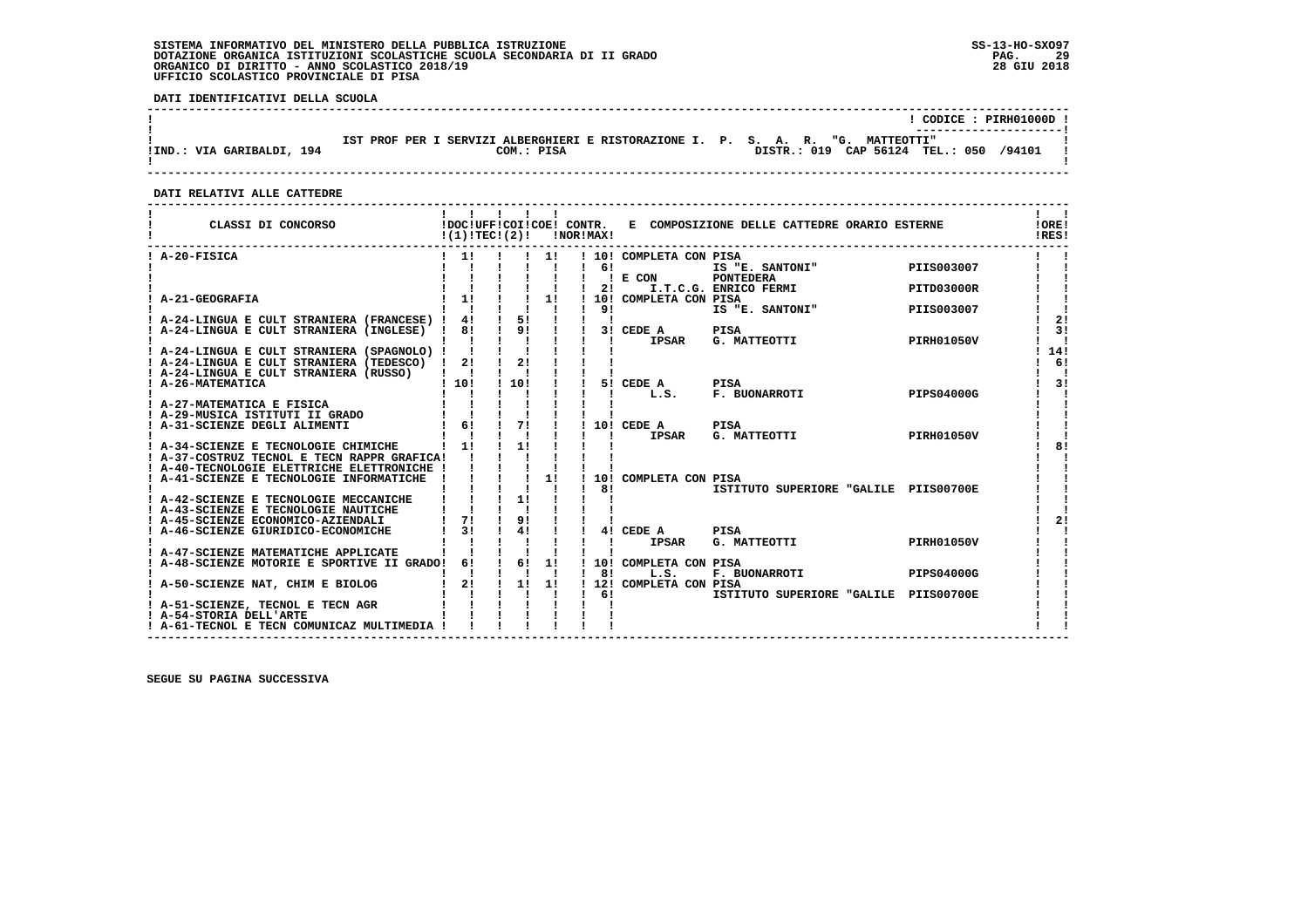**DATI IDENTIFICATIVI DELLA SCUOLA**

|                           |                                                                                               | CODICE: PIRH01000D !                      |  |
|---------------------------|-----------------------------------------------------------------------------------------------|-------------------------------------------|--|
| IIND.: VIA GARIBALDI, 194 | IST PROF PER I SERVIZI ALBERGHIERI E RISTORAZIONE I. P. S. A. R. "G. MATTEOTTI"<br>COM.: PISA | /94101<br>DISTR.: 019 CAP 56124 TEL.: 050 |  |

 **------------------------------------------------------------------------------------------------------------------------------------**

#### **DATI RELATIVI ALLE CATTEDRE**

| CLASSI DI CONCORSO                                                                             | !(1)!TECI(2)!             |               |              | !NOR!MAX!    |      |                              | !DOC!UFF!COI!COE! CONTR. E COMPOSIZIONE DELLE CATTEDRE ORARIO ESTERNE |                   | !ORE!<br>IRES! |
|------------------------------------------------------------------------------------------------|---------------------------|---------------|--------------|--------------|------|------------------------------|-----------------------------------------------------------------------|-------------------|----------------|
| ! A-20-FISICA                                                                                  |                           |               | 11           |              |      | ! 10! COMPLETA CON PISA      |                                                                       |                   |                |
|                                                                                                |                           |               |              |              | 61   |                              | IS "E. SANTONI"                                                       | PIIS003007        |                |
|                                                                                                |                           |               |              | $1 \quad 21$ |      | $!$ E CON                    | PONTEDERA<br>I.T.C.G. ENRICO FERMI                                    | PITD03000R        |                |
| A-21-GEOGRAFIA                                                                                 | 1!                        |               | 1!           |              |      | ! 10! COMPLETA CON PISA      |                                                                       |                   |                |
|                                                                                                |                           |               | $\mathbf{I}$ | 191          |      |                              | IS "E. SANTONI"                                                       | PIIS003007        |                |
| ! A-24-LINGUA E CULT STRANIERA (FRANCESE) !                                                    | 4!                        | $\frac{1}{5}$ |              |              |      |                              |                                                                       |                   | 2!             |
| ! A-24-LINGUA E CULT STRANIERA (INGLESE) ! 8!                                                  |                           | $1$ 9! $1$    |              |              |      | 3! CEDE A                    | <b>PISA</b><br>PISA<br>G. MATTEOTTI                                   |                   | 31             |
|                                                                                                |                           |               |              |              | - 11 | IPSAR                        |                                                                       | <b>PIRH01050V</b> | - 1            |
| ! A-24-LINGUA E CULT STRANIERA (SPAGNOLO) ! !<br>! A-24-LINGUA E CULT STRANIERA (TEDESCO) ! 2! |                           | $\frac{1}{2}$ |              |              |      |                              |                                                                       |                   | 14!<br>6!      |
| ! A-24-LINGUA E CULT STRANIERA (RUSSO)                                                         | $\mathbf{I}$ $\mathbf{I}$ |               |              |              |      |                              |                                                                       |                   |                |
| ! A-26-MATEMATICA                                                                              | 1101                      | 110!          |              |              |      | 5! CEDE A                    | PISA                                                                  |                   | 3!             |
|                                                                                                |                           |               |              |              |      | L.S.                         | F. BUONARROTI                                                         | PIPS04000G        |                |
| ! A-27-MATEMATICA E FISICA                                                                     |                           |               |              |              |      |                              |                                                                       |                   |                |
| ! A-29-MUSICA ISTITUTI II GRADO                                                                |                           |               |              |              |      |                              |                                                                       |                   |                |
| A-31-SCIENZE DEGLI ALIMENTI                                                                    | $1 \t6! \t1 \t7!$         |               |              |              |      | ! 10! CEDE A<br><b>IPSAR</b> | <b>PISA</b><br>G. MATTEOTTI                                           | <b>PIRH01050V</b> |                |
| ! A-34-SCIENZE E TECNOLOGIE CHIMICHE                                                           | 11                        | 11            |              |              |      |                              |                                                                       |                   | 8!             |
| ! A-37-COSTRUZ TECNOL E TECN RAPPR GRAFICA!                                                    |                           |               |              |              |      |                              |                                                                       |                   |                |
| ! A-40-TECNOLOGIE ELETTRICHE ELETTRONICHE !                                                    |                           |               |              |              |      |                              |                                                                       |                   |                |
| ! A-41-SCIENZE E TECNOLOGIE INFORMATICHE                                                       |                           |               | 1!           |              |      | 10! COMPLETA CON PISA        |                                                                       |                   |                |
|                                                                                                |                           |               |              |              | 81   |                              | ISTITUTO SUPERIORE "GALILE PIIS00700E                                 |                   |                |
| ! A-42-SCIENZE E TECNOLOGIE MECCANICHE<br>! A-43-SCIENZE E TECNOLOGIE NAUTICHE                 |                           | 1!            |              |              |      |                              |                                                                       |                   |                |
| ! A-45-SCIENZE ECONOMICO-AZIENDALI                                                             | 71                        | 9!            |              |              |      |                              |                                                                       |                   | 21             |
| A-46-SCIENZE GIURIDICO-ECONOMICHE                                                              | 3 <sub>1</sub>            | 41            |              |              |      | 4! CEDE A                    | <b>PISA</b>                                                           |                   |                |
|                                                                                                |                           |               |              |              |      | <b>IPSAR</b>                 | G. MATTEOTTI                                                          | <b>PIRH01050V</b> |                |
| ! A-47-SCIENZE MATEMATICHE APPLICATE                                                           |                           |               |              |              |      |                              |                                                                       |                   |                |
| ! A-48-SCIENZE MOTORIE E SPORTIVE II GRADO! 6!                                                 |                           | $1 \quad 61$  | 1!           |              |      | ! 10! COMPLETA CON PISA      |                                                                       |                   |                |
|                                                                                                | 2!                        | $\frac{1}{2}$ | 1!           |              | 81   | L.S.                         | F. BUONARROTI                                                         | <b>PIPS04000G</b> |                |
| ! A-50-SCIENZE NAT, CHIM E BIOLOG                                                              |                           |               |              | $1 \quad 61$ |      | ! 12! COMPLETA CON PISA      | ISTITUTO SUPERIORE "GALILE PIIS00700E                                 |                   |                |
| ! A-51-SCIENZE, TECNOL E TECN AGR                                                              |                           |               |              |              |      |                              |                                                                       |                   |                |
| ! A-54-STORIA DELL'ARTE                                                                        |                           |               |              |              |      |                              |                                                                       |                   |                |
| ! A-61-TECNOL E TECN COMUNICAZ MULTIMEDIA !                                                    |                           |               |              |              |      |                              |                                                                       |                   |                |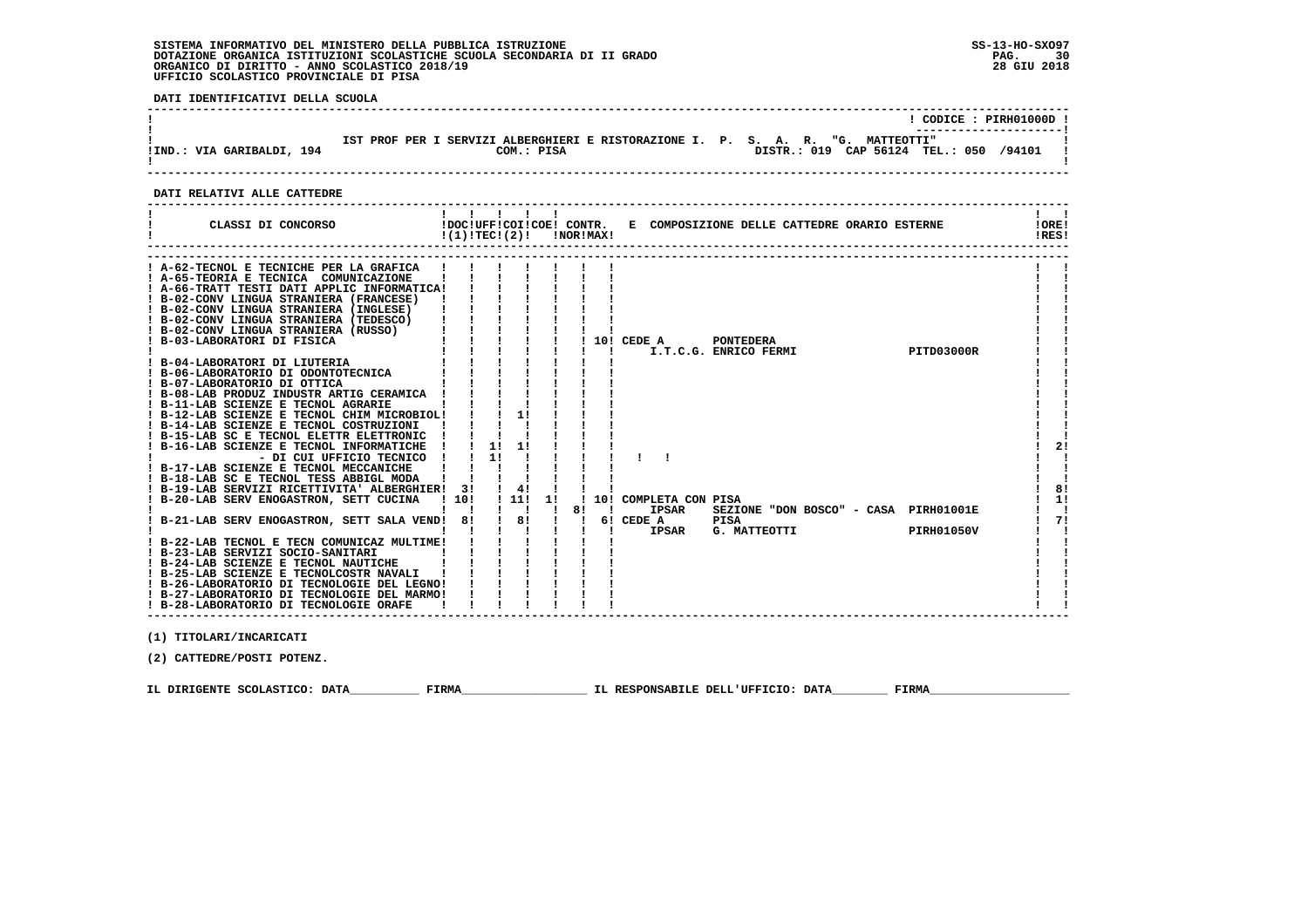**DATI IDENTIFICATIVI DELLA SCUOLA**

|                           |                                                                                               | CODICE: PIRH01000D !                      |
|---------------------------|-----------------------------------------------------------------------------------------------|-------------------------------------------|
| !IND.: VIA GARIBALDI, 194 | IST PROF PER I SERVIZI ALBERGHIERI E RISTORAZIONE I. P. S. A. R. "G. MATTEOTTI"<br>COM.: PISA | /94101<br>DISTR.: 019 CAP 56124 TEL.: 050 |

 **------------------------------------------------------------------------------------------------------------------------------------**

#### **DATI RELATIVI ALLE CATTEDRE**

| CLASSI DI CONCORSO                                                                                                                                                                                                                                                                                                                                                                                                                                                                                                                                                                                                                                                                                 | !DOC!UFF!COI!COE! CONTR.<br>E COMPOSIZIONE DELLE CATTEDRE ORARIO ESTERNE<br>!(1)!TEC!(2)!<br>INORIMAXI                                                                                                                        | IORE!<br>IRES!       |
|----------------------------------------------------------------------------------------------------------------------------------------------------------------------------------------------------------------------------------------------------------------------------------------------------------------------------------------------------------------------------------------------------------------------------------------------------------------------------------------------------------------------------------------------------------------------------------------------------------------------------------------------------------------------------------------------------|-------------------------------------------------------------------------------------------------------------------------------------------------------------------------------------------------------------------------------|----------------------|
| ! A-62-TECNOL E TECNICHE PER LA GRAFICA<br>! A-65-TEORIA E TECNICA COMUNICAZIONE<br>! A-66-TRATT TESTI DATI APPLIC INFORMATICA!<br>B-02-CONV LINGUA STRANIERA (FRANCESE)<br>! B-02-CONV LINGUA STRANIERA (INGLESE)<br>! B-02-CONV LINGUA STRANIERA (TEDESCO)<br>! B-02-CONV LINGUA STRANIERA (RUSSO)<br>! B-03-LABORATORI DI FISICA<br>! B-04-LABORATORI DI LIUTERIA<br>! B-06-LABORATORIO DI ODONTOTECNICA<br>! B-07-LABORATORIO DI OTTICA<br>B-08-LAB PRODUZ INDUSTR ARTIG CERAMICA<br>B-11-LAB SCIENZE E TECNOL AGRARIE<br>B-12-LAB SCIENZE E TECNOL CHIM MICROBIOL!                                                                                                                            | $10!$ CEDE A<br><b>PONTEDERA</b><br>I.T.C.G. ENRICO FERMI<br>PITD03000R<br>11                                                                                                                                                 |                      |
| ! B-14-LAB SCIENZE E TECNOL COSTRUZIONI<br>B-15-LAB SC E TECNOL ELETTR ELETTRONIC<br>B-16-LAB SCIENZE E TECNOL INFORMATICHE<br>- DI CUI UFFICIO TECNICO<br>! B-17-LAB SCIENZE E TECNOL MECCANICHE<br>! B-18-LAB SC E TECNOL TESS ABBIGL MODA<br>! B-19-LAB SERVIZI RICETTIVITA' ALBERGHIER!<br>! B-20-LAB SERV ENOGASTRON, SETT CUCINA<br>B-21-LAB SERV ENOGASTRON, SETT SALA VEND!<br>! B-22-LAB TECNOL E TECN COMUNICAZ MULTIME!<br>! B-23-LAB SERVIZI SOCIO-SANITARI<br>! B-24-LAB SCIENZE E TECNOL NAUTICHE<br>! B-25-LAB SCIENZE E TECNOLCOSTR NAVALI<br>! B-26-LABORATORIO DI TECNOLOGIE DEL LEGNO!<br>! B-27-LABORATORIO DI TECNOLOGIE DEL MARMO!<br>! B-28-LABORATORIO DI TECNOLOGIE ORAFE | 1!<br>11<br>1!<br>4!<br>31<br>1101<br>1111<br>11<br>10! COMPLETA CON PISA<br>81<br>SEZIONE "DON BOSCO" - CASA PIRH01001E<br><b>IPSAR</b><br>-1<br>81<br>81<br>6! CEDE A<br><b>PISA</b><br>G. MATTEOTTI<br>IPSAR<br>PIRH01050V | 2!<br>8!<br>1!<br>71 |

 **(1) TITOLARI/INCARICATI**

 **(2) CATTEDRE/POSTI POTENZ.**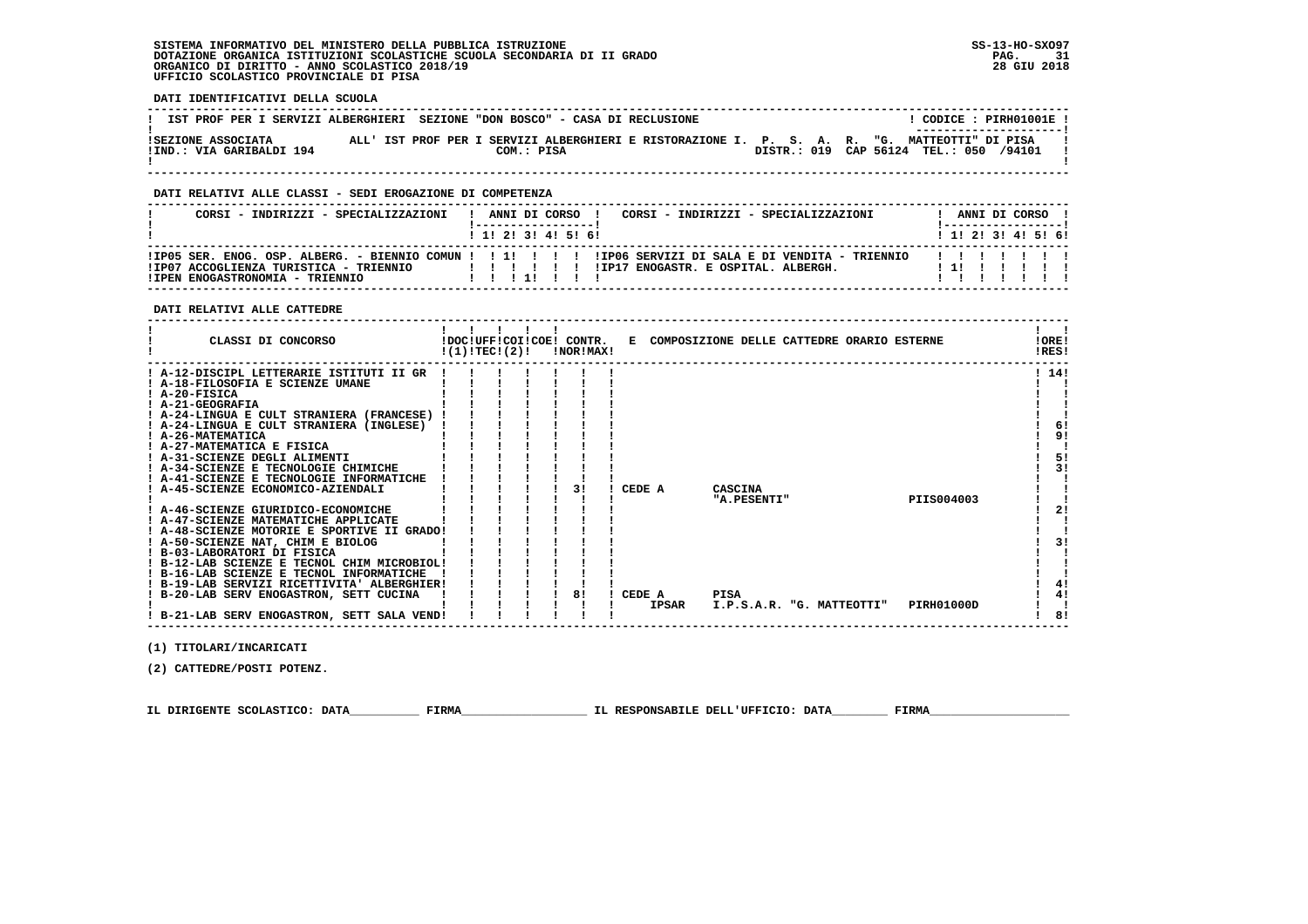**DATI IDENTIFICATIVI DELLA SCUOLA**

| IST PROF PER I SERVIZI ALBERGHIERI SEZIONE "DON BOSCO" - CASA DI RECLUSIONE |            |  | CODICE: PIRH01001E !<br>---------------------                                                                                          |
|-----------------------------------------------------------------------------|------------|--|----------------------------------------------------------------------------------------------------------------------------------------|
| ISEZIONE ASSOCIATA<br>IIND.: VIA GARIBALDI 194                              | COM.: PISA |  | ALL' IST PROF PER I SERVIZI ALBERGHIERI E RISTORAZIONE I. P. S. A. R. "G. MATTEOTTI" DI PISA<br>DISTR.: 019 CAP 56124 TEL.: 050 /94101 |

 **------------------------------------------------------------------------------------------------------------------------------------**

### **DATI RELATIVI ALLE CLASSI - SEDI EROGAZIONE DI COMPETENZA**

| CORSI - INDIRIZZI - SPECIALIZZAZIONI                                                                                                                         |  |  | ANNI DI CORSO !   | CORSI - INDIRIZZI - SPECIALIZZAZIONI |  | ANNI DI CORSO !           |  |  |
|--------------------------------------------------------------------------------------------------------------------------------------------------------------|--|--|-------------------|--------------------------------------|--|---------------------------|--|--|
|                                                                                                                                                              |  |  | 1 1 2 3 3 4 5 6 1 |                                      |  | 1 1 1 2 1 3 1 4 1 5 1 6 1 |  |  |
| IIP05 SER. ENOG. OSP. ALBERG. - BIENNIO COMUN ! ! !!!!!!!! IIP06 SERVIZI DI SALA E DI VENDITA - TRIENNIO<br>IIP07 ACCOGLIENZA TURISTICA - TRIENNIO<br>111111 |  |  |                   | !IP17 ENOGASTR. E OSPITAL. ALBERGH.  |  | .<br>1 1 I I              |  |  |
| !IPEN ENOGASTRONOMIA - TRIENNIO                                                                                                                              |  |  |                   |                                      |  |                           |  |  |

#### **DATI RELATIVI ALLE CATTEDRE**

| CLASSI DI CONCORSO                                                                      | !(1)!TECI(2)! |  | !DOC!UFF!COI!COE! CONTR.<br>!NOR!MAX! |              | E COMPOSIZIONE DELLE CATTEDRE ORARIO ESTERNE |  |            | !ORE!<br>IRES! |  |
|-----------------------------------------------------------------------------------------|---------------|--|---------------------------------------|--------------|----------------------------------------------|--|------------|----------------|--|
| ! A-12-DISCIPL LETTERARIE ISTITUTI II GR                                                |               |  |                                       |              |                                              |  |            | ! 14!          |  |
| ! A-18-FILOSOFIA E SCIENZE UMANE                                                        |               |  |                                       |              |                                              |  |            |                |  |
| ! A-20-FISICA                                                                           |               |  |                                       |              |                                              |  |            |                |  |
| ! A-21-GEOGRAFIA                                                                        |               |  |                                       |              |                                              |  |            |                |  |
| ! A-24-LINGUA E CULT STRANIERA (FRANCESE)                                               |               |  |                                       |              |                                              |  |            |                |  |
| ! A-24-LINGUA E CULT STRANIERA (INGLESE)                                                |               |  |                                       |              |                                              |  |            | 6!             |  |
| ! A-26-MATEMATICA                                                                       |               |  |                                       |              |                                              |  |            | 91             |  |
| ! A-27-MATEMATICA E FISICA                                                              |               |  |                                       |              |                                              |  |            |                |  |
| ! A-31-SCIENZE DEGLI ALIMENTI                                                           |               |  |                                       |              |                                              |  |            | 5!             |  |
| ! A-34-SCIENZE E TECNOLOGIE CHIMICHE                                                    |               |  |                                       |              |                                              |  |            | 3!             |  |
| ! A-41-SCIENZE E TECNOLOGIE INFORMATICHE                                                |               |  |                                       |              |                                              |  |            |                |  |
| ! A-45-SCIENZE ECONOMICO-AZIENDALI                                                      |               |  |                                       | CEDE A       | CASCINA                                      |  |            |                |  |
|                                                                                         |               |  |                                       |              | "A.PESENTI"                                  |  | PIIS004003 |                |  |
| ! A-46-SCIENZE GIURIDICO-ECONOMICHE                                                     |               |  |                                       |              |                                              |  |            | 2!             |  |
| ! A-47-SCIENZE MATEMATICHE APPLICATE                                                    |               |  |                                       |              |                                              |  |            |                |  |
| ! A-48-SCIENZE MOTORIE E SPORTIVE II GRADO!                                             |               |  |                                       |              |                                              |  |            |                |  |
| ! A-50-SCIENZE NAT, CHIM E BIOLOG<br>! B-03-LABORATORI DI FISICA                        |               |  |                                       |              |                                              |  |            | 31             |  |
|                                                                                         |               |  |                                       |              |                                              |  |            |                |  |
| ! B-12-LAB SCIENZE E TECNOL CHIM MICROBIOL!<br>! B-16-LAB SCIENZE E TECNOL INFORMATICHE |               |  |                                       |              |                                              |  |            |                |  |
| ! B-19-LAB SERVIZI RICETTIVITA' ALBERGHIER!                                             |               |  |                                       |              |                                              |  |            | 4!             |  |
| ! B-20-LAB SERV ENOGASTRON, SETT CUCINA                                                 |               |  |                                       | CEDE A       | <b>PISA</b>                                  |  |            | 4!             |  |
|                                                                                         |               |  |                                       | <b>IPSAR</b> | I.P.S.A.R. "G. MATTEOTTI"                    |  | PIRH01000D |                |  |
| ! B-21-LAB SERV ENOGASTRON, SETT SALA VEND!                                             |               |  |                                       |              |                                              |  |            | 8!             |  |

 **(1) TITOLARI/INCARICATI**

 **(2) CATTEDRE/POSTI POTENZ.**

 **IL DIRIGENTE SCOLASTICO: DATA\_\_\_\_\_\_\_\_\_\_ FIRMA\_\_\_\_\_\_\_\_\_\_\_\_\_\_\_\_\_\_ IL RESPONSABILE DELL'UFFICIO: DATA\_\_\_\_\_\_\_\_ FIRMA\_\_\_\_\_\_\_\_\_\_\_\_\_\_\_\_\_\_\_\_**

 **------------------------------------------------------------------------------------------------------------------------------------**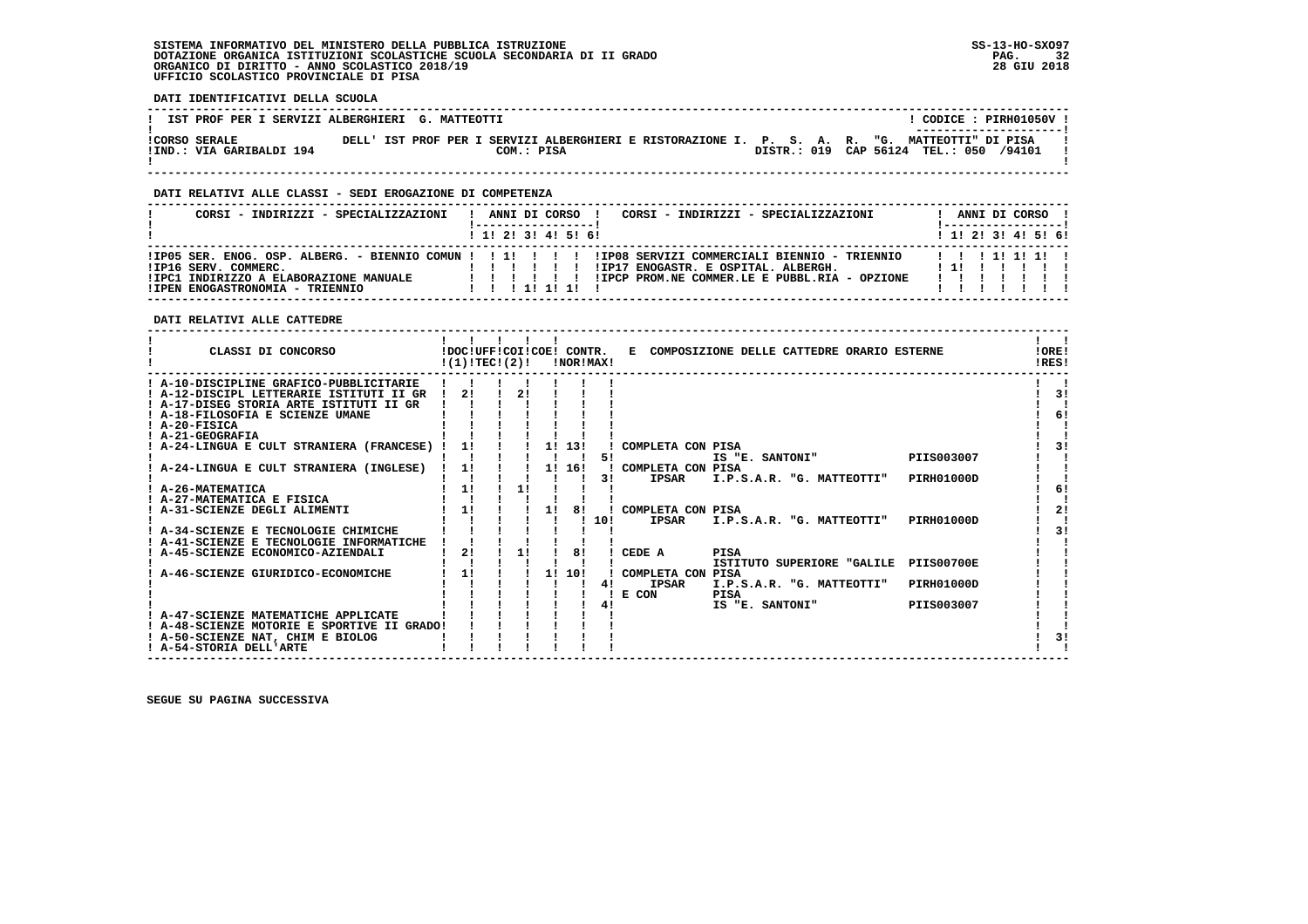**DATI IDENTIFICATIVI DELLA SCUOLA**

| IST PROF PER I SERVIZI ALBERGHIERI G. MATTEOTTI |  |  |            |                                                                                               |  |  | CODICE: PIRH01050V !<br>---------------------- |  |  |
|-------------------------------------------------|--|--|------------|-----------------------------------------------------------------------------------------------|--|--|------------------------------------------------|--|--|
| ICORSO SERALE<br>IIND.: VIA GARIBALDI 194       |  |  | COM.: PISA | DELL' IST PROF PER I SERVIZI ALBERGHIERI E RISTORAZIONE I. P. S. A. R. "G. MATTEOTTI" DI PISA |  |  | DISTR.: 019 CAP 56124 TEL.: 050 /94101         |  |  |
|                                                 |  |  |            |                                                                                               |  |  |                                                |  |  |

 **------------------------------------------------------------------------------------------------------------------------------------**

#### **DATI RELATIVI ALLE CLASSI - SEDI EROGAZIONE DI COMPETENZA**

| CORSI - INDIRIZZI - SPECIALIZZAZIONI                                                              | CORSI - INDIRIZZI - SPECIALIZZAZIONI<br>ANNI DI CORSO                                                                                                                                                                         | ANNI DI CORSO !                             |
|---------------------------------------------------------------------------------------------------|-------------------------------------------------------------------------------------------------------------------------------------------------------------------------------------------------------------------------------|---------------------------------------------|
|                                                                                                   | 1 1 2 3 3 4 5 6                                                                                                                                                                                                               | $1 \; 1 \; 2 \; 3 \; 1 \; 4 \; 5 \; 6 \; 6$ |
| IIP16 SERV. COMMERC.<br>!IPC1 INDIRIZZO A ELABORAZIONE MANUALE<br>!IPEN ENOGASTRONOMIA - TRIENNIO | !IPO5 SER. ENOG. OSP. ALBERG. - BIENNIO COMUN!!!!!!!!!!!PO8 SERVIZI COMMERCIALI BIENNIO - TRIENNIO  !!!!!!!!!<br>!IP17 ENOGASTR. E OSPITAL. ALBERGH.<br>!IPCP PROM.NE COMMER.LE E PUBBL.RIA - OPZIONE<br>.<br>1 1 1 1 1 1 1 1 | ! 1! !                                      |

 **DATI RELATIVI ALLE CATTEDRE**

| CLASSI DI CONCORSO                                                                                                                                                                    | !DOC!UFF!COI!COE! CONTR.<br>!(1)!TEC!(2)! |    |    | !NOR!MAX! |     |                                            | E COMPOSIZIONE DELLE CATTEDRE ORARIO ESTERNE |                   | !ORE!<br>!RES! |
|---------------------------------------------------------------------------------------------------------------------------------------------------------------------------------------|-------------------------------------------|----|----|-----------|-----|--------------------------------------------|----------------------------------------------|-------------------|----------------|
| ! A-10-DISCIPLINE GRAFICO-PUBBLICITARIE<br>! A-12-DISCIPL LETTERARIE ISTITUTI II GR<br>! A-17-DISEG STORIA ARTE ISTITUTI II GR<br>! A-18-FILOSOFIA E SCIENZE UMANE<br>$I$ A-20-FISICA | 21                                        |    |    |           |     |                                            |                                              |                   | 3!<br>6!       |
| ! A-21-GEOGRAFIA<br>A-24-LINGUA E CULT STRANIERA (FRANCESE)                                                                                                                           | 11                                        |    |    | 1! 13!    | 51  | COMPLETA CON PISA                          | IS "E. SANTONI"                              | PIIS003007        | 31             |
| A-24-LINGUA E CULT STRANIERA (INGLESE)                                                                                                                                                | 1!                                        |    |    | 1! 16!    | 31  | COMPLETA CON PISA<br><b>IPSAR</b>          | I.P.S.A.R. "G. MATTEOTTI"                    | <b>PIRH01000D</b> |                |
| ! A-26-MATEMATICA<br>A-27-MATEMATICA E FISICA<br>! A-31-SCIENZE DEGLI ALIMENTI                                                                                                        | 11<br>11                                  | 11 | 11 | 81        |     | COMPLETA CON PISA                          |                                              |                   | 6!<br>21       |
| ! A-34-SCIENZE E TECNOLOGIE CHIMICHE<br>! A-41-SCIENZE E TECNOLOGIE INFORMATICHE                                                                                                      |                                           |    |    |           | 10! | <b>IPSAR</b>                               | I.P.S.A.R. "G. MATTEOTTI"                    | <b>PIRH01000D</b> | 3!             |
| A-45-SCIENZE ECONOMICO-AZIENDALI                                                                                                                                                      | 2!                                        | 11 |    | 81        |     | CEDE A                                     | <b>PISA</b><br>ISTITUTO SUPERIORE "GALILE    | <b>PIIS00700E</b> |                |
| A-46-SCIENZE GIURIDICO-ECONOMICHE                                                                                                                                                     | 11                                        |    |    | 1! 10!    |     | COMPLETA CON PISA<br><b>IPSAR</b><br>E CON | I.P.S.A.R. "G. MATTEOTTI"<br>PISA            | PIRH01000D        |                |
| ! A-47-SCIENZE MATEMATICHE APPLICATE<br>! A-48-SCIENZE MOTORIE E SPORTIVE II GRADO!                                                                                                   |                                           |    |    |           | 41  |                                            | IS "E. SANTONI"                              | PIIS003007        |                |
| ! A-50-SCIENZE NAT, CHIM E BIOLOG<br>! A-54-STORIA DELL'ARTE                                                                                                                          |                                           |    |    |           |     |                                            |                                              |                   | 3!             |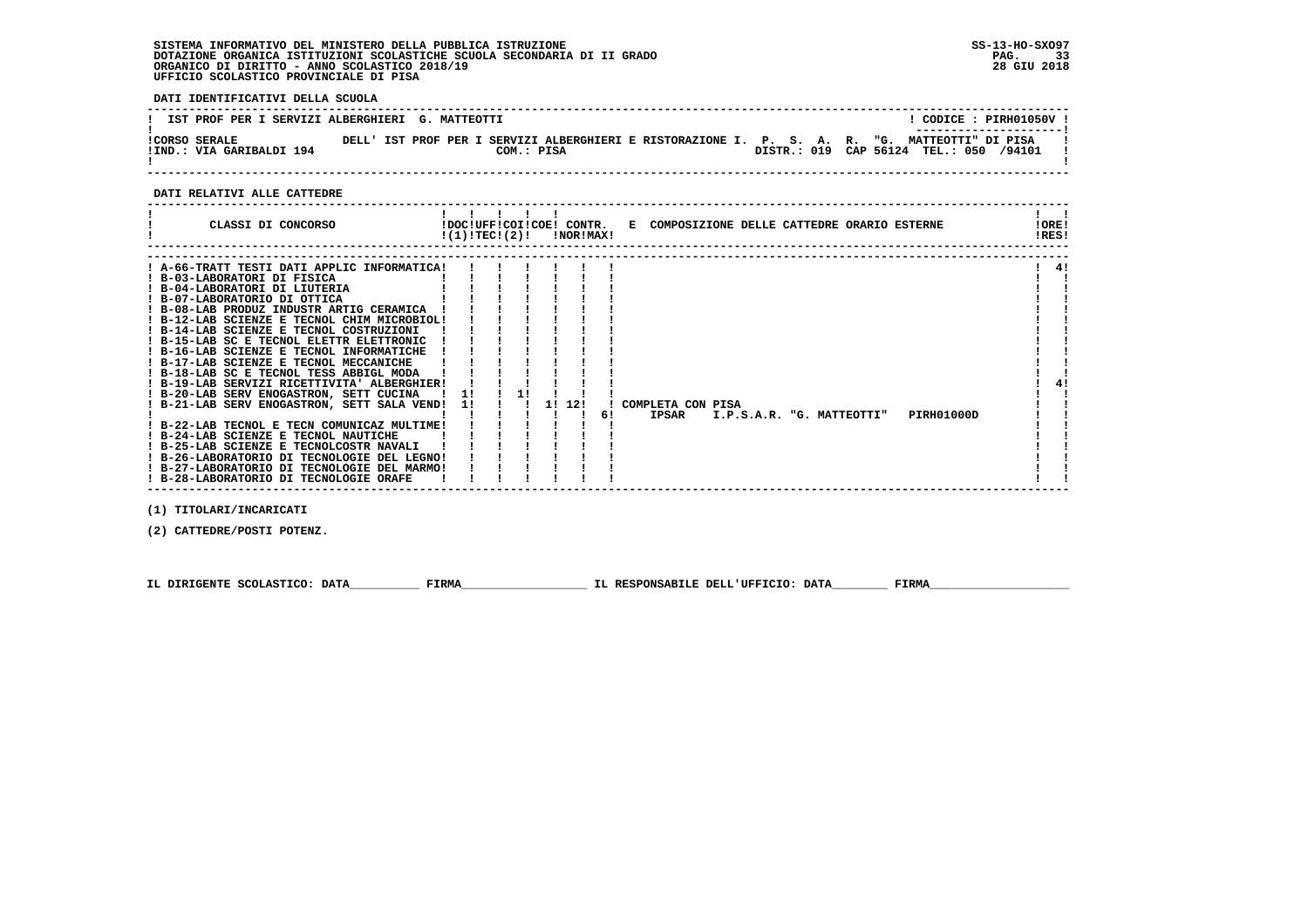**DATI IDENTIFICATIVI DELLA SCUOLA**

| IST PROF PER I SERVIZI ALBERGHIERI G. MATTEOTTI |            |                                                                                               | CODICE: PIRH01050V !                   |
|-------------------------------------------------|------------|-----------------------------------------------------------------------------------------------|----------------------------------------|
| ICORSO SERALE<br>!IND.: VIA GARIBALDI 194       | COM.: PISA | DELL' IST PROF PER I SERVIZI ALBERGHIERI E RISTORAZIONE I. P. S. A. R. "G. MATTEOTTI" DI PISA | DISTR.: 019 CAP 56124 TEL.: 050 /94101 |

 **------------------------------------------------------------------------------------------------------------------------------------**

 **DATI RELATIVI ALLE CATTEDRE**

| CLASSI DI CONCORSO                                                                                                                                                                                                                                                                                                                                                                                                                                                                                                                                                                                                                                                                                                                                                                                                                                                                | $!(1)!TEC!(2)!$ $INORIMAX!$ |  |        |    | !DOC!UFF!COI!COE! CONTR. E COMPOSIZIONE DELLE CATTEDRE ORARIO ESTERNE |  |                           |  |            |  | !ORE!<br>!RES! |
|-----------------------------------------------------------------------------------------------------------------------------------------------------------------------------------------------------------------------------------------------------------------------------------------------------------------------------------------------------------------------------------------------------------------------------------------------------------------------------------------------------------------------------------------------------------------------------------------------------------------------------------------------------------------------------------------------------------------------------------------------------------------------------------------------------------------------------------------------------------------------------------|-----------------------------|--|--------|----|-----------------------------------------------------------------------|--|---------------------------|--|------------|--|----------------|
| ! A-66-TRATT TESTI DATI APPLIC INFORMATICA!<br>! B-03-LABORATORI DI FISICA<br>! B-04-LABORATORI DI LIUTERIA<br>! B-07-LABORATORIO DI OTTICA<br>! B-08-LAB PRODUZ INDUSTR ARTIG CERAMICA<br>! B-12-LAB SCIENZE E TECNOL CHIM MICROBIOL!<br>! B-14-LAB SCIENZE E TECNOL COSTRUZIONI<br>! B-15-LAB SC E TECNOL ELETTR ELETTRONIC<br>! B-16-LAB SCIENZE E TECNOL INFORMATICHE<br>! B-17-LAB SCIENZE E TECNOL MECCANICHE<br>! B-18-LAB SC E TECNOL TESS ABBIGL MODA<br>! B-19-LAB SERVIZI RICETTIVITA' ALBERGHIER!<br>! B-20-LAB SERV ENOGASTRON, SETT CUCINA<br>! B-21-LAB SERV ENOGASTRON, SETT SALA VEND!<br>! B-22-LAB TECNOL E TECN COMUNICAZ MULTIME!<br>! B-24-LAB SCIENZE E TECNOL NAUTICHE<br>! B-25-LAB SCIENZE E TECNOLCOSTR NAVALI<br>! B-26-LABORATORIO DI TECNOLOGIE DEL LEGNO!<br>! B-27-LABORATORIO DI TECNOLOGIE DEL MARMO!<br>! B-28-LABORATORIO DI TECNOLOGIE ORAFE | -11                         |  | 1! 12! | 61 | COMPLETA CON PISA<br>IPSAR                                            |  | I.P.S.A.R. "G. MATTEOTTI" |  | PIRH01000D |  | 41             |

 **(1) TITOLARI/INCARICATI**

 **(2) CATTEDRE/POSTI POTENZ.**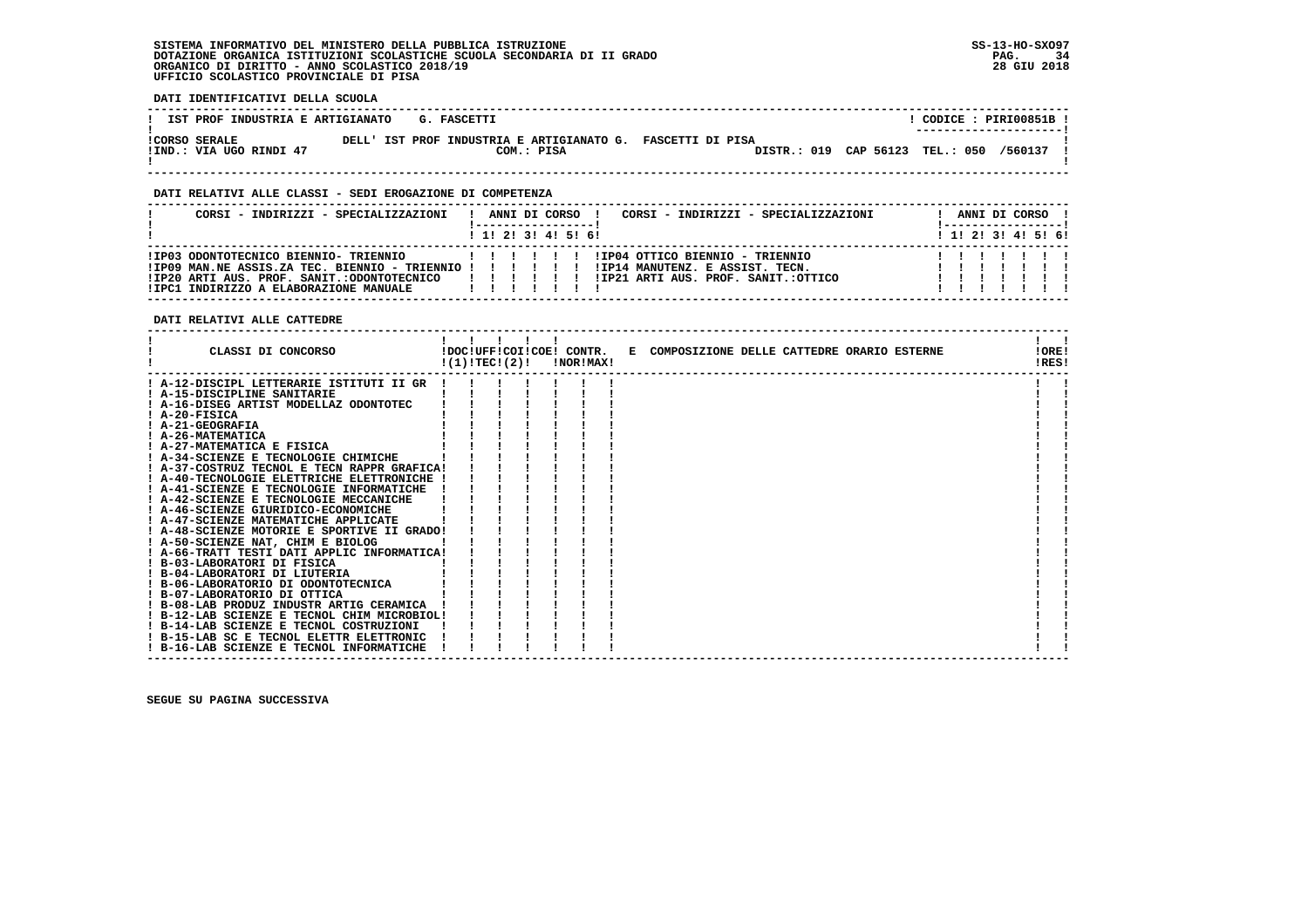**DATI IDENTIFICATIVI DELLA SCUOLA**

| IST PROF INDUSTRIA E ARTIGIANATO                | G. FASCETTI                                                |            |                                 | CODICE: PIRI00851B !<br>------------------- |
|-------------------------------------------------|------------------------------------------------------------|------------|---------------------------------|---------------------------------------------|
| <b>!CORSO SERALE</b><br>!IND.: VIA UGO RINDI 47 | DELL' IST PROF INDUSTRIA E ARTIGIANATO G. FASCETTI DI PISA | COM.: PISA | DISTR.: 019 CAP 56123 TEL.: 050 | /560137                                     |

 **------------------------------------------------------------------------------------------------------------------------------------**

#### **DATI RELATIVI ALLE CLASSI - SEDI EROGAZIONE DI COMPETENZA**

| CORSI - INDIRIZZI - SPECIALIZZAZIONI                                                                                                                                                        |   |  | ANNI DI CORSO       | CORSI - INDIRIZZI - SPECIALIZZAZIONI                                                                      | ANNI DI CORSO !                             |  |  |  |
|---------------------------------------------------------------------------------------------------------------------------------------------------------------------------------------------|---|--|---------------------|-----------------------------------------------------------------------------------------------------------|---------------------------------------------|--|--|--|
|                                                                                                                                                                                             |   |  | 1 1! 2! 3! 4! 5! 6! |                                                                                                           | $1 \; 1 \; 2 \; 3 \; 1 \; 4 \; 5 \; 6 \; 6$ |  |  |  |
| !IP03 ODONTOTECNICO BIENNIO- TRIENNIO<br>! IP09 MAN.NE ASSIS.ZA TEC. BIENNIO - TRIENNIO ! ! ! ! ! !<br>!IP20 ARTI AUS. PROF. SANIT.:ODONTOTECNICO<br>!IPC1 INDIRIZZO A ELABORAZIONE MANUALE | . |  |                     | !IP04 OTTICO BIENNIO - TRIENNIO<br>!IP14 MANUTENZ. E ASSIST. TECN.<br>IIP21 ARTI AUS. PROF. SANIT.:OTTICO |                                             |  |  |  |

 **DATI RELATIVI ALLE CATTEDRE**

| CLASSI DI CONCORSO                          | !(1)!TEC!(2)! |  |  | !DOC!UFF!COI!COE! CONTR.<br>!NOR!MAX! | E COMPOSIZIONE DELLE CATTEDRE ORARIO ESTERNE | 10RE1<br>!RES! |  |
|---------------------------------------------|---------------|--|--|---------------------------------------|----------------------------------------------|----------------|--|
| ! A-12-DISCIPL LETTERARIE ISTITUTI II GR    |               |  |  |                                       |                                              |                |  |
| ! A-15-DISCIPLINE SANITARIE                 |               |  |  |                                       |                                              |                |  |
| ! A-16-DISEG ARTIST MODELLAZ ODONTOTEC      |               |  |  |                                       |                                              |                |  |
| $I$ A-20-FISICA                             |               |  |  |                                       |                                              |                |  |
| ! A-21-GEOGRAFIA                            |               |  |  |                                       |                                              |                |  |
| ! A-26-MATEMATICA                           |               |  |  |                                       |                                              |                |  |
| ! A-27-MATEMATICA E FISICA                  |               |  |  |                                       |                                              |                |  |
| ! A-34-SCIENZE E TECNOLOGIE CHIMICHE        |               |  |  |                                       |                                              |                |  |
| ! A-37-COSTRUZ TECNOL E TECN RAPPR GRAFICA! |               |  |  |                                       |                                              |                |  |
| ! A-40-TECNOLOGIE ELETTRICHE ELETTRONICHE ! |               |  |  |                                       |                                              |                |  |
| ! A-41-SCIENZE E TECNOLOGIE INFORMATICHE    |               |  |  |                                       |                                              |                |  |
| ! A-42-SCIENZE E TECNOLOGIE MECCANICHE      |               |  |  |                                       |                                              |                |  |
| ! A-46-SCIENZE GIURIDICO-ECONOMICHE         |               |  |  |                                       |                                              |                |  |
| ! A-47-SCIENZE MATEMATICHE APPLICATE        |               |  |  |                                       |                                              |                |  |
| ! A-48-SCIENZE MOTORIE E SPORTIVE II GRADO! |               |  |  |                                       |                                              |                |  |
| ! A-50-SCIENZE NAT, CHIM E BIOLOG           |               |  |  |                                       |                                              |                |  |
| ! A-66-TRATT TESTI DATI APPLIC INFORMATICA! |               |  |  |                                       |                                              |                |  |
| ! B-03-LABORATORI DI FISICA                 |               |  |  |                                       |                                              |                |  |
| ! B-04-LABORATORI DI LIUTERIA               |               |  |  |                                       |                                              |                |  |
| ! B-06-LABORATORIO DI ODONTOTECNICA         |               |  |  |                                       |                                              |                |  |
| ! B-07-LABORATORIO DI OTTICA                |               |  |  |                                       |                                              |                |  |
| ! B-08-LAB PRODUZ INDUSTR ARTIG CERAMICA    |               |  |  |                                       |                                              |                |  |
| ! B-12-LAB SCIENZE E TECNOL CHIM MICROBIOL! |               |  |  |                                       |                                              |                |  |
| ! B-14-LAB SCIENZE E TECNOL COSTRUZIONI     |               |  |  |                                       |                                              |                |  |
| ! B-15-LAB SC E TECNOL ELETTR ELETTRONIC    |               |  |  |                                       |                                              |                |  |
| ! B-16-LAB SCIENZE E TECNOL INFORMATICHE    |               |  |  |                                       |                                              |                |  |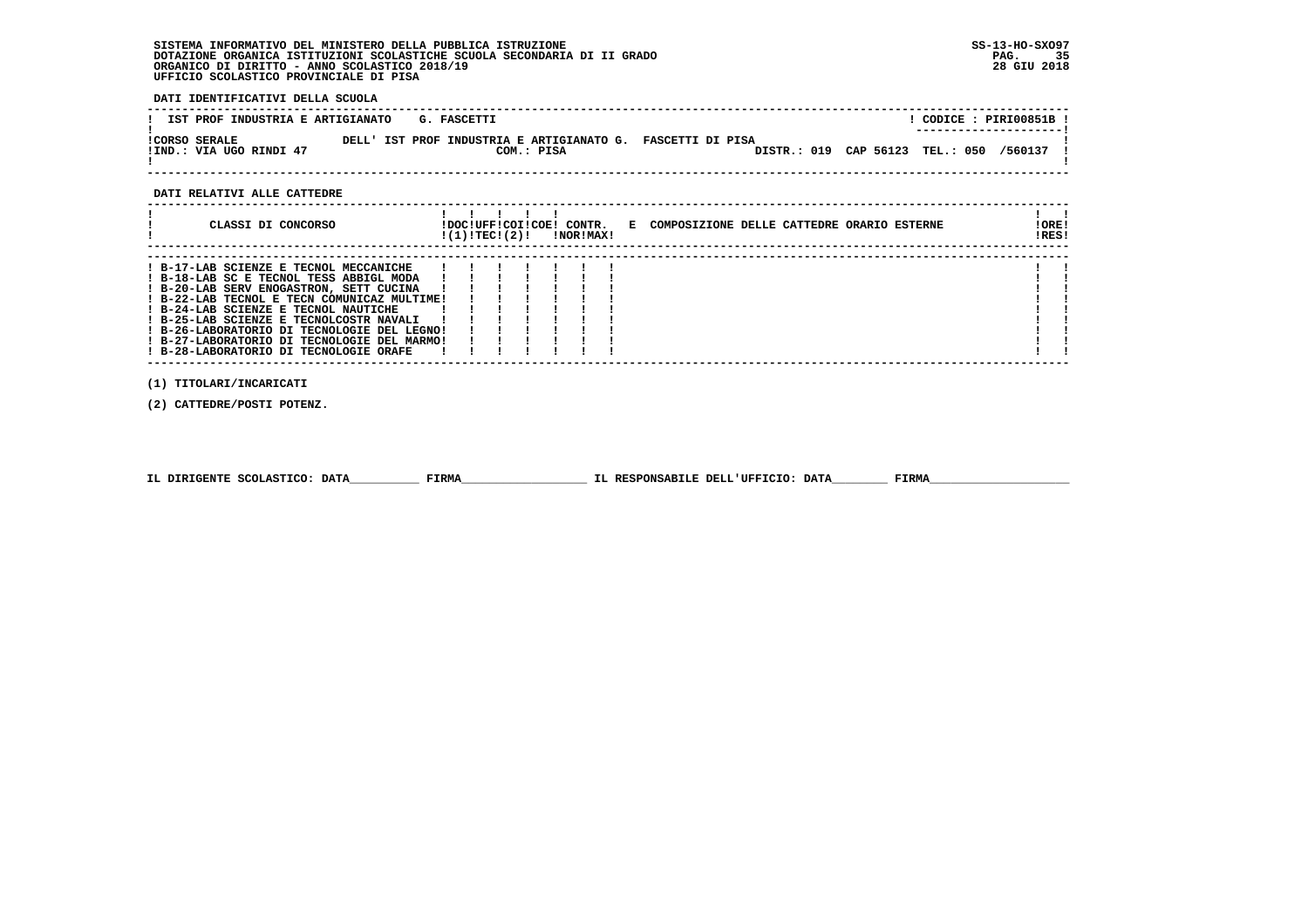**DATI IDENTIFICATIVI DELLA SCUOLA**

| IST PROF INDUSTRIA E ARTIGIANATO                | G. FASCETTI |            |                                                            |                                 | CODICE: PIRI00851B !<br>--------------------- |  |
|-------------------------------------------------|-------------|------------|------------------------------------------------------------|---------------------------------|-----------------------------------------------|--|
| <b>!CORSO SERALE</b><br>!IND.: VIA UGO RINDI 47 |             | COM.: PISA | DELL' IST PROF INDUSTRIA E ARTIGIANATO G. FASCETTI DI PISA | DISTR.: 019 CAP 56123 TEL.: 050 | /560137                                       |  |

 **------------------------------------------------------------------------------------------------------------------------------------**

#### **DATI RELATIVI ALLE CATTEDRE**

| CLASSI DI CONCORSO                                                                                                                                                                                                                                                                                                                                                                                     | !DOC!UFF!COI!COE! CONTR.<br>!(1)!TEC!(2)! |  | !NOR!MAX! | E COMPOSIZIONE DELLE CATTEDRE ORARIO ESTERNE | ! ORE!<br>IRES! |
|--------------------------------------------------------------------------------------------------------------------------------------------------------------------------------------------------------------------------------------------------------------------------------------------------------------------------------------------------------------------------------------------------------|-------------------------------------------|--|-----------|----------------------------------------------|-----------------|
| ! B-17-LAB SCIENZE E TECNOL MECCANICHE<br>! B-18-LAB SC E TECNOL TESS ABBIGL MODA<br>! B-20-LAB SERV ENOGASTRON, SETT CUCINA<br>! B-22-LAB TECNOL E TECN COMUNICAZ MULTIME!<br>! B-24-LAB SCIENZE E TECNOL NAUTICHE<br>! B-25-LAB SCIENZE E TECNOLCOSTR NAVALI<br>! B-26-LABORATORIO DI TECNOLOGIE DEL LEGNO!<br>! B-27-LABORATORIO DI TECNOLOGIE DEL MARMO!<br>! B-28-LABORATORIO DI TECNOLOGIE ORAFE |                                           |  |           |                                              |                 |

 **(1) TITOLARI/INCARICATI**

 **(2) CATTEDRE/POSTI POTENZ.**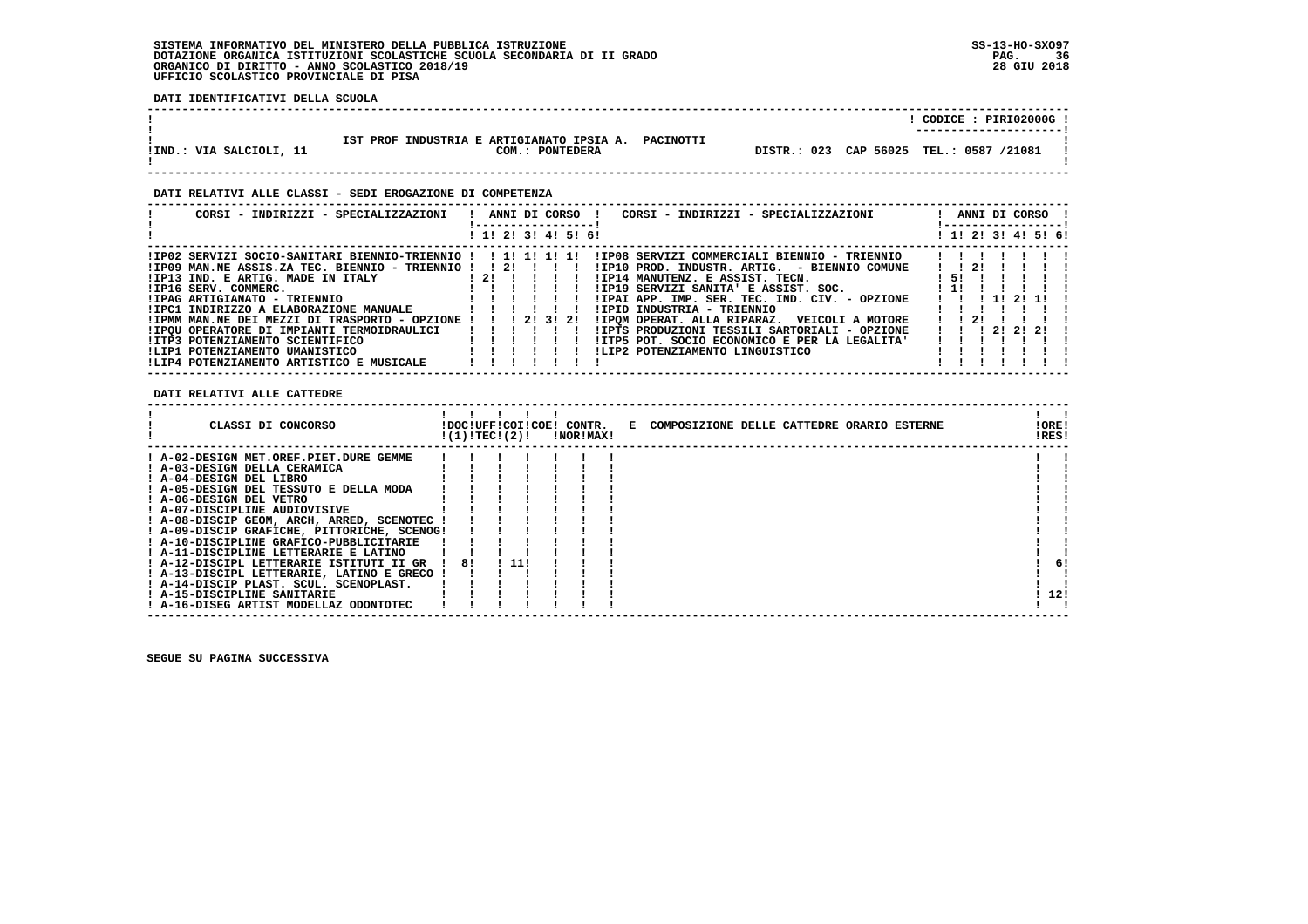**DATI IDENTIFICATIVI DELLA SCUOLA**

|                         |                                                                           | CODICE: PIRI02000G                      |
|-------------------------|---------------------------------------------------------------------------|-----------------------------------------|
| !IND.: VIA SALCIOLI, 11 | IST PROF INDUSTRIA E ARTIGIANATO IPSIA A.<br>PACINOTTI<br>COM.: PONTEDERA | DISTR.: 023 CAP 56025 TEL.: 0587 /21081 |

 **------------------------------------------------------------------------------------------------------------------------------------**

#### **DATI RELATIVI ALLE CLASSI - SEDI EROGAZIONE DI COMPETENZA**

| CORSI - INDIRIZZI - SPECIALIZZAZIONI                |                                        |  | ----------------- | CORSI - INDIRIZZI - SPECIALIZZAZIONI<br>ANNI DI CORSO ! |                      |  |                   | ANNI DI CORSO !<br>------------------ |  |
|-----------------------------------------------------|----------------------------------------|--|-------------------|---------------------------------------------------------|----------------------|--|-------------------|---------------------------------------|--|
|                                                     | ! 1! 2! 3! 4! 5! 6!                    |  |                   |                                                         |                      |  |                   | ! 1! 2! 3! 4! 5! 6!                   |  |
| !IP02 SERVIZI SOCIO-SANITARI BIENNIO-TRIENNIO !     |                                        |  |                   | !IP08 SERVIZI COMMERCIALI BIENNIO - TRIENNIO            |                      |  |                   |                                       |  |
| !IP09 MAN.NE ASSIS.ZA TEC. BIENNIO - TRIENNIO !! 2! |                                        |  |                   | !IP10 PROD. INDUSTR. ARTIG. - BIENNIO COMUNE            | $1 \quad 1 \quad 21$ |  |                   |                                       |  |
| IIP13 IND. E ARTIG. MADE IN ITALY                   | 121 1 1 1 1                            |  |                   | IIP14 MANUTENZ. E ASSIST. TECN.                         | I 51.                |  |                   |                                       |  |
| !IP16 SERV. COMMERC.                                |                                        |  |                   | !IP19 SERVIZI SANITA' E ASSIST. SOC.                    | $1 - 11$             |  |                   |                                       |  |
| !IPAG ARTIGIANATO - TRIENNIO                        |                                        |  |                   | !IPAI APP. IMP. SER. TEC. IND. CIV. - OPZIONE           |                      |  | 1 1 1 1 1 2 1 1 1 |                                       |  |
| !IPC1 INDIRIZZO A ELABORAZIONE MANUALE              |                                        |  |                   | !IPID INDUSTRIA - TRIENNIO                              |                      |  |                   |                                       |  |
| !IPMM MAN.NE DEI MEZZI DI TRASPORTO - OPZIONE !     |                                        |  | 1 2 1 3 1 2 1     | !IPOM OPERAT. ALLA RIPARAZ. VEICOLI A MOTORE            | $1 \t1 \t21$         |  |                   |                                       |  |
| !IPOU OPERATORE DI IMPIANTI TERMOIDRAULICI          |                                        |  |                   | !IPTS PRODUZIONI TESSILI SARTORIALI - OPZIONE           |                      |  | 1 1 1 2 1 2 1 2 1 |                                       |  |
| IITP3 POTENZIAMENTO SCIENTIFICO                     | $\mathbf{1}$ $\mathbf{1}$ $\mathbf{1}$ |  |                   | !ITP5 POT. SOCIO ECONOMICO E PER LA LEGALITA'           |                      |  |                   |                                       |  |
| !LIP1 POTENZIAMENTO UMANISTICO                      |                                        |  |                   | !LIP2 POTENZIAMENTO LINGUISTICO                         |                      |  |                   |                                       |  |
| !LIP4 POTENZIAMENTO ARTISTICO E MUSICALE            |                                        |  |                   |                                                         |                      |  |                   |                                       |  |

#### **DATI RELATIVI ALLE CATTEDRE**

| !ORE!<br>!RES! |     |
|----------------|-----|
|                |     |
|                |     |
|                |     |
|                |     |
|                |     |
|                |     |
|                |     |
|                |     |
|                |     |
|                |     |
|                | 6!  |
|                |     |
|                |     |
|                | 12! |
|                |     |
|                |     |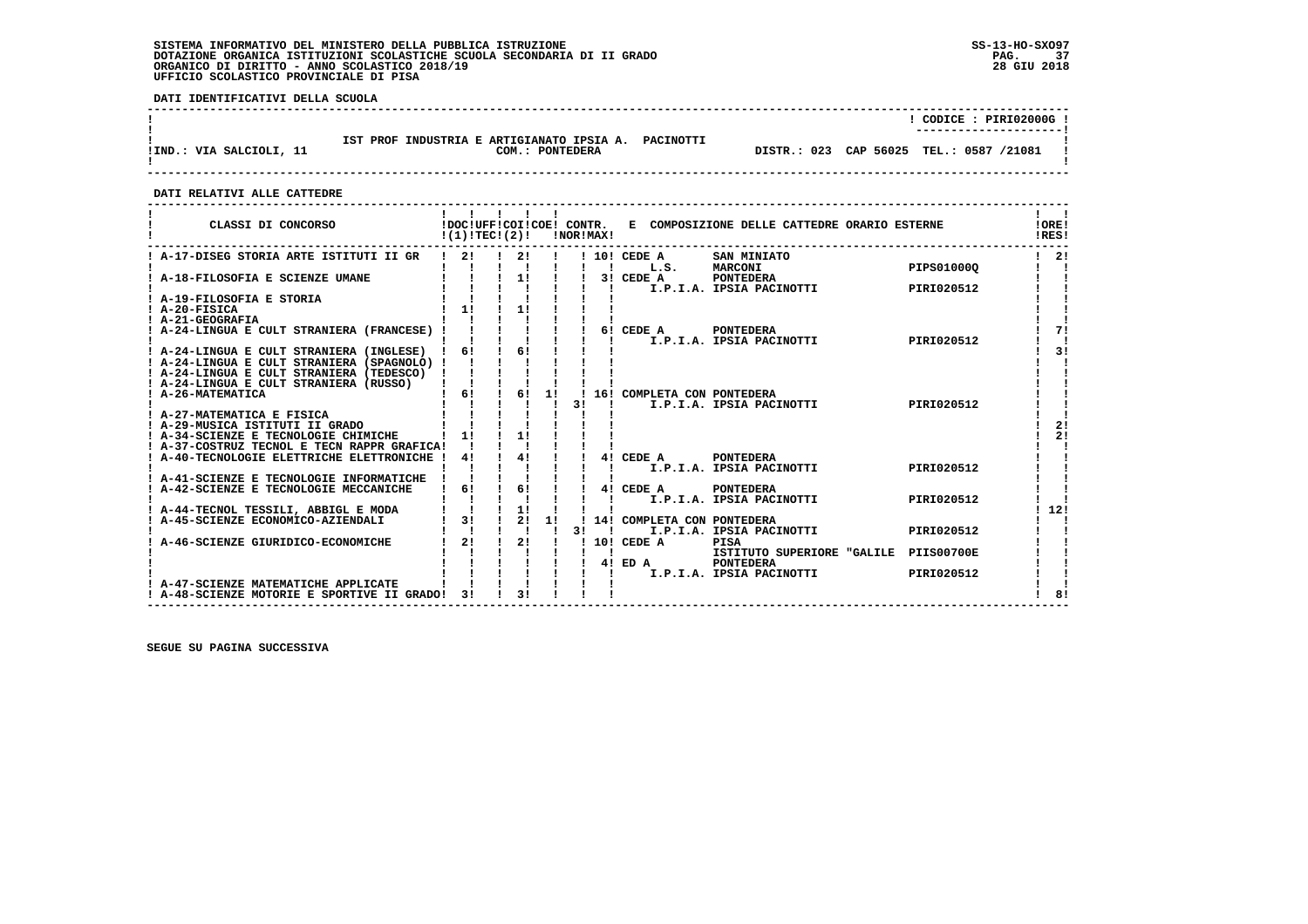**DATI IDENTIFICATIVI DELLA SCUOLA**

|                         |                                                                        | CODICE: PIRI02000G !<br>---------------------- |
|-------------------------|------------------------------------------------------------------------|------------------------------------------------|
| !IND.: VIA SALCIOLI, 11 | IST PROF INDUSTRIA E ARTIGIANATO IPSIA A. PACINOTTI<br>COM.: PONTEDERA | DISTR.: 023 CAP 56025 TEL.: 0587 /21081        |

 **------------------------------------------------------------------------------------------------------------------------------------**

 **DATI RELATIVI ALLE CATTEDRE**

| $\frac{1}{2}$<br>2!<br>21<br>! 10! CEDE A<br>SAN MINIATO<br>$\mathbf{I}$<br>PIPS010000<br>L.S.<br><b>MARCONI</b><br>$\mathbf{I}$<br>$\frac{1}{2}$<br>$\mathbf{I}$<br>A-18-FILOSOFIA E SCIENZE UMANE<br>$3!$ CEDE A<br>PONTEDERA<br>I.P.I.A. IPSIA PACINOTTI<br>PIRI020512<br>! A-19-FILOSOFIA E STORIA<br>$1 \quad 11$<br>11<br>! A-20-FISICA<br>71<br>! A-24-LINGUA E CULT STRANIERA (FRANCESE) !<br>6! CEDE A<br><b>PONTEDERA</b><br>I.P.I.A. IPSIA PACINOTTI<br>PIRI020512<br>! A-24-LINGUA E CULT STRANIERA (INGLESE) ! 6!<br>$\frac{1}{6}$<br>31<br>! A-24-LINGUA E CULT STRANIERA (SPAGNOLO) !<br>! A-24-LINGUA E CULT STRANIERA (TEDESCO) !<br>$\begin{array}{cccc} 1 & 1 & 1 & 1 \\ 1 & 6 & 1 & 6 \end{array}$<br>! A-24-LINGUA E CULT STRANIERA (RUSSO)<br>11<br>! 16! COMPLETA CON PONTEDERA<br>! A-26-MATEMATICA<br>I.P.I.A. IPSIA PACINOTTI<br>PIRI020512<br>31<br>! A-27-MATEMATICA E FISICA<br>21<br>! A-29-MUSICA ISTITUTI II GRADO<br>11<br>2!<br>11<br>! A-34-SCIENZE E TECNOLOGIE CHIMICHE<br>! A-37-COSTRUZ TECNOL E TECN RAPPR GRAFICA!<br>$1 \quad 41$<br>4! CEDE A PONTEDERA<br>A-40-TECNOLOGIE ELETTRICHE ELETTRONICHE<br>41<br>I.P.I.A. IPSIA PACINOTTI<br>PIRI020512<br>$1 \quad 61$<br>6!<br>4! CEDE A PONTEDERA<br>$\frac{1}{1}$<br>I.P.I.A. IPSIA PACINOTTI<br>PIRI020512<br>$\frac{1}{1}$ $\frac{1}{2}$<br>12!<br>! A-44-TECNOL TESSILI, ABBIGL E MODA<br>$1 \quad 31$<br>1!<br>! A-45-SCIENZE ECONOMICO-AZIENDALI<br>! 14! COMPLETA CON PONTEDERA<br>I.P.I.A. IPSIA PACINOTTI<br>3 I<br>PIRI020512<br>$\mathbf{I}$<br>2!<br>2!<br>! 10! CEDE A<br>A-46-SCIENZE GIURIDICO-ECONOMICHE<br><b>PISA</b><br>ISTITUTO SUPERIORE "GALILE PIIS00700E<br>Π.<br>4! ED A<br><b>PONTEDERA</b><br>I.P.I.A. IPSIA PACINOTTI<br>PIRI020512<br>- 11<br>A-47-SCIENZE MATEMATICHE APPLICATE | CLASSI DI CONCORSO                       | !DOC!UFF!COI!COE! CONTR.<br>!(1)!TEC!(2)! |                 |  | !NOR!MAX! | E COMPOSIZIONE DELLE CATTEDRE ORARIO ESTERNE | !ORE!<br>!RES! |
|--------------------------------------------------------------------------------------------------------------------------------------------------------------------------------------------------------------------------------------------------------------------------------------------------------------------------------------------------------------------------------------------------------------------------------------------------------------------------------------------------------------------------------------------------------------------------------------------------------------------------------------------------------------------------------------------------------------------------------------------------------------------------------------------------------------------------------------------------------------------------------------------------------------------------------------------------------------------------------------------------------------------------------------------------------------------------------------------------------------------------------------------------------------------------------------------------------------------------------------------------------------------------------------------------------------------------------------------------------------------------------------------------------------------------------------------------------------------------------------------------------------------------------------------------------------------------------------------------------------------------------------------------------------------------------------------------------------------------------------------------------------------------------------------------------|------------------------------------------|-------------------------------------------|-----------------|--|-----------|----------------------------------------------|----------------|
|                                                                                                                                                                                                                                                                                                                                                                                                                                                                                                                                                                                                                                                                                                                                                                                                                                                                                                                                                                                                                                                                                                                                                                                                                                                                                                                                                                                                                                                                                                                                                                                                                                                                                                                                                                                                        | ! A-17-DISEG STORIA ARTE ISTITUTI II GR  |                                           |                 |  |           |                                              |                |
|                                                                                                                                                                                                                                                                                                                                                                                                                                                                                                                                                                                                                                                                                                                                                                                                                                                                                                                                                                                                                                                                                                                                                                                                                                                                                                                                                                                                                                                                                                                                                                                                                                                                                                                                                                                                        |                                          |                                           |                 |  |           |                                              |                |
|                                                                                                                                                                                                                                                                                                                                                                                                                                                                                                                                                                                                                                                                                                                                                                                                                                                                                                                                                                                                                                                                                                                                                                                                                                                                                                                                                                                                                                                                                                                                                                                                                                                                                                                                                                                                        |                                          |                                           |                 |  |           |                                              |                |
|                                                                                                                                                                                                                                                                                                                                                                                                                                                                                                                                                                                                                                                                                                                                                                                                                                                                                                                                                                                                                                                                                                                                                                                                                                                                                                                                                                                                                                                                                                                                                                                                                                                                                                                                                                                                        |                                          |                                           |                 |  |           |                                              |                |
|                                                                                                                                                                                                                                                                                                                                                                                                                                                                                                                                                                                                                                                                                                                                                                                                                                                                                                                                                                                                                                                                                                                                                                                                                                                                                                                                                                                                                                                                                                                                                                                                                                                                                                                                                                                                        |                                          |                                           |                 |  |           |                                              |                |
|                                                                                                                                                                                                                                                                                                                                                                                                                                                                                                                                                                                                                                                                                                                                                                                                                                                                                                                                                                                                                                                                                                                                                                                                                                                                                                                                                                                                                                                                                                                                                                                                                                                                                                                                                                                                        | ! A-21-GEOGRAFIA                         |                                           |                 |  |           |                                              |                |
|                                                                                                                                                                                                                                                                                                                                                                                                                                                                                                                                                                                                                                                                                                                                                                                                                                                                                                                                                                                                                                                                                                                                                                                                                                                                                                                                                                                                                                                                                                                                                                                                                                                                                                                                                                                                        |                                          |                                           |                 |  |           |                                              |                |
|                                                                                                                                                                                                                                                                                                                                                                                                                                                                                                                                                                                                                                                                                                                                                                                                                                                                                                                                                                                                                                                                                                                                                                                                                                                                                                                                                                                                                                                                                                                                                                                                                                                                                                                                                                                                        |                                          |                                           |                 |  |           |                                              |                |
|                                                                                                                                                                                                                                                                                                                                                                                                                                                                                                                                                                                                                                                                                                                                                                                                                                                                                                                                                                                                                                                                                                                                                                                                                                                                                                                                                                                                                                                                                                                                                                                                                                                                                                                                                                                                        |                                          |                                           |                 |  |           |                                              |                |
|                                                                                                                                                                                                                                                                                                                                                                                                                                                                                                                                                                                                                                                                                                                                                                                                                                                                                                                                                                                                                                                                                                                                                                                                                                                                                                                                                                                                                                                                                                                                                                                                                                                                                                                                                                                                        |                                          |                                           |                 |  |           |                                              |                |
|                                                                                                                                                                                                                                                                                                                                                                                                                                                                                                                                                                                                                                                                                                                                                                                                                                                                                                                                                                                                                                                                                                                                                                                                                                                                                                                                                                                                                                                                                                                                                                                                                                                                                                                                                                                                        |                                          |                                           |                 |  |           |                                              |                |
|                                                                                                                                                                                                                                                                                                                                                                                                                                                                                                                                                                                                                                                                                                                                                                                                                                                                                                                                                                                                                                                                                                                                                                                                                                                                                                                                                                                                                                                                                                                                                                                                                                                                                                                                                                                                        |                                          |                                           |                 |  |           |                                              |                |
|                                                                                                                                                                                                                                                                                                                                                                                                                                                                                                                                                                                                                                                                                                                                                                                                                                                                                                                                                                                                                                                                                                                                                                                                                                                                                                                                                                                                                                                                                                                                                                                                                                                                                                                                                                                                        |                                          |                                           |                 |  |           |                                              |                |
|                                                                                                                                                                                                                                                                                                                                                                                                                                                                                                                                                                                                                                                                                                                                                                                                                                                                                                                                                                                                                                                                                                                                                                                                                                                                                                                                                                                                                                                                                                                                                                                                                                                                                                                                                                                                        |                                          |                                           |                 |  |           |                                              |                |
|                                                                                                                                                                                                                                                                                                                                                                                                                                                                                                                                                                                                                                                                                                                                                                                                                                                                                                                                                                                                                                                                                                                                                                                                                                                                                                                                                                                                                                                                                                                                                                                                                                                                                                                                                                                                        |                                          |                                           |                 |  |           |                                              |                |
|                                                                                                                                                                                                                                                                                                                                                                                                                                                                                                                                                                                                                                                                                                                                                                                                                                                                                                                                                                                                                                                                                                                                                                                                                                                                                                                                                                                                                                                                                                                                                                                                                                                                                                                                                                                                        |                                          |                                           |                 |  |           |                                              |                |
|                                                                                                                                                                                                                                                                                                                                                                                                                                                                                                                                                                                                                                                                                                                                                                                                                                                                                                                                                                                                                                                                                                                                                                                                                                                                                                                                                                                                                                                                                                                                                                                                                                                                                                                                                                                                        |                                          |                                           |                 |  |           |                                              |                |
|                                                                                                                                                                                                                                                                                                                                                                                                                                                                                                                                                                                                                                                                                                                                                                                                                                                                                                                                                                                                                                                                                                                                                                                                                                                                                                                                                                                                                                                                                                                                                                                                                                                                                                                                                                                                        |                                          |                                           |                 |  |           |                                              |                |
|                                                                                                                                                                                                                                                                                                                                                                                                                                                                                                                                                                                                                                                                                                                                                                                                                                                                                                                                                                                                                                                                                                                                                                                                                                                                                                                                                                                                                                                                                                                                                                                                                                                                                                                                                                                                        |                                          |                                           |                 |  |           |                                              |                |
|                                                                                                                                                                                                                                                                                                                                                                                                                                                                                                                                                                                                                                                                                                                                                                                                                                                                                                                                                                                                                                                                                                                                                                                                                                                                                                                                                                                                                                                                                                                                                                                                                                                                                                                                                                                                        | ! A-41-SCIENZE E TECNOLOGIE INFORMATICHE |                                           |                 |  |           |                                              |                |
|                                                                                                                                                                                                                                                                                                                                                                                                                                                                                                                                                                                                                                                                                                                                                                                                                                                                                                                                                                                                                                                                                                                                                                                                                                                                                                                                                                                                                                                                                                                                                                                                                                                                                                                                                                                                        | ! A-42-SCIENZE E TECNOLOGIE MECCANICHE   |                                           |                 |  |           |                                              |                |
|                                                                                                                                                                                                                                                                                                                                                                                                                                                                                                                                                                                                                                                                                                                                                                                                                                                                                                                                                                                                                                                                                                                                                                                                                                                                                                                                                                                                                                                                                                                                                                                                                                                                                                                                                                                                        |                                          |                                           |                 |  |           |                                              |                |
|                                                                                                                                                                                                                                                                                                                                                                                                                                                                                                                                                                                                                                                                                                                                                                                                                                                                                                                                                                                                                                                                                                                                                                                                                                                                                                                                                                                                                                                                                                                                                                                                                                                                                                                                                                                                        |                                          |                                           |                 |  |           |                                              |                |
|                                                                                                                                                                                                                                                                                                                                                                                                                                                                                                                                                                                                                                                                                                                                                                                                                                                                                                                                                                                                                                                                                                                                                                                                                                                                                                                                                                                                                                                                                                                                                                                                                                                                                                                                                                                                        |                                          |                                           |                 |  |           |                                              |                |
|                                                                                                                                                                                                                                                                                                                                                                                                                                                                                                                                                                                                                                                                                                                                                                                                                                                                                                                                                                                                                                                                                                                                                                                                                                                                                                                                                                                                                                                                                                                                                                                                                                                                                                                                                                                                        |                                          |                                           |                 |  |           |                                              |                |
|                                                                                                                                                                                                                                                                                                                                                                                                                                                                                                                                                                                                                                                                                                                                                                                                                                                                                                                                                                                                                                                                                                                                                                                                                                                                                                                                                                                                                                                                                                                                                                                                                                                                                                                                                                                                        |                                          |                                           |                 |  |           |                                              |                |
|                                                                                                                                                                                                                                                                                                                                                                                                                                                                                                                                                                                                                                                                                                                                                                                                                                                                                                                                                                                                                                                                                                                                                                                                                                                                                                                                                                                                                                                                                                                                                                                                                                                                                                                                                                                                        |                                          |                                           |                 |  |           |                                              |                |
|                                                                                                                                                                                                                                                                                                                                                                                                                                                                                                                                                                                                                                                                                                                                                                                                                                                                                                                                                                                                                                                                                                                                                                                                                                                                                                                                                                                                                                                                                                                                                                                                                                                                                                                                                                                                        |                                          |                                           |                 |  |           |                                              |                |
|                                                                                                                                                                                                                                                                                                                                                                                                                                                                                                                                                                                                                                                                                                                                                                                                                                                                                                                                                                                                                                                                                                                                                                                                                                                                                                                                                                                                                                                                                                                                                                                                                                                                                                                                                                                                        |                                          |                                           |                 |  |           |                                              |                |
| -3 I<br>81<br>! A-48-SCIENZE MOTORIE E SPORTIVE II GRADO!                                                                                                                                                                                                                                                                                                                                                                                                                                                                                                                                                                                                                                                                                                                                                                                                                                                                                                                                                                                                                                                                                                                                                                                                                                                                                                                                                                                                                                                                                                                                                                                                                                                                                                                                              |                                          |                                           | $\overline{3}1$ |  |           |                                              |                |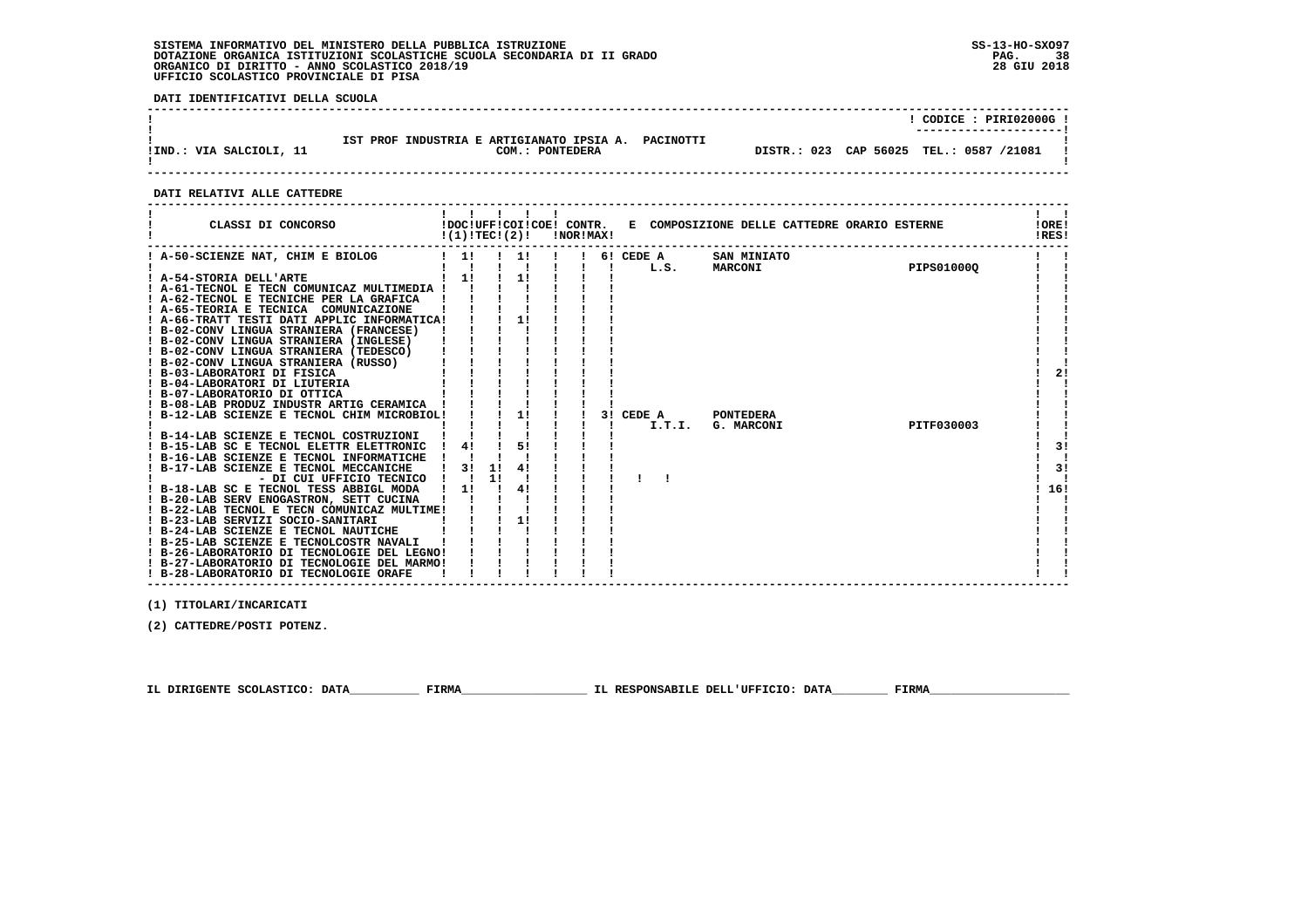**DATI IDENTIFICATIVI DELLA SCUOLA**

|                         |                                                                        |                                         | CODICE: PIRI02000G !<br>---------------------- |
|-------------------------|------------------------------------------------------------------------|-----------------------------------------|------------------------------------------------|
| !IND.: VIA SALCIOLI, 11 | IST PROF INDUSTRIA E ARTIGIANATO IPSIA A. PACINOTTI<br>COM.: PONTEDERA | DISTR.: 023 CAP 56025 TEL.: 0587 /21081 |                                                |

 **------------------------------------------------------------------------------------------------------------------------------------**

#### **DATI RELATIVI ALLE CATTEDRE**

| CLASSI DI CONCORSO                                                                   | !(1)!TEC!(2)! |    | !DOC!UFF!COI!COE! CONTR. | !NOR!MAX! |                   | E COMPOSIZIONE DELLE CATTEDRE ORARIO ESTERNE |            | !ORE!<br>!RES! |
|--------------------------------------------------------------------------------------|---------------|----|--------------------------|-----------|-------------------|----------------------------------------------|------------|----------------|
| ! A-50-SCIENZE NAT, CHIM E BIOLOG                                                    | 11            |    | 11                       |           | 6! CEDE A<br>L.S. | SAN MINIATO<br>MARCONI                       | PIPS010000 |                |
| ! A-54-STORIA DELL'ARTE                                                              | 1!            |    | 1!                       |           |                   |                                              |            |                |
| ! A-61-TECNOL E TECN COMUNICAZ MULTIMEDIA !                                          |               |    |                          |           |                   |                                              |            |                |
| ! A-62-TECNOL E TECNICHE PER LA GRAFICA                                              |               |    |                          |           |                   |                                              |            |                |
| ! A-65-TEORIA E TECNICA COMUNICAZIONE                                                |               |    |                          |           |                   |                                              |            |                |
| ! A-66-TRATT TESTI DATI APPLIC INFORMATICA!                                          |               |    | 1!                       |           |                   |                                              |            |                |
| ! B-02-CONV LINGUA STRANIERA (FRANCESE)                                              |               |    |                          |           |                   |                                              |            |                |
| ! B-02-CONV LINGUA STRANIERA (INGLESE)                                               |               |    |                          |           |                   |                                              |            |                |
| ! B-02-CONV LINGUA STRANIERA (TEDESCO)                                               |               |    |                          |           |                   |                                              |            |                |
| ! B-02-CONV LINGUA STRANIERA (RUSSO)                                                 |               |    |                          |           |                   |                                              |            |                |
| ! B-03-LABORATORI DI FISICA                                                          |               |    |                          |           |                   |                                              |            | 2!             |
| ! B-04-LABORATORI DI LIUTERIA                                                        |               |    |                          |           |                   |                                              |            |                |
| ! B-07-LABORATORIO DI OTTICA                                                         |               |    |                          |           |                   |                                              |            |                |
| ! B-08-LAB PRODUZ INDUSTR ARTIG CERAMICA                                             |               |    |                          |           |                   |                                              |            |                |
| B-12-LAB SCIENZE E TECNOL CHIM MICROBIOL!                                            |               |    | 1!                       |           | 3! CEDE A         | <b>PONTEDERA</b>                             |            |                |
|                                                                                      |               |    |                          |           | I.T.I.            | G. MARCONI                                   | PITF030003 |                |
| ! B-14-LAB SCIENZE E TECNOL COSTRUZIONI                                              | 4!            |    | 51                       |           |                   |                                              |            | 3!             |
| ! B-15-LAB SC E TECNOL ELETTR ELETTRONIC<br>! B-16-LAB SCIENZE E TECNOL INFORMATICHE |               |    |                          |           |                   |                                              |            |                |
| B-17-LAB SCIENZE E TECNOL MECCANICHE                                                 | 31            | 11 | 41                       |           |                   |                                              |            | 3!             |
| - DI CUI UFFICIO TECNICO                                                             |               | 11 |                          |           |                   |                                              |            |                |
| ! B-18-LAB SC E TECNOL TESS ABBIGL MODA                                              | 1!            |    | 4!                       |           |                   |                                              |            | 16!            |
| ! B-20-LAB SERV ENOGASTRON, SETT CUCINA                                              |               |    |                          |           |                   |                                              |            |                |
| ! B-22-LAB TECNOL E TECN COMUNICAZ MULTIME!                                          |               |    |                          |           |                   |                                              |            |                |
| ! B-23-LAB SERVIZI SOCIO-SANITARI                                                    |               |    | 1!                       |           |                   |                                              |            |                |
| ! B-24-LAB SCIENZE E TECNOL NAUTICHE                                                 |               |    |                          |           |                   |                                              |            |                |
| ! B-25-LAB SCIENZE E TECNOLCOSTR NAVALI                                              |               |    |                          |           |                   |                                              |            |                |
| ! B-26-LABORATORIO DI TECNOLOGIE DEL LEGNO!                                          |               |    |                          |           |                   |                                              |            |                |
| ! B-27-LABORATORIO DI TECNOLOGIE DEL MARMO!                                          |               |    |                          |           |                   |                                              |            |                |
| ! B-28-LABORATORIO DI TECNOLOGIE ORAFE                                               |               |    |                          |           |                   |                                              |            |                |

 **------------------------------------------------------------------------------------------------------------------------------------**

 **(1) TITOLARI/INCARICATI**

 **(2) CATTEDRE/POSTI POTENZ.**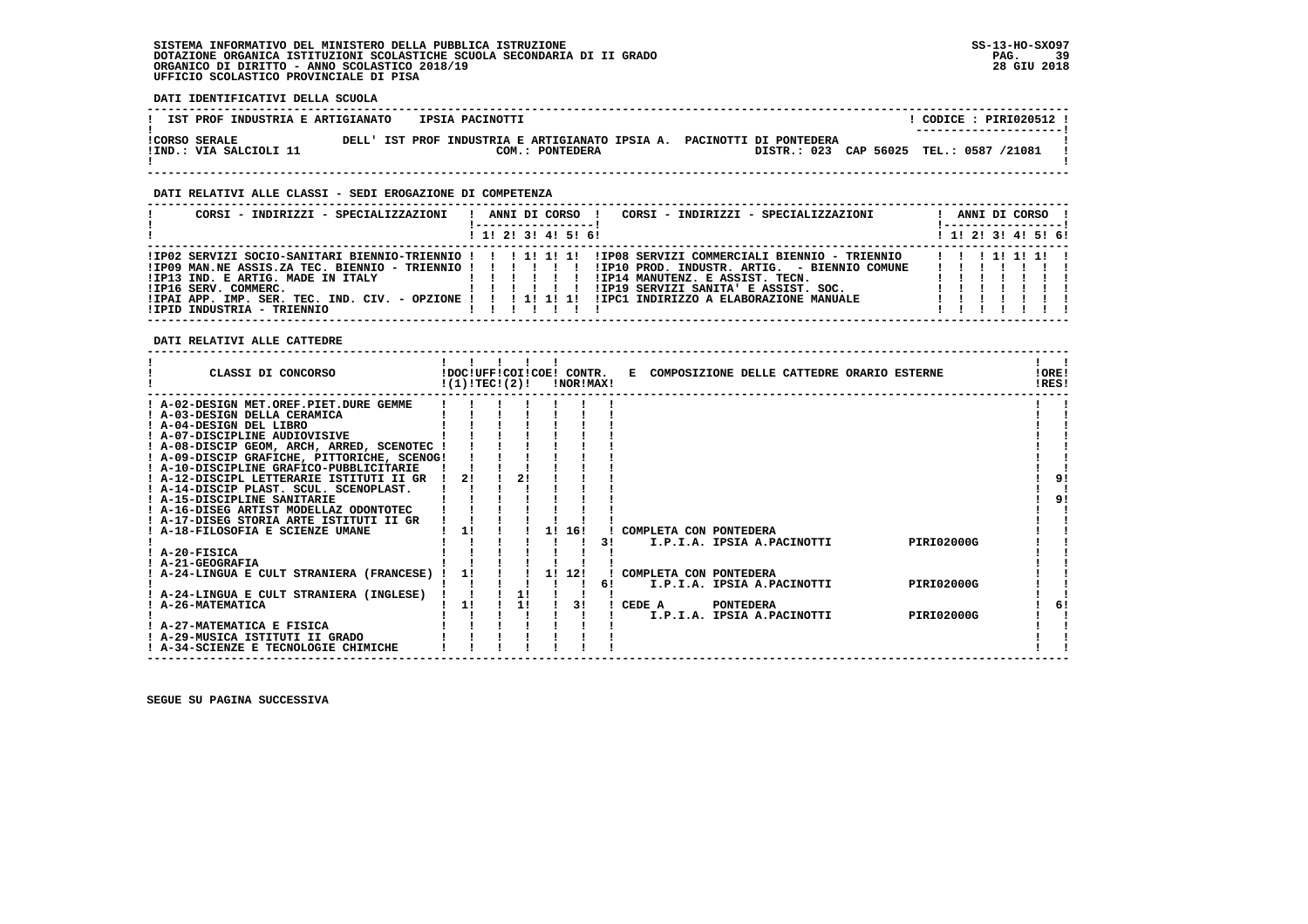**DATI IDENTIFICATIVI DELLA SCUOLA**

| IST PROF INDUSTRIA E ARTIGIANATO | IPSIA PACINOTTI                                                        | CODICE : PIRI020512 !                   |
|----------------------------------|------------------------------------------------------------------------|-----------------------------------------|
| <b>ICORSO SERALE</b>             | DELL' IST PROF INDUSTRIA E ARTIGIANATO IPSIA A. PACINOTTI DI PONTEDERA | ----------------------                  |
| IIND.: VIA SALCIOLI 11           | COM.: PONTEDERA                                                        | DISTR.: 023 CAP 56025 TEL.: 0587 /21081 |

#### **DATI RELATIVI ALLE CLASSI - SEDI EROGAZIONE DI COMPETENZA**

| CORSI - INDIRIZZI - SPECIALIZZAZIONI                                                                                                                                                                 |  |  | ANNI DI CORSO !         | CORSI - INDIRIZZI - SPECIALIZZAZIONI                                                                                                                                             |                              |  | ANNI DI CORSO !<br>! ------------------ |  |
|------------------------------------------------------------------------------------------------------------------------------------------------------------------------------------------------------|--|--|-------------------------|----------------------------------------------------------------------------------------------------------------------------------------------------------------------------------|------------------------------|--|-----------------------------------------|--|
|                                                                                                                                                                                                      |  |  | $1$ , 1! 2! 3! 4! 5! 6! |                                                                                                                                                                                  |                              |  | $1$ 1! 2! 3! 4! 5! 6!                   |  |
| !IP13 IND. E ARTIG. MADE IN ITALY<br>.<br>!IP16 SERV. COMMERC.<br>.<br>IPAI APP. IMP. SER. TEC. IND. CIV. - OPZIONE !!!!!!!!!!!!!PC1 INDIRIZZO A ELABORAZIONE MANUALE!<br>!IPID INDUSTRIA - TRIENNIO |  |  |                         | IPO9 MAN.NE ASSIS.ZA TEC. BIENNIO - TRIENNIO ! ! ! ! ! ! IPIO PROD. INDUSTR. ARTIG. - BIENNIO COMUNE!<br>!IP14 MANUTENZ. E ASSIST. TECN.<br>IIP19 SERVIZI SANITA' E ASSIST. SOC. | 1 1 1 1 1 1 1 1 1<br>1111111 |  |                                         |  |

 **DATI RELATIVI ALLE CATTEDRE**

|                                  | CLASSI DI CONCORSO                          | !(1)!TEC!(2)! |    | !DOC!UFF!COI!COE! CONTR.<br>!NOR!MAX! |    | E COMPOSIZIONE DELLE CATTEDRE ORARIO ESTERNE    | !ORE!<br>IRES! |  |
|----------------------------------|---------------------------------------------|---------------|----|---------------------------------------|----|-------------------------------------------------|----------------|--|
|                                  | ! A-02-DESIGN MET.OREF.PIET.DURE GEMME      |               |    |                                       |    |                                                 |                |  |
| ! A-03-DESIGN DELLA CERAMICA     |                                             |               |    |                                       |    |                                                 |                |  |
| ! A-04-DESIGN DEL LIBRO          |                                             |               |    |                                       |    |                                                 |                |  |
| ! A-07-DISCIPLINE AUDIOVISIVE    |                                             |               |    |                                       |    |                                                 |                |  |
|                                  | ! A-08-DISCIP GEOM, ARCH, ARRED, SCENOTEC ! |               |    |                                       |    |                                                 |                |  |
|                                  | ! A-09-DISCIP GRAFICHE, PITTORICHE, SCENOG! |               |    |                                       |    |                                                 |                |  |
|                                  | ! A-10-DISCIPLINE GRAFICO-PUBBLICITARIE     |               |    |                                       |    |                                                 |                |  |
|                                  | A-12-DISCIPL LETTERARIE ISTITUTI II GR      | 2!            |    |                                       |    |                                                 | 91             |  |
|                                  | ! A-14-DISCIP PLAST. SCUL. SCENOPLAST.      |               |    |                                       |    |                                                 |                |  |
| ! A-15-DISCIPLINE SANITARIE      |                                             |               |    |                                       |    |                                                 | 91             |  |
|                                  | ! A-16-DISEG ARTIST MODELLAZ ODONTOTEC      |               |    |                                       |    |                                                 |                |  |
|                                  | A-17-DISEG STORIA ARTE ISTITUTI II GR       |               |    |                                       |    |                                                 |                |  |
| ! A-18-FILOSOFIA E SCIENZE UMANE |                                             | 11            |    | 1! 16!                                |    | COMPLETA CON PONTEDERA                          |                |  |
|                                  |                                             |               |    |                                       | 31 | PIRI02000G<br>I.P.I.A. IPSIA A.PACINOTTI        |                |  |
| ! A-20-FISICA                    |                                             |               |    |                                       |    |                                                 |                |  |
| ! A-21-GEOGRAFIA                 |                                             |               |    |                                       |    |                                                 |                |  |
|                                  | ! A-24-LINGUA E CULT STRANIERA (FRANCESE)   | 11            |    | 1! 12!                                |    | COMPLETA CON PONTEDERA                          |                |  |
|                                  |                                             |               |    |                                       | 61 | <b>PIRI02000G</b><br>I.P.I.A. IPSIA A.PACINOTTI |                |  |
|                                  | A-24-LINGUA E CULT STRANIERA (INGLESE)      |               | 1! |                                       |    |                                                 |                |  |
| ! A-26-MATEMATICA                |                                             | 1!            | 11 | 31                                    |    | <b>PONTEDERA</b><br>CEDE A                      | 61             |  |
|                                  |                                             |               |    |                                       |    | <b>PIRI02000G</b><br>I.P.I.A. IPSIA A.PACINOTTI |                |  |
| ! A-27-MATEMATICA E FISICA       |                                             |               |    |                                       |    |                                                 |                |  |
| ! A-29-MUSICA ISTITUTI II GRADO  |                                             |               |    |                                       |    |                                                 |                |  |
|                                  | ! A-34-SCIENZE E TECNOLOGIE CHIMICHE        |               |    |                                       |    |                                                 |                |  |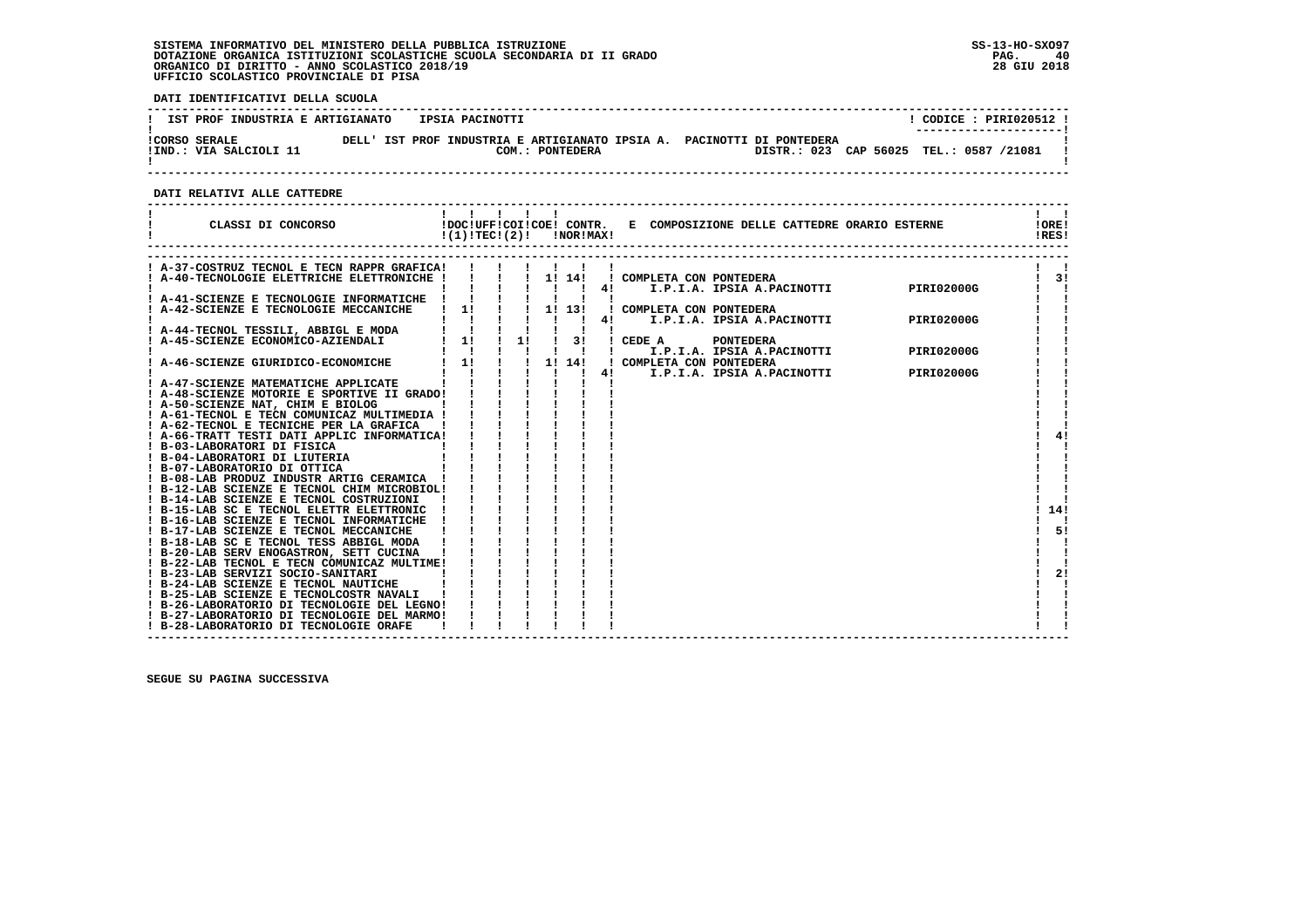**DATI IDENTIFICATIVI DELLA SCUOLA**

| IST PROF INDUSTRIA E ARTIGIANATO               |  | IPSIA PACINOTTI |                 |  |                                                                                                                   |  | CODICE: PIRI020512 !<br>--------------------- |  |
|------------------------------------------------|--|-----------------|-----------------|--|-------------------------------------------------------------------------------------------------------------------|--|-----------------------------------------------|--|
| <b>!CORSO SERALE</b><br>!IND.: VIA SALCIOLI 11 |  |                 | COM.: PONTEDERA |  | DELL' IST PROF INDUSTRIA E ARTIGIANATO IPSIA A. PACINOTTI DI PONTEDERA<br>DISTR.: 023 CAP 56025 TEL.: 0587 /21081 |  |                                               |  |

 **------------------------------------------------------------------------------------------------------------------------------------**

 **DATI RELATIVI ALLE CATTEDRE**

| CLASSI DI CONCORSO                                                                         | !!!!!<br>$!(1)!TEC!(2)!$ $ NORIMAX $ |  |  |                           | !DOC!UFF!COI!COE! CONTR. E COMPOSIZIONE DELLE CATTEDRE ORARIO ESTERNE         | !ORE!<br>IRES!             |
|--------------------------------------------------------------------------------------------|--------------------------------------|--|--|---------------------------|-------------------------------------------------------------------------------|----------------------------|
|                                                                                            |                                      |  |  |                           |                                                                               |                            |
| ! A-37-COSTRUZ TECNOL E TECN RAPPR GRAFICA!<br>! A-40-TECNOLOGIE ELETTRICHE ELETTRONICHE ! |                                      |  |  |                           | ! COMPLETA CON PONTEDERA                                                      | $\overline{\phantom{a}31}$ |
|                                                                                            |                                      |  |  |                           | 4!                                                                            |                            |
|                                                                                            |                                      |  |  |                           |                                                                               |                            |
| $\frac{1}{2}$ A-42-SCIENZE E TECNOLOGIE MECCANICHE $\frac{1}{2}$ 1!   1! 13!               |                                      |  |  |                           | ! COMPLETA CON PONTEDERA                                                      |                            |
|                                                                                            |                                      |  |  | 4!                        | I.P.I.A. IPSIA A.PACINOTTI PIRI02000G                                         |                            |
|                                                                                            |                                      |  |  |                           |                                                                               |                            |
|                                                                                            |                                      |  |  |                           | $3!$ $!$ $CEDE$ $A$<br><b>PONTEDERA</b>                                       |                            |
|                                                                                            |                                      |  |  | $\mathbf{1}$ $\mathbf{1}$ | I.P.I.A. IPSIA A.PACINOTTI<br><b>PIRI02000G</b>                               |                            |
|                                                                                            |                                      |  |  |                           | ! COMPLETA CON PONTEDERA<br>PLETA CON PONTEDERA<br>I.P.I.A. IPSIA A.PACINOTTI |                            |
|                                                                                            |                                      |  |  |                           | <b>PIRI02000G</b>                                                             |                            |
| ! A-48-SCIENZE MOTORIE E SPORTIVE II GRADO!                                                |                                      |  |  |                           |                                                                               |                            |
| ! A-50-SCIENZE NAT, CHIM E BIOLOG                                                          |                                      |  |  |                           |                                                                               |                            |
| ! A-61-TECNOL E TECN COMUNICAZ MULTIMEDIA !                                                |                                      |  |  |                           |                                                                               |                            |
| ! A-62-TECNOL E TECNICHE PER LA GRAFICA                                                    |                                      |  |  |                           |                                                                               |                            |
|                                                                                            |                                      |  |  |                           |                                                                               | 4!                         |
|                                                                                            |                                      |  |  |                           |                                                                               |                            |
|                                                                                            |                                      |  |  |                           |                                                                               |                            |
|                                                                                            |                                      |  |  |                           |                                                                               |                            |
|                                                                                            |                                      |  |  |                           |                                                                               |                            |
| ! B-12-LAB SCIENZE E TECNOL CHIM MICROBIOL!                                                |                                      |  |  |                           |                                                                               |                            |
| ! B-14-LAB SCIENZE E TECNOL COSTRUZIONI                                                    |                                      |  |  |                           |                                                                               |                            |
| ! B-15-LAB SC E TECNOL ELETTR ELETTRONIC                                                   |                                      |  |  |                           |                                                                               | 14!                        |
| ! B-16-LAB SCIENZE E TECNOL INFORMATICHE                                                   |                                      |  |  |                           |                                                                               |                            |
| ! B-17-LAB SCIENZE E TECNOL MECCANICHE<br>! B-18-LAB SC E TECNOL TESS ABBIGL MODA          |                                      |  |  |                           |                                                                               | 5!                         |
| ! B-20-LAB SERV ENOGASTRON, SETT CUCINA                                                    |                                      |  |  |                           |                                                                               |                            |
| ! B-22-LAB TECNOL E TECN COMUNICAZ MULTIME!                                                |                                      |  |  |                           |                                                                               |                            |
| ! B-23-LAB SERVIZI SOCIO-SANITARI                                                          |                                      |  |  |                           |                                                                               | 21                         |
| ! B-24-LAB SCIENZE E TECNOL NAUTICHE                                                       |                                      |  |  |                           |                                                                               |                            |
| ! B-25-LAB SCIENZE E TECNOLCOSTR NAVALI                                                    |                                      |  |  |                           |                                                                               |                            |
| ! B-26-LABORATORIO DI TECNOLOGIE DEL LEGNO!                                                |                                      |  |  |                           |                                                                               |                            |
| ! B-27-LABORATORIO DI TECNOLOGIE DEL MARMO!                                                |                                      |  |  |                           |                                                                               |                            |
| ! B-28-LABORATORIO DI TECNOLOGIE ORAFE                                                     |                                      |  |  |                           |                                                                               |                            |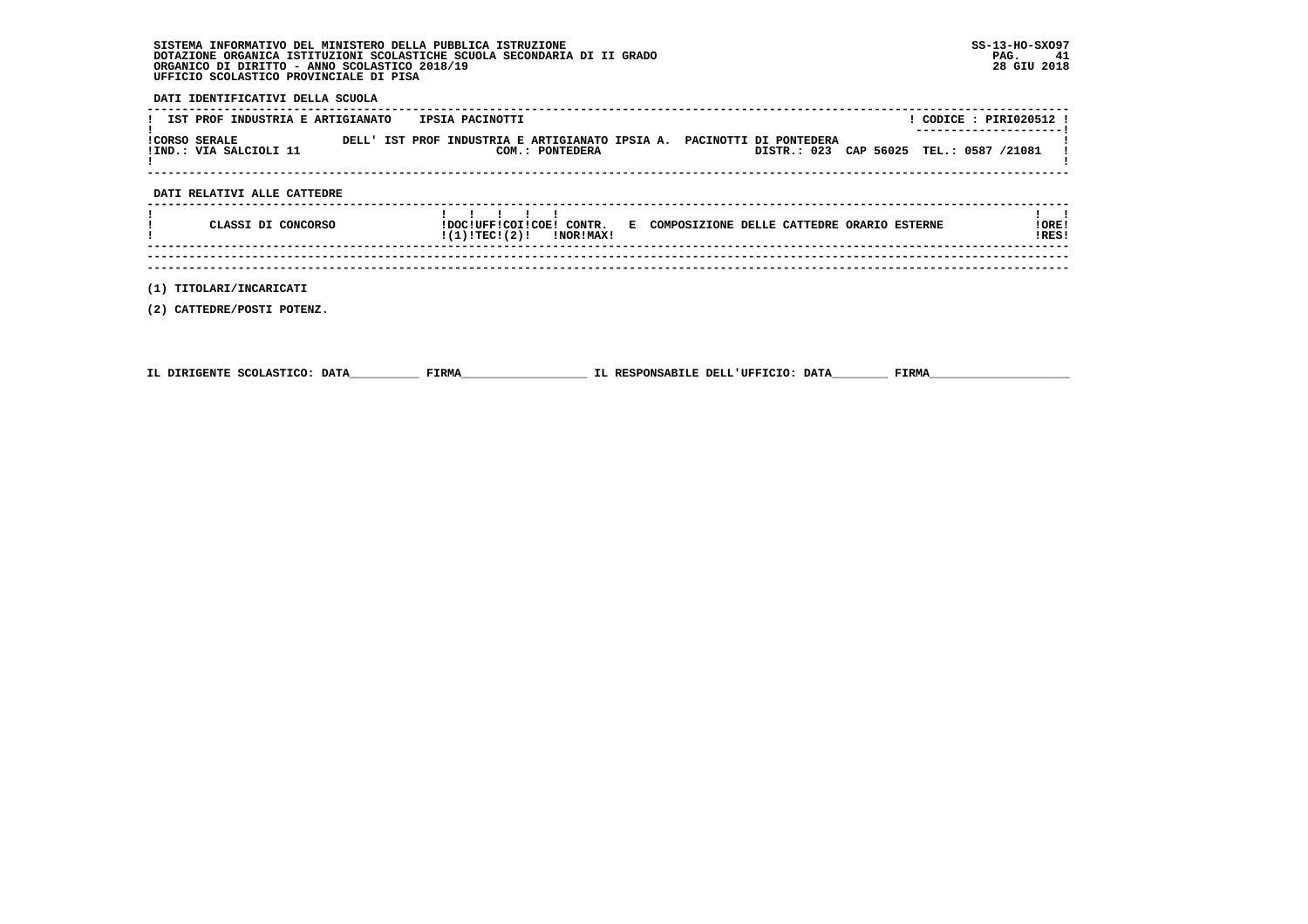**DATI IDENTIFICATIVI DELLA SCUOLA**

| IST PROF INDUSTRIA E ARTIGIANATO | IPSIA PACINOTTI                                                        | CODICE : PIRI020512 !                   |
|----------------------------------|------------------------------------------------------------------------|-----------------------------------------|
| <b>ICORSO SERALE</b>             | DELL' IST PROF INDUSTRIA E ARTIGIANATO IPSIA A. PACINOTTI DI PONTEDERA | ----------------------                  |
| IIND.: VIA SALCIOLI 11           | COM.: PONTEDERA                                                        | DISTR.: 023 CAP 56025 TEL.: 0587 /21081 |

#### **DATI RELATIVI ALLE CATTEDRE**

|  | CLASSI DI CONCORSO | $\mathbf{1}$ $\mathbf{1}$ $\mathbf{1}$ $\mathbf{1}$<br>!DOC!UFF!COI!COE! CONTR.<br>!(1)!TEC!(2)!<br>INORIMAXI | E COMPOSIZIONE DELLE CATTEDRE ORARIO ESTERNE | ORE!<br>!RES! |
|--|--------------------|---------------------------------------------------------------------------------------------------------------|----------------------------------------------|---------------|
|  |                    |                                                                                                               |                                              |               |

 **------------------------------------------------------------------------------------------------------------------------------------**

 **(1) TITOLARI/INCARICATI**

 **(2) CATTEDRE/POSTI POTENZ.**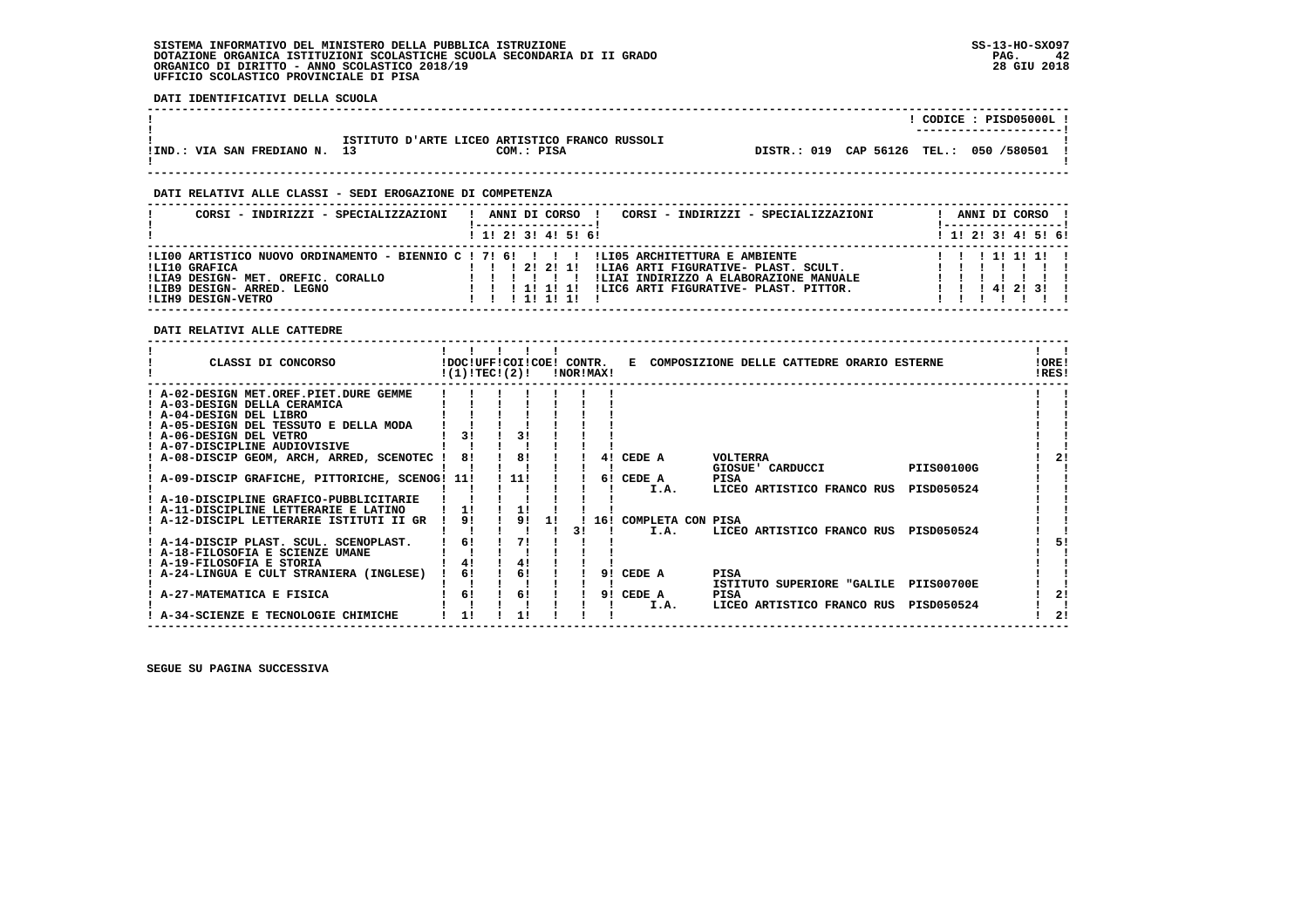**DATI IDENTIFICATIVI DELLA SCUOLA**

|                            |                                                |            |                                         |  | CODICE: PISD05000L!<br>---------------------- |  |
|----------------------------|------------------------------------------------|------------|-----------------------------------------|--|-----------------------------------------------|--|
| !IND.: VIA SAN FREDIANO N. | ISTITUTO D'ARTE LICEO ARTISTICO FRANCO RUSSOLI | COM.: PISA | DISTR.: 019 CAP 56126 TEL.: 050 /580501 |  |                                               |  |

 **------------------------------------------------------------------------------------------------------------------------------------**

#### **DATI RELATIVI ALLE CLASSI - SEDI EROGAZIONE DI COMPETENZA**

| CORSI - INDIRIZZI - SPECIALIZZAZIONI                                                                    | CORSI - INDIRIZZI - SPECIALIZZAZIONI<br>ANNI DI CORSO !                                                                                                                                                                                                                                                      | ANNI DI CORSO !               |
|---------------------------------------------------------------------------------------------------------|--------------------------------------------------------------------------------------------------------------------------------------------------------------------------------------------------------------------------------------------------------------------------------------------------------------|-------------------------------|
|                                                                                                         | $1$ , 1! 2! 3! 4! 5! 6!                                                                                                                                                                                                                                                                                      | $1$ , 1!, 2!, 3!, 4!, 5!, 6!  |
| ILI10 GRAFICA<br>!LIA9 DESIGN- MET. OREFIC. CORALLO<br>!LIB9 DESIGN- ARRED. LEGNO<br>ILIH9 DESIGN-VETRO | ILI00 ARTISTICO NUOVO ORDINAMENTO - BIENNIO C ! 7! 6! ! ! ! !LI05 ARCHITETTURA E AMBIENTE<br>!LIA6 ARTI FIGURATIVE- PLAST. SCULT.<br>$1 \quad 1 \quad 1 \quad 21 \quad 21 \quad 11$<br>!LIAI INDIRIZZO A ELABORAZIONE MANUALE<br>ILIC6 ARTI FIGURATIVE- PLAST. PITTOR.<br>1 1 1 1 1 1 1 1 1<br>1 1 1 1 1 1 1 | 111111<br>1 1 1 4 1 2 1 3 1 1 |

 **DATI RELATIVI ALLE CATTEDRE**

| CLASSI DI CONCORSO<br>!DOC!UFF!COI!COE! CONTR.<br>!(1)!TEC!(2)! |          |    | !NOR!MAX! |                   | E COMPOSIZIONE DELLE CATTEDRE ORARIO ESTERNE |                   | !ORE!<br>!RES! |    |
|-----------------------------------------------------------------|----------|----|-----------|-------------------|----------------------------------------------|-------------------|----------------|----|
| ! A-02-DESIGN MET.OREF.PIET.DURE GEMME                          |          |    |           |                   |                                              |                   |                |    |
| ! A-03-DESIGN DELLA CERAMICA                                    |          |    |           |                   |                                              |                   |                |    |
| ! A-04-DESIGN DEL LIBRO                                         |          |    |           |                   |                                              |                   |                |    |
| ! A-05-DESIGN DEL TESSUTO E DELLA MODA                          |          |    |           |                   |                                              |                   |                |    |
| ! A-06-DESIGN DEL VETRO<br>31                                   | 31       |    |           |                   |                                              |                   |                |    |
| ! A-07-DISCIPLINE AUDIOVISIVE                                   |          |    |           |                   |                                              |                   |                |    |
| 81<br>A-08-DISCIP GEOM, ARCH, ARRED, SCENOTEC !                 | 8!       |    | 41        | CEDE A            | <b>VOLTERRA</b>                              |                   |                | 21 |
|                                                                 |          |    |           |                   | GIOSUE' CARDUCCI                             | <b>PIIS00100G</b> |                |    |
| ! A-09-DISCIP GRAFICHE, PITTORICHE, SCENOG! 11!                 | 111      |    |           | 6! CEDE A         | PISA                                         |                   |                |    |
|                                                                 |          |    |           | I.A.              | LICEO ARTISTICO FRANCO RUS                   | PISD050524        |                |    |
| ! A-10-DISCIPLINE GRAFICO-PUBBLICITARIE                         |          |    |           |                   |                                              |                   |                |    |
| ! A-11-DISCIPLINE LETTERARIE E LATINO                           |          |    |           |                   |                                              |                   |                |    |
| 91<br>: A-12-DISCIPL LETTERARIE ISTITUTI II GR                  | 91       | 11 | 16!       | COMPLETA CON PISA |                                              |                   |                |    |
|                                                                 | 71       |    |           | I.A.              | LICEO ARTISTICO FRANCO RUS                   | PISD050524        |                |    |
| 6!<br>! A-14-DISCIP PLAST. SCUL. SCENOPLAST.                    |          |    |           |                   |                                              |                   |                |    |
| ! A-18-FILOSOFIA E SCIENZE UMANE                                |          |    |           |                   |                                              |                   |                |    |
| ! A-19-FILOSOFIA E STORIA<br>4!<br>6!                           | 41<br>61 |    | 91        | CEDE A            |                                              |                   |                |    |
| A-24-LINGUA E CULT STRANIERA (INGLESE)                          |          |    |           |                   | PISA<br>ISTITUTO SUPERIORE "GALILE           | PIIS00700E        |                |    |
| A-27-MATEMATICA E FISICA<br>6!                                  | 6!       |    | 91        | CEDE A            | <b>PISA</b>                                  |                   |                | 21 |
|                                                                 |          |    |           | I.A.              | LICEO ARTISTICO FRANCO RUS                   | PISD050524        |                |    |
| A-34-SCIENZE E TECNOLOGIE CHIMICHE                              |          |    |           |                   |                                              |                   |                | 2! |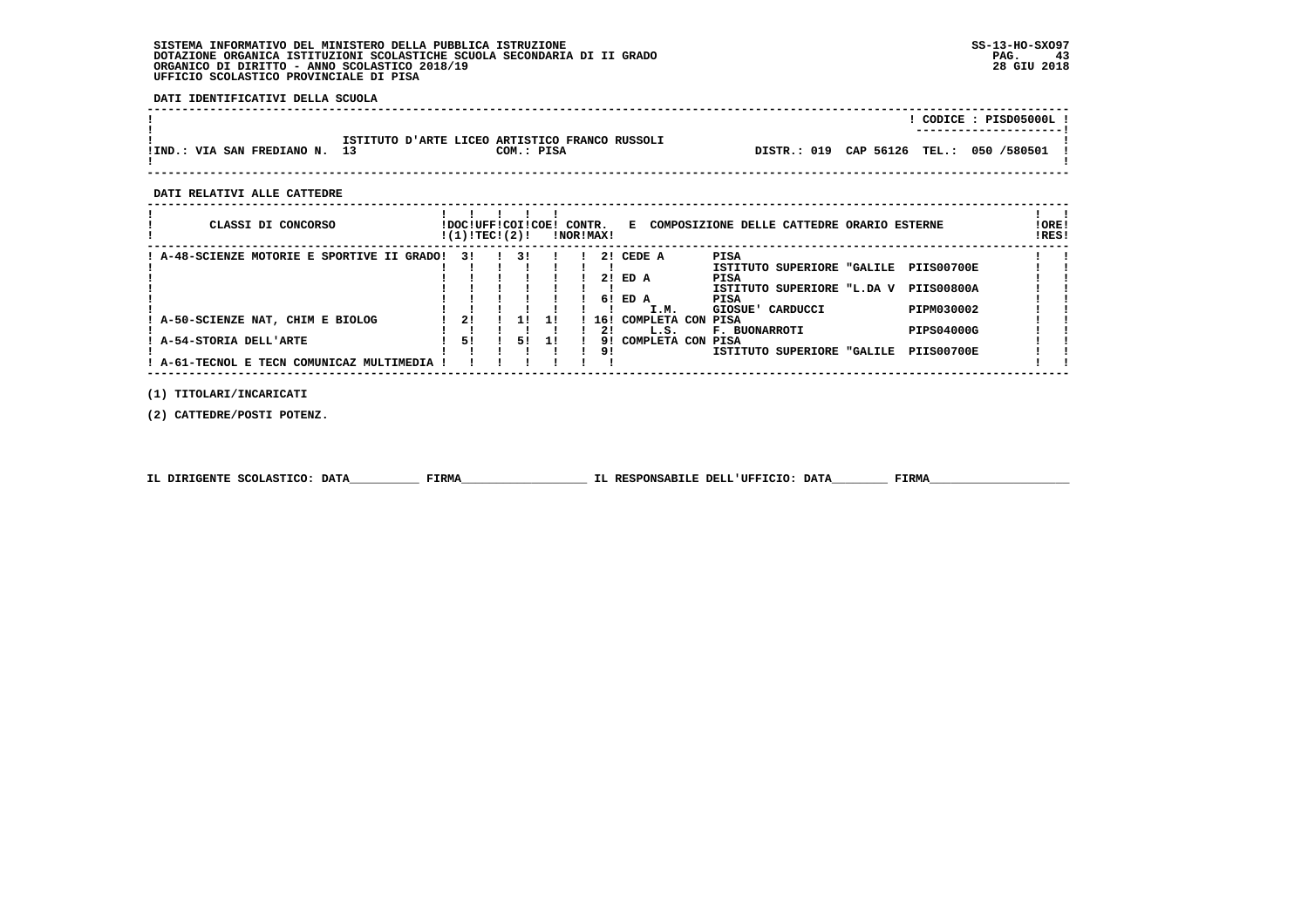**DATI IDENTIFICATIVI DELLA SCUOLA**

|                            |                                                |            |  |                                         |  | CODICE: PISD05000L!<br>--------------------- |
|----------------------------|------------------------------------------------|------------|--|-----------------------------------------|--|----------------------------------------------|
| !IND.: VIA SAN FREDIANO N. | ISTITUTO D'ARTE LICEO ARTISTICO FRANCO RUSSOLI | COM.: PISA |  | DISTR.: 019 CAP 56126 TEL.: 050 /580501 |  |                                              |

 **------------------------------------------------------------------------------------------------------------------------------------**

 **DATI RELATIVI ALLE CATTEDRE**

| CLASSI DI CONCORSO                          | !DOC!UFF!COI!COE!<br>!(1)!TECI(2)! |    |     | CONTR. | !NOR!MAX! |                      | E COMPOSIZIONE DELLE CATTEDRE ORARIO ESTERNE                                                     | ! ORE!<br>!RES! |
|---------------------------------------------|------------------------------------|----|-----|--------|-----------|----------------------|--------------------------------------------------------------------------------------------------|-----------------|
| ! A-48-SCIENZE MOTORIE E SPORTIVE II GRADO! | 31                                 | 31 |     |        |           | 2! CEDE A<br>2! ED A | PISA<br>ISTITUTO SUPERIORE "GALILE<br><b>PIIS00700E</b><br>PISA                                  |                 |
|                                             |                                    |    |     |        |           | 6! ED A              | <b>PIIS00800A</b><br>ISTITUTO SUPERIORE "L.DA V<br>PISA                                          |                 |
| A-50-SCIENZE NAT, CHIM E BIOLOG             | 21                                 |    | 1 ! |        | 16!<br>21 | I.M.<br>L.S.         | PIPM030002<br>GIOSUE' CARDUCCI<br>COMPLETA CON PISA<br><b>PIPS04000G</b><br><b>F. BUONARROTI</b> |                 |
| A-54-STORIA DELL'ARTE                       | 51                                 | 51 | 11  |        | 91<br>9!  |                      | COMPLETA CON PISA<br><b>PIIS00700E</b><br>ISTITUTO SUPERIORE "GALILE                             |                 |
| ! A-61-TECNOL E TECN COMUNICAZ MULTIMEDIA   |                                    |    |     |        |           |                      |                                                                                                  |                 |

 **(1) TITOLARI/INCARICATI**

 **(2) CATTEDRE/POSTI POTENZ.**

|  | IL DIRIGENTE SCOLASTICO: DATA | <b>FIRMA</b> | IL RESPONSABILE DELL'UFFICIO: DATA | FIRMZ |
|--|-------------------------------|--------------|------------------------------------|-------|
|--|-------------------------------|--------------|------------------------------------|-------|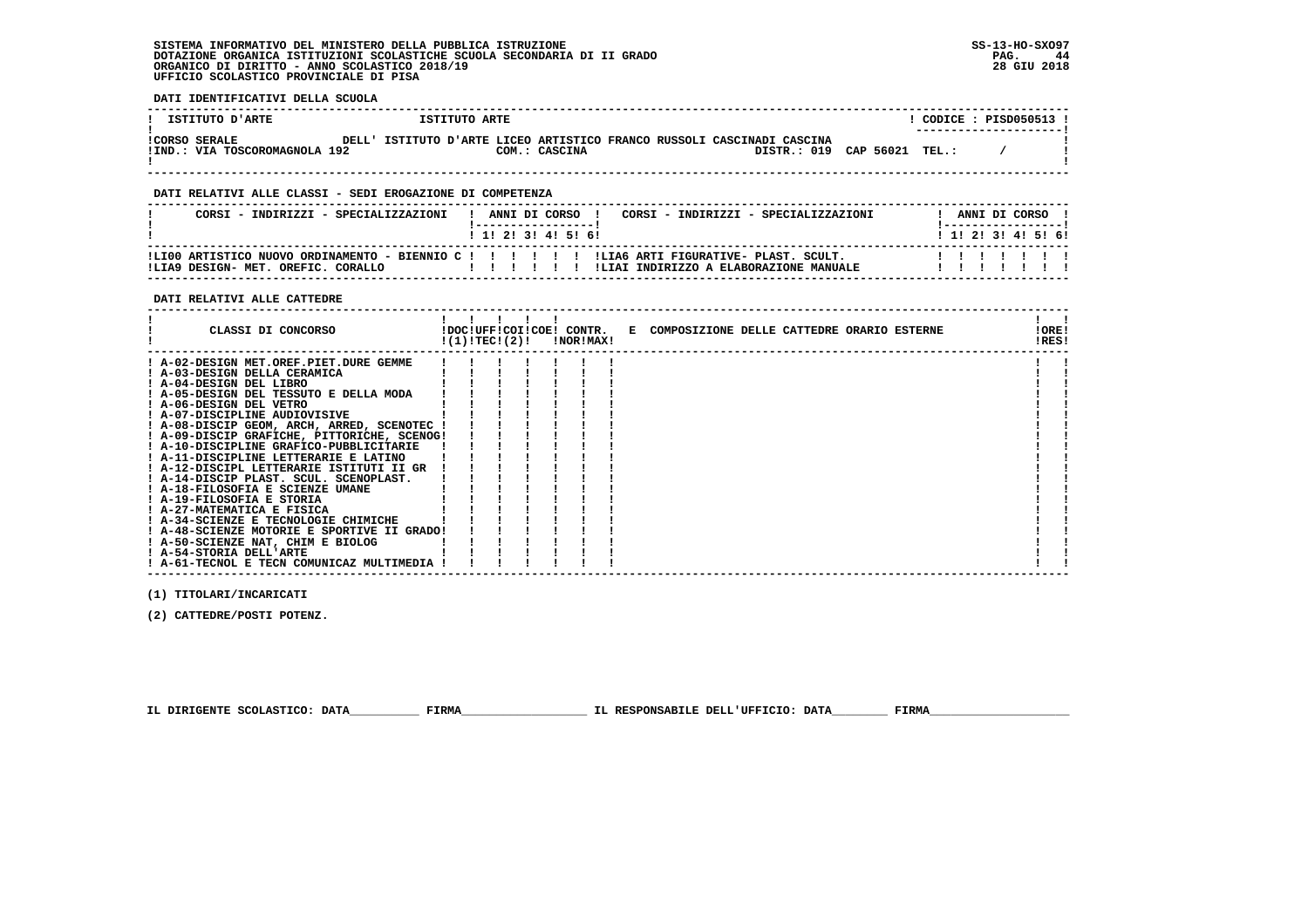**DATI IDENTIFICATIVI DELLA SCUOLA**

| ISTITUTO D'ARTE                                       |       | ISTITUTO ARTE                                                    |               |  |                       |  |       | CODICE : PISD050513 !<br>--------------------- |  |
|-------------------------------------------------------|-------|------------------------------------------------------------------|---------------|--|-----------------------|--|-------|------------------------------------------------|--|
| <b>!CORSO SERALE</b><br>IIND.: VIA TOSCOROMAGNOLA 192 | DELL' | ISTITUTO D'ARTE LICEO ARTISTICO FRANCO RUSSOLI CASCINADI CASCINA | COM.: CASCINA |  | DISTR.: 019 CAP 56021 |  | TEL.: |                                                |  |

 **------------------------------------------------------------------------------------------------------------------------------------**

#### **DATI RELATIVI ALLE CLASSI - SEDI EROGAZIONE DI COMPETENZA**

| CORSI<br>- INDIRIZZI - SPECIALIZZAZIONI                                                                                        |  |  | ANNI DI CORSO<br>! 1! 2! 3! 4! 5! 6! | CORSI - INDIRIZZI - SPECIALIZZAZIONI   |  |  | ANNI DI CORSO<br>1 1 1 2 1 3 1 4 1 5 1 6 1 |  |
|--------------------------------------------------------------------------------------------------------------------------------|--|--|--------------------------------------|----------------------------------------|--|--|--------------------------------------------|--|
| ILI00 ARTISTICO NUOVO ORDINAMENTO - BIENNIO C ! ! ! ! ! ! ILIA6 ARTI FIGURATIVE- PLAST. SCULT.<br>DESIGN- MET. OREFIC. CORALLO |  |  |                                      | ILLAI INDIRIZZO A ELABORAZIONE MANUALE |  |  |                                            |  |

#### **DATI RELATIVI ALLE CATTEDRE**

| CLASSI DI CONCORSO                          | !(1)!TEC!(2)! |  | !DOC!UFF!COI!COE! CONTR.<br>!NOR!MAX! | E COMPOSIZIONE DELLE CATTEDRE ORARIO ESTERNE |  |  | !ORE!<br>!RES! |  |
|---------------------------------------------|---------------|--|---------------------------------------|----------------------------------------------|--|--|----------------|--|
| ! A-02-DESIGN MET.OREF.PIET.DURE GEMME      |               |  |                                       |                                              |  |  |                |  |
| ! A-03-DESIGN DELLA CERAMICA                |               |  |                                       |                                              |  |  |                |  |
| ! A-04-DESIGN DEL LIBRO                     |               |  |                                       |                                              |  |  |                |  |
| ! A-05-DESIGN DEL TESSUTO E DELLA MODA      |               |  |                                       |                                              |  |  |                |  |
| ! A-06-DESIGN DEL VETRO                     |               |  |                                       |                                              |  |  |                |  |
| ! A-07-DISCIPLINE AUDIOVISIVE               |               |  |                                       |                                              |  |  |                |  |
| ! A-08-DISCIP GEOM, ARCH, ARRED, SCENOTEC   |               |  |                                       |                                              |  |  |                |  |
| ! A-09-DISCIP GRAFICHE, PITTORICHE, SCENOG! |               |  |                                       |                                              |  |  |                |  |
| ! A-10-DISCIPLINE GRAFICO-PUBBLICITARIE     |               |  |                                       |                                              |  |  |                |  |
| ! A-11-DISCIPLINE LETTERARIE E LATINO       |               |  |                                       |                                              |  |  |                |  |
| ! A-12-DISCIPL LETTERARIE ISTITUTI II GR    |               |  |                                       |                                              |  |  |                |  |
| ! A-14-DISCIP PLAST. SCUL. SCENOPLAST.      |               |  |                                       |                                              |  |  |                |  |
| ! A-18-FILOSOFIA E SCIENZE UMANE            |               |  |                                       |                                              |  |  |                |  |
| ! A-19-FILOSOFIA E STORIA                   |               |  |                                       |                                              |  |  |                |  |
| ! A-27-MATEMATICA E FISICA                  |               |  |                                       |                                              |  |  |                |  |
| ! A-34-SCIENZE E TECNOLOGIE CHIMICHE        |               |  |                                       |                                              |  |  |                |  |
| ! A-48-SCIENZE MOTORIE E SPORTIVE II GRADO! |               |  |                                       |                                              |  |  |                |  |
| ! A-50-SCIENZE NAT, CHIM E BIOLOG           |               |  |                                       |                                              |  |  |                |  |
| ! A-54-STORIA DELL'ARTE                     |               |  |                                       |                                              |  |  |                |  |
| ! A-61-TECNOL E TECN COMUNICAZ MULTIMEDIA   |               |  |                                       |                                              |  |  |                |  |

 **(1) TITOLARI/INCARICATI**

 **(2) CATTEDRE/POSTI POTENZ.**

 **IL DIRIGENTE SCOLASTICO: DATA\_\_\_\_\_\_\_\_\_\_ FIRMA\_\_\_\_\_\_\_\_\_\_\_\_\_\_\_\_\_\_ IL RESPONSABILE DELL'UFFICIO: DATA\_\_\_\_\_\_\_\_ FIRMA\_\_\_\_\_\_\_\_\_\_\_\_\_\_\_\_\_\_\_\_**

 **------------------------------------------------------------------------------------------------------------------------------------**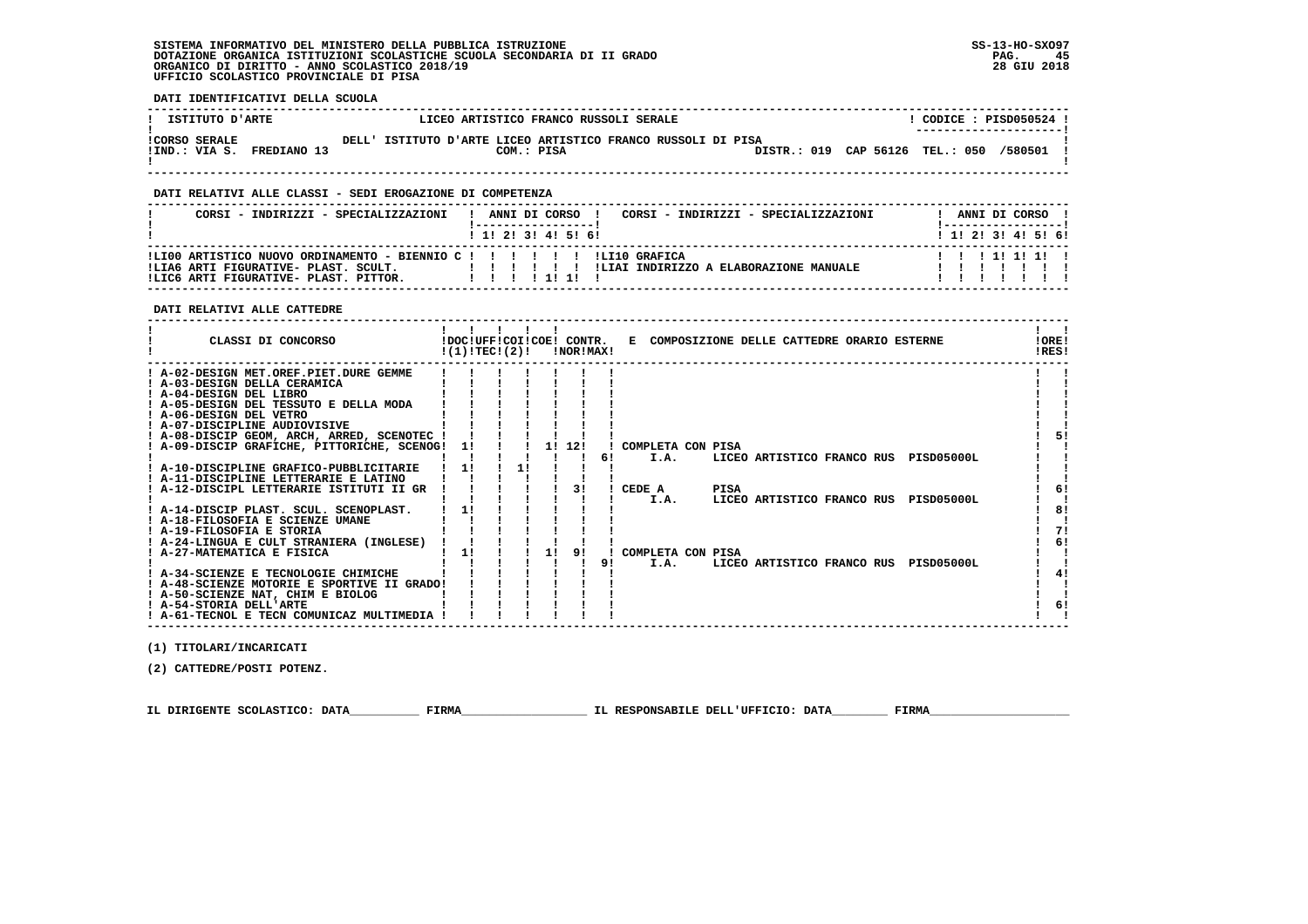**DATI IDENTIFICATIVI DELLA SCUOLA**

| ISTITUTO D'ARTE           | LICEO ARTISTICO FRANCO RUSSOLI SERALE                        | CODICE: PISD050524 !<br>--------------------- |
|---------------------------|--------------------------------------------------------------|-----------------------------------------------|
| <b>!CORSO SERALE</b>      | DELL' ISTITUTO D'ARTE LICEO ARTISTICO FRANCO RUSSOLI DI PISA | /580501                                       |
| IIND.: VIA S. FREDIANO 13 | COM.: PISA                                                   | DISTR.: 019 CAP 56126 TEL.: 050               |

 **------------------------------------------------------------------------------------------------------------------------------------**

### **DATI RELATIVI ALLE CLASSI - SEDI EROGAZIONE DI COMPETENZA**

|                                                                                                                                                                                                                       |                           | ANNI DI CORSO ! |
|-----------------------------------------------------------------------------------------------------------------------------------------------------------------------------------------------------------------------|---------------------------|-----------------|
| 1 1 1 2 1 3 1 4 1 5 1 6 1                                                                                                                                                                                             | 1 1 1 2 1 3 1 4 1 5 1 6 1 |                 |
| !LI00 ARTISTICO NUOVO ORDINAMENTO - BIENNIO C ! ! ! ! ! ! ! !LI10 GRAFICA<br>11111111<br>!LIAI INDIRIZZO A ELABORAZIONE MANUALE<br>!LIA6 ARTI FIGURATIVE- PLAST. SCULT.<br>.<br>!LIC6 ARTI FIGURATIVE- PLAST. PITTOR. |                           |                 |

#### **DATI RELATIVI ALLE CATTEDRE**

| CLASSI DI CONCORSO                          | !(1)!TECI(2)! |  |    | !NOR!MAX! |    | !DOC!UFF!COI!COE! CONTR. E COMPOSIZIONE DELLE CATTEDRE ORARIO ESTERNE | !ORE!<br>IRES! |
|---------------------------------------------|---------------|--|----|-----------|----|-----------------------------------------------------------------------|----------------|
| ! A-02-DESIGN MET.OREF.PIET.DURE GEMME      |               |  |    |           |    |                                                                       |                |
| ! A-03-DESIGN DELLA CERAMICA                |               |  |    |           |    |                                                                       |                |
| ! A-04-DESIGN DEL LIBRO                     |               |  |    |           |    |                                                                       |                |
| ! A-05-DESIGN DEL TESSUTO E DELLA MODA      |               |  |    |           |    |                                                                       |                |
| ! A-06-DESIGN DEL VETRO                     |               |  |    |           |    |                                                                       |                |
| ! A-07-DISCIPLINE AUDIOVISIVE               |               |  |    |           |    |                                                                       |                |
| ! A-08-DISCIP GEOM, ARCH, ARRED, SCENOTEC ! |               |  |    |           |    |                                                                       |                |
| ! A-09-DISCIP GRAFICHE, PITTORICHE, SCENOG! | 11            |  |    | 1! 12!    |    | ! COMPLETA CON PISA                                                   |                |
|                                             |               |  |    |           | 61 | I.A.<br>LICEO ARTISTICO FRANCO RUS<br>PISD05000L                      |                |
| ! A-10-DISCIPLINE GRAFICO-PUBBLICITARIE     | 11            |  |    |           |    |                                                                       |                |
| ! A-11-DISCIPLINE LETTERARIE E LATINO       |               |  |    |           |    |                                                                       |                |
| ! A-12-DISCIPL LETTERARIE ISTITUTI II GR    |               |  |    |           |    | PISA<br>CEDE A                                                        | 6!             |
|                                             |               |  |    |           |    | I.A.<br>LICEO ARTISTICO FRANCO RUS PISD05000L                         |                |
| ! A-14-DISCIP PLAST. SCUL. SCENOPLAST.      |               |  |    |           |    |                                                                       | 81             |
| ! A-18-FILOSOFIA E SCIENZE UMANE            |               |  |    |           |    |                                                                       |                |
| ! A-19-FILOSOFIA E STORIA                   |               |  |    |           |    |                                                                       | 71             |
| ! A-24-LINGUA E CULT STRANIERA (INGLESE)    |               |  |    |           |    |                                                                       | 6!             |
| A-27-MATEMATICA E FISICA                    | 11            |  | 11 |           |    | COMPLETA CON PISA                                                     |                |
|                                             |               |  |    |           | 91 | I.A.<br>LICEO ARTISTICO FRANCO RUS<br>PISD05000L                      |                |
| ! A-34-SCIENZE E TECNOLOGIE CHIMICHE        |               |  |    |           |    |                                                                       | 4!             |
| ! A-48-SCIENZE MOTORIE E SPORTIVE II GRADO! |               |  |    |           |    |                                                                       |                |
| ! A-50-SCIENZE NAT, CHIM E BIOLOG           |               |  |    |           |    |                                                                       |                |
| ! A-54-STORIA DELL'ARTE                     |               |  |    |           |    |                                                                       | 6!             |
| ! A-61-TECNOL E TECN COMUNICAZ MULTIMEDIA   |               |  |    |           |    |                                                                       |                |

 **(1) TITOLARI/INCARICATI**

 **(2) CATTEDRE/POSTI POTENZ.**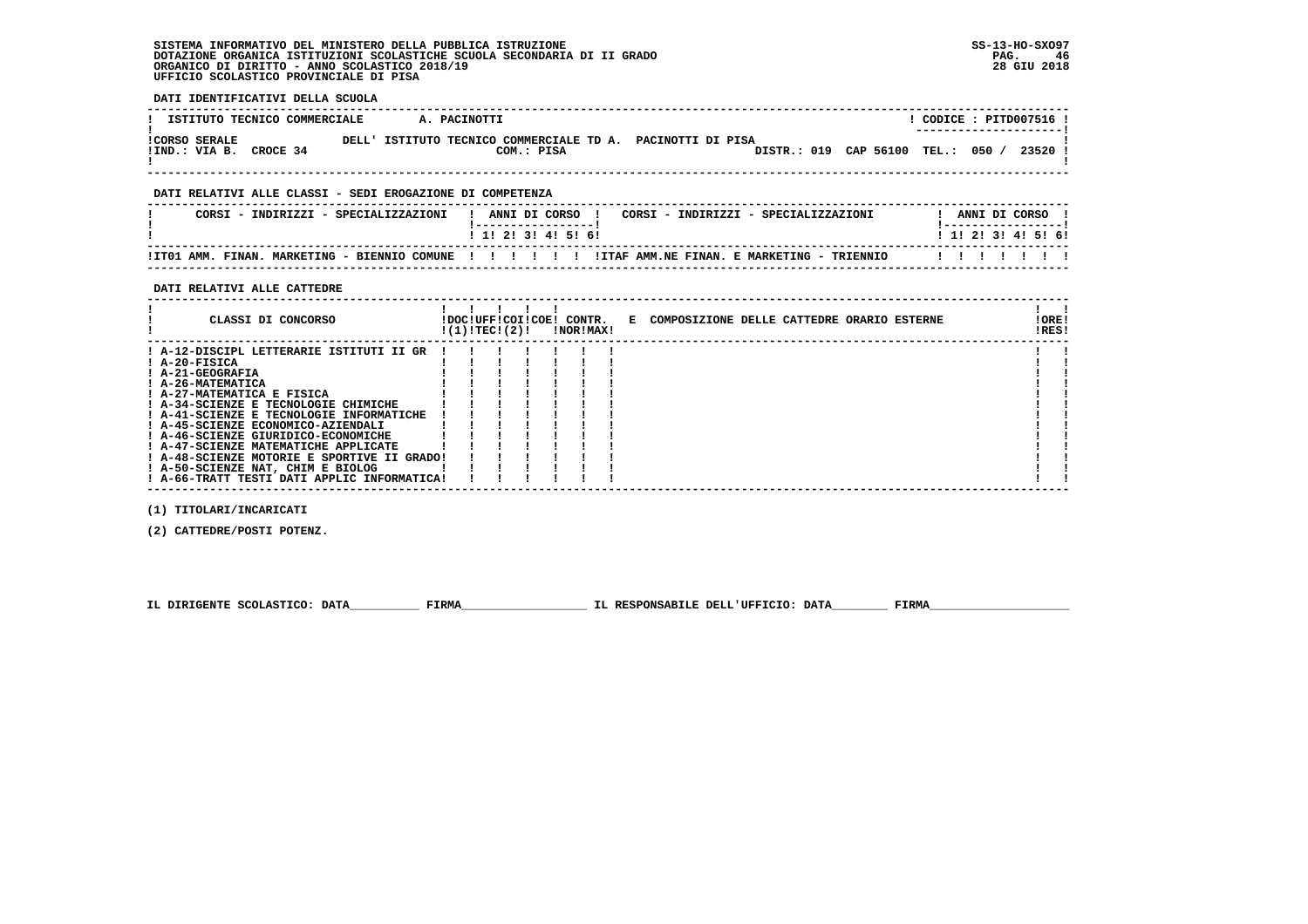**DATI IDENTIFICATIVI DELLA SCUOLA**

| ISTITUTO TECNICO COMMERCIALE                               | A. PACINOTTI                                                       |                             | CODICE: PITD007516!                  |  |
|------------------------------------------------------------|--------------------------------------------------------------------|-----------------------------|--------------------------------------|--|
| <b>ICORSO SERALE</b><br>DELL'<br>CROCE 34<br>IIND.: VIA B. | ISTITUTO TECNICO COMMERCIALE TD A. PACINOTTI DI PISA<br>COM.: PISA | DISTR.: 019 CAP 56100 TEL.: | ---------------------<br>050 / 23520 |  |

#### **DATI RELATIVI ALLE CLASSI - SEDI EROGAZIONE DI COMPETENZA**

| CORSI<br>INDIRIZZI - SPECIALIZZAZIONI        | ANNI DI CORSO<br>CORSI<br>SPECIALIZZAZIONI<br>- INDIRIZZI -<br>------------------ | ANNI DI CORSO       |
|----------------------------------------------|-----------------------------------------------------------------------------------|---------------------|
|                                              | ! 1! 2! 3! 4! 5! 6!                                                               | ! 1! 2! 3! 4! 5! 6! |
| !IT01 AMM. FINAN. MARKETING - BIENNIO COMUNE | !ITAF AMM.NE FINAN. E MARKETING - TRIENNIO<br>.                                   |                     |

 **------------------------------------------------------------------------------------------------------------------------------------**

#### **DATI RELATIVI ALLE CATTEDRE**

| CLASSI DI CONCORSO                                                                                                                                                                                                                                                                                                                                                                         | !(1)!TEC!(2)! |  | !DOC!UFF!COI!COE! CONTR.<br>!NOR!MAX! | E COMPOSIZIONE DELLE CATTEDRE ORARIO ESTERNE | !ORE!<br>!RES! |  |
|--------------------------------------------------------------------------------------------------------------------------------------------------------------------------------------------------------------------------------------------------------------------------------------------------------------------------------------------------------------------------------------------|---------------|--|---------------------------------------|----------------------------------------------|----------------|--|
| ! A-12-DISCIPL LETTERARIE ISTITUTI II GR<br>$I$ A-20-FISICA<br>! A-21-GEOGRAFIA<br>! A-26-MATEMATICA<br>! A-27-MATEMATICA E FISICA<br>! A-34-SCIENZE E TECNOLOGIE CHIMICHE<br>! A-41-SCIENZE E TECNOLOGIE INFORMATICHE<br>! A-45-SCIENZE ECONOMICO-AZIENDALI<br>! A-46-SCIENZE GIURIDICO-ECONOMICHE<br>! A-47-SCIENZE MATEMATICHE APPLICATE<br>! A-48-SCIENZE MOTORIE E SPORTIVE II GRADO! |               |  |                                       |                                              |                |  |
| ! A-50-SCIENZE NAT, CHIM E BIOLOG<br>! A-66-TRATT TESTI DATI APPLIC INFORMATICA!                                                                                                                                                                                                                                                                                                           |               |  |                                       |                                              |                |  |

 **(1) TITOLARI/INCARICATI**

 **(2) CATTEDRE/POSTI POTENZ.**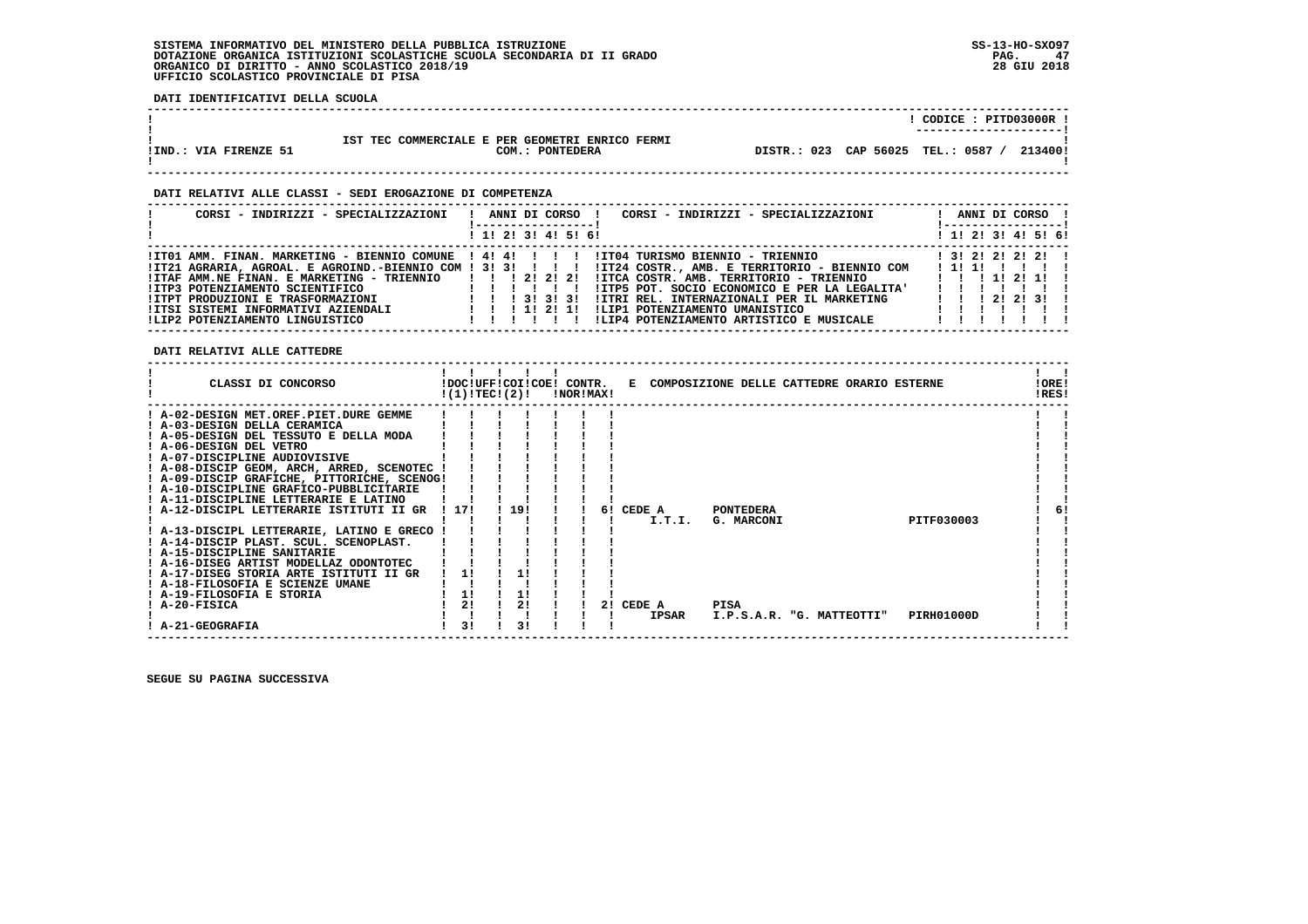**DATI IDENTIFICATIVI DELLA SCUOLA**

|                       |                                                                    | CODICE: PITD03000R !<br>----------------------   |
|-----------------------|--------------------------------------------------------------------|--------------------------------------------------|
| !IND.: VIA FIRENZE 51 | IST TEC COMMERCIALE E PER GEOMETRI ENRICO FERMI<br>COM.: PONTEDERA | DISTR.: 023 CAP 56025<br>TEL.: 0587 /<br>213400! |

 **------------------------------------------------------------------------------------------------------------------------------------**

 **------------------------------------------------------------------------------------------------------------------------------------**

#### **DATI RELATIVI ALLE CLASSI - SEDI EROGAZIONE DI COMPETENZA**

| CORSI - INDIRIZZI - SPECIALIZZAZIONI                                                                                                           | CORSI - INDIRIZZI - SPECIALIZZAZIONI<br>ANNI DI CORSO !<br>-----------------                                                                                                                                    | ANNI DI CORSO !<br>! ------------------                |
|------------------------------------------------------------------------------------------------------------------------------------------------|-----------------------------------------------------------------------------------------------------------------------------------------------------------------------------------------------------------------|--------------------------------------------------------|
|                                                                                                                                                | ! 1! 2! 3! 4! 5! 6!                                                                                                                                                                                             | ! 1! 2! 3! 4! 5! 6!                                    |
| !IT01 AMM. FINAN. MARKETING - BIENNIO COMUNE ! 4! 4! ! ! ! !<br>!ITAF AMM.NE FINAN. E MARKETING - TRIENNIO   !! 2! 2! 2!                       | !IT04 TURISMO BIENNIO - TRIENNIO<br>IIT21 AGRARIA, AGROAL. E AGROIND.-BIENNIO COM ! 3! 3! ! ! ! !IT24 COSTR., AMB. E TERRITORIO - BIENNIO COM<br>!ITCA COSTR, AMB, TERRITORIO - TRIENNIO                        | $1$ 3! 2! 2! 2! 2! !<br>1111<br>1 1 1 1 1 2 1 1 1      |
| IITP3 POTENZIAMENTO SCIENTIFICO<br>IITPT PRODUZIONI E TRASFORMAZIONI<br>IITSI SISTEMI INFORMATIVI AZIENDALI<br>ILIP2 POTENZIAMENTO LINGUISTICO | !ITP5 POT. SOCIO ECONOMICO E PER LA LEGALITA'<br>1 1 1 3 1 3 1 3 1<br>!ITRI REL. INTERNAZIONALI PER IL MARKETING<br>1 1 1 1 2 1 1<br>ILIP1 POTENZIAMENTO UMANISTICO<br>!LIP4 POTENZIAMENTO ARTISTICO E MUSICALE | $1 \quad 1 \quad 1 \quad 21 \quad 21 \quad 31 \quad 1$ |

#### **DATI RELATIVI ALLE CATTEDRE**

| CLASSI DI CONCORSO                                                                                                                                                                                                                                                                                                                                                                                                                                                                                                                                                                                                                                                                                                           | !DOC!UFF!COI!COE! CONTR.<br>!(1)!TEC!(2)! |                 | !NOR!MAX! |          | E COMPOSIZIONE DELLE CATTEDRE ORARIO ESTERNE |                                                                     |  |                          | !ORE!<br>!RES! |    |
|------------------------------------------------------------------------------------------------------------------------------------------------------------------------------------------------------------------------------------------------------------------------------------------------------------------------------------------------------------------------------------------------------------------------------------------------------------------------------------------------------------------------------------------------------------------------------------------------------------------------------------------------------------------------------------------------------------------------------|-------------------------------------------|-----------------|-----------|----------|----------------------------------------------|---------------------------------------------------------------------|--|--------------------------|----------------|----|
| : A-02-DESIGN MET.OREF.PIET.DURE GEMME<br>! A-03-DESIGN DELLA CERAMICA<br>! A-05-DESIGN DEL TESSUTO E DELLA MODA<br>! A-06-DESIGN DEL VETRO<br>! A-07-DISCIPLINE AUDIOVISIVE<br>! A-08-DISCIP GEOM, ARCH, ARRED, SCENOTEC<br>! A-09-DISCIP GRAFICHE, PITTORICHE, SCENOG!<br>! A-10-DISCIPLINE GRAFICO-PUBBLICITARIE<br>! A-11-DISCIPLINE LETTERARIE E LATINO<br>! A-12-DISCIPL LETTERARIE ISTITUTI II GR<br>! A-13-DISCIPL LETTERARIE, LATINO E GRECO<br>! A-14-DISCIP PLAST. SCUL. SCENOPLAST.<br>! A-15-DISCIPLINE SANITARIE<br>A-16-DISEG ARTIST MODELLAZ ODONTOTEC<br>! A-17-DISEG STORIA ARTE ISTITUTI II GR<br>! A-18-FILOSOFIA E SCIENZE UMANE<br>! A-19-FILOSOFIA E STORIA<br>! A-20-FISICA<br><b>A-21-GEOGRAFIA</b> | 117!<br>11<br>1!<br>2!                    | 19!<br>1!<br>21 |           | 61<br>21 | CEDE A<br>I.T.I.<br>CEDE A<br><b>IPSAR</b>   | <b>PONTEDERA</b><br>G. MARCONI<br>PISA<br>I.P.S.A.R. "G. MATTEOTTI" |  | PITF030003<br>PIRH01000D |                | 6! |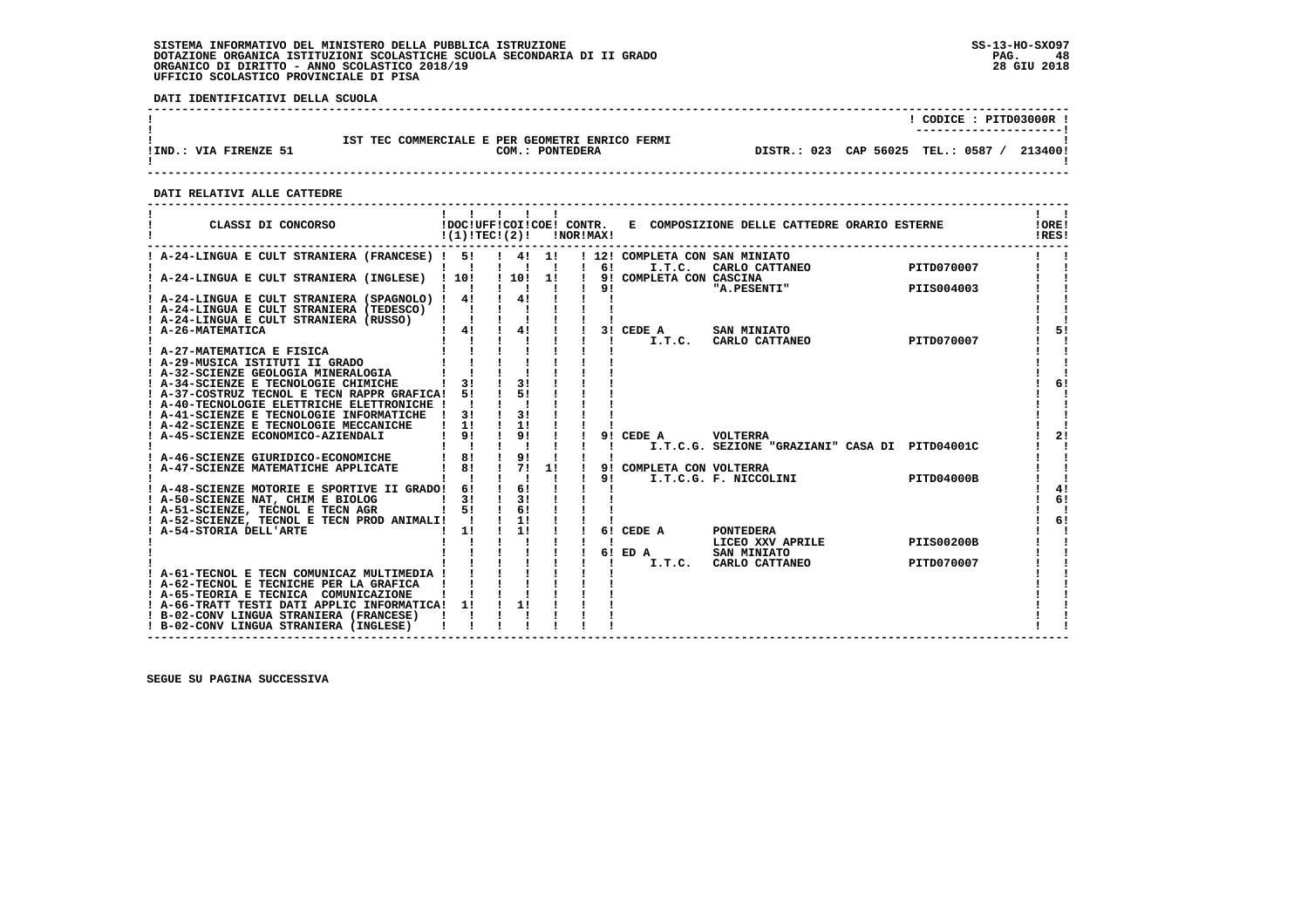**DATI IDENTIFICATIVI DELLA SCUOLA**

|                       |                                                                    | CODICE: PITD03000R !<br>----------------------- |
|-----------------------|--------------------------------------------------------------------|-------------------------------------------------|
| !IND.: VIA FIRENZE 51 | IST TEC COMMERCIALE E PER GEOMETRI ENRICO FERMI<br>COM.: PONTEDERA | 213400!<br>DISTR.: 023 CAP 56025 TEL.: 0587 /   |

 **------------------------------------------------------------------------------------------------------------------------------------**

 **DATI RELATIVI ALLE CATTEDRE**

| CLASSI DI CONCORSO                                                                                                                  | !(1)!TEC!(2)!                                                         |                                                    |    | !NOR!MAX! |              |                                          | !DOC!UFF!COI!COE! CONTR. E COMPOSIZIONE DELLE CATTEDRE ORARIO ESTERNE |                   | !ORE!<br>!RES! |
|-------------------------------------------------------------------------------------------------------------------------------------|-----------------------------------------------------------------------|----------------------------------------------------|----|-----------|--------------|------------------------------------------|-----------------------------------------------------------------------|-------------------|----------------|
| ! A-24-LINGUA E CULT STRANIERA (FRANCESE) ! 5!                                                                                      |                                                                       | $1 \quad 41 \quad 11$<br>$\mathbf{1}$ $\mathbf{1}$ |    |           | $1 \quad 61$ | ! 12! COMPLETA CON SAN MINIATO<br>I.T.C. | CARLO CATTANEO                                                        | PITD070007        |                |
| ! A-24-LINGUA E CULT STRANIERA (INGLESE) ! 10!                                                                                      |                                                                       | ! 10!<br>$\mathbf{I}$                              | 1! |           | 91           | 9! COMPLETA CON CASCINA                  | "A.PESENTI"                                                           | PIIS004003        |                |
| ! A-24-LINGUA E CULT STRANIERA (SPAGNOLO) ! 4!<br>A-24-LINGUA E CULT STRANIERA (TEDESCO)<br>! A-24-LINGUA E CULT STRANIERA (RUSSO)  |                                                                       | $\frac{1}{4}$                                      |    |           |              |                                          |                                                                       |                   |                |
| A-26-MATEMATICA                                                                                                                     | $\begin{array}{cccccccccccccc} 1 & 4 & 1 & 1 & 4 & 1 & 1 \end{array}$ |                                                    |    |           |              | 3! CEDE A                                | <b>SAN MINIATO</b><br>I.T.C. CARLO CATTANEO PITD070007                |                   | 51             |
| ! A-27-MATEMATICA E FISICA<br>! A-29-MUSICA ISTITUTI II GRADO<br>A-32-SCIENZE GEOLOGIA MINERALOGIA                                  |                                                                       |                                                    |    |           |              |                                          |                                                                       |                   |                |
| ! A-34-SCIENZE E TECNOLOGIE CHIMICHE<br>! A-37-COSTRUZ TECNOL E TECN RAPPR GRAFICA!                                                 | 3!<br>51                                                              | 31<br>51                                           |    |           |              |                                          |                                                                       |                   | 6!             |
| ! A-40-TECNOLOGIE ELETTRICHE ELETTRONICHE !<br>! A-41-SCIENZE E TECNOLOGIE INFORMATICHE                                             | 31                                                                    | 3!                                                 |    |           |              |                                          |                                                                       |                   |                |
| ! A-42-SCIENZE E TECNOLOGIE MECCANICHE<br>A-45-SCIENZE ECONOMICO-AZIENDALI                                                          | 1!<br>91                                                              | 11<br>9!                                           |    |           |              | 9! CEDE A VOLTERRA                       |                                                                       |                   | 21             |
| ! A-46-SCIENZE GIURIDICO-ECONOMICHE<br>! A-47-SCIENZE MATEMATICHE APPLICATE                                                         | 8!<br>81                                                              | 9!<br>71                                           | 1! |           |              | 9! COMPLETA CON VOLTERRA                 | I.T.C.G. SEZIONE "GRAZIANI" CASA DI PITD04001C                        |                   |                |
| ! A-48-SCIENZE MOTORIE E SPORTIVE II GRADO! 6!                                                                                      |                                                                       | $\mathbf{I}$<br>61                                 |    |           | 91           |                                          | LEIA CON VOLIERRA<br>I.T.C.G. F. NICCOLINI                            | PITD04000B        | 4!             |
| ! A-50-SCIENZE NAT, CHIM E BIOLOG<br>1 51<br>! A-51-SCIENZE, TECNOL E TECN AGR                                                      | 31                                                                    | 31<br>61                                           |    |           |              |                                          |                                                                       |                   | 6!             |
| ! A-52-SCIENZE, TECNOL E TECN PROD ANIMALI! !<br>! A-54-STORIA DELL'ARTE                                                            | 11                                                                    | $\frac{1}{2}$ 11<br>11                             |    |           | 6!           | CEDE A                                   | <b>PONTEDERA</b><br>LICEO XXV APRILE                                  | <b>PIIS00200B</b> | 6!             |
|                                                                                                                                     |                                                                       |                                                    |    |           |              | 6! ED A<br>I.T.C.                        | SAN MINIATO<br>CARLO CATTANEO                                         | PITD070007        |                |
| ! A-61-TECNOL E TECN COMUNICAZ MULTIMEDIA !<br>! A-62-TECNOL E TECNICHE PER LA GRAFICA<br>! A-65-TEORIA E TECNICA COMUNICAZIONE     |                                                                       |                                                    |    |           |              |                                          |                                                                       |                   |                |
| ! A-66-TRATT TESTI DATI APPLIC INFORMATICA! 1!<br>! B-02-CONV LINGUA STRANIERA (FRANCESE)<br>! B-02-CONV LINGUA STRANIERA (INGLESE) |                                                                       | 11                                                 |    |           |              |                                          |                                                                       |                   |                |

 **------------------------------------------------------------------------------------------------------------------------------------**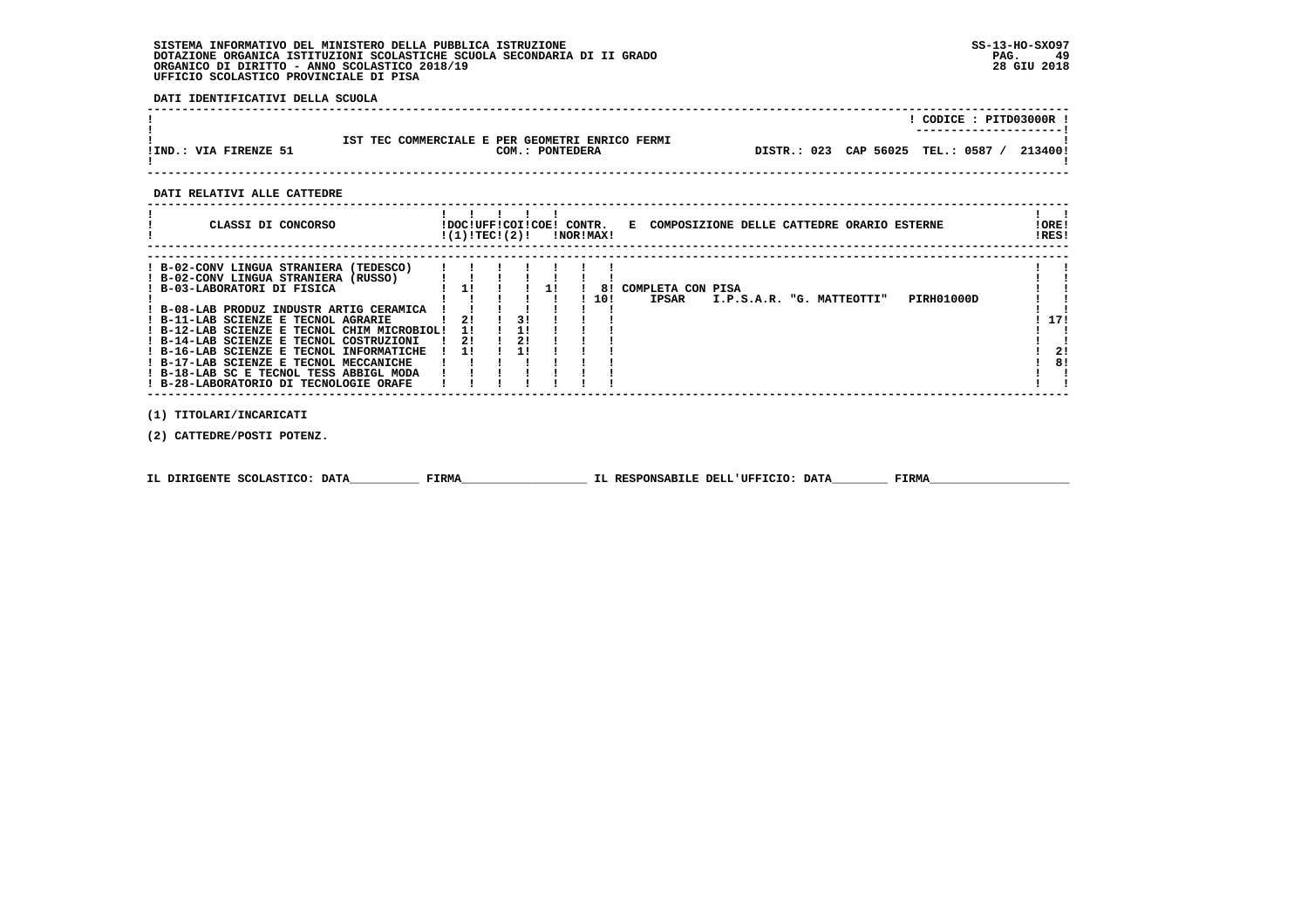**DATI IDENTIFICATIVI DELLA SCUOLA**

|                       |                                                                       |                                    | CODICE: PITD03000R !<br>---------------------- |
|-----------------------|-----------------------------------------------------------------------|------------------------------------|------------------------------------------------|
| !IND.: VIA FIRENZE 51 | TEC COMMERCIALE E PER GEOMETRI ENRICO FERMI<br>TST<br>COM.: PONTEDERA | DISTR.: 023 CAP 56025 TEL.: 0587 / | 213400!                                        |

 **------------------------------------------------------------------------------------------------------------------------------------**

#### **DATI RELATIVI ALLE CATTEDRE**

| CLASSI DI CONCORSO                                                                                                                                                                                                                                                                                                                                                                                                                                                    | !DOC!UFF!COI!COE! CONTR.<br>!(1)!TEC!(2)! |    |  | INORIMAXI | E COMPOSIZIONE DELLE CATTEDRE ORARIO ESTERNE                                        | ! ORE !<br>!RES! |
|-----------------------------------------------------------------------------------------------------------------------------------------------------------------------------------------------------------------------------------------------------------------------------------------------------------------------------------------------------------------------------------------------------------------------------------------------------------------------|-------------------------------------------|----|--|-----------|-------------------------------------------------------------------------------------|------------------|
| ! B-02-CONV LINGUA STRANIERA (TEDESCO)<br>! B-02-CONV LINGUA STRANIERA (RUSSO)<br>! B-03-LABORATORI DI FISICA<br>! B-08-LAB PRODUZ INDUSTR ARTIG CERAMICA<br>! B-11-LAB SCIENZE E TECNOL AGRARIE<br>! B-12-LAB SCIENZE E TECNOL CHIM MICROBIOL!<br>! B-14-LAB SCIENZE E TECNOL COSTRUZIONI<br>! B-16-LAB SCIENZE E TECNOL INFORMATICHE<br>! B-17-LAB SCIENZE E TECNOL MECCANICHE<br>! B-18-LAB SC E TECNOL TESS ABBIGL MODA<br>! B-28-LABORATORIO DI TECNOLOGIE ORAFE | 21<br>11<br>21<br>11                      | 21 |  | 81<br>10! | COMPLETA CON PISA<br><b>IPSAR</b><br><b>PIRH01000D</b><br>I.P.S.A.R. "G. MATTEOTTI" | 17!<br>21<br>81  |

 **(1) TITOLARI/INCARICATI**

 **(2) CATTEDRE/POSTI POTENZ.**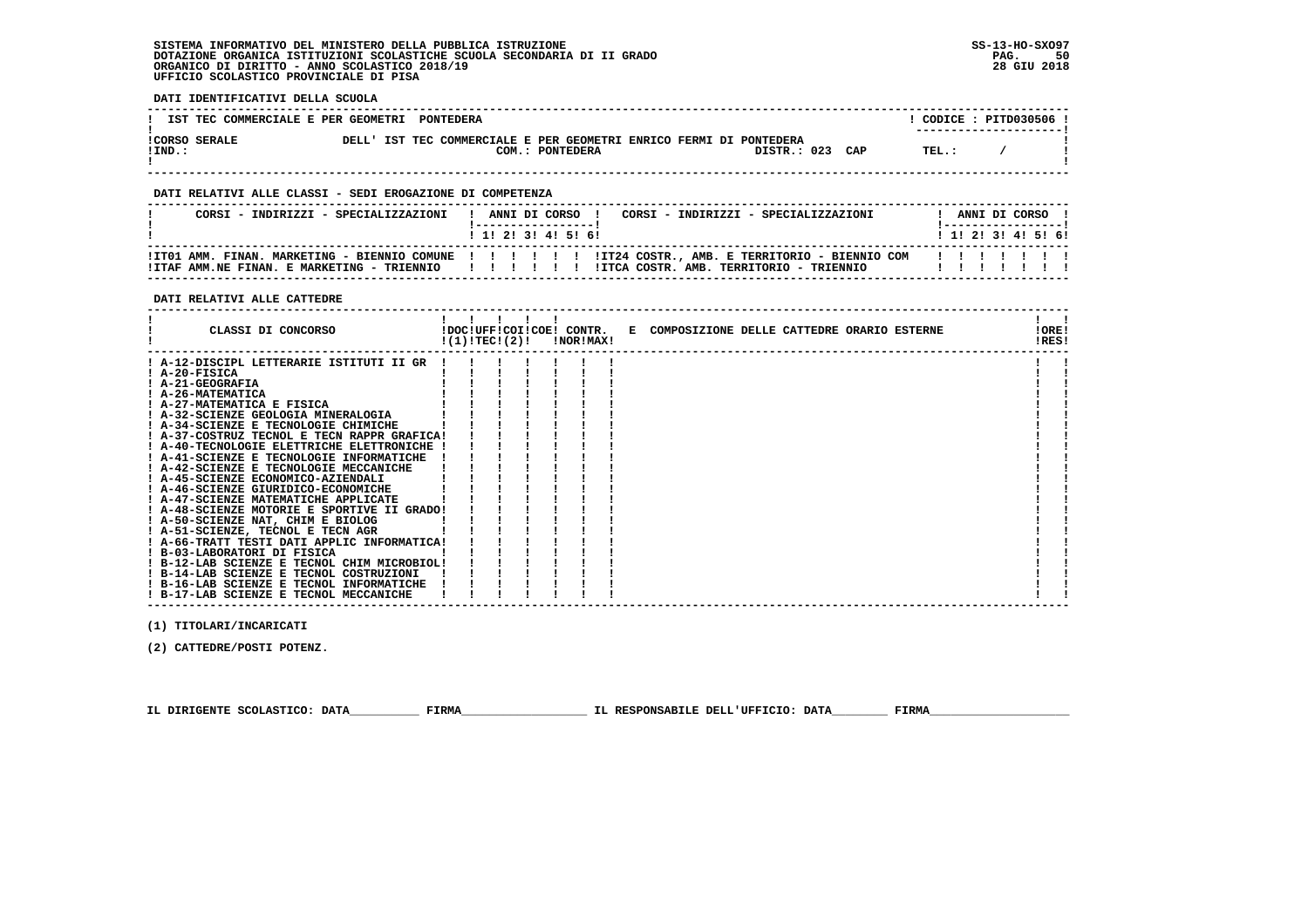**DATI IDENTIFICATIVI DELLA SCUOLA**

| IST TEC COMMERCIALE E PER GEOMETRI PONTEDERA |       |                                                                                 |             |     |       | CODICE: PITD030506 !<br>---------------------- |
|----------------------------------------------|-------|---------------------------------------------------------------------------------|-------------|-----|-------|------------------------------------------------|
| <b>ICORSO SERALE</b><br>$!$ IND.:            | DELL' | IST TEC COMMERCIALE E PER GEOMETRI ENRICO FERMI DI PONTEDERA<br>COM.: PONTEDERA | DISTR.: 023 | CAP | TEL.: |                                                |

#### **DATI RELATIVI ALLE CLASSI - SEDI EROGAZIONE DI COMPETENZA**

| CORSI - INDIRIZZI - SPECIALIZZAZIONI | ! ANNI DI CORSO !<br>CORSI - INDIRIZZI - SPECIALIZZAZIONI<br>1 1 1 2 1 3 1 4 1 5 1 6 1                                                                                                                                      | ANNI DI CORSO<br>1 1 2 3 3 4 5 6 1 |
|--------------------------------------|-----------------------------------------------------------------------------------------------------------------------------------------------------------------------------------------------------------------------------|------------------------------------|
|                                      | ! ITO1 AMM. FINAN. MARKETING - BIENNIO COMUNE ! ! ! ! !! ! !IT24 COSTR., AMB. E TERRITORIO - BIENNIO COM ! ! ! ! ! ! !<br>ITTAF AMM.NE FINAN. E MARKETING - TRIENNIO IIIIIIIIIIIIIIIIIIII COSTR. AMB. TERRITORIO - TRIENNIO |                                    |

 **DATI RELATIVI ALLE CATTEDRE**

| CLASSI DI CONCORSO                          |  |  | !DOC!UFF!COI!COE! CONTR.<br>$!(1)!TEC!(2)!$ $INORIMAX!$ |  | E COMPOSIZIONE DELLE CATTEDRE ORARIO ESTERNE |  |  | !ORE!<br>!RES! |  |
|---------------------------------------------|--|--|---------------------------------------------------------|--|----------------------------------------------|--|--|----------------|--|
| ! A-12-DISCIPL LETTERARIE ISTITUTI II GR    |  |  |                                                         |  |                                              |  |  |                |  |
| ! A-20-FISICA                               |  |  |                                                         |  |                                              |  |  |                |  |
| ! A-21-GEOGRAFIA                            |  |  |                                                         |  |                                              |  |  |                |  |
| ! A-26-MATEMATICA                           |  |  |                                                         |  |                                              |  |  |                |  |
| ! A-27-MATEMATICA E FISICA                  |  |  |                                                         |  |                                              |  |  |                |  |
| ! A-32-SCIENZE GEOLOGIA MINERALOGIA         |  |  |                                                         |  |                                              |  |  |                |  |
| A-34-SCIENZE E TECNOLOGIE CHIMICHE          |  |  |                                                         |  |                                              |  |  |                |  |
| ! A-37-COSTRUZ TECNOL E TECN RAPPR GRAFICA! |  |  |                                                         |  |                                              |  |  |                |  |
| ! A-40-TECNOLOGIE ELETTRICHE ELETTRONICHE   |  |  |                                                         |  |                                              |  |  |                |  |
| ! A-41-SCIENZE E TECNOLOGIE INFORMATICHE    |  |  |                                                         |  |                                              |  |  |                |  |
| ! A-42-SCIENZE E TECNOLOGIE MECCANICHE      |  |  |                                                         |  |                                              |  |  |                |  |
| ! A-45-SCIENZE ECONOMICO-AZIENDALI          |  |  |                                                         |  |                                              |  |  |                |  |
| A-46-SCIENZE GIURIDICO-ECONOMICHE           |  |  |                                                         |  |                                              |  |  |                |  |
| ! A-47-SCIENZE MATEMATICHE APPLICATE        |  |  |                                                         |  |                                              |  |  |                |  |
| ! A-48-SCIENZE MOTORIE E SPORTIVE II GRADO! |  |  |                                                         |  |                                              |  |  |                |  |
| ! A-50-SCIENZE NAT, CHIM E BIOLOG           |  |  |                                                         |  |                                              |  |  |                |  |
| ! A-51-SCIENZE, TECNOL E TECN AGR           |  |  |                                                         |  |                                              |  |  |                |  |
| ! A-66-TRATT TESTI DATI APPLIC INFORMATICA! |  |  |                                                         |  |                                              |  |  |                |  |
| ! B-03-LABORATORI DI FISICA                 |  |  |                                                         |  |                                              |  |  |                |  |
| ! B-12-LAB SCIENZE E TECNOL CHIM MICROBIOL! |  |  |                                                         |  |                                              |  |  |                |  |
| ! B-14-LAB SCIENZE E TECNOL COSTRUZIONI     |  |  |                                                         |  |                                              |  |  |                |  |
| ! B-16-LAB SCIENZE E TECNOL INFORMATICHE    |  |  |                                                         |  |                                              |  |  |                |  |
| ! B-17-LAB SCIENZE E TECNOL MECCANICHE      |  |  |                                                         |  |                                              |  |  |                |  |

 **(1) TITOLARI/INCARICATI**

 **(2) CATTEDRE/POSTI POTENZ.**

 **IL DIRIGENTE SCOLASTICO: DATA\_\_\_\_\_\_\_\_\_\_ FIRMA\_\_\_\_\_\_\_\_\_\_\_\_\_\_\_\_\_\_ IL RESPONSABILE DELL'UFFICIO: DATA\_\_\_\_\_\_\_\_ FIRMA\_\_\_\_\_\_\_\_\_\_\_\_\_\_\_\_\_\_\_\_**

 **------------------------------------------------------------------------------------------------------------------------------------**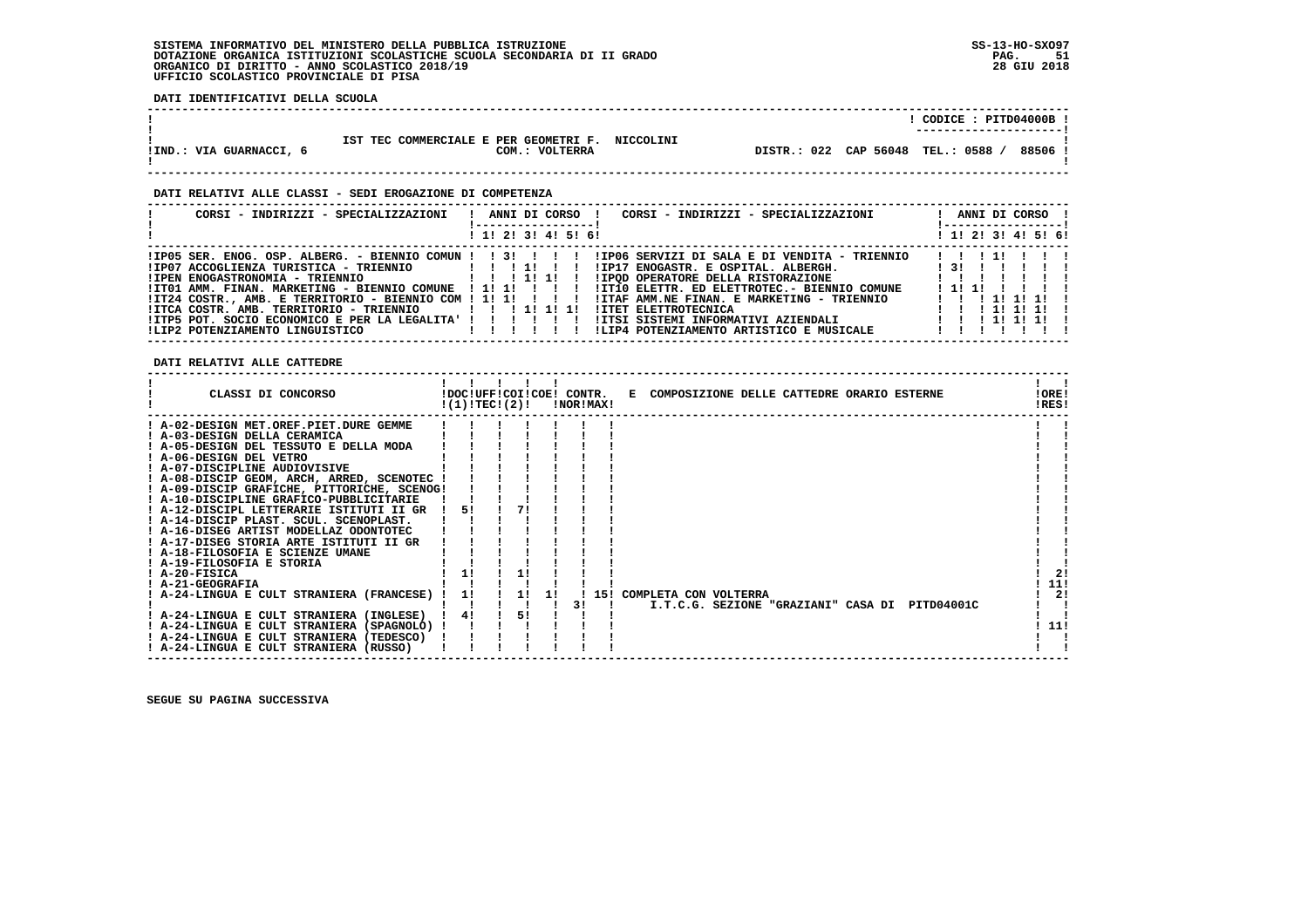**DATI IDENTIFICATIVI DELLA SCUOLA**

|                         |                                                                      |                                  | CODICE: PITD04000B !<br>----------------------- |
|-------------------------|----------------------------------------------------------------------|----------------------------------|-------------------------------------------------|
| !IND.: VIA GUARNACCI, 6 | TEC COMMERCIALE E PER GEOMETRI F. NICCOLINI<br>TST<br>COM.: VOLTERRA | DISTR.: 022 CAP 56048 TEL.: 0588 | 88506                                           |

#### **DATI RELATIVI ALLE CLASSI - SEDI EROGAZIONE DI COMPETENZA**

| CORSI - INDIRIZZI - SPECIALIZZAZIONI                            |  |  |                     | ANNI DI CORSO ! | CORSI - INDIRIZZI - SPECIALIZZAZIONI         |      |       | ANNI DI CORSO !     |
|-----------------------------------------------------------------|--|--|---------------------|-----------------|----------------------------------------------|------|-------|---------------------|
|                                                                 |  |  | ! 1! 2! 3! 4! 5! 6! |                 |                                              |      |       | ! 1! 2! 3! 4! 5! 6! |
|                                                                 |  |  |                     |                 |                                              |      | 11111 |                     |
| $!IP07$ ACCOGLIENZA TURISTICA - TRIENNIO $1 : 1 : 1 : 1 :$      |  |  |                     |                 | !IP17 ENOGASTR. E OSPITAL. ALBERGH.          |      |       | 131 1 1 1 1 1       |
|                                                                 |  |  |                     |                 | IIPOD OPERATORE DELLA RISTORAZIONE           |      |       |                     |
| !IT01 AMM. FINAN. MARKETING - BIENNIO COMUNE ! 1! 1! ! ! ! !    |  |  |                     |                 | !IT10 ELETTR. ED ELETTROTEC.- BIENNIO COMUNE | 1111 |       |                     |
| $11T24$ COSTR., AMB. E TERRITORIO - BIENNIO COM ! 1! 1! ! ! ! ! |  |  |                     |                 | !ITAF AMM.NE FINAN. E MARKETING - TRIENNIO   |      |       | 1 1 1 1 1 1 1 1 1   |
| $IITCA COSTR. AMB. TERRITORIO - TRIENNIO$ $I I I II 1 I I$      |  |  |                     |                 | !ITET ELETTROTECNICA                         |      |       | 1 1 1 1 1 1 1 1 1   |
| !ITP5 POT. SOCIO ECONOMICO E PER LA LEGALITA' ! ! ! ! ! !       |  |  |                     |                 |                                              |      |       |                     |
|                                                                 |  |  |                     |                 | !LIP4 POTENZIAMENTO ARTISTICO E MUSICALE     |      |       |                     |

 **DATI RELATIVI ALLE CATTEDRE**

| CLASSI DI CONCORSO                          | !(1)!TECI(2)! |    |    | !NOR!MAX! | !DOC!UFF!COI!COE! CONTR. E COMPOSIZIONE DELLE CATTEDRE ORARIO ESTERNE | !ORE!<br>!RES! |                |
|---------------------------------------------|---------------|----|----|-----------|-----------------------------------------------------------------------|----------------|----------------|
| ! A-02-DESIGN MET.OREF.PIET.DURE GEMME      |               |    |    |           |                                                                       |                |                |
| ! A-03-DESIGN DELLA CERAMICA                |               |    |    |           |                                                                       |                |                |
| ! A-05-DESIGN DEL TESSUTO E DELLA MODA      |               |    |    |           |                                                                       |                |                |
| ! A-06-DESIGN DEL VETRO                     |               |    |    |           |                                                                       |                |                |
| ! A-07-DISCIPLINE AUDIOVISIVE               |               |    |    |           |                                                                       |                |                |
| ! A-08-DISCIP GEOM, ARCH, ARRED, SCENOTEC ! |               |    |    |           |                                                                       |                |                |
| ! A-09-DISCIP GRAFICHE, PITTORICHE, SCENOG! |               |    |    |           |                                                                       |                |                |
| ! A-10-DISCIPLINE GRAFICO-PUBBLICITARIE     |               |    |    |           |                                                                       |                |                |
| ! A-12-DISCIPL LETTERARIE ISTITUTI II GR    | 51            | 71 |    |           |                                                                       |                |                |
| ! A-14-DISCIP PLAST. SCUL. SCENOPLAST.      |               |    |    |           |                                                                       |                |                |
| ! A-16-DISEG ARTIST MODELLAZ ODONTOTEC      |               |    |    |           |                                                                       |                |                |
| ! A-17-DISEG STORIA ARTE ISTITUTI II GR     |               |    |    |           |                                                                       |                |                |
| ! A-18-FILOSOFIA E SCIENZE UMANE            |               |    |    |           |                                                                       |                |                |
| ! A-19-FILOSOFIA E STORIA                   |               |    |    |           |                                                                       |                |                |
| ! A-20-FISICA                               | 11            |    |    |           |                                                                       |                | 21             |
| ! A-21-GEOGRAFIA                            |               |    |    |           |                                                                       |                | 11!            |
| ! A-24-LINGUA E CULT STRANIERA (FRANCESE) ! | 11            |    | 11 |           | ! 15! COMPLETA CON VOLTERRA                                           |                | 2 <sub>1</sub> |
|                                             |               |    |    | 31        | I.T.C.G. SEZIONE "GRAZIANI" CASA DI PITD04001C                        |                |                |
| ! A-24-LINGUA E CULT STRANIERA (INGLESE)    | 4!            | 51 |    |           |                                                                       |                |                |
| ! A-24-LINGUA E CULT STRANIERA (SPAGNOLO) ! |               |    |    |           |                                                                       |                | 11!            |
| ! A-24-LINGUA E CULT STRANIERA (TEDESCO)    |               |    |    |           |                                                                       |                |                |
| ! A-24-LINGUA E CULT STRANIERA (RUSSO)      |               |    |    |           |                                                                       |                |                |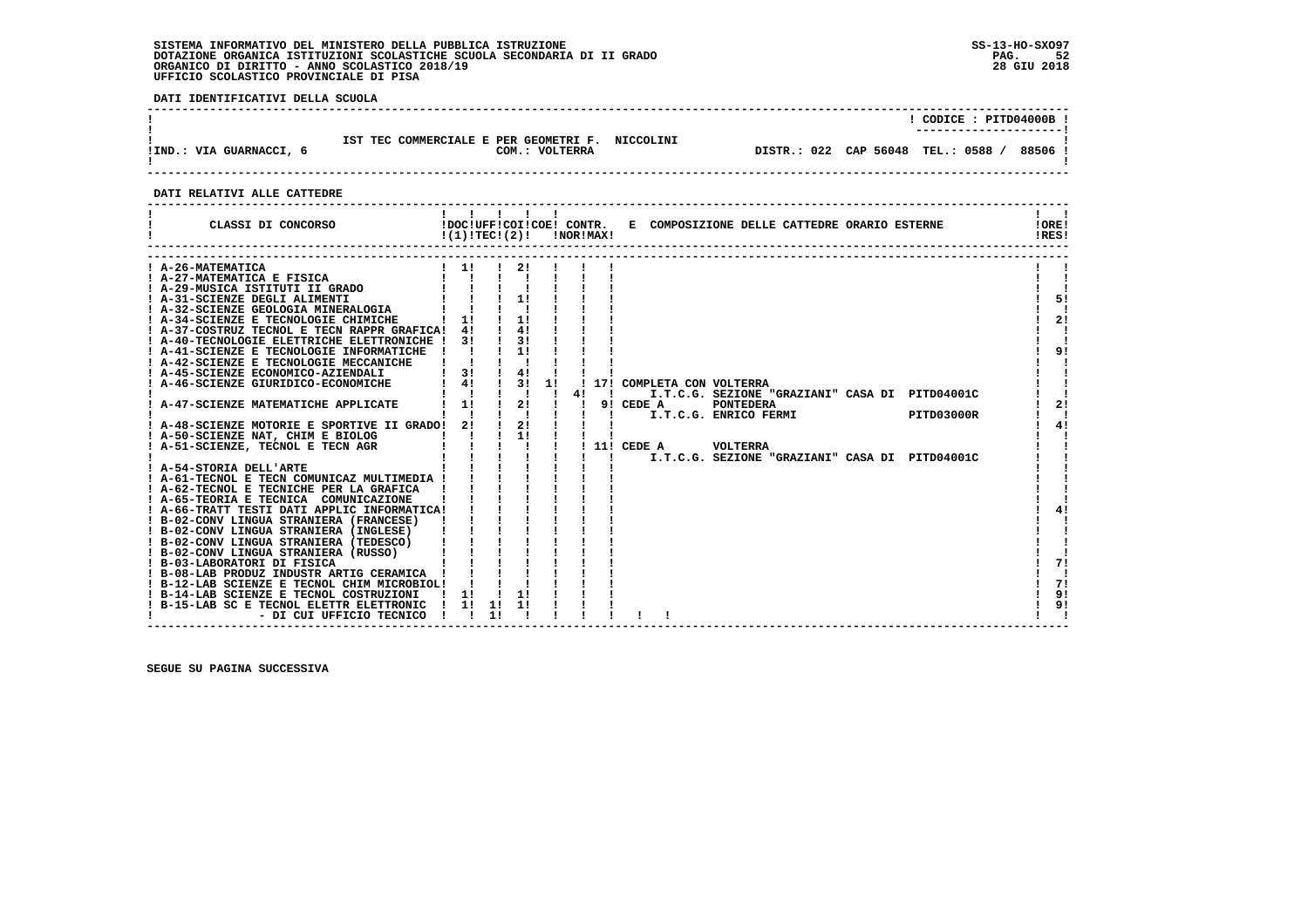**DATI IDENTIFICATIVI DELLA SCUOLA**

| !IND.: VIA GUARNACCI, 6 | IST TEC COMMERCIALE E PER GEOMETRI F. NICCOLINI<br>COM.: VOLTERRA | CODICE: PITD04000B !<br>88506.<br>DISTR.: 022 CAP 56048 TEL.: 0588 / |
|-------------------------|-------------------------------------------------------------------|----------------------------------------------------------------------|
|                         |                                                                   |                                                                      |

#### **DATI RELATIVI ALLE CATTEDRE**

| CLASSI DI CONCORSO                             | !(1)!TEC!(2)! |    |                           |    | <b>!NOR!MAX!</b> |              | !DOC!UFF!COI!COE! CONTR. E COMPOSIZIONE DELLE CATTEDRE ORARIO ESTERNE | !ORE!<br>!RES! |
|------------------------------------------------|---------------|----|---------------------------|----|------------------|--------------|-----------------------------------------------------------------------|----------------|
| A-26-MATEMATICA                                | 11            |    |                           |    |                  |              |                                                                       |                |
| A-27-MATEMATICA E FISICA                       |               |    |                           |    |                  |              |                                                                       |                |
| A-29-MUSICA ISTITUTI II GRADO                  |               |    |                           |    |                  |              |                                                                       |                |
| ! A-31-SCIENZE DEGLI ALIMENTI                  |               |    | 11                        |    |                  |              |                                                                       | 5!             |
| ! A-32-SCIENZE GEOLOGIA MINERALOGIA            |               |    |                           |    |                  |              |                                                                       |                |
| ! A-34-SCIENZE E TECNOLOGIE CHIMICHE           | 1!            |    | $1 \quad 11$              |    |                  |              |                                                                       | 2!             |
| ! A-37-COSTRUZ TECNOL E TECN RAPPR GRAFICA!    | 4!            |    | 4!                        |    |                  |              |                                                                       |                |
| ! A-40-TECNOLOGIE ELETTRICHE ELETTRONICHE !    | 31            |    | 31                        |    |                  |              |                                                                       |                |
| ! A-41-SCIENZE E TECNOLOGIE INFORMATICHE       |               |    |                           |    |                  |              |                                                                       | 9!             |
| ! A-42-SCIENZE E TECNOLOGIE MECCANICHE         |               |    |                           |    |                  |              |                                                                       |                |
| ! A-45-SCIENZE ECONOMICO-AZIENDALI             | 3!            |    | 4!                        |    |                  |              |                                                                       |                |
| ! A-46-SCIENZE GIURIDICO-ECONOMICHE            | 4!            |    | 3!                        | 11 |                  |              | 17! COMPLETA CON VOLTERRA                                             |                |
|                                                | л.            |    | $\mathbf{1}$ $\mathbf{1}$ |    |                  | -1           | I.T.C.G. SEZIONE "GRAZIANI" CASA DI PITD04001C                        |                |
| ! A-47-SCIENZE MATEMATICHE APPLICATE           | 1!            |    | $\frac{1}{2}$             |    |                  |              | $9!$ CEDE A<br><b>PONTEDERA</b>                                       | 21             |
|                                                |               |    | $\mathbf{I}$ $\mathbf{I}$ |    |                  |              | I.T.C.G. ENRICO FERMI<br>PITD03000R                                   |                |
| ! A-48-SCIENZE MOTORIE E SPORTIVE II GRADO! 2! |               |    | $\frac{1}{2}$             |    |                  |              |                                                                       | 4!             |
| ! A-50-SCIENZE NAT, CHIM E BIOLOG              |               |    | $1 \quad 11$              |    |                  |              |                                                                       |                |
| ! A-51-SCIENZE, TECNOL E TECN AGR              |               |    |                           |    |                  |              | <b>VOLTERRA</b><br>! 11! CEDE A                                       |                |
|                                                |               |    |                           |    |                  | $\mathbf{I}$ | I.T.C.G. SEZIONE "GRAZIANI" CASA DI PITD04001C                        |                |
| ! A-54-STORIA DELL'ARTE                        |               |    |                           |    |                  |              |                                                                       |                |
| A-61-TECNOL E TECN COMUNICAZ MULTIMEDIA !      |               |    |                           |    |                  |              |                                                                       |                |
| A-62-TECNOL E TECNICHE PER LA GRAFICA          |               |    |                           |    |                  |              |                                                                       |                |
| ! A-65-TEORIA E TECNICA COMUNICAZIONE          |               |    |                           |    |                  |              |                                                                       |                |
| ! A-66-TRATT TESTI DATI APPLIC INFORMATICA!    |               |    |                           |    |                  |              |                                                                       | 41             |
| ! B-02-CONV LINGUA STRANIERA (FRANCESE)        |               |    |                           |    |                  |              |                                                                       |                |
| ! B-02-CONV LINGUA STRANIERA (INGLESE)         |               |    |                           |    |                  |              |                                                                       |                |
| ! B-02-CONV LINGUA STRANIERA (TEDESCO)         |               |    |                           |    |                  |              |                                                                       |                |
| ! B-02-CONV LINGUA STRANIERA (RUSSO)           |               |    |                           |    |                  |              |                                                                       |                |
| ! B-03-LABORATORI DI FISICA                    |               |    |                           |    |                  |              |                                                                       | 71             |
| ! B-08-LAB PRODUZ INDUSTR ARTIG CERAMICA       |               |    |                           |    |                  |              |                                                                       |                |
| ! B-12-LAB SCIENZE E TECNOL CHIM MICROBIOL!    |               |    |                           |    |                  |              |                                                                       | 71             |
| ! B-14-LAB SCIENZE E TECNOL COSTRUZIONI        | $\frac{1}{2}$ |    | 11                        |    |                  |              |                                                                       | 9!             |
| ! B-15-LAB SC E TECNOL ELETTR ELETTRONIC       | $\frac{1}{1}$ | 11 |                           |    |                  |              |                                                                       | 9!             |
| - DI CUI UFFICIO TECNICO                       |               | 11 |                           |    |                  |              |                                                                       |                |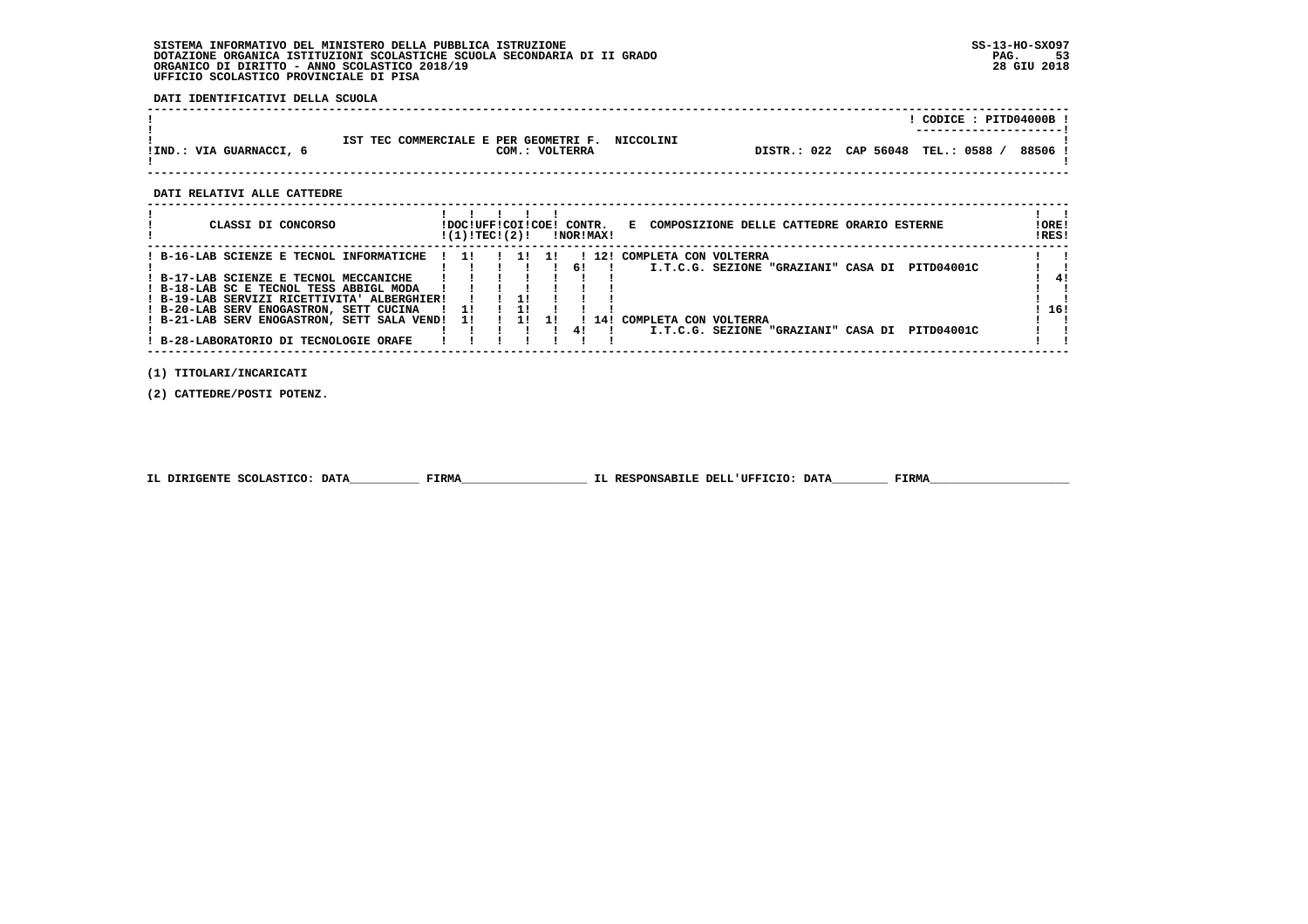**DATI IDENTIFICATIVI DELLA SCUOLA**

|                       |                                                                      |             | CODICE: PITD04000B !<br>----------------------- |
|-----------------------|----------------------------------------------------------------------|-------------|-------------------------------------------------|
| !IND.: VIA GUARNACCI, | TEC COMMERCIALE E PER GEOMETRI F. NICCOLINI<br>TST<br>COM.: VOLTERRA | DISTR.: 022 | CAP 56048 TEL.: 0588<br>88506                   |

 **------------------------------------------------------------------------------------------------------------------------------------**

 **DATI RELATIVI ALLE CATTEDRE**

| CLASSI DI CONCORSO                          |                | !DOC!UFF!COI!COE! CONTR.<br>!(1)!TECI(2)! |  |     |    | !NOR!MAX! | COMPOSIZIONE DELLE CATTEDRE ORARIO ESTERNE<br>Е.  | !ORE!<br>IRES! |
|---------------------------------------------|----------------|-------------------------------------------|--|-----|----|-----------|---------------------------------------------------|----------------|
| ! B-16-LAB SCIENZE E TECNOL INFORMATICHE    | $\blacksquare$ |                                           |  | -11 |    | 12!       | COMPLETA CON VOLTERRA                             |                |
|                                             |                |                                           |  |     | 61 |           | I.T.C.G. SEZIONE "GRAZIANI" CASA DI<br>PITD04001C |                |
| ! B-17-LAB SCIENZE E TECNOL MECCANICHE      |                |                                           |  |     |    |           |                                                   | 41             |
| ! B-18-LAB SC E TECNOL TESS ABBIGL MODA     |                |                                           |  |     |    |           |                                                   |                |
| ! B-19-LAB SERVIZI RICETTIVITA' ALBERGHIER! |                |                                           |  |     |    |           |                                                   |                |
| ! B-20-LAB SERV ENOGASTRON, SETT CUCINA     |                | - 1 !                                     |  |     |    |           |                                                   | 16!            |
| ! B-21-LAB SERV ENOGASTRON, SETT SALA VEND! |                | -11                                       |  | 11  |    |           | ! 14! COMPLETA CON VOLTERRA                       |                |
|                                             |                |                                           |  |     | 41 |           | I.T.C.G. SEZIONE "GRAZIANI" CASA DI<br>PITD04001C |                |
| B-28-LABORATORIO DI TECNOLOGIE ORAFE        |                |                                           |  |     |    |           |                                                   |                |

 **(1) TITOLARI/INCARICATI**

 **(2) CATTEDRE/POSTI POTENZ.**

|  | IL DIRIGENTE SCOLASTICO: DATA | <b>FIRMA</b> | IL RESPONSABILE DELL'UFFICIO: DATA | FIRMZ |
|--|-------------------------------|--------------|------------------------------------|-------|
|--|-------------------------------|--------------|------------------------------------|-------|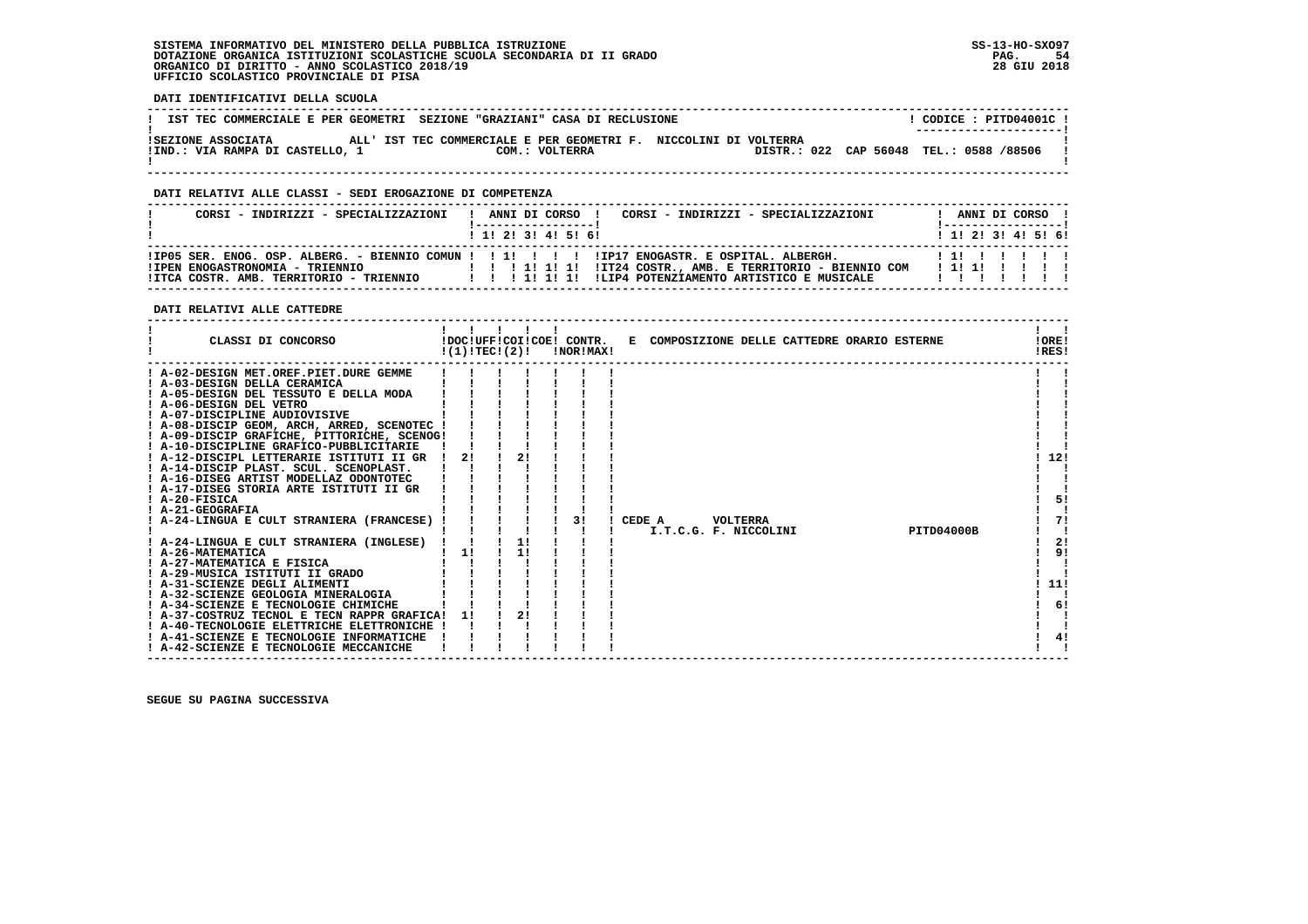**DATI IDENTIFICATIVI DELLA SCUOLA**

| pail localitically pouch become                       |                                                                                    |                                                                   |
|-------------------------------------------------------|------------------------------------------------------------------------------------|-------------------------------------------------------------------|
|                                                       | IST TEC COMMERCIALE E PER GEOMETRI SEZIONE "GRAZIANI" CASA DI RECLUSIONE           | CODICE: PITD04001C !                                              |
| ISEZIONE ASSOCIATA<br>!IND.: VIA RAMPA DI CASTELLO, 1 | ALL' IST TEC COMMERCIALE E PER GEOMETRI F. NICCOLINI DI VOLTERRA<br>COM.: VOLTERRA | --------------------- <br>DISTR.: 022 CAP 56048 TEL.: 0588 /88506 |

 **------------------------------------------------------------------------------------------------------------------------------------**

#### **DATI RELATIVI ALLE CLASSI - SEDI EROGAZIONE DI COMPETENZA**

| CORSI - INDIRIZZI - SPECIALIZZAZIONI                                                                                                                                                                                                  |  |  |                                             | ! ANNI DI CORSO ! |  |  | CORSI - INDIRIZZI - SPECIALIZZAZIONI |  |   |  | ANNI DI CORSO !<br>!------------------ |  |
|---------------------------------------------------------------------------------------------------------------------------------------------------------------------------------------------------------------------------------------|--|--|---------------------------------------------|-------------------|--|--|--------------------------------------|--|---|--|----------------------------------------|--|
|                                                                                                                                                                                                                                       |  |  | $1 \; 1 \; 2 \; 3 \; 1 \; 4 \; 5 \; 6 \; 6$ |                   |  |  |                                      |  |   |  | 1 1 2 2 1 3 4 5 5 6 1                  |  |
| IIP05 SER. ENOG. OSP. ALBERG. - BIENNIO COMUN ! ! 1! ! ! ! IIP17 ENOGASTR. E OSPITAL. ALBERGH.<br>!IPEN ENOGASTRONOMIA - TRIENNIO<br>ITCA COSTR. AMB. TERRITORIO - TRIENNIO         1  1  1  ILIP4 POTENZIAMENTO ARTISTICO E MUSICALE |  |  |                                             |                   |  |  |                                      |  | . |  | 111111111                              |  |

#### **DATI RELATIVI ALLE CATTEDRE**

| CLASSI DI CONCORSO                                               | !(1)!TECI(2)! |    | !DOC!UFF!COI!COE! CONTR.<br>!NOR!MAX! | E COMPOSIZIONE DELLE CATTEDRE ORARIO ESTERNE |                       |  |                   | !ORE!<br>IRES! |
|------------------------------------------------------------------|---------------|----|---------------------------------------|----------------------------------------------|-----------------------|--|-------------------|----------------|
| ! A-02-DESIGN MET.OREF.PIET.DURE GEMME                           |               |    |                                       |                                              |                       |  |                   |                |
| ! A-03-DESIGN DELLA CERAMICA                                     |               |    |                                       |                                              |                       |  |                   |                |
| A-05-DESIGN DEL TESSUTO E DELLA MODA                             |               |    |                                       |                                              |                       |  |                   |                |
| ! A-06-DESIGN DEL VETRO                                          |               |    |                                       |                                              |                       |  |                   |                |
| ! A-07-DISCIPLINE AUDIOVISIVE                                    |               |    |                                       |                                              |                       |  |                   |                |
| ! A-08-DISCIP GEOM, ARCH, ARRED, SCENOTEC                        |               |    |                                       |                                              |                       |  |                   |                |
| ! A-09-DISCIP GRAFICHE, PITTORICHE, SCENOG!                      |               |    |                                       |                                              |                       |  |                   |                |
| ! A-10-DISCIPLINE GRAFICO-PUBBLICITARIE                          |               |    |                                       |                                              |                       |  |                   |                |
| ! A-12-DISCIPL LETTERARIE ISTITUTI II GR                         | 2!            | 21 |                                       |                                              |                       |  |                   | 12!            |
| ! A-14-DISCIP PLAST. SCUL. SCENOPLAST.                           |               |    |                                       |                                              |                       |  |                   |                |
| ! A-16-DISEG ARTIST MODELLAZ ODONTOTEC                           |               |    |                                       |                                              |                       |  |                   |                |
| ! A-17-DISEG STORIA ARTE ISTITUTI II GR                          |               |    |                                       |                                              |                       |  |                   |                |
| ! A-20-FISICA                                                    |               |    |                                       |                                              |                       |  |                   | 5!             |
| ! A-21-GEOGRAFIA                                                 |               |    |                                       |                                              |                       |  |                   |                |
| A-24-LINGUA E CULT STRANIERA (FRANCESE)                          |               |    | 31                                    | CEDE A                                       | VOLTERRA              |  |                   | 71             |
|                                                                  |               |    |                                       |                                              | I.T.C.G. F. NICCOLINI |  | <b>PITD04000B</b> |                |
| ! A-24-LINGUA E CULT STRANIERA (INGLESE)                         |               | 1! |                                       |                                              |                       |  |                   | 2!             |
| ! A-26-MATEMATICA                                                | 11            | 1! |                                       |                                              |                       |  |                   | 91             |
| ! A-27-MATEMATICA E FISICA                                       |               |    |                                       |                                              |                       |  |                   |                |
| ! A-29-MUSICA ISTITUTI II GRADO<br>! A-31-SCIENZE DEGLI ALIMENTI |               |    |                                       |                                              |                       |  |                   | 11!            |
| A-32-SCIENZE GEOLOGIA MINERALOGIA                                |               |    |                                       |                                              |                       |  |                   |                |
| ! A-34-SCIENZE E TECNOLOGIE CHIMICHE                             |               |    |                                       |                                              |                       |  |                   | 6!             |
| ! A-37-COSTRUZ TECNOL E TECN RAPPR GRAFICA!                      |               | 2! |                                       |                                              |                       |  |                   |                |
| ! A-40-TECNOLOGIE ELETTRICHE ELETTRONICHE                        |               |    |                                       |                                              |                       |  |                   |                |
| ! A-41-SCIENZE E TECNOLOGIE INFORMATICHE                         |               |    |                                       |                                              |                       |  |                   | 4!             |
| ! A-42-SCIENZE E TECNOLOGIE MECCANICHE                           |               |    |                                       |                                              |                       |  |                   |                |
|                                                                  |               |    |                                       |                                              |                       |  |                   |                |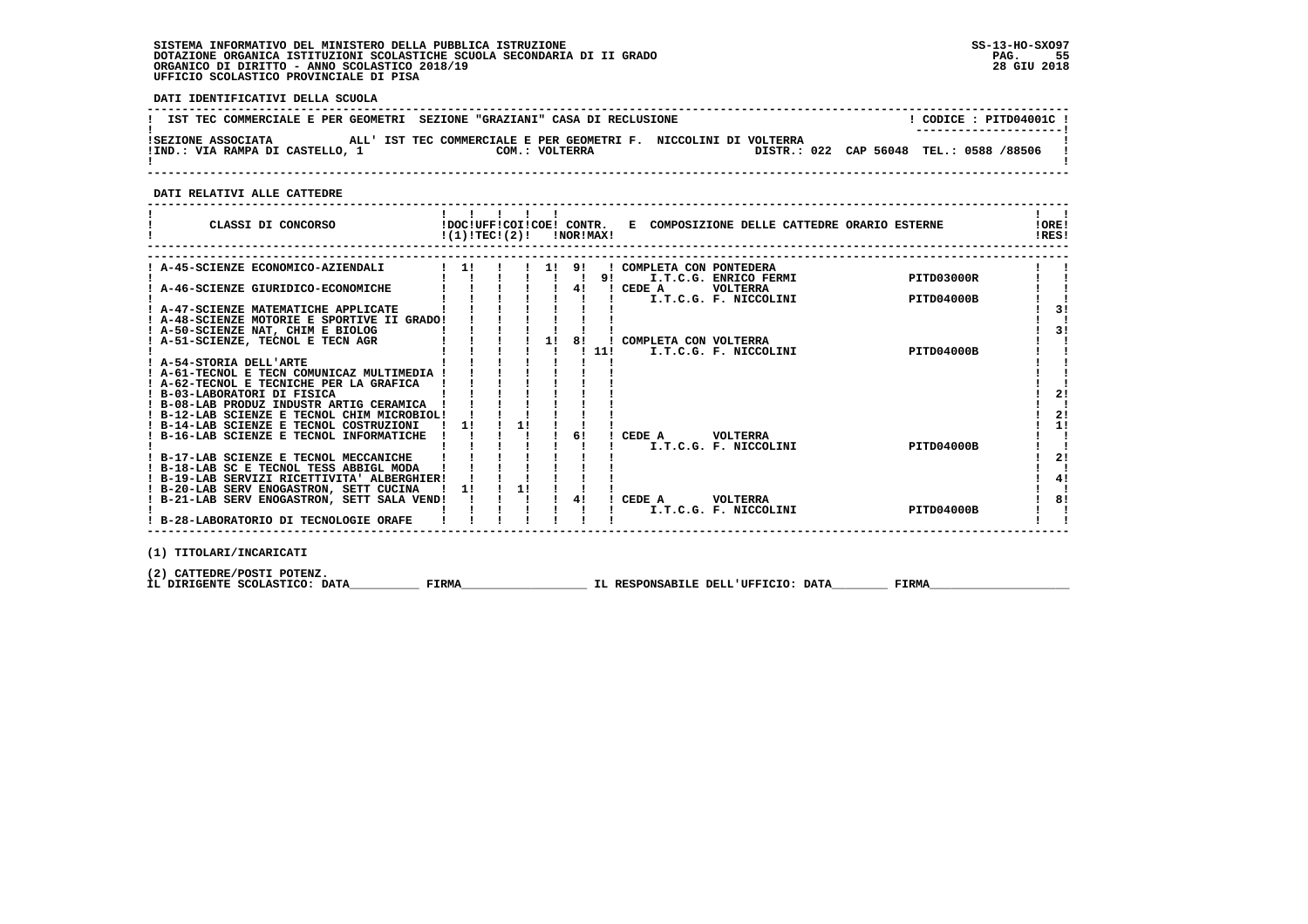**DATI IDENTIFICATIVI DELLA SCUOLA**

|                                 | IST TEC COMMERCIALE E PER GEOMETRI SEZIONE "GRAZIANI" CASA DI RECLUSIONE | CODICE: PITD04001C !                    |
|---------------------------------|--------------------------------------------------------------------------|-----------------------------------------|
|                                 |                                                                          | ---------------------                   |
| ISEZIONE ASSOCIATA              | ALL' IST TEC COMMERCIALE E PER GEOMETRI F. NICCOLINI DI VOLTERRA         |                                         |
| !IND.: VIA RAMPA DI CASTELLO, 1 | COM.: VOLTERRA                                                           | DISTR.: 022 CAP 56048 TEL.: 0588 /88506 |
|                                 |                                                                          |                                         |

 **------------------------------------------------------------------------------------------------------------------------------------**

 **DATI RELATIVI ALLE CATTEDRE**

| CLASSI DI CONCORSO                          | !(1)!TEC!(2)! |    |    | <b>INORIMAXI</b> |     | !DOC!UFF!COI!COE! CONTR. E COMPOSIZIONE DELLE CATTEDRE ORARIO ESTERNE | <b>!ORE!</b><br>IRES! |
|---------------------------------------------|---------------|----|----|------------------|-----|-----------------------------------------------------------------------|-----------------------|
|                                             |               |    |    |                  |     |                                                                       |                       |
| A-45-SCIENZE ECONOMICO-AZIENDALI            | 11            |    |    | 1! 9!            |     | ! COMPLETA CON PONTEDERA                                              |                       |
|                                             |               |    |    |                  | 91  | PITD03000R<br>I.T.C.G. ENRICO FERMI                                   |                       |
| A-46-SCIENZE GIURIDICO-ECONOMICHE           |               |    |    | 41               |     | CEDE A<br>VOLTERRA                                                    |                       |
|                                             |               |    |    |                  |     | I.T.C.G. F. NICCOLINI<br><b>PITD04000B</b>                            |                       |
| ! A-47-SCIENZE MATEMATICHE APPLICATE        |               |    |    |                  |     |                                                                       | 31                    |
| ! A-48-SCIENZE MOTORIE E SPORTIVE II GRADO! |               |    |    |                  |     |                                                                       |                       |
| ! A-50-SCIENZE NAT, CHIM E BIOLOG           |               |    |    |                  |     |                                                                       | 31                    |
| ! A-51-SCIENZE, TECNOL E TECN AGR           |               |    | 11 | 81               |     | COMPLETA CON VOLTERRA                                                 |                       |
|                                             |               |    |    |                  | 11! | <b>PITD04000B</b><br>I.T.C.G. F. NICCOLINI                            |                       |
| ! A-54-STORIA DELL'ARTE                     |               |    |    |                  |     |                                                                       |                       |
| ! A-61-TECNOL E TECN COMUNICAZ MULTIMEDIA   |               |    |    |                  |     |                                                                       |                       |
| ! A-62-TECNOL E TECNICHE PER LA GRAFICA     |               |    |    |                  |     |                                                                       |                       |
| ! B-03-LABORATORI DI FISICA                 |               |    |    |                  |     |                                                                       | 2 <sub>1</sub>        |
| ! B-08-LAB PRODUZ INDUSTR ARTIG CERAMICA    |               |    |    |                  |     |                                                                       |                       |
| ! B-12-LAB SCIENZE E TECNOL CHIM MICROBIOL! |               |    |    |                  |     |                                                                       | 21                    |
| ! B-14-LAB SCIENZE E TECNOL COSTRUZIONI     | 11            | 1! |    |                  |     |                                                                       | 1!                    |
| ! B-16-LAB SCIENZE E TECNOL INFORMATICHE    |               |    |    | 6!               |     | CEDE A<br>VOLTERRA                                                    |                       |
|                                             |               |    |    |                  |     | <b>PITD04000B</b><br>I.T.C.G. F. NICCOLINI                            |                       |
| ! B-17-LAB SCIENZE E TECNOL MECCANICHE      |               |    |    |                  |     |                                                                       | 21                    |
| ! B-18-LAB SC E TECNOL TESS ABBIGL MODA     |               |    |    |                  |     |                                                                       |                       |
| ! B-19-LAB SERVIZI RICETTIVITA' ALBERGHIER! |               |    |    |                  |     |                                                                       | 4!                    |
| ! B-20-LAB SERV ENOGASTRON, SETT CUCINA     | 1!            | 1! |    |                  |     |                                                                       |                       |
| ! B-21-LAB SERV ENOGASTRON, SETT SALA VEND! |               |    |    | 4!               |     | CEDE A<br>VOLTERRA                                                    | 8!                    |
|                                             |               |    |    |                  |     | <b>PITD04000B</b><br>I.T.C.G. F. NICCOLINI                            |                       |
| ! B-28-LABORATORIO DI TECNOLOGIE ORAFE      |               |    |    |                  |     |                                                                       |                       |

 **(1) TITOLARI/INCARICATI**

(2) CATTEDRE/POSTI POTENZ**.**<br>IL DIRIGENTE SCOLASTICO: DATA\_\_\_\_\_\_\_\_\_\_\_\_ FIRMA\_\_\_\_\_\_\_\_\_\_\_\_\_\_\_\_\_\_\_\_\_\_\_\_IL RESPONSABILE DELL'UFFICIO: DATA\_\_\_\_\_\_\_\_\_\_\_ FIRMA\_\_\_\_\_\_\_\_\_\_\_\_\_

 **------------------------------------------------------------------------------------------------------------------------------------**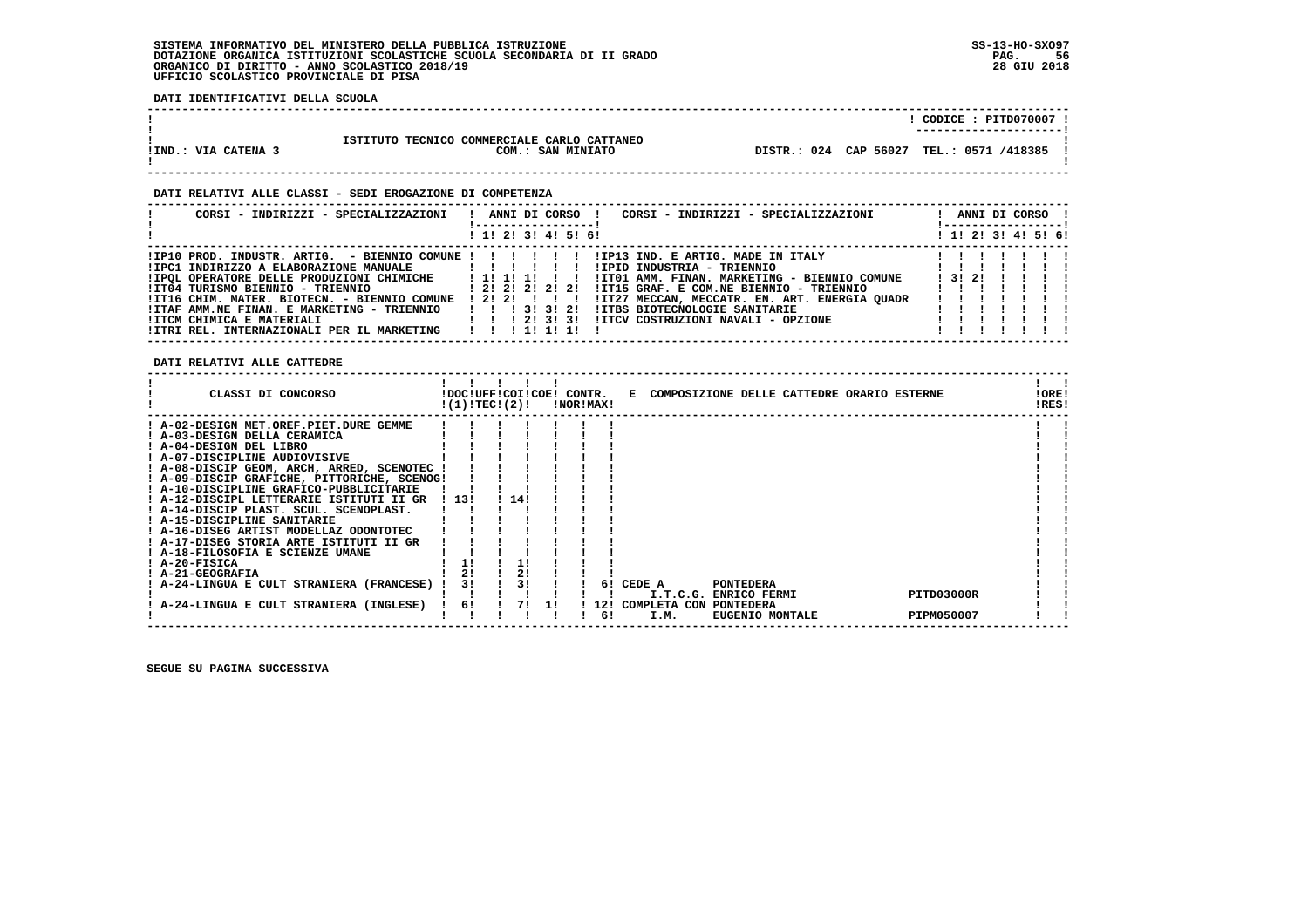**DATI IDENTIFICATIVI DELLA SCUOLA**

|                     |                                                                  | $CODE: PITD070007$ !                       |
|---------------------|------------------------------------------------------------------|--------------------------------------------|
| !IND.: VIA CATENA 3 | ISTITUTO TECNICO COMMERCIALE CARLO CATTANEO<br>COM.: SAN MINIATO | DISTR.: 024 CAP 56027 TEL.: 0571 /418385 ! |
|                     |                                                                  |                                            |

#### **DATI RELATIVI ALLE CLASSI - SEDI EROGAZIONE DI COMPETENZA**

| CORSI - INDIRIZZI - SPECIALIZZAZIONI                                                                                                                                                                                                                                                                                                                                                                          | CORSI - INDIRIZZI - SPECIALIZZAZIONI<br>ANNI DI CORSO !                                                                                                                                                                                                                                                                                          |       |  | ANNI DI CORSO !<br>----------------- |  |
|---------------------------------------------------------------------------------------------------------------------------------------------------------------------------------------------------------------------------------------------------------------------------------------------------------------------------------------------------------------------------------------------------------------|--------------------------------------------------------------------------------------------------------------------------------------------------------------------------------------------------------------------------------------------------------------------------------------------------------------------------------------------------|-------|--|--------------------------------------|--|
|                                                                                                                                                                                                                                                                                                                                                                                                               | ! 1! 2! 3! 4! 5! 6!                                                                                                                                                                                                                                                                                                                              |       |  | ! 1! 2! 3! 4! 5! 6!                  |  |
| $!$ IP10 PROD. INDUSTR. ARTIG. - BIENNIO COMUNE $!$ $!$ $!$ $!$ $!$ $!$ $!$<br>! IPOL OPERATORE DELLE PRODUZIONI CHIMICHE : 1 ! 1 ! 1 ! ! ! !<br>!IT04 TURISMO BIENNIO - TRIENNIO                     ! 2! 2! 2! 2! 2!<br>!IT16 CHIM. MATER. BIOTECN. - BIENNIO COMUNE<br>!ITAF AMM.NE FINAN. E MARKETING - TRIENNIO   !! 3! 3! 2!<br>!ITCM CHIMICA E MATERIALI<br>!ITRI REL. INTERNAZIONALI PER IL MARKETING | IIP13 IND. E ARTIG. MADE IN ITALY<br>!IPID INDUSTRIA - TRIENNIO<br>!IT01 AMM. FINAN. MARKETING - BIENNIO COMUNE<br>!IT15 GRAF. E COM.NE BIENNIO - TRIENNIO<br>! 2! 2! ! ! !<br>!IT27 MECCAN, MECCATR. EN. ART. ENERGIA QUADR<br><b>!ITBS BIOTECNOLOGIE SANITARIE</b><br>1 1 2 3 3 3 1<br>!ITCV COSTRUZIONI NAVALI - OPZIONE<br>1 1 1 1 1 1 1 1 1 | 13121 |  |                                      |  |

 **DATI RELATIVI ALLE CATTEDRE**

| CLASSI DI CONCORSO                          |      | !DOC!UFF!COI!COE! CONTR.<br>!(1)!TEC!(2)! |     | !NOR!MAX! |     |              |                     | E COMPOSIZIONE DELLE CATTEDRE ORARIO ESTERNE |            | !ORE!<br>!RES! |  |
|---------------------------------------------|------|-------------------------------------------|-----|-----------|-----|--------------|---------------------|----------------------------------------------|------------|----------------|--|
| ! A-02-DESIGN MET.OREF.PIET.DURE GEMME      |      |                                           |     |           |     |              |                     |                                              |            |                |  |
| A-03-DESIGN DELLA CERAMICA                  |      |                                           |     |           |     |              |                     |                                              |            |                |  |
| ! A-04-DESIGN DEL LIBRO                     |      |                                           |     |           |     |              |                     |                                              |            |                |  |
| ! A-07-DISCIPLINE AUDIOVISIVE               |      |                                           |     |           |     |              |                     |                                              |            |                |  |
| ! A-08-DISCIP GEOM, ARCH, ARRED, SCENOTEC   |      |                                           |     |           |     |              |                     |                                              |            |                |  |
| ! A-09-DISCIP GRAFICHE, PITTORICHE, SCENOG! |      |                                           |     |           |     |              |                     |                                              |            |                |  |
| ! A-10-DISCIPLINE GRAFICO-PUBBLICITARIE     |      |                                           |     |           |     |              |                     |                                              |            |                |  |
| ! A-12-DISCIPL LETTERARIE ISTITUTI II GR    | 1131 | 14!                                       |     |           |     |              |                     |                                              |            |                |  |
| ! A-14-DISCIP PLAST. SCUL. SCENOPLAST.      |      |                                           |     |           |     |              |                     |                                              |            |                |  |
| ! A-15-DISCIPLINE SANITARIE                 |      |                                           |     |           |     |              |                     |                                              |            |                |  |
| ! A-16-DISEG ARTIST MODELLAZ ODONTOTEC      |      |                                           |     |           |     |              |                     |                                              |            |                |  |
| ! A-17-DISEG STORIA ARTE ISTITUTI II GR     |      |                                           |     |           |     |              |                     |                                              |            |                |  |
| ! A-18-FILOSOFIA E SCIENZE UMANE            |      |                                           |     |           |     |              |                     |                                              |            |                |  |
| ! A-20-FISICA                               |      |                                           |     |           |     |              |                     |                                              |            |                |  |
| ! A-21-GEOGRAFIA                            |      | 2!                                        |     |           |     |              |                     |                                              |            |                |  |
| ! A-24-LINGUA E CULT STRANIERA (FRANCESE)   | 3!   | 3!                                        |     |           | 61  | CEDE A       | <b>PONTEDERA</b>    |                                              |            |                |  |
|                                             |      |                                           |     |           |     | I.T.C.G.     | <b>ENRICO FERMI</b> |                                              | PITD03000R |                |  |
| A-24-LINGUA E CULT STRANIERA (INGLESE)      | 6!   | 71                                        | -11 |           | 12! | COMPLETA CON | <b>PONTEDERA</b>    |                                              |            |                |  |
|                                             |      |                                           |     |           | 61  | I.M.         | EUGENIO MONTALE     |                                              | PIPM050007 |                |  |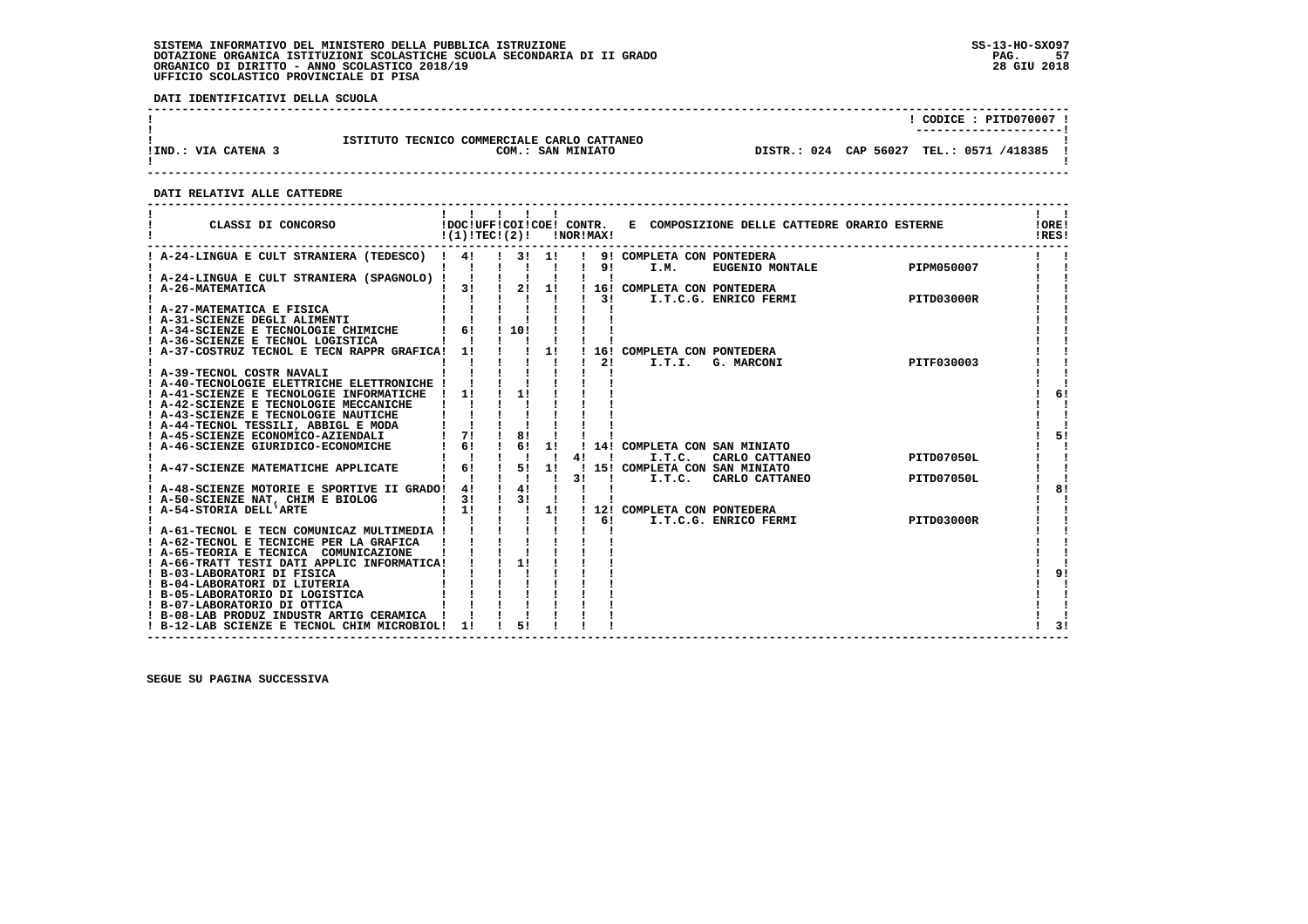**DATI IDENTIFICATIVI DELLA SCUOLA**

|                     |                                                                  | CODICE: PITD070007 !<br>---------------------- |
|---------------------|------------------------------------------------------------------|------------------------------------------------|
| !IND.: VIA CATENA 3 | ISTITUTO TECNICO COMMERCIALE CARLO CATTANEO<br>COM.: SAN MINIATO | DISTR.: 024 CAP 56027 TEL.: 0571 /418385       |

 **------------------------------------------------------------------------------------------------------------------------------------**

#### **DATI RELATIVI ALLE CATTEDRE**

| CLASSI DI CONCORSO                             | !(1)!TEC!(2)! |                                            |         | <b>!NOR!MAX!</b> |                 |                                          | !DOC!UFF!COI!COE! CONTR. E COMPOSIZIONE DELLE CATTEDRE ORARIO ESTERNE |            | !ORE!<br>!RES! |
|------------------------------------------------|---------------|--------------------------------------------|---------|------------------|-----------------|------------------------------------------|-----------------------------------------------------------------------|------------|----------------|
| ! A-24-LINGUA E CULT STRANIERA (TEDESCO) ! 4!  |               | $1 \quad 31 \quad 11$                      |         |                  |                 | ! 9! COMPLETA CON PONTEDERA              |                                                                       |            |                |
|                                                |               |                                            |         |                  | ! 9!            | I.M.                                     | FONIEDERA<br>EUGENIO MONTALE PIPM050007                               |            |                |
| ! A-24-LINGUA E CULT STRANIERA (SPAGNOLO) !    |               |                                            |         |                  |                 |                                          |                                                                       |            |                |
| ! A-26-MATEMATICA                              | 3!            | $\frac{1}{2}$                              | 1!      |                  |                 | ! 16! COMPLETA CON PONTEDERA             |                                                                       |            |                |
| ! A-27-MATEMATICA E FISICA                     |               |                                            |         |                  | $1 \quad 31$    |                                          | I.T.C.G. ENRICO FERMI                                                 | PITD03000R |                |
| ! A-31-SCIENZE DEGLI ALIMENTI                  |               |                                            |         |                  |                 |                                          |                                                                       |            |                |
| ! A-34-SCIENZE E TECNOLOGIE CHIMICHE           | ! 6! 10!      |                                            |         |                  |                 |                                          |                                                                       |            |                |
| ! A-36-SCIENZE E TECNOL LOGISTICA              |               |                                            |         |                  |                 |                                          |                                                                       |            |                |
| ! A-37-COSTRUZ TECNOL E TECN RAPPR GRAFICA! 1! |               |                                            | 11      |                  |                 | ! 16! COMPLETA CON PONTEDERA             |                                                                       |            |                |
|                                                |               |                                            |         |                  | 21              | I.T.I.                                   | G. MARCONI                                                            | PITF030003 |                |
| ! A-39-TECNOL COSTR NAVALI                     |               |                                            |         |                  |                 |                                          |                                                                       |            |                |
| ! A-40-TECNOLOGIE ELETTRICHE ELETTRONICHE !    |               |                                            |         |                  |                 |                                          |                                                                       |            |                |
| ! A-41-SCIENZE E TECNOLOGIE INFORMATICHE       | $\frac{1}{1}$ | 11                                         |         |                  |                 |                                          |                                                                       |            | 6!             |
| ! A-42-SCIENZE E TECNOLOGIE MECCANICHE         |               |                                            |         |                  |                 |                                          |                                                                       |            |                |
| ! A-43-SCIENZE E TECNOLOGIE NAUTICHE           |               |                                            |         |                  |                 |                                          |                                                                       |            |                |
| ! A-44-TECNOL TESSILI, ABBIGL E MODA           |               |                                            |         |                  |                 |                                          |                                                                       |            |                |
| ! A-45-SCIENZE ECONOMICO-AZIENDALI             | $1 \quad 71$  | $\frac{1}{8}$                              |         |                  |                 |                                          |                                                                       |            | 51             |
| ! A-46-SCIENZE GIURIDICO-ECONOMICHE            | 6!            | $\frac{1}{6}$                              | 11      |                  |                 |                                          | 14! COMPLETA CON SAN MINIATO                                          |            |                |
|                                                |               | -1                                         |         | 4!               | $\blacksquare$  | I.T.C.                                   | CARLO CATTANEO                                                        | PITD07050L |                |
| ! A-47-SCIENZE MATEMATICHE APPLICATE           | 6!            | $\frac{1}{5}$<br>$\mathbf{I}$ $\mathbf{I}$ | 11      | 31               | $\mathbf{I}$    | ! 15! COMPLETA CON SAN MINIATO<br>I.T.C. | SAN MINIATO<br>CARLO CATTANEO                                         | PITD07050L |                |
| ! A-48-SCIENZE MOTORIE E SPORTIVE II GRADO! 4! |               | $\frac{1}{4}$                              |         |                  |                 |                                          |                                                                       |            | 81             |
| ! A-50-SCIENZE NAT, CHIM E BIOLOG              | 31            | $\frac{1}{3}$                              |         |                  |                 |                                          |                                                                       |            |                |
| ! A-54-STORIA DELL'ARTE                        | 11            | $\frac{1}{2}$ $\frac{1}{2}$ $\frac{1}{2}$  |         |                  |                 | ! 12! COMPLETA CON PONTEDERA             |                                                                       |            |                |
|                                                |               |                                            | $1 - 1$ |                  | 1 <sub>61</sub> |                                          | I.T.C.G. ENRICO FERMI                                                 | PITD03000R |                |
| ! A-61-TECNOL E TECN COMUNICAZ MULTIMEDIA !    |               |                                            |         |                  |                 |                                          |                                                                       |            |                |
| ! A-62-TECNOL E TECNICHE PER LA GRAFICA !      |               |                                            |         |                  |                 |                                          |                                                                       |            |                |
| ! A-65-TEORIA E TECNICA COMUNICAZIONE          |               |                                            |         |                  |                 |                                          |                                                                       |            |                |
| ! A-66-TRATT TESTI DATI APPLIC INFORMATICA!    |               | 11                                         |         |                  |                 |                                          |                                                                       |            |                |
| ! B-03-LABORATORI DI FISICA                    |               |                                            |         |                  |                 |                                          |                                                                       |            | 91             |
| ! B-04-LABORATORI DI LIUTERIA                  |               |                                            |         |                  |                 |                                          |                                                                       |            |                |
| ! B-05-LABORATORIO DI LOGISTICA                |               |                                            |         |                  |                 |                                          |                                                                       |            |                |
| ! B-07-LABORATORIO DI OTTICA                   |               |                                            |         |                  |                 |                                          |                                                                       |            |                |
| ! B-08-LAB PRODUZ INDUSTR ARTIG CERAMICA !     |               |                                            |         |                  |                 |                                          |                                                                       |            | 31             |
| ! B-12-LAB SCIENZE E TECNOL CHIM MICROBIOL!    | 11            |                                            |         |                  |                 |                                          |                                                                       |            |                |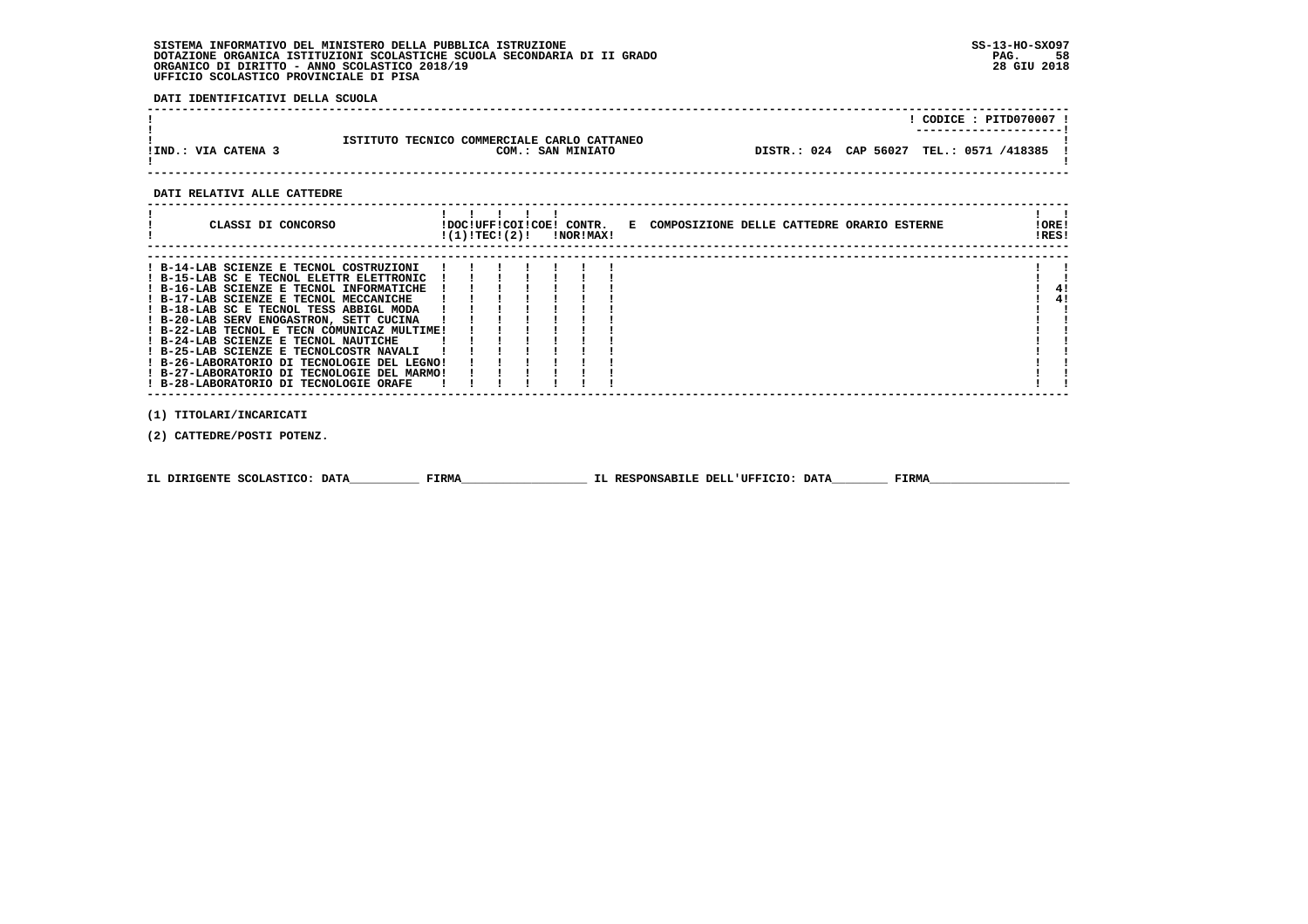**DATI IDENTIFICATIVI DELLA SCUOLA**

|                     |                                                                  | $CODICE: PITD070007$ !<br>---------------------- |  |
|---------------------|------------------------------------------------------------------|--------------------------------------------------|--|
| !IND.: VIA CATENA 3 | ISTITUTO TECNICO COMMERCIALE CARLO CATTANEO<br>COM.: SAN MINIATO | DISTR.: 024 CAP 56027 TEL.: 0571 /418385 !       |  |

#### **DATI RELATIVI ALLE CATTEDRE**

| CLASSI DI CONCORSO                          | !DOC!UFF!COI!COE! CONTR.<br>!(1)!TEC!(2)! |  | <b>!NOR!MAX!</b> | E COMPOSIZIONE DELLE CATTEDRE ORARIO ESTERNE | !ORE!<br>IRES! |
|---------------------------------------------|-------------------------------------------|--|------------------|----------------------------------------------|----------------|
| ! B-14-LAB SCIENZE E TECNOL COSTRUZIONI     |                                           |  |                  |                                              |                |
| ! B-15-LAB SC E TECNOL ELETTR ELETTRONIC    |                                           |  |                  |                                              |                |
| ! B-16-LAB SCIENZE E TECNOL INFORMATICHE    |                                           |  |                  |                                              | 41             |
| ! B-17-LAB SCIENZE E TECNOL MECCANICHE      |                                           |  |                  |                                              | 41             |
| ! B-18-LAB SC E TECNOL TESS ABBIGL MODA     |                                           |  |                  |                                              |                |
| ! B-20-LAB SERV ENOGASTRON, SETT CUCINA     |                                           |  |                  |                                              |                |
| ! B-22-LAB TECNOL E TECN COMUNICAZ MULTIME! |                                           |  |                  |                                              |                |
| ! B-24-LAB SCIENZE E TECNOL NAUTICHE        |                                           |  |                  |                                              |                |
| ! B-25-LAB SCIENZE E TECNOLCOSTR NAVALI     |                                           |  |                  |                                              |                |
| ! B-26-LABORATORIO DI TECNOLOGIE DEL LEGNO! |                                           |  |                  |                                              |                |
| ! B-27-LABORATORIO DI TECNOLOGIE DEL MARMO! |                                           |  |                  |                                              |                |
| ! B-28-LABORATORIO DI TECNOLOGIE ORAFE      |                                           |  |                  |                                              |                |
|                                             |                                           |  |                  |                                              |                |

 **(1) TITOLARI/INCARICATI**

 **(2) CATTEDRE/POSTI POTENZ.**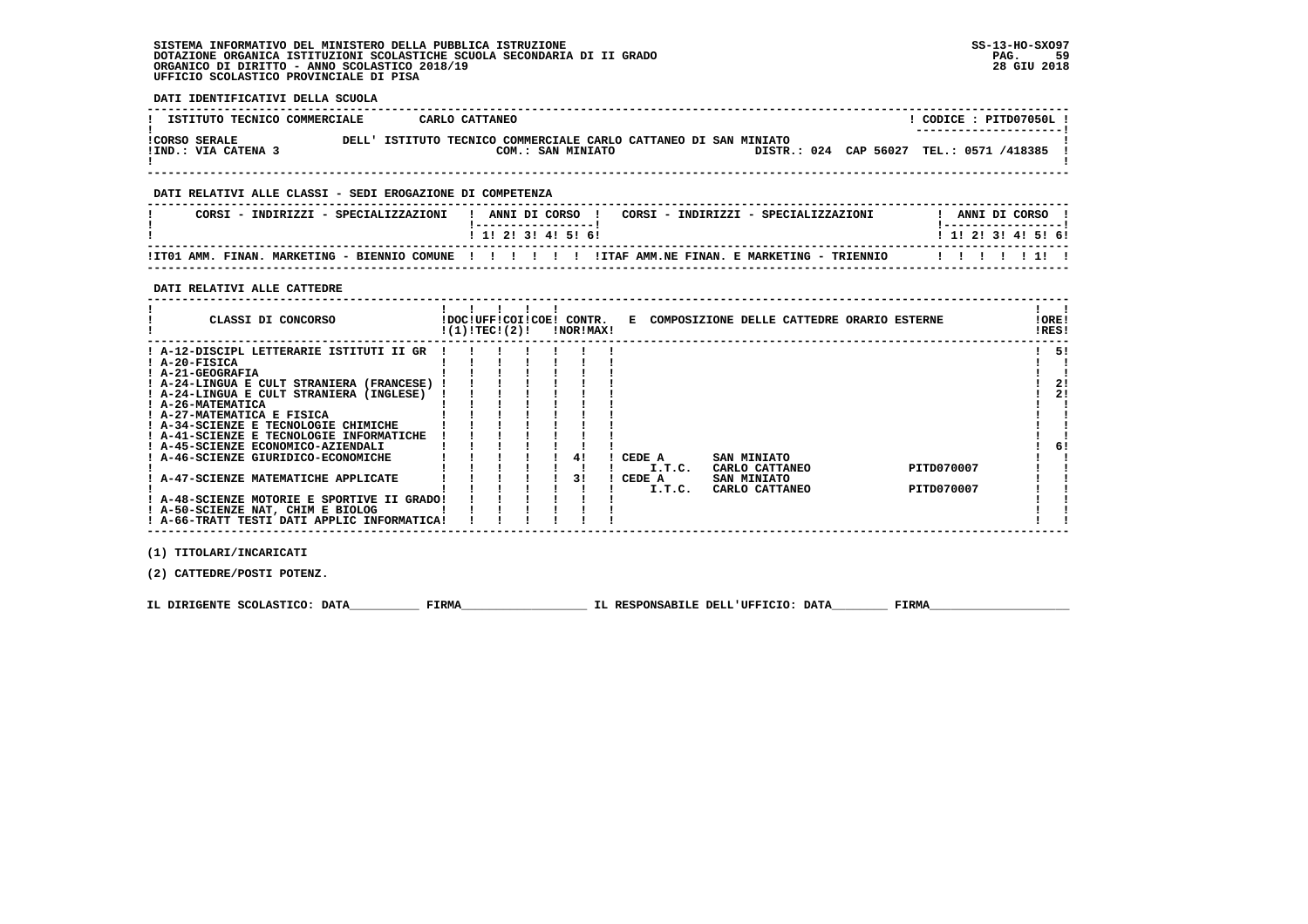**DATI IDENTIFICATIVI DELLA SCUOLA**

| ISTITUTO TECNICO COMMERCIALE                |       | CARLO CATTANEO |                                                                                 |  |  |                                          |  | CODICE: PITD07050L !<br>---------------------- |  |
|---------------------------------------------|-------|----------------|---------------------------------------------------------------------------------|--|--|------------------------------------------|--|------------------------------------------------|--|
| <b>!CORSO SERALE</b><br>!IND.: VIA CATENA 3 | DELL' |                | ISTITUTO TECNICO COMMERCIALE CARLO CATTANEO DI SAN MINIATO<br>COM.: SAN MINIATO |  |  | DISTR.: 024 CAP 56027 TEL.: 0571 /418385 |  |                                                |  |

 **------------------------------------------------------------------------------------------------------------------------------------**

### **DATI RELATIVI ALLE CLASSI - SEDI EROGAZIONE DI COMPETENZA**

| CORSI - INDIRIZZI - SPECIALIZZAZIONI | ANNI DI CORSO 1<br>CORSI - INDIRIZZI - SPECIALIZZAZIONI                                                 | ANNI DI CORSO             |  |
|--------------------------------------|---------------------------------------------------------------------------------------------------------|---------------------------|--|
|                                      | 1 1 2 3 3 4 5 6 6                                                                                       | 1 1 1 2 1 3 1 4 1 5 1 6 1 |  |
|                                      | ITTO1 AMM. FINAN. MARKETING - BIENNIO COMUNE !!!!!!!!!!!!!!!! ITAF AMM.NE FINAN. E MARKETING - TRIENNIO | 1111111                   |  |

 **------------------------------------------------------------------------------------------------------------------------------------**

#### **DATI RELATIVI ALLE CATTEDRE**

| CLASSI DI CONCORSO                          | !(1)!TEC!(2)! |  |  | !DOC!UFF!COI!COE! CONTR.<br>!NOR!MAX! | E COMPOSIZIONE DELLE CATTEDRE ORARIO ESTERNE |                |  |            | ! ORE!<br>!RES! |
|---------------------------------------------|---------------|--|--|---------------------------------------|----------------------------------------------|----------------|--|------------|-----------------|
| ! A-12-DISCIPL LETTERARIE ISTITUTI II GR    |               |  |  |                                       |                                              |                |  |            | 51              |
| ! A-20-FISICA                               |               |  |  |                                       |                                              |                |  |            |                 |
| ! A-21-GEOGRAFIA                            |               |  |  |                                       |                                              |                |  |            |                 |
| ! A-24-LINGUA E CULT STRANIERA (FRANCESE)   |               |  |  |                                       |                                              |                |  |            | 21              |
| ! A-24-LINGUA E CULT STRANIERA (INGLESE)    |               |  |  |                                       |                                              |                |  |            | 2!              |
| ! A-26-MATEMATICA                           |               |  |  |                                       |                                              |                |  |            |                 |
| ! A-27-MATEMATICA E FISICA                  |               |  |  |                                       |                                              |                |  |            |                 |
| ! A-34-SCIENZE E TECNOLOGIE CHIMICHE        |               |  |  |                                       |                                              |                |  |            |                 |
| ! A-41-SCIENZE E TECNOLOGIE INFORMATICHE    |               |  |  |                                       |                                              |                |  |            |                 |
| ! A-45-SCIENZE ECONOMICO-AZIENDALI          |               |  |  |                                       |                                              |                |  |            | -61             |
| A-46-SCIENZE GIURIDICO-ECONOMICHE           |               |  |  | 41                                    | CEDE A                                       | SAN MINIATO    |  |            |                 |
|                                             |               |  |  |                                       | I.T.C.                                       | CARLO CATTANEO |  | PITD070007 |                 |
| ! A-47-SCIENZE MATEMATICHE APPLICATE        |               |  |  | 31                                    | CEDE A                                       | SAN MINIATO    |  |            |                 |
|                                             |               |  |  |                                       | I.T.C.                                       | CARLO CATTANEO |  | PITD070007 |                 |
| ! A-48-SCIENZE MOTORIE E SPORTIVE II GRADO! |               |  |  |                                       |                                              |                |  |            |                 |
| ! A-50-SCIENZE NAT, CHIM E BIOLOG           |               |  |  |                                       |                                              |                |  |            |                 |
| ! A-66-TRATT TESTI DATI APPLIC INFORMATICA! |               |  |  |                                       |                                              |                |  |            |                 |

 **(1) TITOLARI/INCARICATI**

 **(2) CATTEDRE/POSTI POTENZ.**

 **IL DIRIGENTE SCOLASTICO: DATA\_\_\_\_\_\_\_\_\_\_ FIRMA\_\_\_\_\_\_\_\_\_\_\_\_\_\_\_\_\_\_ IL RESPONSABILE DELL'UFFICIO: DATA\_\_\_\_\_\_\_\_ FIRMA\_\_\_\_\_\_\_\_\_\_\_\_\_\_\_\_\_\_\_\_**

 **------------------------------------------------------------------------------------------------------------------------------------**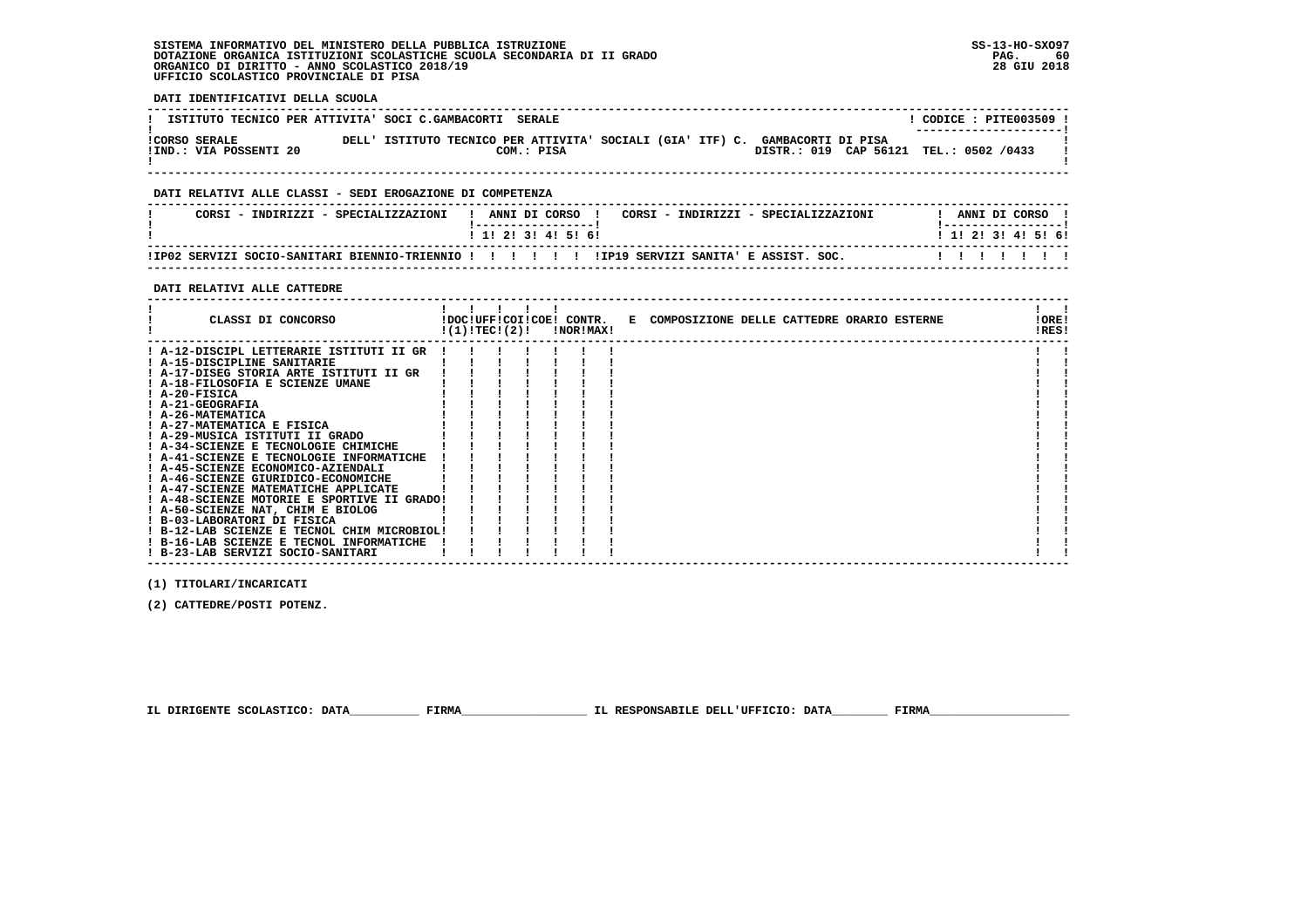**DATI IDENTIFICATIVI DELLA SCUOLA**

| ISTITUTO TECNICO PER ATTIVITA' SOCI C.GAMBACORTI SERALE |                                                                               |            |  |                                        |  | CODICE: PITE003509 !<br>---------------------- |  |
|---------------------------------------------------------|-------------------------------------------------------------------------------|------------|--|----------------------------------------|--|------------------------------------------------|--|
| <b>!CORSO SERALE</b><br>!IND.: VIA POSSENTI 20          | DELL' ISTITUTO TECNICO PER ATTIVITA' SOCIALI (GIA' ITF) C. GAMBACORTI DI PISA | COM.: PISA |  | DISTR.: 019 CAP 56121 TEL.: 0502 /0433 |  |                                                |  |

 **------------------------------------------------------------------------------------------------------------------------------------**

#### **DATI RELATIVI ALLE CLASSI - SEDI EROGAZIONE DI COMPETENZA**

| CORSI - INDIRIZZI - SPECIALIZZAZIONI                                                        |  |  | ANNI DI CORSO             |  |  |  | CORSI - INDIRIZZI - SPECIALIZZAZIONI |  | ANNI DI CORSO<br>. __________________ |  |  |
|---------------------------------------------------------------------------------------------|--|--|---------------------------|--|--|--|--------------------------------------|--|---------------------------------------|--|--|
|                                                                                             |  |  | 1 1 1 2 1 3 1 4 1 5 1 6 1 |  |  |  |                                      |  | 1 1 1 2 1 3 1 4 1 5 1 6 1             |  |  |
| IP02 SERVIZI SOCIO-SANITARI BIENNIO-TRIENNIO ! ! ! ! ! !IP19 SERVIZI SANITA' E ASSIST. SOC. |  |  |                           |  |  |  |                                      |  | .                                     |  |  |

 **------------------------------------------------------------------------------------------------------------------------------------**

#### **DATI RELATIVI ALLE CATTEDRE**

| CLASSI DI CONCORSO                                                         | !(1)!TECI(2)! |  | !DOC!UFF!COI!COE! CONTR.<br>!NOR!MAX! | E COMPOSIZIONE DELLE CATTEDRE ORARIO ESTERNE | !ORE!<br>!RES! |  |
|----------------------------------------------------------------------------|---------------|--|---------------------------------------|----------------------------------------------|----------------|--|
| ! A-12-DISCIPL LETTERARIE ISTITUTI II GR                                   |               |  |                                       |                                              |                |  |
| ! A-15-DISCIPLINE SANITARIE                                                |               |  |                                       |                                              |                |  |
| ! A-17-DISEG STORIA ARTE ISTITUTI II GR                                    |               |  |                                       |                                              |                |  |
| ! A-18-FILOSOFIA E SCIENZE UMANE                                           |               |  |                                       |                                              |                |  |
| $I$ A-20-FISICA                                                            |               |  |                                       |                                              |                |  |
| ! A-21-GEOGRAFIA                                                           |               |  |                                       |                                              |                |  |
| ! A-26-MATEMATICA                                                          |               |  |                                       |                                              |                |  |
| ! A-27-MATEMATICA E FISICA                                                 |               |  |                                       |                                              |                |  |
| ! A-29-MUSICA ISTITUTI II GRADO                                            |               |  |                                       |                                              |                |  |
| A-34-SCIENZE E TECNOLOGIE CHIMICHE                                         |               |  |                                       |                                              |                |  |
| ! A-41-SCIENZE E TECNOLOGIE INFORMATICHE                                   |               |  |                                       |                                              |                |  |
| ! A-45-SCIENZE ECONOMICO-AZIENDALI                                         |               |  |                                       |                                              |                |  |
| ! A-46-SCIENZE GIURIDICO-ECONOMICHE                                        |               |  |                                       |                                              |                |  |
| ! A-47-SCIENZE MATEMATICHE APPLICATE                                       |               |  |                                       |                                              |                |  |
| ! A-48-SCIENZE MOTORIE E SPORTIVE II GRADO!                                |               |  |                                       |                                              |                |  |
| ! A-50-SCIENZE NAT, CHIM E BIOLOG                                          |               |  |                                       |                                              |                |  |
| ! B-03-LABORATORI DI FISICA<br>! B-12-LAB SCIENZE E TECNOL CHIM MICROBIOL! |               |  |                                       |                                              |                |  |
| ! B-16-LAB SCIENZE E TECNOL INFORMATICHE                                   |               |  |                                       |                                              |                |  |
| ! B-23-LAB SERVIZI SOCIO-SANITARI                                          |               |  |                                       |                                              |                |  |
|                                                                            |               |  |                                       |                                              |                |  |

 **------------------------------------------------------------------------------------------------------------------------------------**

 **(1) TITOLARI/INCARICATI**

 **(2) CATTEDRE/POSTI POTENZ.**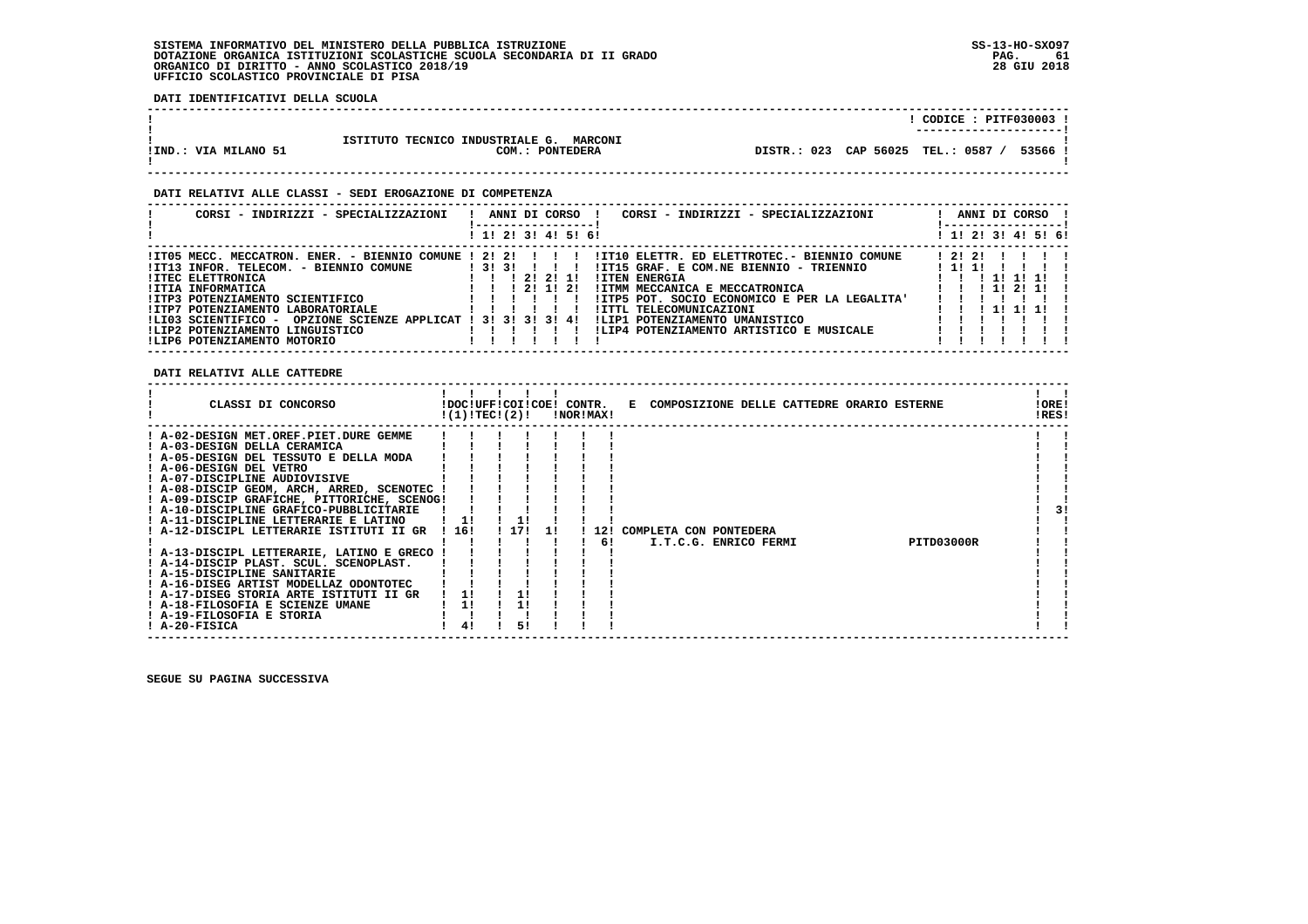**DATI IDENTIFICATIVI DELLA SCUOLA**

|                      |                                                                      | CODICE: PITF030003 !<br>---------------------- |
|----------------------|----------------------------------------------------------------------|------------------------------------------------|
| !IND.: VIA MILANO 51 | ISTITUTO TECNICO INDUSTRIALE G.<br><b>MARCONI</b><br>COM.: PONTEDERA | DISTR.: 023 CAP 56025 TEL.: 0587<br>53566 !    |

 **------------------------------------------------------------------------------------------------------------------------------------**

#### **DATI RELATIVI ALLE CLASSI - SEDI EROGAZIONE DI COMPETENZA**

| CORSI - INDIRIZZI - SPECIALIZZAZIONI                             |        |  | ANNI DI CORSO     | CORSI - INDIRIZZI - SPECIALIZZAZIONI          |       | ANNI DI CORSO<br>----------------- |  |  |
|------------------------------------------------------------------|--------|--|-------------------|-----------------------------------------------|-------|------------------------------------|--|--|
|                                                                  |        |  | 1! 2! 3! 4! 5! 6! |                                               |       | ! 1! 2! 3! 4! 5! 6!                |  |  |
| !IT05 MECC. MECCATRON. ENER. - BIENNIO COMUNE ! 2! 2!            |        |  |                   | !IT10 ELETTR. ED ELETTROTEC.- BIENNIO COMUNE  | 12121 |                                    |  |  |
| !IT13 INFOR. TELECOM. - BIENNIO COMUNE                           | ! 3131 |  |                   | !IT15 GRAF. E COM.NE BIENNIO - TRIENNIO       | 1111  |                                    |  |  |
| <b>!ITEC ELETTRONICA</b>                                         |        |  | 21211             | <b>!ITEN ENERGIA</b>                          |       | $1 \quad 11$                       |  |  |
| !ITIA INFORMATICA                                                |        |  | 21121             | IITMM MECCANICA E MECCATRONICA                |       | 1 1 1 2 1 1 1                      |  |  |
| !ITP3 POTENZIAMENTO SCIENTIFICO                                  |        |  |                   | !ITP5 POT, SOCIO ECONOMICO E PER LA LEGALITA' |       |                                    |  |  |
| !ITP7 POTENZIAMENTO LABORATORIALE                                |        |  |                   | !ITTL TELECOMUNICAZIONI                       |       | 111111                             |  |  |
| OPZIONE SCIENZE APPLICAT ! 3! 3! 3! 3! 4!<br>!LI03 SCIENTIFICO - |        |  |                   | !LIP1 POTENZIAMENTO UMANISTICO                |       |                                    |  |  |
| !LIP2 POTENZIAMENTO LINGUISTICO                                  |        |  |                   | !LIP4 POTENZIAMENTO ARTISTICO E MUSICALE      |       |                                    |  |  |
| !LIP6 POTENZIAMENTO MOTORIO                                      |        |  |                   |                                               |       |                                    |  |  |

 **DATI RELATIVI ALLE CATTEDRE**

| CLASSI DI CONCORSO                                                                                                                                                                                                                                                                                                                                                                                                                                                                                                                                                                                                                                                                                      |                        | !DOC!UFF!COI!COE! CONTR.<br>!(1)!TEC!(2)! | !NOR!MAX! | E COMPOSIZIONE DELLE CATTEDRE ORARIO ESTERNE                  | !ORE!<br>!RES! |
|---------------------------------------------------------------------------------------------------------------------------------------------------------------------------------------------------------------------------------------------------------------------------------------------------------------------------------------------------------------------------------------------------------------------------------------------------------------------------------------------------------------------------------------------------------------------------------------------------------------------------------------------------------------------------------------------------------|------------------------|-------------------------------------------|-----------|---------------------------------------------------------------|----------------|
| ! A-02-DESIGN MET.OREF.PIET.DURE GEMME<br>! A-03-DESIGN DELLA CERAMICA<br>! A-05-DESIGN DEL TESSUTO E DELLA MODA<br>! A-06-DESIGN DEL VETRO<br>! A-07-DISCIPLINE AUDIOVISIVE<br>! A-08-DISCIP GEOM, ARCH, ARRED, SCENOTEC !<br>! A-09-DISCIP GRAFICHE, PITTORICHE, SCENOG!<br>! A-10-DISCIPLINE GRAFICO-PUBBLICITARIE<br>! A-11-DISCIPLINE LETTERARIE E LATINO<br>! A-12-DISCIPL LETTERARIE ISTITUTI II GR<br>! A-13-DISCIPL LETTERARIE, LATINO E GRECO<br>! A-14-DISCIP PLAST. SCUL. SCENOPLAST.<br>! A-15-DISCIPLINE SANITARIE<br>! A-16-DISEG ARTIST MODELLAZ ODONTOTEC<br>! A-17-DISEG STORIA ARTE ISTITUTI II GR<br>! A-18-FILOSOFIA E SCIENZE UMANE<br>! A-19-FILOSOFIA E STORIA<br>! A-20-FISICA | 116!<br>11<br>1!<br>41 | 1171<br>11<br>51                          | 61        | COMPLETA CON PONTEDERA<br>PITD03000R<br>I.T.C.G. ENRICO FERMI | 3!             |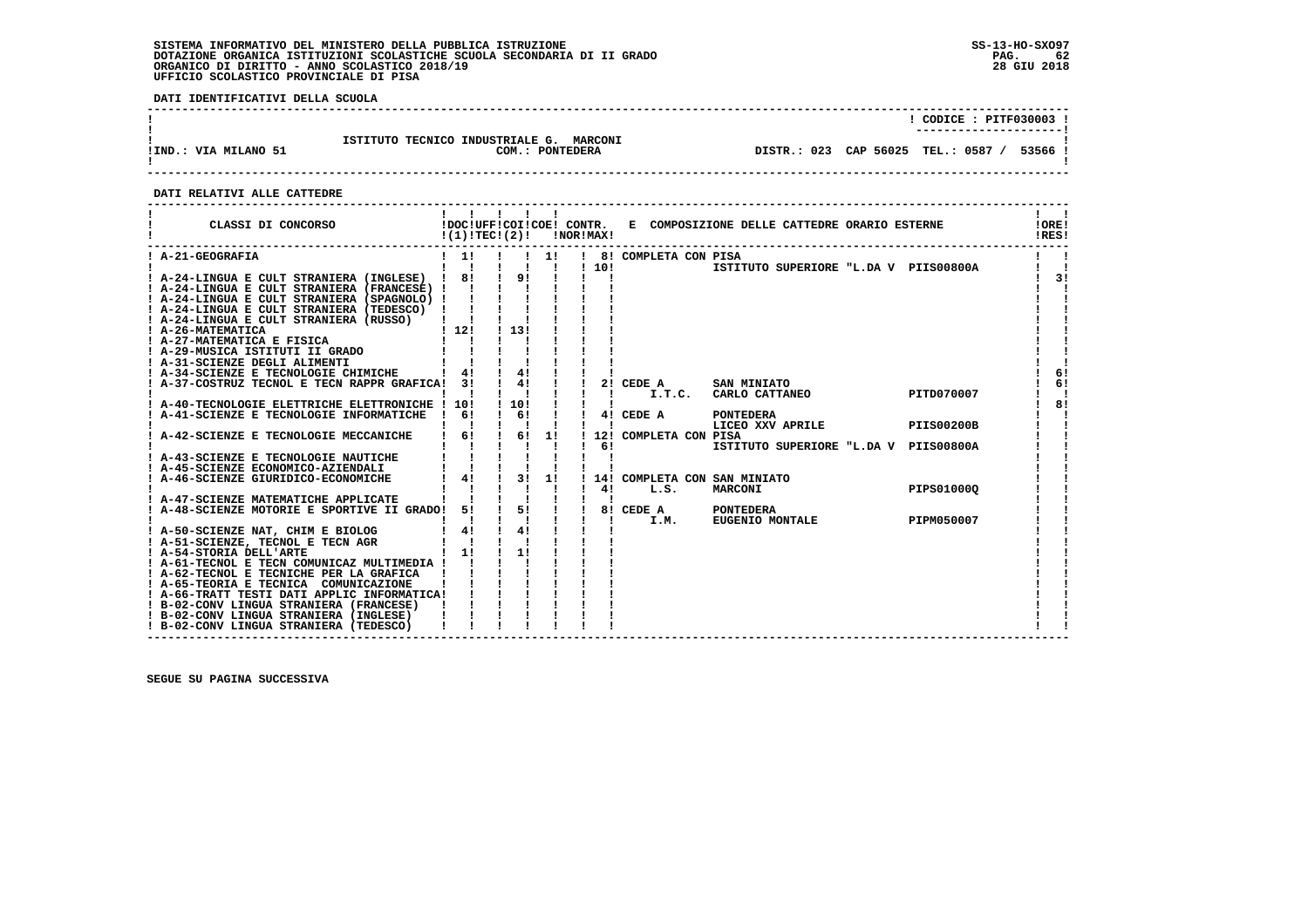**DATI IDENTIFICATIVI DELLA SCUOLA**

|                      |                                                   |                                    | CODICE: PITF030003 !   |       |
|----------------------|---------------------------------------------------|------------------------------------|------------------------|-------|
|                      |                                                   |                                    | ---------------------- |       |
|                      |                                                   |                                    |                        |       |
|                      | ISTITUTO TECNICO INDUSTRIALE G.<br><b>MARCONI</b> |                                    |                        |       |
| !IND.: VIA MILANO 51 | COM.: PONTEDERA                                   | DISTR.: 023 CAP 56025 TEL.: 0587 / |                        | 53566 |
|                      |                                                   |                                    |                        |       |
|                      |                                                   |                                    |                        |       |

 **------------------------------------------------------------------------------------------------------------------------------------**

#### **DATI RELATIVI ALLE CATTEDRE**

| CLASSI DI CONCORSO<br>------------------                                           | $!(1)!TEC!(2)!$ $INORIMAX!$ |                                                                         |                           |                |                              | !DOC!UFF!COI!COE! CONTR. E COMPOSIZIONE DELLE CATTEDRE ORARIO ESTERNE |                   | !ORE!<br>!RES! |
|------------------------------------------------------------------------------------|-----------------------------|-------------------------------------------------------------------------|---------------------------|----------------|------------------------------|-----------------------------------------------------------------------|-------------------|----------------|
| ! A-21-GEOGRAFIA                                                                   | $1 \quad 11$                |                                                                         | 11                        |                | ! 8! COMPLETA CON PISA       |                                                                       |                   |                |
|                                                                                    | $\blacksquare$              |                                                                         | $\mathbf{I}$ $\mathbf{I}$ | 1101           |                              | ISTITUTO SUPERIORE "L.DA V PIIS00800A                                 |                   |                |
| ! A-24-LINGUA E CULT STRANIERA (INGLESE) !                                         | 8!                          | 9!                                                                      |                           |                |                              |                                                                       |                   | -31            |
| ! A-24-LINGUA E CULT STRANIERA (FRANCESE) ! !                                      |                             |                                                                         |                           |                |                              |                                                                       |                   |                |
| ! A-24-LINGUA E CULT STRANIERA (SPAGNOLO) !!                                       |                             |                                                                         |                           |                |                              |                                                                       |                   |                |
| ! A-24-LINGUA E CULT STRANIERA (TEDESCO) !                                         |                             |                                                                         |                           |                |                              |                                                                       |                   |                |
| ! A-24-LINGUA E CULT STRANIERA (RUSSO)                                             |                             |                                                                         |                           |                |                              |                                                                       |                   |                |
| ! 12<br>! ISICA ! !<br>! A-26-MATEMATICA                                           |                             | 113!                                                                    |                           |                |                              |                                                                       |                   |                |
| ! A-27-MATEMATICA E FISICA                                                         |                             |                                                                         |                           |                |                              |                                                                       |                   |                |
| ! A-29-MUSICA ISTITUTI II GRADO                                                    |                             |                                                                         |                           |                |                              |                                                                       |                   |                |
| ! A-31-SCIENZE DEGLI ALIMENTI                                                      |                             |                                                                         |                           |                |                              |                                                                       |                   |                |
| ! A-34-SCIENZE E TECNOLOGIE CHIMICHE                                               |                             |                                                                         |                           |                |                              |                                                                       |                   | 6!             |
| ! A-37-COSTRUZ TECNOL E TECN RAPPR GRAFICA! 3!                                     |                             | $\frac{1}{4!}$ $\frac{1}{1}$                                            |                           |                | 2! CEDE A                    | SAN MINIATO<br>I.T.C. CARLO CATTANEO                                  |                   | 6!             |
|                                                                                    |                             |                                                                         |                           | - 11           |                              |                                                                       | PITD070007        | 81             |
| ! A-40-TECNOLOGIE ELETTRICHE ELETTRONICHE ! 10!                                    |                             | ! 10!                                                                   |                           |                |                              |                                                                       |                   |                |
| ! A-41-SCIENZE E TECNOLOGIE INFORMATICHE                                           | 61<br>$\mathbf{I}$          | $\begin{array}{ccccc} & 6 & & \end{array}$<br>$\mathbf{I}$ $\mathbf{I}$ |                           | $\blacksquare$ | 4! CEDE A                    | <b>PONTEDERA</b>                                                      | <b>PIIS00200B</b> |                |
| ! A-42-SCIENZE E TECNOLOGIE MECCANICHE                                             | 6!                          | $\mathbf{I}$                                                            | 6! 1!                     |                | 12! COMPLETA CON PISA        | LICEO XXV APRILE                                                      |                   |                |
|                                                                                    |                             |                                                                         |                           | 61             |                              | ISTITUTO SUPERIORE "L.DA V PIIS00800A                                 |                   |                |
|                                                                                    |                             |                                                                         |                           |                |                              |                                                                       |                   |                |
| <b>I A-43-SCIENZE E TECNOLOGIE NAUTICHE<br/>! A-45-SCIENZE ECONOMICO-AZIENDALI</b> |                             |                                                                         |                           |                |                              |                                                                       |                   |                |
| ! A-46-SCIENZE GIURIDICO-ECONOMICHE                                                | $4!$ $1$                    | 31                                                                      | 1!                        |                | 14! COMPLETA CON SAN MINIATO |                                                                       |                   |                |
|                                                                                    |                             |                                                                         |                           | 4!             | L.S.                         | MARCONI                                                               | PIPS01000Q        |                |
| ! A-47-SCIENZE MATEMATICHE APPLICATE                                               |                             |                                                                         |                           |                |                              |                                                                       |                   |                |
| ! A-48-SCIENZE MOTORIE E SPORTIVE II GRADO!                                        | 51                          | 51                                                                      |                           |                | 8! CEDE A                    | <b>PONTEDERA</b>                                                      |                   |                |
|                                                                                    |                             |                                                                         |                           | $\mathbf{I}$   | I.M.                         | <b>EUGENIO MONTALE</b>                                                | PIPM050007        |                |
| ! A-50-SCIENZE NAT, CHIM E BIOLOG                                                  | 4!                          | $\frac{1}{4}$                                                           |                           |                |                              |                                                                       |                   |                |
| ! A-51-SCIENZE, TECNOL E TECN AGR                                                  |                             |                                                                         |                           |                |                              |                                                                       |                   |                |
| ! A-54-STORIA DELL'ARTE                                                            | $1 \quad 11$                | 11                                                                      |                           |                |                              |                                                                       |                   |                |
| ! A-61-TECNOL E TECN COMUNICAZ MULTIMEDIA !                                        |                             |                                                                         |                           |                |                              |                                                                       |                   |                |
| ! A-62-TECNOL E TECNICHE PER LA GRAFICA !                                          |                             |                                                                         |                           |                |                              |                                                                       |                   |                |
| ! A-65-TEORIA E TECNICA COMUNICAZIONE                                              |                             |                                                                         |                           |                |                              |                                                                       |                   |                |
| ! A-66-TRATT TESTI DATI APPLIC INFORMATICA!                                        |                             |                                                                         |                           |                |                              |                                                                       |                   |                |
| ! B-02-CONV LINGUA STRANIERA (FRANCESE)                                            |                             |                                                                         |                           |                |                              |                                                                       |                   |                |
| ! B-02-CONV LINGUA STRANIERA (INGLESE)                                             |                             |                                                                         |                           |                |                              |                                                                       |                   |                |
| ! B-02-CONV LINGUA STRANIERA (TEDESCO)                                             |                             |                                                                         |                           |                |                              |                                                                       |                   |                |
|                                                                                    |                             |                                                                         |                           |                |                              |                                                                       |                   |                |